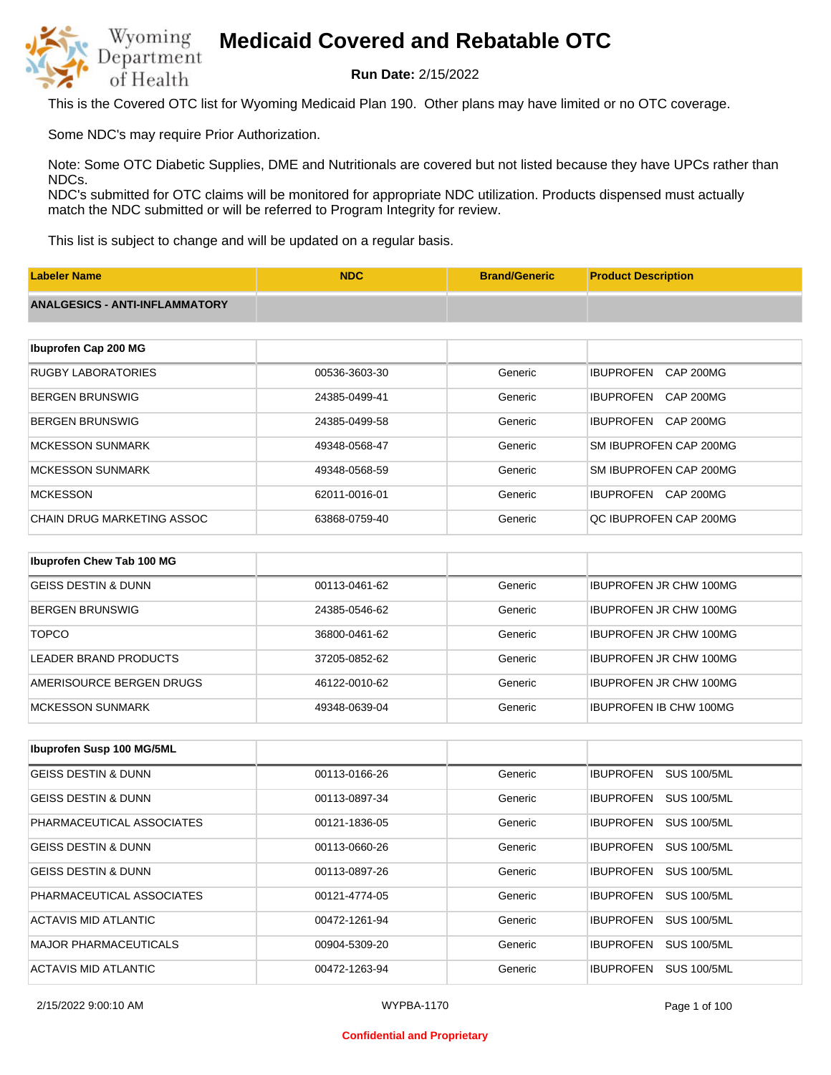

**Run Date:** 2/15/2022

This is the Covered OTC list for Wyoming Medicaid Plan 190. Other plans may have limited or no OTC coverage.

Some NDC's may require Prior Authorization.

Note: Some OTC Diabetic Supplies, DME and Nutritionals are covered but not listed because they have UPCs rather than NDCs.

NDC's submitted for OTC claims will be monitored for appropriate NDC utilization. Products dispensed must actually match the NDC submitted or will be referred to Program Integrity for review.

This list is subject to change and will be updated on a regular basis.

| <b>Labeler Name</b>                   | <b>NDC</b>    | <b>Brand/Generic</b> | <b>Product Description</b>           |
|---------------------------------------|---------------|----------------------|--------------------------------------|
| <b>ANALGESICS - ANTI-INFLAMMATORY</b> |               |                      |                                      |
|                                       |               |                      |                                      |
| Ibuprofen Cap 200 MG                  |               |                      |                                      |
| <b>RUGBY LABORATORIES</b>             | 00536-3603-30 | Generic              | <b>IBUPROFEN</b><br><b>CAP 200MG</b> |
| <b>BERGEN BRUNSWIG</b>                | 24385-0499-41 | Generic              | <b>IBUPROFEN</b><br><b>CAP 200MG</b> |
| <b>BERGEN BRUNSWIG</b>                | 24385-0499-58 | Generic              | <b>IBUPROFEN</b><br>CAP 200MG        |
| <b>MCKESSON SUNMARK</b>               | 49348-0568-47 | Generic              | SM IBUPROFEN CAP 200MG               |
| <b>MCKESSON SUNMARK</b>               | 49348-0568-59 | Generic              | SM IBUPROFEN CAP 200MG               |
| <b>MCKESSON</b>                       | 62011-0016-01 | Generic              | IBUPROFEN CAP 200MG                  |
| <b>CHAIN DRUG MARKETING ASSOC</b>     | 63868-0759-40 | Generic              | QC IBUPROFEN CAP 200MG               |
|                                       |               |                      |                                      |
| Ibuprofen Chew Tab 100 MG             |               |                      |                                      |
| <b>GEISS DESTIN &amp; DUNN</b>        | 00113-0461-62 | Generic              | <b>IBUPROFEN JR CHW 100MG</b>        |
| <b>BERGEN BRUNSWIG</b>                | 24385-0546-62 | Generic              | <b>IBUPROFEN JR CHW 100MG</b>        |

| <b>TOPCO</b>             | 36800-0461-62 | Generic | <b>IBUPROFEN JR CHW 100MG</b> |
|--------------------------|---------------|---------|-------------------------------|
|                          |               |         |                               |
| LEADER BRAND PRODUCTS    | 37205-0852-62 | Generic | <b>IBUPROFEN JR CHW 100MG</b> |
| AMERISOURCE BERGEN DRUGS | 46122-0010-62 | Generic | <b>IBUPROFEN JR CHW 100MG</b> |
| IMCKESSON SUNMARK        | 49348-0639-04 | Generic | <b>IBUPROFEN IB CHW 100MG</b> |

| <b>Ibuprofen Susp 100 MG/5ML</b> |               |         |                                        |
|----------------------------------|---------------|---------|----------------------------------------|
| GEISS DESTIN & DUNN              | 00113-0166-26 | Generic | <b>IBUPROFEN</b><br>SUS 100/5ML        |
| <b>GEISS DESTIN &amp; DUNN</b>   | 00113-0897-34 | Generic | <b>SUS 100/5ML</b><br><b>IBUPROFEN</b> |
| PHARMACEUTICAL ASSOCIATES        | 00121-1836-05 | Generic | <b>SUS 100/5ML</b><br><b>IBUPROFEN</b> |
| <b>GEISS DESTIN &amp; DUNN</b>   | 00113-0660-26 | Generic | <b>IBUPROFEN</b><br><b>SUS 100/5ML</b> |
| <b>GEISS DESTIN &amp; DUNN</b>   | 00113-0897-26 | Generic | <b>IBUPROFEN</b><br><b>SUS 100/5ML</b> |
| PHARMACEUTICAL ASSOCIATES        | 00121-4774-05 | Generic | <b>IBUPROFEN</b><br><b>SUS 100/5ML</b> |
| ACTAVIS MID ATLANTIC             | 00472-1261-94 | Generic | <b>SUS 100/5ML</b><br><b>IBUPROFEN</b> |
| <b>MAJOR PHARMACEUTICALS</b>     | 00904-5309-20 | Generic | <b>IBUPROFEN</b><br><b>SUS 100/5ML</b> |
| ACTAVIS MID ATLANTIC             | 00472-1263-94 | Generic | <b>SUS 100/5ML</b><br><b>IBUPROFEN</b> |

2/15/2022 9:00:10 AM WYPBA-1170 Page 1 of 100

### **Confidential and Proprietary**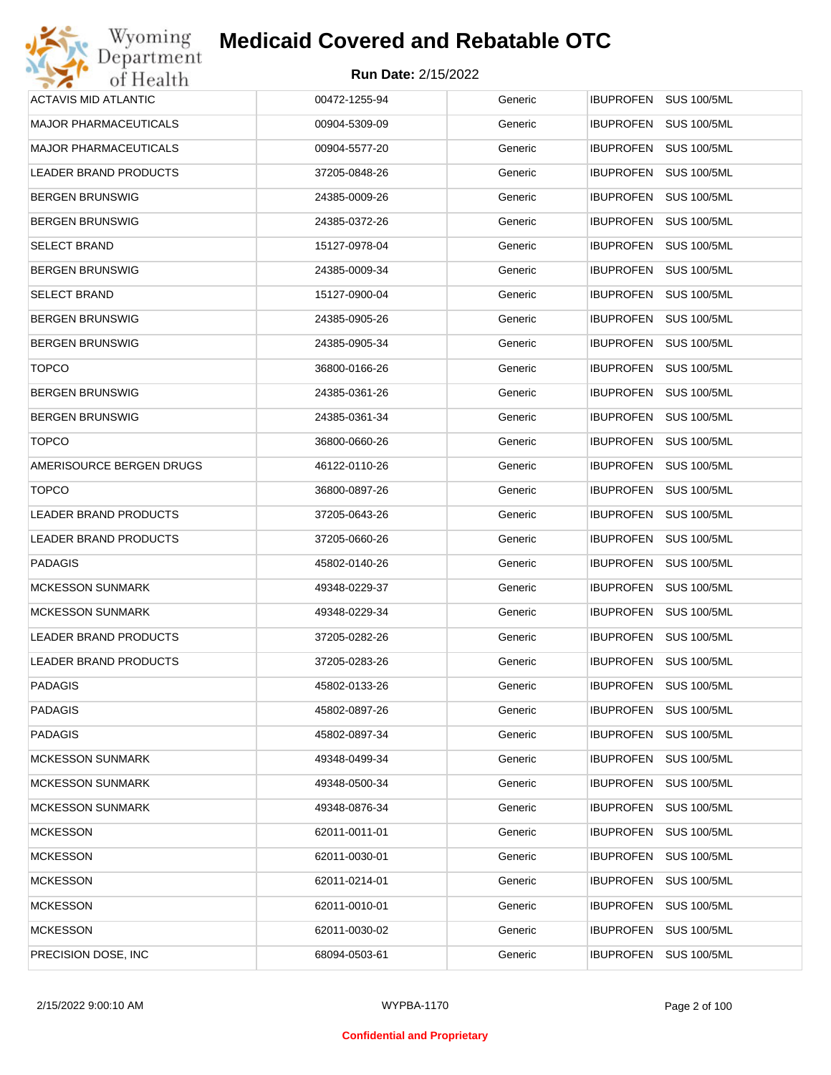| Wyoming                      | <b>Medicaid Covered and Rebatable OTC</b> |         |                                        |
|------------------------------|-------------------------------------------|---------|----------------------------------------|
| Department<br>of Health      | <b>Run Date: 2/15/2022</b>                |         |                                        |
| <b>ACTAVIS MID ATLANTIC</b>  | 00472-1255-94                             | Generic | IBUPROFEN SUS 100/5ML                  |
| <b>MAJOR PHARMACEUTICALS</b> | 00904-5309-09                             | Generic | <b>IBUPROFEN</b><br><b>SUS 100/5ML</b> |
| <b>MAJOR PHARMACEUTICALS</b> | 00904-5577-20                             | Generic | <b>SUS 100/5ML</b><br><b>IBUPROFEN</b> |
| LEADER BRAND PRODUCTS        | 37205-0848-26                             | Generic | <b>IBUPROFEN</b><br><b>SUS 100/5ML</b> |
| <b>BERGEN BRUNSWIG</b>       | 24385-0009-26                             | Generic | <b>IBUPROFEN</b><br><b>SUS 100/5ML</b> |
| <b>BERGEN BRUNSWIG</b>       | 24385-0372-26                             | Generic | <b>IBUPROFEN</b><br><b>SUS 100/5ML</b> |
| <b>SELECT BRAND</b>          | 15127-0978-04                             | Generic | <b>IBUPROFEN</b><br><b>SUS 100/5ML</b> |
| <b>BERGEN BRUNSWIG</b>       | 24385-0009-34                             | Generic | <b>IBUPROFEN</b><br><b>SUS 100/5ML</b> |
| <b>SELECT BRAND</b>          | 15127-0900-04                             | Generic | <b>IBUPROFEN</b><br><b>SUS 100/5ML</b> |
| <b>BERGEN BRUNSWIG</b>       | 24385-0905-26                             | Generic | <b>IBUPROFEN</b><br><b>SUS 100/5ML</b> |
| <b>BERGEN BRUNSWIG</b>       | 24385-0905-34                             | Generic | <b>IBUPROFEN</b><br><b>SUS 100/5ML</b> |
| <b>TOPCO</b>                 | 36800-0166-26                             | Generic | <b>IBUPROFEN</b><br><b>SUS 100/5ML</b> |
| <b>BERGEN BRUNSWIG</b>       | 24385-0361-26                             | Generic | <b>IBUPROFEN</b><br><b>SUS 100/5ML</b> |
| <b>BERGEN BRUNSWIG</b>       | 24385-0361-34                             | Generic | <b>IBUPROFEN</b><br><b>SUS 100/5ML</b> |
| <b>TOPCO</b>                 | 36800-0660-26                             | Generic | <b>IBUPROFEN</b><br><b>SUS 100/5ML</b> |
| AMERISOURCE BERGEN DRUGS     | 46122-0110-26                             | Generic | <b>IBUPROFEN</b><br><b>SUS 100/5ML</b> |
| <b>TOPCO</b>                 | 36800-0897-26                             | Generic | <b>IBUPROFEN</b><br><b>SUS 100/5ML</b> |
| LEADER BRAND PRODUCTS        | 37205-0643-26                             | Generic | <b>IBUPROFEN</b><br><b>SUS 100/5ML</b> |
| LEADER BRAND PRODUCTS        | 37205-0660-26                             | Generic | <b>IBUPROFEN</b><br><b>SUS 100/5ML</b> |
| <b>PADAGIS</b>               | 45802-0140-26                             | Generic | <b>IBUPROFEN</b><br><b>SUS 100/5ML</b> |
| <b>MCKESSON SUNMARK</b>      | 49348-0229-37                             | Generic | <b>IBUPROFEN</b><br><b>SUS 100/5ML</b> |
| <b>MCKESSON SUNMARK</b>      | 49348-0229-34                             | Generic | IBUPROFEN SUS 100/5ML                  |
| LEADER BRAND PRODUCTS        | 37205-0282-26                             | Generic | IBUPROFEN SUS 100/5ML                  |
| LEADER BRAND PRODUCTS        | 37205-0283-26                             | Generic | <b>IBUPROFEN</b><br><b>SUS 100/5ML</b> |
| <b>PADAGIS</b>               | 45802-0133-26                             | Generic | <b>IBUPROFEN</b><br><b>SUS 100/5ML</b> |
| <b>PADAGIS</b>               | 45802-0897-26                             | Generic | <b>SUS 100/5ML</b><br><b>IBUPROFEN</b> |
| <b>PADAGIS</b>               | 45802-0897-34                             | Generic | <b>IBUPROFEN</b><br><b>SUS 100/5ML</b> |
| <b>MCKESSON SUNMARK</b>      | 49348-0499-34                             | Generic | <b>SUS 100/5ML</b><br><b>IBUPROFEN</b> |
| <b>MCKESSON SUNMARK</b>      | 49348-0500-34                             | Generic | <b>IBUPROFEN</b><br><b>SUS 100/5ML</b> |
| <b>MCKESSON SUNMARK</b>      | 49348-0876-34                             | Generic | <b>IBUPROFEN</b><br><b>SUS 100/5ML</b> |
| <b>MCKESSON</b>              | 62011-0011-01                             | Generic | <b>IBUPROFEN</b><br><b>SUS 100/5ML</b> |
| <b>MCKESSON</b>              | 62011-0030-01                             | Generic | <b>IBUPROFEN</b><br><b>SUS 100/5ML</b> |
| <b>MCKESSON</b>              | 62011-0214-01                             | Generic | <b>IBUPROFEN</b><br><b>SUS 100/5ML</b> |
| <b>MCKESSON</b>              | 62011-0010-01                             | Generic | <b>IBUPROFEN</b><br><b>SUS 100/5ML</b> |
| <b>MCKESSON</b>              | 62011-0030-02                             | Generic | <b>SUS 100/5ML</b><br><b>IBUPROFEN</b> |
| PRECISION DOSE, INC.         | 68094-0503-61                             | Generic | <b>SUS 100/5ML</b><br>IBUPROFEN        |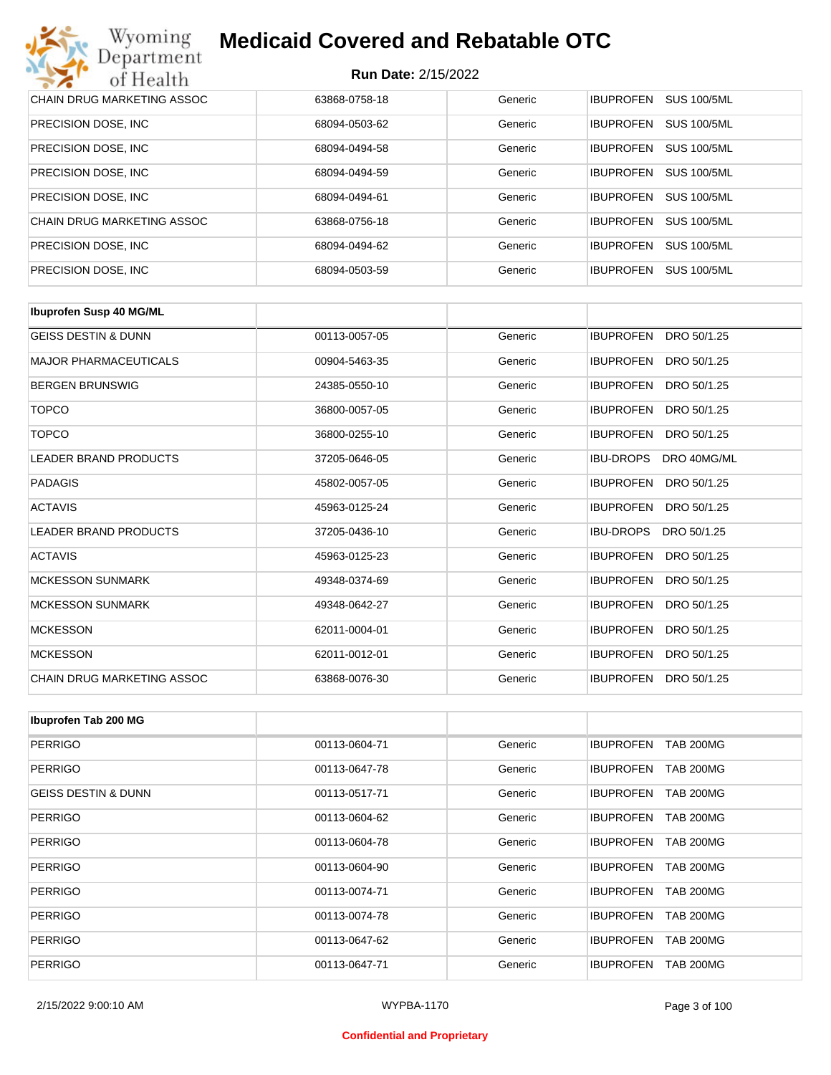| Wyoming<br><b>Medicaid Covered and Rebatable OTC</b><br>Department |                            |         |                                        |  |
|--------------------------------------------------------------------|----------------------------|---------|----------------------------------------|--|
| of Health                                                          | <b>Run Date: 2/15/2022</b> |         |                                        |  |
| CHAIN DRUG MARKETING ASSOC                                         | 63868-0758-18              | Generic | <b>SUS 100/5ML</b><br><b>IBUPROFEN</b> |  |
| PRECISION DOSE, INC.                                               | 68094-0503-62              | Generic | <b>IBUPROFEN</b><br><b>SUS 100/5ML</b> |  |
| PRECISION DOSE, INC.                                               | 68094-0494-58              | Generic | <b>IBUPROFEN</b><br><b>SUS 100/5ML</b> |  |
| PRECISION DOSE, INC.                                               | 68094-0494-59              | Generic | <b>SUS 100/5ML</b><br><b>IBUPROFEN</b> |  |
| PRECISION DOSE, INC.                                               | 68094-0494-61              | Generic | <b>SUS 100/5ML</b><br><b>IBUPROFEN</b> |  |
| CHAIN DRUG MARKETING ASSOC                                         | 63868-0756-18              | Generic | <b>SUS 100/5ML</b><br><b>IBUPROFEN</b> |  |
| PRECISION DOSE, INC.                                               | 68094-0494-62              | Generic | <b>SUS 100/5ML</b><br><b>IBUPROFEN</b> |  |
| PRECISION DOSE, INC.                                               | 68094-0503-59              | Generic | <b>IBUPROFEN</b><br><b>SUS 100/5ML</b> |  |

| <b>Ibuprofen Susp 40 MG/ML</b>    |               |         |                                 |
|-----------------------------------|---------------|---------|---------------------------------|
| <b>GEISS DESTIN &amp; DUNN</b>    | 00113-0057-05 | Generic | <b>IBUPROFEN</b><br>DRO 50/1.25 |
| <b>MAJOR PHARMACEUTICALS</b>      | 00904-5463-35 | Generic | <b>IBUPROFEN</b><br>DRO 50/1.25 |
| <b>BERGEN BRUNSWIG</b>            | 24385-0550-10 | Generic | <b>IBUPROFEN</b><br>DRO 50/1.25 |
| <b>TOPCO</b>                      | 36800-0057-05 | Generic | <b>IBUPROFEN</b><br>DRO 50/1.25 |
| <b>TOPCO</b>                      | 36800-0255-10 | Generic | <b>IBUPROFEN</b><br>DRO 50/1.25 |
| <b>LEADER BRAND PRODUCTS</b>      | 37205-0646-05 | Generic | <b>IBU-DROPS</b><br>DRO 40MG/ML |
| <b>PADAGIS</b>                    | 45802-0057-05 | Generic | <b>IBUPROFEN</b><br>DRO 50/1.25 |
| <b>ACTAVIS</b>                    | 45963-0125-24 | Generic | <b>IBUPROFEN</b><br>DRO 50/1.25 |
| <b>LEADER BRAND PRODUCTS</b>      | 37205-0436-10 | Generic | <b>IBU-DROPS</b><br>DRO 50/1.25 |
| <b>ACTAVIS</b>                    | 45963-0125-23 | Generic | <b>IBUPROFEN</b><br>DRO 50/1.25 |
| <b>MCKESSON SUNMARK</b>           | 49348-0374-69 | Generic | <b>IBUPROFEN</b><br>DRO 50/1.25 |
| <b>MCKESSON SUNMARK</b>           | 49348-0642-27 | Generic | <b>IBUPROFEN</b><br>DRO 50/1.25 |
| <b>MCKESSON</b>                   | 62011-0004-01 | Generic | <b>IBUPROFEN</b><br>DRO 50/1.25 |
| <b>MCKESSON</b>                   | 62011-0012-01 | Generic | <b>IBUPROFEN</b><br>DRO 50/1.25 |
| <b>CHAIN DRUG MARKETING ASSOC</b> | 63868-0076-30 | Generic | <b>IBUPROFEN</b><br>DRO 50/1.25 |

| Ibuprofen Tab 200 MG           |               |         |                                      |
|--------------------------------|---------------|---------|--------------------------------------|
| <b>PERRIGO</b>                 | 00113-0604-71 | Generic | <b>IBUPROFEN</b><br><b>TAB 200MG</b> |
| <b>PERRIGO</b>                 | 00113-0647-78 | Generic | <b>IBUPROFEN</b><br><b>TAB 200MG</b> |
| <b>GEISS DESTIN &amp; DUNN</b> | 00113-0517-71 | Generic | <b>TAB 200MG</b><br><b>IBUPROFEN</b> |
| <b>PERRIGO</b>                 | 00113-0604-62 | Generic | <b>TAB 200MG</b><br><b>IBUPROFEN</b> |
| <b>PERRIGO</b>                 | 00113-0604-78 | Generic | <b>IBUPROFEN</b><br><b>TAB 200MG</b> |
| <b>PERRIGO</b>                 | 00113-0604-90 | Generic | <b>IBUPROFEN</b><br><b>TAB 200MG</b> |
| <b>PERRIGO</b>                 | 00113-0074-71 | Generic | <b>IBUPROFEN</b><br><b>TAB 200MG</b> |
| <b>PERRIGO</b>                 | 00113-0074-78 | Generic | <b>TAB 200MG</b><br><b>IBUPROFEN</b> |
| <b>PERRIGO</b>                 | 00113-0647-62 | Generic | <b>IBUPROFEN</b><br><b>TAB 200MG</b> |
| <b>PERRIGO</b>                 | 00113-0647-71 | Generic | <b>IBUPROFEN</b><br><b>TAB 200MG</b> |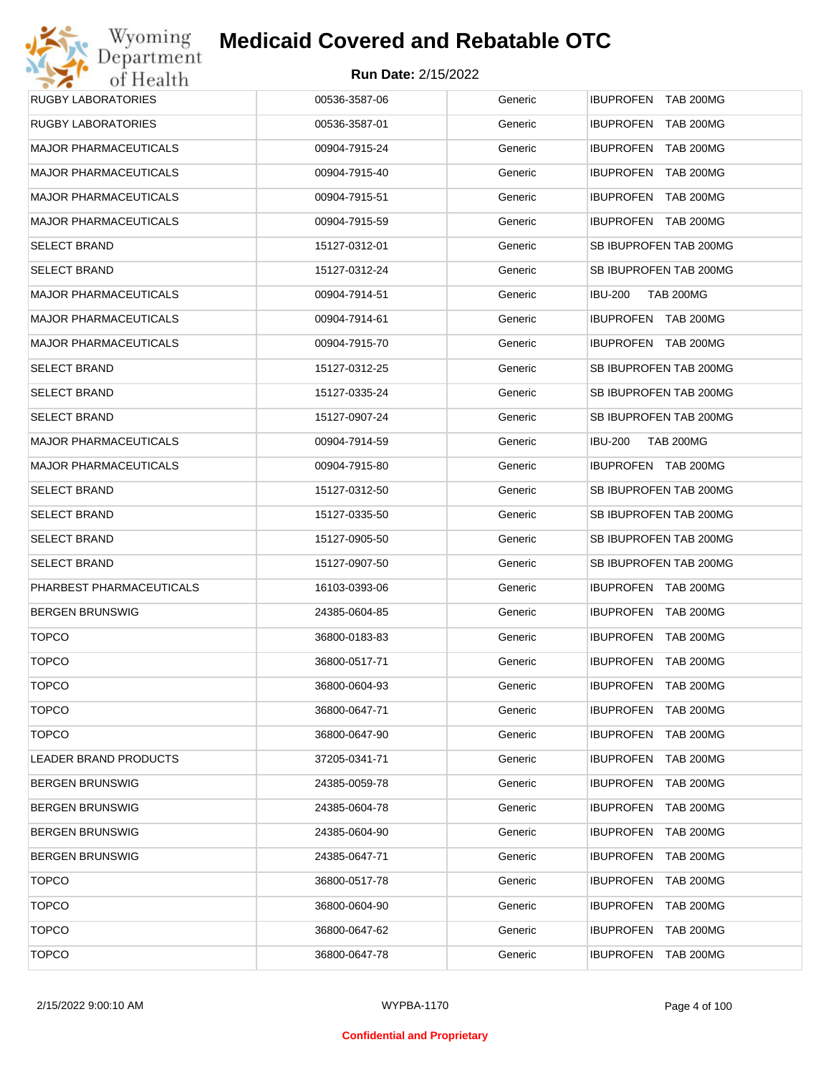# Wyoming<br>Department<br>of Health **Medicaid Covered and Rebatable OTC**

| <b>RUGBY LABORATORIES</b>    | 00536-3587-06 | Generic | <b>IBUPROFEN TAB 200MG</b>           |
|------------------------------|---------------|---------|--------------------------------------|
| <b>RUGBY LABORATORIES</b>    | 00536-3587-01 | Generic | IBUPROFEN TAB 200MG                  |
| <b>MAJOR PHARMACEUTICALS</b> | 00904-7915-24 | Generic | IBUPROFEN TAB 200MG                  |
| <b>MAJOR PHARMACEUTICALS</b> | 00904-7915-40 | Generic | IBUPROFEN TAB 200MG                  |
| <b>MAJOR PHARMACEUTICALS</b> | 00904-7915-51 | Generic | IBUPROFEN TAB 200MG                  |
| <b>MAJOR PHARMACEUTICALS</b> | 00904-7915-59 | Generic | IBUPROFEN TAB 200MG                  |
| <b>SELECT BRAND</b>          | 15127-0312-01 | Generic | SB IBUPROFEN TAB 200MG               |
| <b>SELECT BRAND</b>          | 15127-0312-24 | Generic | SB IBUPROFEN TAB 200MG               |
| <b>MAJOR PHARMACEUTICALS</b> | 00904-7914-51 | Generic | <b>TAB 200MG</b><br><b>IBU-200</b>   |
| <b>MAJOR PHARMACEUTICALS</b> | 00904-7914-61 | Generic | IBUPROFEN TAB 200MG                  |
| <b>MAJOR PHARMACEUTICALS</b> | 00904-7915-70 | Generic | IBUPROFEN TAB 200MG                  |
| <b>SELECT BRAND</b>          | 15127-0312-25 | Generic | SB IBUPROFEN TAB 200MG               |
| <b>SELECT BRAND</b>          | 15127-0335-24 | Generic | SB IBUPROFEN TAB 200MG               |
| <b>SELECT BRAND</b>          | 15127-0907-24 | Generic | SB IBUPROFEN TAB 200MG               |
| <b>MAJOR PHARMACEUTICALS</b> | 00904-7914-59 | Generic | <b>TAB 200MG</b><br><b>IBU-200</b>   |
| <b>MAJOR PHARMACEUTICALS</b> | 00904-7915-80 | Generic | IBUPROFEN TAB 200MG                  |
| <b>SELECT BRAND</b>          | 15127-0312-50 | Generic | SB IBUPROFEN TAB 200MG               |
| <b>SELECT BRAND</b>          | 15127-0335-50 | Generic | SB IBUPROFEN TAB 200MG               |
| <b>SELECT BRAND</b>          | 15127-0905-50 | Generic | SB IBUPROFEN TAB 200MG               |
| <b>SELECT BRAND</b>          | 15127-0907-50 | Generic | SB IBUPROFEN TAB 200MG               |
| PHARBEST PHARMACEUTICALS     | 16103-0393-06 | Generic | IBUPROFEN TAB 200MG                  |
| <b>BERGEN BRUNSWIG</b>       | 24385-0604-85 | Generic | IBUPROFEN TAB 200MG                  |
| <b>TOPCO</b>                 | 36800-0183-83 | Generic | IBUPROFEN TAB 200MG                  |
| <b>TOPCO</b>                 | 36800-0517-71 | Generic | IBUPROFEN TAB 200MG                  |
| <b>TOPCO</b>                 | 36800-0604-93 | Generic | IBUPROFEN TAB 200MG                  |
| <b>TOPCO</b>                 | 36800-0647-71 | Generic | IBUPROFEN TAB 200MG                  |
| <b>TOPCO</b>                 | 36800-0647-90 | Generic | IBUPROFEN TAB 200MG                  |
| LEADER BRAND PRODUCTS        | 37205-0341-71 | Generic | IBUPROFEN TAB 200MG                  |
| <b>BERGEN BRUNSWIG</b>       | 24385-0059-78 | Generic | <b>IBUPROFEN</b><br><b>TAB 200MG</b> |
| <b>BERGEN BRUNSWIG</b>       | 24385-0604-78 | Generic | IBUPROFEN TAB 200MG                  |
| <b>BERGEN BRUNSWIG</b>       | 24385-0604-90 | Generic | <b>IBUPROFEN</b><br><b>TAB 200MG</b> |
| <b>BERGEN BRUNSWIG</b>       | 24385-0647-71 | Generic | IBUPROFEN TAB 200MG                  |
| <b>TOPCO</b>                 | 36800-0517-78 | Generic | <b>IBUPROFEN</b><br><b>TAB 200MG</b> |
| <b>TOPCO</b>                 | 36800-0604-90 | Generic | IBUPROFEN TAB 200MG                  |
| <b>TOPCO</b>                 | 36800-0647-62 | Generic | <b>IBUPROFEN</b><br><b>TAB 200MG</b> |
| <b>TOPCO</b>                 | 36800-0647-78 | Generic | IBUPROFEN TAB 200MG                  |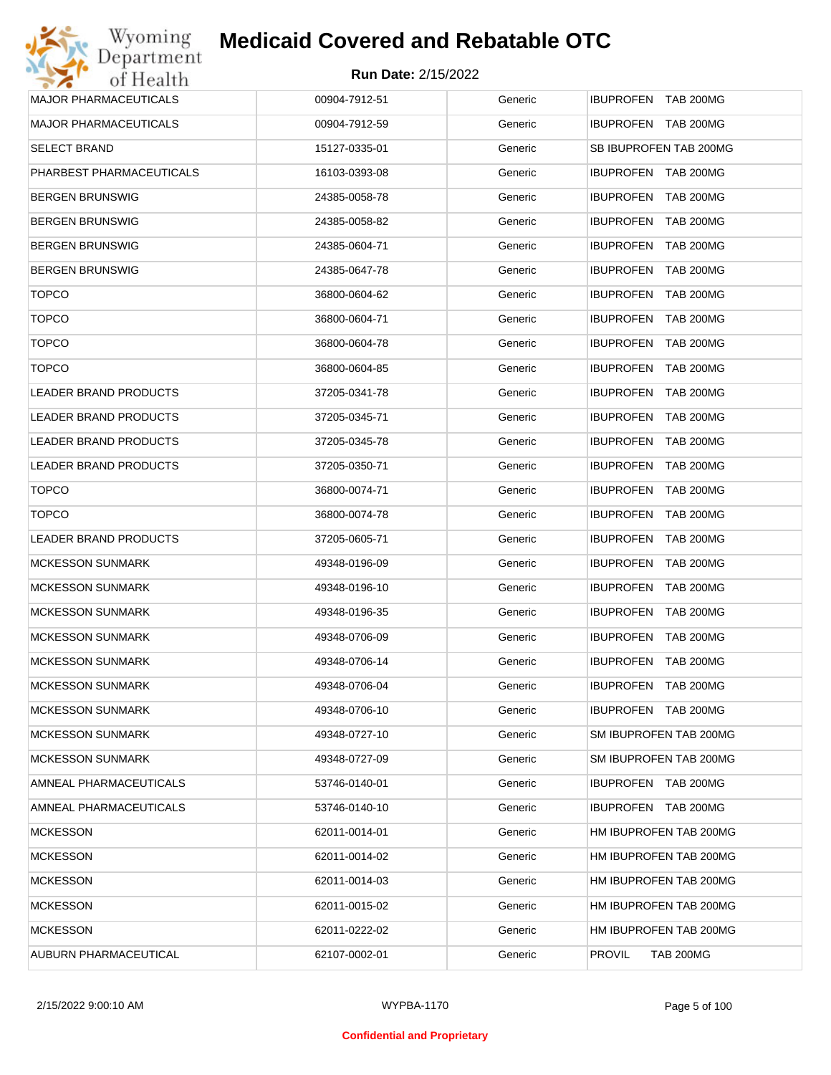| Wyoming                      | <b>Medicaid Covered and Rebatable OTC</b> |         |                                      |
|------------------------------|-------------------------------------------|---------|--------------------------------------|
| Department<br>of Health      | <b>Run Date: 2/15/2022</b>                |         |                                      |
| <b>MAJOR PHARMACEUTICALS</b> | 00904-7912-51                             | Generic | IBUPROFEN TAB 200MG                  |
| <b>MAJOR PHARMACEUTICALS</b> | 00904-7912-59                             | Generic | IBUPROFEN TAB 200MG                  |
| SELECT BRAND                 | 15127-0335-01                             | Generic | SB IBUPROFEN TAB 200MG               |
| PHARBEST PHARMACEUTICALS     | 16103-0393-08                             | Generic | IBUPROFEN TAB 200MG                  |
| <b>BERGEN BRUNSWIG</b>       | 24385-0058-78                             | Generic | IBUPROFEN TAB 200MG                  |
| <b>BERGEN BRUNSWIG</b>       | 24385-0058-82                             | Generic | IBUPROFEN TAB 200MG                  |
| <b>BERGEN BRUNSWIG</b>       | 24385-0604-71                             | Generic | IBUPROFEN TAB 200MG                  |
| <b>BERGEN BRUNSWIG</b>       | 24385-0647-78                             | Generic | <b>IBUPROFEN</b><br><b>TAB 200MG</b> |
| <b>TOPCO</b>                 | 36800-0604-62                             | Generic | IBUPROFEN TAB 200MG                  |
| <b>TOPCO</b>                 | 36800-0604-71                             | Generic | <b>IBUPROFEN</b><br><b>TAB 200MG</b> |
| <b>TOPCO</b>                 | 36800-0604-78                             | Generic | <b>IBUPROFEN</b><br><b>TAB 200MG</b> |
| <b>TOPCO</b>                 | 36800-0604-85                             | Generic | <b>IBUPROFEN</b><br><b>TAB 200MG</b> |
| LEADER BRAND PRODUCTS        | 37205-0341-78                             | Generic | <b>IBUPROFEN</b><br><b>TAB 200MG</b> |
| LEADER BRAND PRODUCTS        | 37205-0345-71                             | Generic | <b>IBUPROFEN</b><br><b>TAB 200MG</b> |
| LEADER BRAND PRODUCTS        | 37205-0345-78                             | Generic | <b>IBUPROFEN</b><br><b>TAB 200MG</b> |
| LEADER BRAND PRODUCTS        | 37205-0350-71                             | Generic | <b>IBUPROFEN</b><br><b>TAB 200MG</b> |
| <b>TOPCO</b>                 | 36800-0074-71                             | Generic | <b>IBUPROFEN</b><br><b>TAB 200MG</b> |
| <b>TOPCO</b>                 | 36800-0074-78                             | Generic | <b>IBUPROFEN</b><br><b>TAB 200MG</b> |
| LEADER BRAND PRODUCTS        | 37205-0605-71                             | Generic | <b>IBUPROFEN</b><br><b>TAB 200MG</b> |
| <b>MCKESSON SUNMARK</b>      | 49348-0196-09                             | Generic | IBUPROFEN TAB 200MG                  |
| <b>MCKESSON SUNMARK</b>      | 49348-0196-10                             | Generic | <b>IBUPROFEN</b><br>TAB 200MG        |
| <b>MCKESSON SUNMARK</b>      | 49348-0196-35                             | Generic | <b>IBUPROFEN TAB 200MG</b>           |
| <b>MCKESSON SUNMARK</b>      | 49348-0706-09                             | Generic | <b>IBUPROFEN TAB 200MG</b>           |
| <b>MCKESSON SUNMARK</b>      | 49348-0706-14                             | Generic | IBUPROFEN TAB 200MG                  |
| <b>MCKESSON SUNMARK</b>      | 49348-0706-04                             | Generic | IBUPROFEN TAB 200MG                  |
| <b>MCKESSON SUNMARK</b>      | 49348-0706-10                             | Generic | IBUPROFEN TAB 200MG                  |
| <b>MCKESSON SUNMARK</b>      | 49348-0727-10                             | Generic | SM IBUPROFEN TAB 200MG               |
| <b>MCKESSON SUNMARK</b>      | 49348-0727-09                             | Generic | SM IBUPROFEN TAB 200MG               |
| AMNEAL PHARMACEUTICALS       | 53746-0140-01                             | Generic | IBUPROFEN TAB 200MG                  |
| AMNEAL PHARMACEUTICALS       | 53746-0140-10                             | Generic | IBUPROFEN TAB 200MG                  |
| <b>MCKESSON</b>              | 62011-0014-01                             | Generic | HM IBUPROFEN TAB 200MG               |
| <b>MCKESSON</b>              | 62011-0014-02                             | Generic | HM IBUPROFEN TAB 200MG               |
| <b>MCKESSON</b>              | 62011-0014-03                             | Generic | HM IBUPROFEN TAB 200MG               |
| <b>MCKESSON</b>              | 62011-0015-02                             | Generic | HM IBUPROFEN TAB 200MG               |
| <b>MCKESSON</b>              | 62011-0222-02                             | Generic | HM IBUPROFEN TAB 200MG               |
| AUBURN PHARMACEUTICAL        | 62107-0002-01                             | Generic | <b>PROVIL</b><br><b>TAB 200MG</b>    |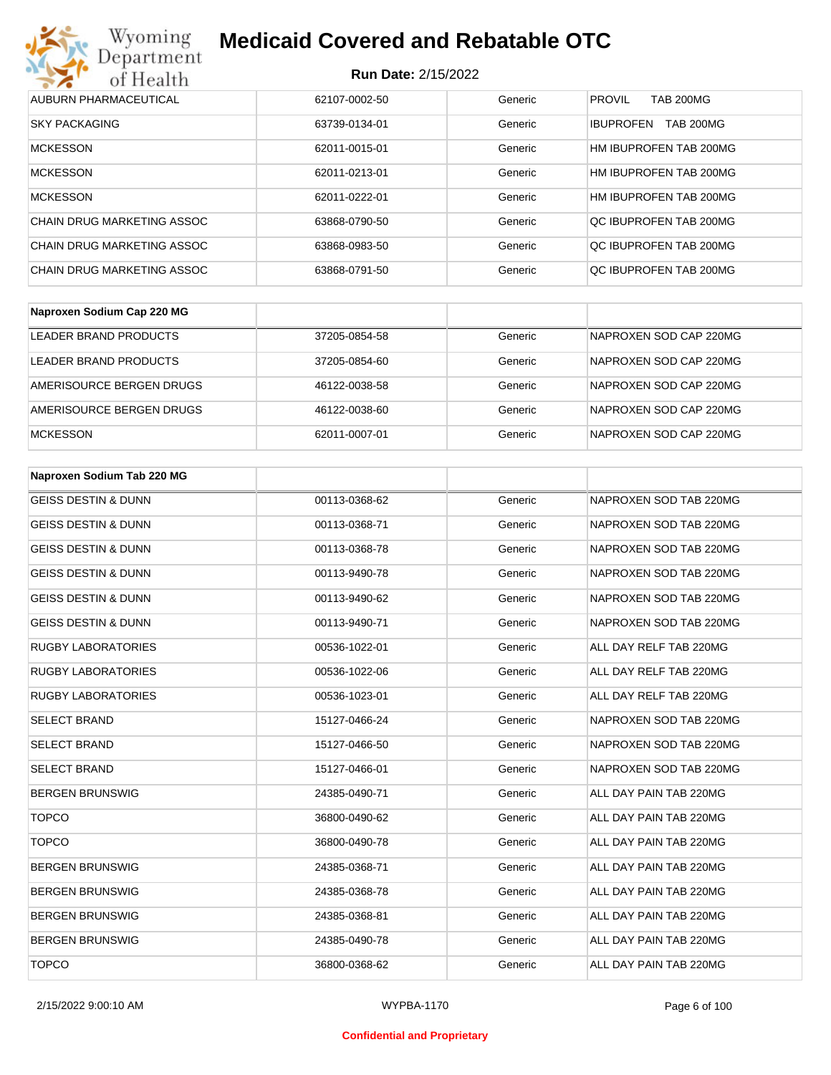

| AUBURN PHARMACEUTICAL      | 62107-0002-50 | Generic | <b>PROVIL</b><br><b>TAB 200MG</b>    |
|----------------------------|---------------|---------|--------------------------------------|
| <b>SKY PACKAGING</b>       | 63739-0134-01 | Generic | <b>TAB 200MG</b><br><b>IBUPROFEN</b> |
| <b>MCKESSON</b>            | 62011-0015-01 | Generic | HM IBUPROFEN TAB 200MG               |
| <b>MCKESSON</b>            | 62011-0213-01 | Generic | HM IBUPROFEN TAB 200MG               |
| <b>MCKESSON</b>            | 62011-0222-01 | Generic | HM IBUPROFEN TAB 200MG               |
| CHAIN DRUG MARKETING ASSOC | 63868-0790-50 | Generic | OC IBUPROFEN TAB 200MG               |
| CHAIN DRUG MARKETING ASSOC | 63868-0983-50 | Generic | OC IBUPROFEN TAB 200MG               |
| CHAIN DRUG MARKETING ASSOC | 63868-0791-50 | Generic | OC IBUPROFEN TAB 200MG               |

| Naproxen Sodium Cap 220 MG |               |         |                        |
|----------------------------|---------------|---------|------------------------|
| LEADER BRAND PRODUCTS      | 37205-0854-58 | Generic | NAPROXEN SOD CAP 220MG |
| LEADER BRAND PRODUCTS      | 37205-0854-60 | Generic | NAPROXEN SOD CAP 220MG |
| AMERISOURCE BERGEN DRUGS   | 46122-0038-58 | Generic | NAPROXEN SOD CAP 220MG |
| AMERISOURCE BERGEN DRUGS   | 46122-0038-60 | Generic | NAPROXEN SOD CAP 220MG |
| <b>MCKESSON</b>            | 62011-0007-01 | Generic | NAPROXEN SOD CAP 220MG |

| Naproxen Sodium Tab 220 MG     |               |         |                        |
|--------------------------------|---------------|---------|------------------------|
| <b>GEISS DESTIN &amp; DUNN</b> | 00113-0368-62 | Generic | NAPROXEN SOD TAB 220MG |
| <b>GEISS DESTIN &amp; DUNN</b> | 00113-0368-71 | Generic | NAPROXEN SOD TAB 220MG |
| <b>GEISS DESTIN &amp; DUNN</b> | 00113-0368-78 | Generic | NAPROXEN SOD TAB 220MG |
| <b>GEISS DESTIN &amp; DUNN</b> | 00113-9490-78 | Generic | NAPROXEN SOD TAB 220MG |
| <b>GEISS DESTIN &amp; DUNN</b> | 00113-9490-62 | Generic | NAPROXEN SOD TAB 220MG |
| <b>GEISS DESTIN &amp; DUNN</b> | 00113-9490-71 | Generic | NAPROXEN SOD TAB 220MG |
| <b>RUGBY LABORATORIES</b>      | 00536-1022-01 | Generic | ALL DAY RELF TAB 220MG |
| <b>RUGBY LABORATORIES</b>      | 00536-1022-06 | Generic | ALL DAY RELF TAB 220MG |
| <b>RUGBY LABORATORIES</b>      | 00536-1023-01 | Generic | ALL DAY RELF TAB 220MG |
| <b>SELECT BRAND</b>            | 15127-0466-24 | Generic | NAPROXEN SOD TAB 220MG |
| <b>SELECT BRAND</b>            | 15127-0466-50 | Generic | NAPROXEN SOD TAB 220MG |
| <b>SELECT BRAND</b>            | 15127-0466-01 | Generic | NAPROXEN SOD TAB 220MG |
| <b>BERGEN BRUNSWIG</b>         | 24385-0490-71 | Generic | ALL DAY PAIN TAB 220MG |
| <b>TOPCO</b>                   | 36800-0490-62 | Generic | ALL DAY PAIN TAB 220MG |
| <b>TOPCO</b>                   | 36800-0490-78 | Generic | ALL DAY PAIN TAB 220MG |
| <b>BERGEN BRUNSWIG</b>         | 24385-0368-71 | Generic | ALL DAY PAIN TAB 220MG |
| <b>BERGEN BRUNSWIG</b>         | 24385-0368-78 | Generic | ALL DAY PAIN TAB 220MG |
| <b>BERGEN BRUNSWIG</b>         | 24385-0368-81 | Generic | ALL DAY PAIN TAB 220MG |
| <b>BERGEN BRUNSWIG</b>         | 24385-0490-78 | Generic | ALL DAY PAIN TAB 220MG |
| <b>TOPCO</b>                   | 36800-0368-62 | Generic | ALL DAY PAIN TAB 220MG |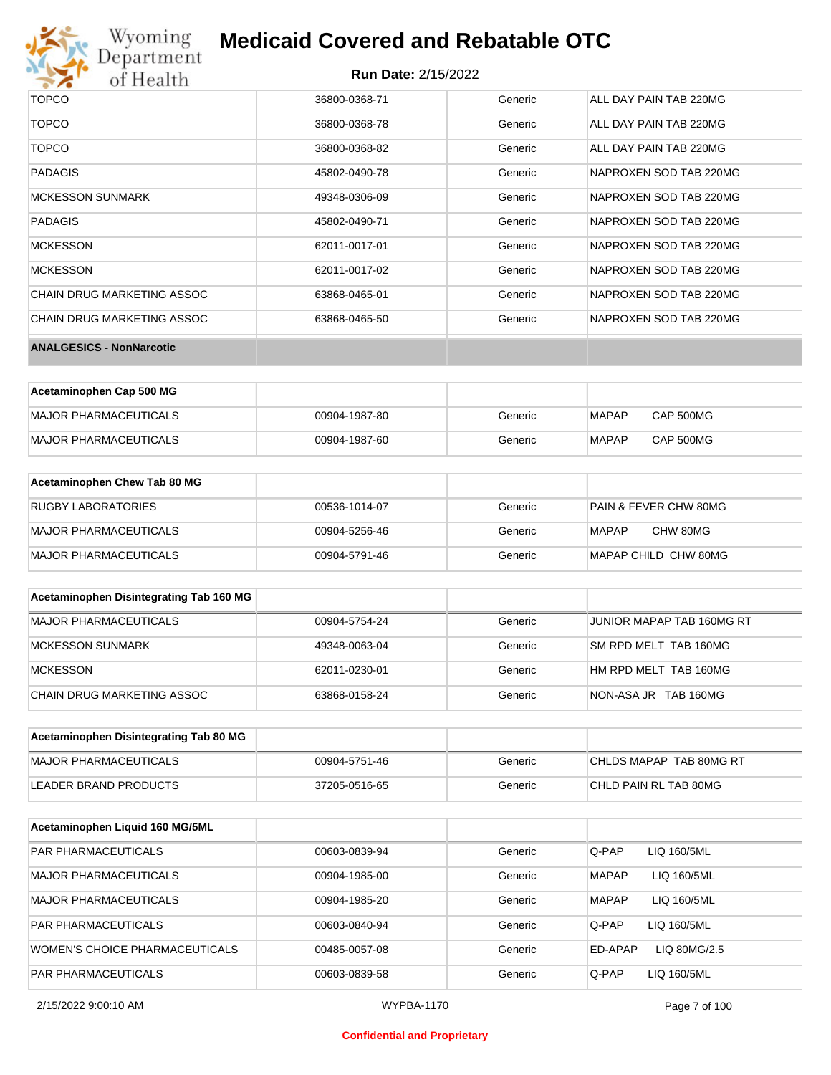

### **Run Date:** 2/15/2022

| <b>TOPCO</b>                    | 36800-0368-71 | Generic | ALL DAY PAIN TAB 220MG |
|---------------------------------|---------------|---------|------------------------|
| <b>TOPCO</b>                    | 36800-0368-78 | Generic | ALL DAY PAIN TAB 220MG |
| <b>TOPCO</b>                    | 36800-0368-82 | Generic | ALL DAY PAIN TAB 220MG |
| <b>PADAGIS</b>                  | 45802-0490-78 | Generic | NAPROXEN SOD TAB 220MG |
| <b>MCKESSON SUNMARK</b>         | 49348-0306-09 | Generic | NAPROXEN SOD TAB 220MG |
| <b>PADAGIS</b>                  | 45802-0490-71 | Generic | NAPROXEN SOD TAB 220MG |
| <b>MCKESSON</b>                 | 62011-0017-01 | Generic | NAPROXEN SOD TAB 220MG |
| <b>MCKESSON</b>                 | 62011-0017-02 | Generic | NAPROXEN SOD TAB 220MG |
| CHAIN DRUG MARKETING ASSOC      | 63868-0465-01 | Generic | NAPROXEN SOD TAB 220MG |
| CHAIN DRUG MARKETING ASSOC      | 63868-0465-50 | Generic | NAPROXEN SOD TAB 220MG |
| <b>ANALGESICS - NonNarcotic</b> |               |         |                        |

| Acetaminophen Cap 500 MG |               |         |              |           |
|--------------------------|---------------|---------|--------------|-----------|
| MAJOR PHARMACEUTICALS    | 00904-1987-80 | Generic | <b>MAPAP</b> | CAP 500MG |
| MAJOR PHARMACEUTICALS    | 00904-1987-60 | Generic | <b>MAPAP</b> | CAP 500MG |

| Acetaminophen Chew Tab 80 MG |               |         |                       |
|------------------------------|---------------|---------|-----------------------|
| RUGBY LABORATORIES           | 00536-1014-07 | Generic | PAIN & FEVER CHW 80MG |
| MAJOR PHARMACEUTICALS        | 00904-5256-46 | Generic | CHW 80MG<br>MAPAP     |
| MAJOR PHARMACEUTICALS        | 00904-5791-46 | Generic | MAPAP CHILD CHW 80MG  |

| Acetaminophen Disintegrating Tab 160 MG |               |         |                           |
|-----------------------------------------|---------------|---------|---------------------------|
| MAJOR PHARMACEUTICALS                   | 00904-5754-24 | Generic | JUNIOR MAPAP TAB 160MG RT |
| MCKESSON SUNMARK                        | 49348-0063-04 | Generic | SM RPD MELT TAB 160MG     |
| MCKESSON                                | 62011-0230-01 | Generic | HM RPD MELT TAB 160MG     |
| CHAIN DRUG MARKETING ASSOC              | 63868-0158-24 | Generic | NON-ASA JR TAB 160MG      |

| Acetaminophen Disintegrating Tab 80 MG |               |         |                         |
|----------------------------------------|---------------|---------|-------------------------|
| MAJOR PHARMACEUTICALS                  | 00904-5751-46 | Generic | CHLDS MAPAP TAB 80MG RT |
| LEADER BRAND PRODUCTS                  | 37205-0516-65 | Generic | CHLD PAIN RL TAB 80MG   |

| Acetaminophen Liquid 160 MG/5ML |               |         |                             |
|---------------------------------|---------------|---------|-----------------------------|
| <b>PAR PHARMACEUTICALS</b>      | 00603-0839-94 | Generic | Q-PAP<br>LIQ 160/5ML        |
| MAJOR PHARMACEUTICALS           | 00904-1985-00 | Generic | <b>MAPAP</b><br>LIQ 160/5ML |
| MAJOR PHARMACEUTICALS           | 00904-1985-20 | Generic | <b>MAPAP</b><br>LIQ 160/5ML |
| <b>PAR PHARMACEUTICALS</b>      | 00603-0840-94 | Generic | Q-PAP<br>LIQ 160/5ML        |
| WOMEN'S CHOICE PHARMACEUTICALS  | 00485-0057-08 | Generic | ED-APAP<br>LIQ 80MG/2.5     |
| <b>PAR PHARMACEUTICALS</b>      | 00603-0839-58 | Generic | Q-PAP<br>LIQ 160/5ML        |

### **Confidential and Proprietary**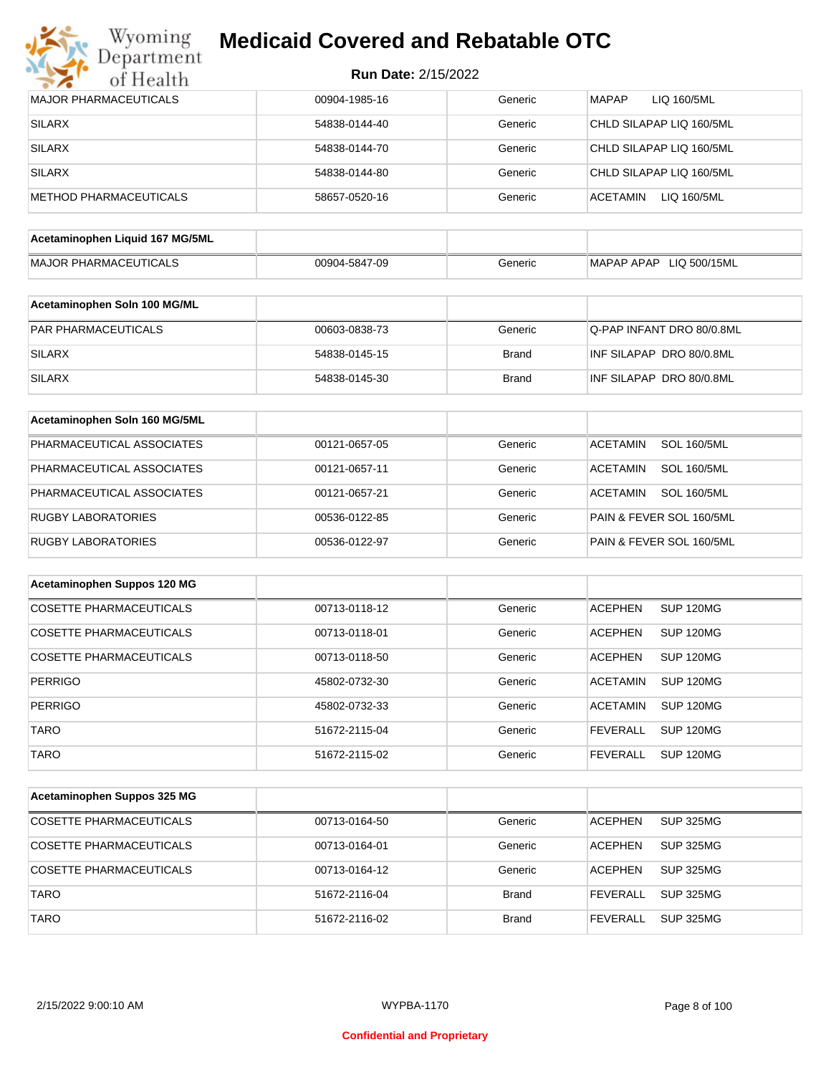

| <b>Run Date: 2/15/2022</b> |  |
|----------------------------|--|
|----------------------------|--|

| <b>MAJOR PHARMACEUTICALS</b>    | 00904-1985-16 | Generic      | <b>MAPAP</b><br>LIQ 160/5ML           |
|---------------------------------|---------------|--------------|---------------------------------------|
| <b>SILARX</b>                   | 54838-0144-40 | Generic      | CHLD SILAPAP LIQ 160/5ML              |
| <b>SILARX</b>                   | 54838-0144-70 | Generic      | CHLD SILAPAP LIQ 160/5ML              |
| <b>SILARX</b>                   | 54838-0144-80 | Generic      | CHLD SILAPAP LIQ 160/5ML              |
| METHOD PHARMACEUTICALS          | 58657-0520-16 | Generic      | <b>ACETAMIN</b><br>LIQ 160/5ML        |
| Acetaminophen Liquid 167 MG/5ML |               |              |                                       |
| <b>MAJOR PHARMACEUTICALS</b>    |               | Generic      | MAPAP APAP LIQ 500/15ML               |
|                                 | 00904-5847-09 |              |                                       |
| Acetaminophen Soln 100 MG/ML    |               |              |                                       |
| PAR PHARMACEUTICALS             | 00603-0838-73 | Generic      | Q-PAP INFANT DRO 80/0.8ML             |
| <b>SILARX</b>                   | 54838-0145-15 | <b>Brand</b> | INF SILAPAP DRO 80/0.8ML              |
| <b>SILARX</b>                   | 54838-0145-30 | <b>Brand</b> | INF SILAPAP DRO 80/0.8ML              |
| Acetaminophen Soln 160 MG/5ML   |               |              |                                       |
| PHARMACEUTICAL ASSOCIATES       | 00121-0657-05 | Generic      | <b>ACETAMIN</b><br><b>SOL 160/5ML</b> |
| PHARMACEUTICAL ASSOCIATES       | 00121-0657-11 | Generic      | <b>ACETAMIN</b><br><b>SOL 160/5ML</b> |
| PHARMACEUTICAL ASSOCIATES       | 00121-0657-21 | Generic      | <b>SOL 160/5ML</b><br><b>ACETAMIN</b> |
| <b>RUGBY LABORATORIES</b>       | 00536-0122-85 | Generic      | PAIN & FEVER SOL 160/5ML              |
| <b>RUGBY LABORATORIES</b>       | 00536-0122-97 | Generic      | PAIN & FEVER SOL 160/5ML              |
|                                 |               |              |                                       |
| Acetaminophen Suppos 120 MG     |               |              |                                       |
| <b>COSETTE PHARMACEUTICALS</b>  | 00713-0118-12 | Generic      | <b>ACEPHEN</b><br><b>SUP 120MG</b>    |
| <b>COSETTE PHARMACEUTICALS</b>  | 00713-0118-01 | Generic      | <b>ACEPHEN</b><br>SUP 120MG           |
| <b>COSETTE PHARMACEUTICALS</b>  | 00713-0118-50 | Generic      | <b>ACEPHEN</b><br><b>SUP 120MG</b>    |
| <b>PERRIGO</b>                  | 45802-0732-30 | Generic      | <b>SUP 120MG</b><br><b>ACETAMIN</b>   |
| PERRIGO                         | 45802-0732-33 | Generic      | <b>ACETAMIN</b><br>SUP 120MG          |
| <b>TARO</b>                     | 51672-2115-04 | Generic      | <b>SUP 120MG</b><br><b>FEVERALL</b>   |
| <b>TARO</b>                     | 51672-2115-02 | Generic      | <b>FEVERALL</b><br><b>SUP 120MG</b>   |
| Acetaminophen Suppos 325 MG     |               |              |                                       |
|                                 |               |              |                                       |
| <b>COSETTE PHARMACEUTICALS</b>  | 00713-0164-50 | Generic      | <b>SUP 325MG</b><br><b>ACEPHEN</b>    |
| COSETTE PHARMACEUTICALS         | 00713-0164-01 | Generic      | <b>ACEPHEN</b><br><b>SUP 325MG</b>    |
| COSETTE PHARMACEUTICALS         | 00713-0164-12 | Generic      | <b>ACEPHEN</b><br><b>SUP 325MG</b>    |
| <b>TARO</b>                     | 51672-2116-04 | <b>Brand</b> | <b>FEVERALL</b><br><b>SUP 325MG</b>   |
| <b>TARO</b>                     | 51672-2116-02 | <b>Brand</b> | <b>FEVERALL</b><br><b>SUP 325MG</b>   |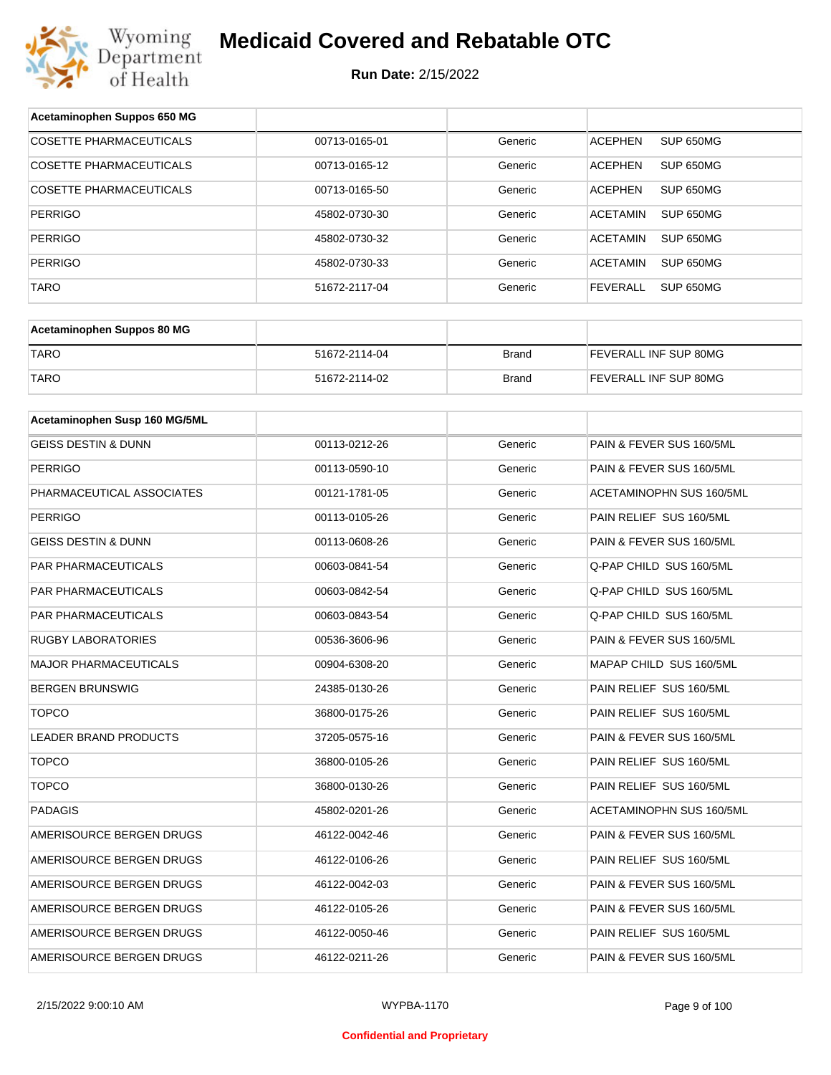

| Acetaminophen Suppos 650 MG    |               |              |                                     |
|--------------------------------|---------------|--------------|-------------------------------------|
| <b>COSETTE PHARMACEUTICALS</b> | 00713-0165-01 | Generic      | SUP 650MG<br><b>ACEPHEN</b>         |
| COSETTE PHARMACEUTICALS        | 00713-0165-12 | Generic      | <b>ACEPHEN</b><br>SUP 650MG         |
| COSETTE PHARMACEUTICALS        | 00713-0165-50 | Generic      | <b>ACEPHEN</b><br>SUP 650MG         |
| <b>PERRIGO</b>                 | 45802-0730-30 | Generic      | <b>ACETAMIN</b><br>SUP 650MG        |
| <b>PERRIGO</b>                 | 45802-0730-32 | Generic      | <b>ACETAMIN</b><br>SUP 650MG        |
| <b>PERRIGO</b>                 | 45802-0730-33 | Generic      | <b>ACETAMIN</b><br>SUP 650MG        |
| <b>TARO</b>                    | 51672-2117-04 | Generic      | <b>FEVERALL</b><br><b>SUP 650MG</b> |
|                                |               |              |                                     |
| Acetaminophen Suppos 80 MG     |               |              |                                     |
| <b>TARO</b>                    | 51672-2114-04 | <b>Brand</b> | FEVERALL INF SUP 80MG               |
| <b>TARO</b>                    | 51672-2114-02 | <b>Brand</b> | FEVERALL INF SUP 80MG               |
|                                |               |              |                                     |
| Acetaminophen Susp 160 MG/5ML  |               |              |                                     |
| <b>GEISS DESTIN &amp; DUNN</b> | 00113-0212-26 | Generic      | PAIN & FEVER SUS 160/5ML            |
| <b>PERRIGO</b>                 | 00113-0590-10 | Generic      | PAIN & FEVER SUS 160/5ML            |
| PHARMACEUTICAL ASSOCIATES      | 00121-1781-05 | Generic      | ACETAMINOPHN SUS 160/5ML            |
| <b>PERRIGO</b>                 | 00113-0105-26 | Generic      | PAIN RELIEF SUS 160/5ML             |
| <b>GEISS DESTIN &amp; DUNN</b> | 00113-0608-26 | Generic      | PAIN & FEVER SUS 160/5ML            |
| PAR PHARMACEUTICALS            | 00603-0841-54 | Generic      | Q-PAP CHILD SUS 160/5ML             |
| PAR PHARMACEUTICALS            | 00603-0842-54 | Generic      | Q-PAP CHILD SUS 160/5ML             |
| PAR PHARMACEUTICALS            | 00603-0843-54 | Generic      | Q-PAP CHILD SUS 160/5ML             |
| <b>RUGBY LABORATORIES</b>      | 00536-3606-96 | Generic      | PAIN & FEVER SUS 160/5ML            |
| <b>MAJOR PHARMACEUTICALS</b>   | 00904-6308-20 | Generic      | MAPAP CHILD SUS 160/5ML             |
| <b>BERGEN BRUNSWIG</b>         | 24385-0130-26 | Generic      | PAIN RELIEF SUS 160/5ML             |
| <b>TOPCO</b>                   | 36800-0175-26 | Generic      | PAIN RELIEF SUS 160/5ML             |
| LEADER BRAND PRODUCTS          | 37205-0575-16 | Generic      | PAIN & FEVER SUS 160/5ML            |
| <b>TOPCO</b>                   | 36800-0105-26 | Generic      | PAIN RELIEF SUS 160/5ML             |
| <b>TOPCO</b>                   | 36800-0130-26 | Generic      | PAIN RELIEF SUS 160/5ML             |
| PADAGIS                        | 45802-0201-26 | Generic      | ACETAMINOPHN SUS 160/5ML            |
| AMERISOURCE BERGEN DRUGS       | 46122-0042-46 | Generic      | PAIN & FEVER SUS 160/5ML            |
| AMERISOURCE BERGEN DRUGS       | 46122-0106-26 | Generic      | PAIN RELIEF SUS 160/5ML             |
| AMERISOURCE BERGEN DRUGS       | 46122-0042-03 | Generic      | PAIN & FEVER SUS 160/5ML            |
| AMERISOURCE BERGEN DRUGS       | 46122-0105-26 | Generic      | PAIN & FEVER SUS 160/5ML            |
| AMERISOURCE BERGEN DRUGS       | 46122-0050-46 | Generic      | PAIN RELIEF SUS 160/5ML             |
| AMERISOURCE BERGEN DRUGS       | 46122-0211-26 | Generic      | PAIN & FEVER SUS 160/5ML            |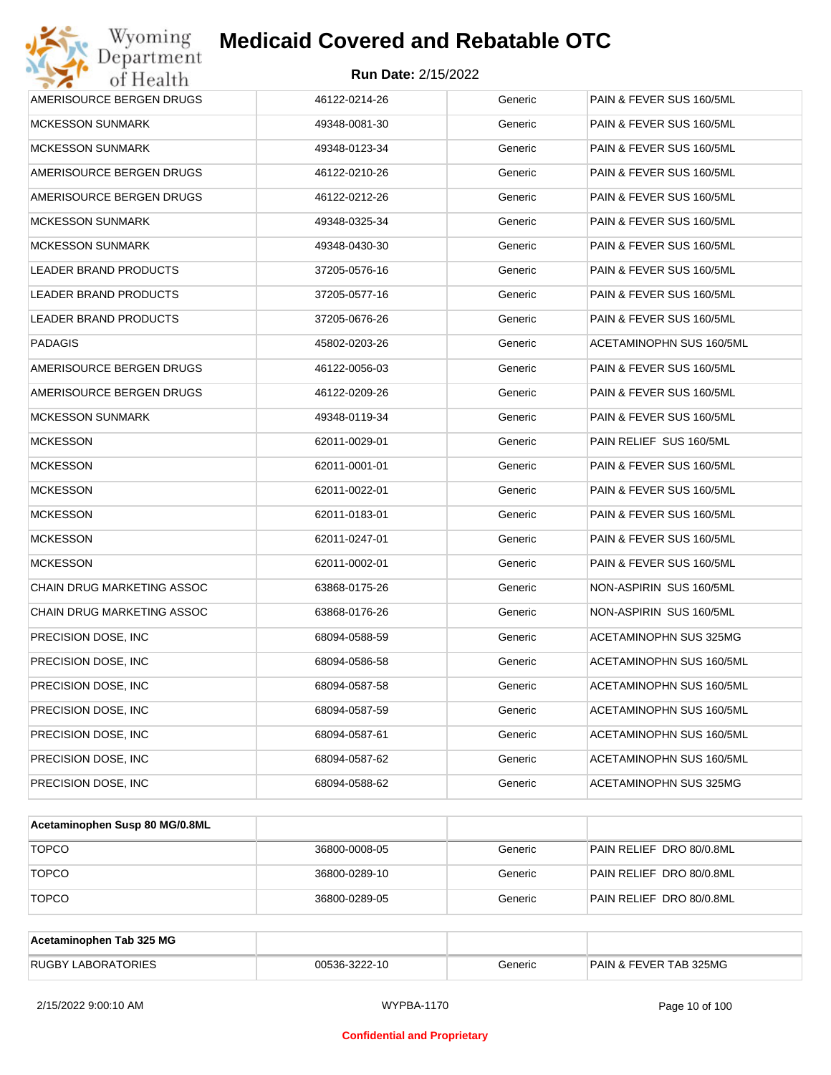| Wyoming<br>Department        | <b>Medicaid Covered and Rebatable OTC</b> |         |                          |
|------------------------------|-------------------------------------------|---------|--------------------------|
| of Health                    | <b>Run Date: 2/15/2022</b>                |         |                          |
| AMERISOURCE BERGEN DRUGS     | 46122-0214-26                             | Generic | PAIN & FEVER SUS 160/5ML |
| <b>MCKESSON SUNMARK</b>      | 49348-0081-30                             | Generic | PAIN & FEVER SUS 160/5ML |
| <b>MCKESSON SUNMARK</b>      | 49348-0123-34                             | Generic | PAIN & FEVER SUS 160/5ML |
| AMERISOURCE BERGEN DRUGS     | 46122-0210-26                             | Generic | PAIN & FEVER SUS 160/5ML |
| AMERISOURCE BERGEN DRUGS     | 46122-0212-26                             | Generic | PAIN & FEVER SUS 160/5ML |
| <b>MCKESSON SUNMARK</b>      | 49348-0325-34                             | Generic | PAIN & FEVER SUS 160/5ML |
| <b>MCKESSON SUNMARK</b>      | 49348-0430-30                             | Generic | PAIN & FEVER SUS 160/5ML |
| LEADER BRAND PRODUCTS        | 37205-0576-16                             | Generic | PAIN & FEVER SUS 160/5ML |
| LEADER BRAND PRODUCTS        | 37205-0577-16                             | Generic | PAIN & FEVER SUS 160/5ML |
| <b>LEADER BRAND PRODUCTS</b> | 37205-0676-26                             | Generic | PAIN & FEVER SUS 160/5ML |
| <b>PADAGIS</b>               | 45802-0203-26                             | Generic | ACETAMINOPHN SUS 160/5ML |
| AMERISOURCE BERGEN DRUGS     | 46122-0056-03                             | Generic | PAIN & FEVER SUS 160/5ML |
| AMERISOURCE BERGEN DRUGS     | 46122-0209-26                             | Generic | PAIN & FEVER SUS 160/5ML |
| <b>MCKESSON SUNMARK</b>      | 49348-0119-34                             | Generic | PAIN & FEVER SUS 160/5ML |
| <b>MCKESSON</b>              | 62011-0029-01                             | Generic | PAIN RELIEF SUS 160/5ML  |
| <b>MCKESSON</b>              | 62011-0001-01                             | Generic | PAIN & FEVER SUS 160/5ML |
| <b>MCKESSON</b>              | 62011-0022-01                             | Generic | PAIN & FEVER SUS 160/5ML |
| <b>MCKESSON</b>              | 62011-0183-01                             | Generic | PAIN & FEVER SUS 160/5ML |
| <b>MCKESSON</b>              | 62011-0247-01                             | Generic | PAIN & FEVER SUS 160/5ML |
| <b>MCKESSON</b>              | 62011-0002-01                             | Generic | PAIN & FEVER SUS 160/5ML |
| CHAIN DRUG MARKETING ASSOC   | 63868-0175-26                             | Generic | NON-ASPIRIN SUS 160/5ML  |
| CHAIN DRUG MARKETING ASSOC   | 63868-0176-26                             | Generic | NON-ASPIRIN SUS 160/5ML  |
| PRECISION DOSE, INC          | 68094-0588-59                             | Generic | ACETAMINOPHN SUS 325MG   |
| PRECISION DOSE, INC.         | 68094-0586-58                             | Generic | ACETAMINOPHN SUS 160/5ML |
| PRECISION DOSE, INC.         | 68094-0587-58                             | Generic | ACETAMINOPHN SUS 160/5ML |
| PRECISION DOSE, INC          | 68094-0587-59                             | Generic | ACETAMINOPHN SUS 160/5ML |
| PRECISION DOSE, INC          | 68094-0587-61                             | Generic | ACETAMINOPHN SUS 160/5ML |
| PRECISION DOSE, INC          | 68094-0587-62                             | Generic | ACETAMINOPHN SUS 160/5ML |
| PRECISION DOSE, INC          | 68094-0588-62                             | Generic | ACETAMINOPHN SUS 325MG   |

| Acetaminophen Susp 80 MG/0.8ML |               |         |                          |
|--------------------------------|---------------|---------|--------------------------|
| <b>TOPCO</b>                   | 36800-0008-05 | Generic | PAIN RELIEF DRO 80/0.8ML |
| <b>TOPCO</b>                   | 36800-0289-10 | Generic | PAIN RELIEF DRO 80/0.8ML |
| <b>TOPCO</b>                   | 36800-0289-05 | Generic | PAIN RELIEF DRO 80/0.8ML |

| Acetaminophen Tab 325 MG  |               |         |                                   |
|---------------------------|---------------|---------|-----------------------------------|
| <b>RUGBY LABORATORIES</b> | 00536-3222-10 | Generic | <b>PAIN &amp; FEVER TAB 325MG</b> |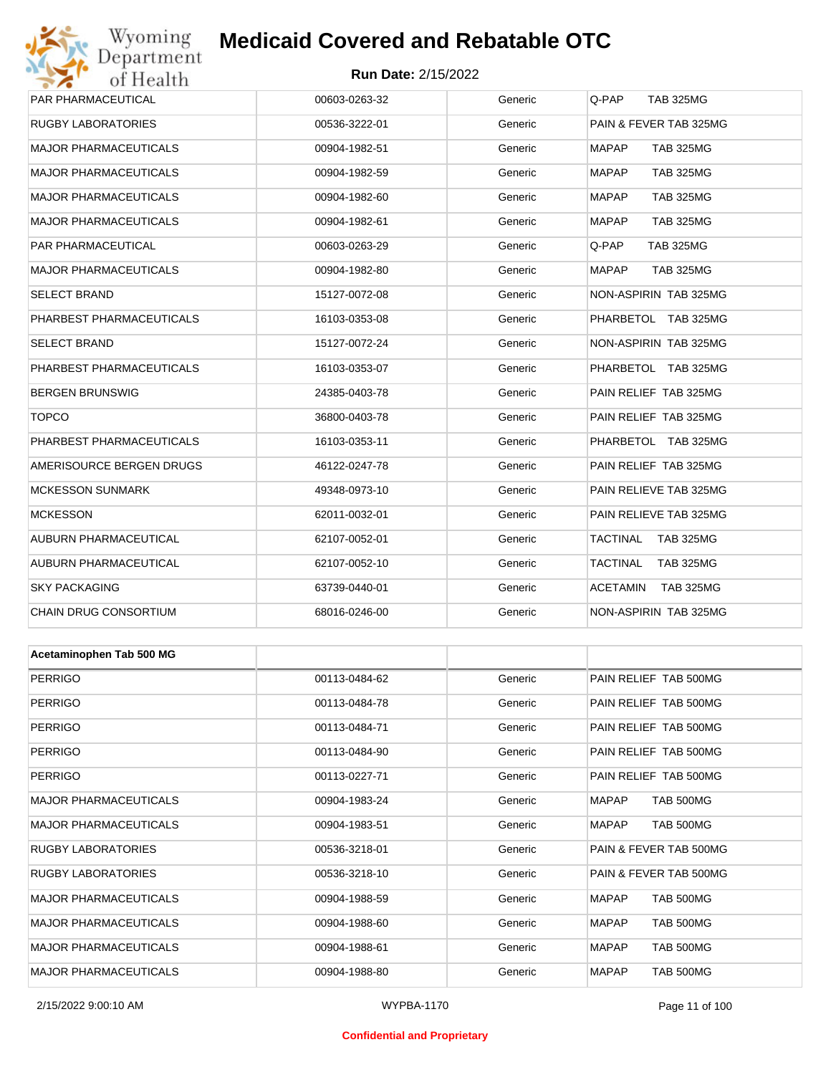# Wyoming<br>Department<br>of Health **Medicaid Covered and Rebatable OTC**

### **Run Date:** 2/15/2022

| PAR PHARMACEUTICAL           | 00603-0263-32 | Generic | Q-PAP<br><b>TAB 325MG</b>        |  |  |
|------------------------------|---------------|---------|----------------------------------|--|--|
| RUGBY LABORATORIES           | 00536-3222-01 | Generic | PAIN & FEVER TAB 325MG           |  |  |
| <b>MAJOR PHARMACEUTICALS</b> | 00904-1982-51 | Generic | <b>MAPAP</b><br><b>TAB 325MG</b> |  |  |
| <b>MAJOR PHARMACEUTICALS</b> | 00904-1982-59 | Generic | <b>MAPAP</b><br><b>TAB 325MG</b> |  |  |
| MAJOR PHARMACEUTICALS        | 00904-1982-60 | Generic | <b>MAPAP</b><br><b>TAB 325MG</b> |  |  |
| MAJOR PHARMACEUTICALS        | 00904-1982-61 | Generic | <b>MAPAP</b><br><b>TAB 325MG</b> |  |  |
| PAR PHARMACEUTICAL           | 00603-0263-29 | Generic | <b>TAB 325MG</b><br>Q-PAP        |  |  |
| MAJOR PHARMACEUTICALS        | 00904-1982-80 | Generic | <b>MAPAP</b><br><b>TAB 325MG</b> |  |  |
| SELECT BRAND                 | 15127-0072-08 | Generic | NON-ASPIRIN TAB 325MG            |  |  |
| PHARBEST PHARMACEUTICALS     | 16103-0353-08 | Generic | PHARBETOL TAB 325MG              |  |  |
| SELECT BRAND                 | 15127-0072-24 | Generic | NON-ASPIRIN TAB 325MG            |  |  |
| PHARBEST PHARMACEUTICALS     | 16103-0353-07 | Generic | PHARBETOL TAB 325MG              |  |  |
| BERGEN BRUNSWIG              | 24385-0403-78 | Generic | PAIN RELIEF TAB 325MG            |  |  |
| <b>TOPCO</b>                 | 36800-0403-78 | Generic | PAIN RELIEF TAB 325MG            |  |  |
| PHARBEST PHARMACEUTICALS     | 16103-0353-11 | Generic | PHARBETOL TAB 325MG              |  |  |
| AMERISOURCE BERGEN DRUGS     | 46122-0247-78 | Generic | PAIN RELIEF TAB 325MG            |  |  |
| <b>MCKESSON SUNMARK</b>      | 49348-0973-10 | Generic | PAIN RELIEVE TAB 325MG           |  |  |
| <b>MCKESSON</b>              | 62011-0032-01 | Generic | PAIN RELIEVE TAB 325MG           |  |  |
| AUBURN PHARMACEUTICAL        | 62107-0052-01 | Generic | TACTINAL<br><b>TAB 325MG</b>     |  |  |
| AUBURN PHARMACEUTICAL        | 62107-0052-10 | Generic | TACTINAL<br><b>TAB 325MG</b>     |  |  |
| <b>SKY PACKAGING</b>         | 63739-0440-01 | Generic | ACETAMIN<br>TAB 325MG            |  |  |
| CHAIN DRUG CONSORTIUM        | 68016-0246-00 | Generic | NON-ASPIRIN TAB 325MG            |  |  |
|                              |               |         |                                  |  |  |
| Acetaminophen Tab 500 MG     |               |         |                                  |  |  |
| PERRIGO                      | 00113-0484-62 | Generic | PAIN RELIEF TAB 500MG            |  |  |
| PERRIGO                      | 00113-0484-78 | Generic | PAIN RELIEF TAB 500MG            |  |  |
| <b>PERRIGO</b>               | 00113-0484-71 | Generic | PAIN RELIEF TAB 500MG            |  |  |
| PERRIGO                      | 00113-0484-90 | Generic | PAIN RELIEF TAB 500MG            |  |  |
| PERRIGO                      | 00113-0227-71 | Generic | PAIN RELIEF TAB 500MG            |  |  |
| <b>MAJOR PHARMACEUTICALS</b> | 00904-1983-24 | Generic | TAB 500MG<br>MAPAP               |  |  |
| <b>MAJOR PHARMACEUTICALS</b> | 00904-1983-51 | Generic | TAB 500MG<br>MAPAP               |  |  |
| RUGBY LABORATORIES           | 00536-3218-01 | Generic | PAIN & FEVER TAB 500MG           |  |  |
| RUGBY LABORATORIES           | 00536-3218-10 | Generic | PAIN & FEVER TAB 500MG           |  |  |
| <b>MAJOR PHARMACEUTICALS</b> | 00904-1988-59 | Generic | TAB 500MG<br>MAPAP               |  |  |
| MAJOR PHARMACEUTICALS        | 00904-1988-60 | Generic | TAB 500MG<br>MAPAP               |  |  |
| <b>MAJOR PHARMACEUTICALS</b> | 00904-1988-61 | Generic | TAB 500MG<br>MAPAP               |  |  |
| <b>MAJOR PHARMACEUTICALS</b> | 00904-1988-80 | Generic | <b>MAPAP</b><br>TAB 500MG        |  |  |

### **Confidential and Proprietary**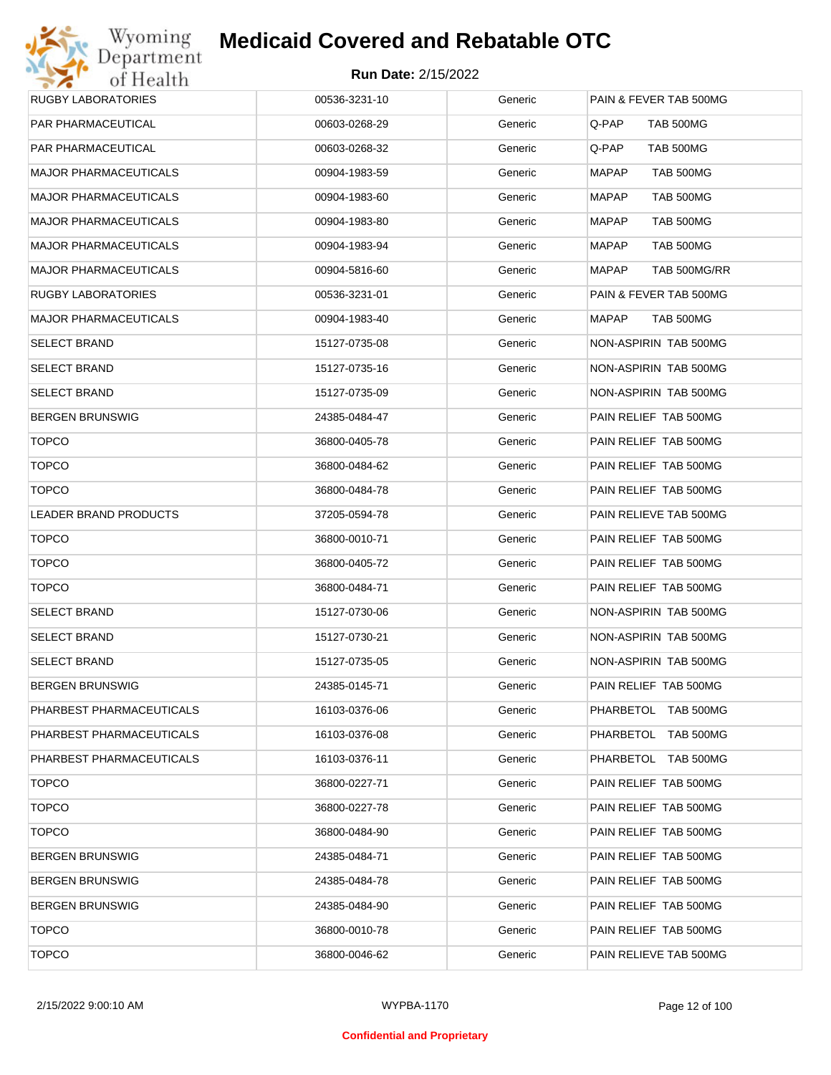

| RUGBY LABORATORIES       | 00536-3231-10 | Generic | PAIN & FEVER TAB 500MG    |
|--------------------------|---------------|---------|---------------------------|
| PAR PHARMACEUTICAL       | 00603-0268-29 | Generic | Q-PAP<br>TAB 500MG        |
| PAR PHARMACEUTICAL       | 00603-0268-32 | Generic | Q-PAP<br>TAB 500MG        |
| MAJOR PHARMACEUTICALS    | 00904-1983-59 | Generic | MAPAP<br>TAB 500MG        |
| MAJOR PHARMACEUTICALS    | 00904-1983-60 | Generic | MAPAP<br>TAB 500MG        |
| MAJOR PHARMACEUTICALS    | 00904-1983-80 | Generic | MAPAP<br>TAB 500MG        |
| MAJOR PHARMACEUTICALS    | 00904-1983-94 | Generic | <b>MAPAP</b><br>TAB 500MG |
| MAJOR PHARMACEUTICALS    | 00904-5816-60 | Generic | MAPAP<br>TAB 500MG/RR     |
| RUGBY LABORATORIES       | 00536-3231-01 | Generic | PAIN & FEVER TAB 500MG    |
| MAJOR PHARMACEUTICALS    | 00904-1983-40 | Generic | MAPAP<br>TAB 500MG        |
| SELECT BRAND             | 15127-0735-08 | Generic | NON-ASPIRIN TAB 500MG     |
| SELECT BRAND             | 15127-0735-16 | Generic | NON-ASPIRIN TAB 500MG     |
| SELECT BRAND             | 15127-0735-09 | Generic | NON-ASPIRIN TAB 500MG     |
| BERGEN BRUNSWIG          | 24385-0484-47 | Generic | PAIN RELIEF TAB 500MG     |
| <b>TOPCO</b>             | 36800-0405-78 | Generic | PAIN RELIEF TAB 500MG     |
| <b>TOPCO</b>             | 36800-0484-62 | Generic | PAIN RELIEF TAB 500MG     |
| <b>TOPCO</b>             | 36800-0484-78 | Generic | PAIN RELIEF TAB 500MG     |
| LEADER BRAND PRODUCTS    | 37205-0594-78 | Generic | PAIN RELIEVE TAB 500MG    |
| <b>TOPCO</b>             | 36800-0010-71 | Generic | PAIN RELIEF TAB 500MG     |
| <b>TOPCO</b>             | 36800-0405-72 | Generic | PAIN RELIEF TAB 500MG     |
| <b>TOPCO</b>             | 36800-0484-71 | Generic | PAIN RELIEF TAB 500MG     |
| SELECT BRAND             | 15127-0730-06 | Generic | NON-ASPIRIN TAB 500MG     |
| SELECT BRAND             | 15127-0730-21 | Generic | NON-ASPIRIN TAB 500MG     |
| SELECT BRAND             | 15127-0735-05 | Generic | NON-ASPIRIN TAB 500MG     |
| BERGEN BRUNSWIG          | 24385-0145-71 | Generic | PAIN RELIEF TAB 500MG     |
| PHARBEST PHARMACEUTICALS | 16103-0376-06 | Generic | PHARBETOL TAB 500MG       |
| PHARBEST PHARMACEUTICALS | 16103-0376-08 | Generic | PHARBETOL TAB 500MG       |
| PHARBEST PHARMACEUTICALS | 16103-0376-11 | Generic | PHARBETOL TAB 500MG       |
| <b>TOPCO</b>             | 36800-0227-71 | Generic | PAIN RELIEF TAB 500MG     |
| <b>TOPCO</b>             | 36800-0227-78 | Generic | PAIN RELIEF TAB 500MG     |
| <b>TOPCO</b>             | 36800-0484-90 | Generic | PAIN RELIEF TAB 500MG     |
| BERGEN BRUNSWIG          | 24385-0484-71 | Generic | PAIN RELIEF TAB 500MG     |
| BERGEN BRUNSWIG          | 24385-0484-78 | Generic | PAIN RELIEF TAB 500MG     |
| BERGEN BRUNSWIG          | 24385-0484-90 | Generic | PAIN RELIEF TAB 500MG     |
| <b>TOPCO</b>             | 36800-0010-78 | Generic | PAIN RELIEF TAB 500MG     |
| <b>TOPCO</b>             | 36800-0046-62 | Generic | PAIN RELIEVE TAB 500MG    |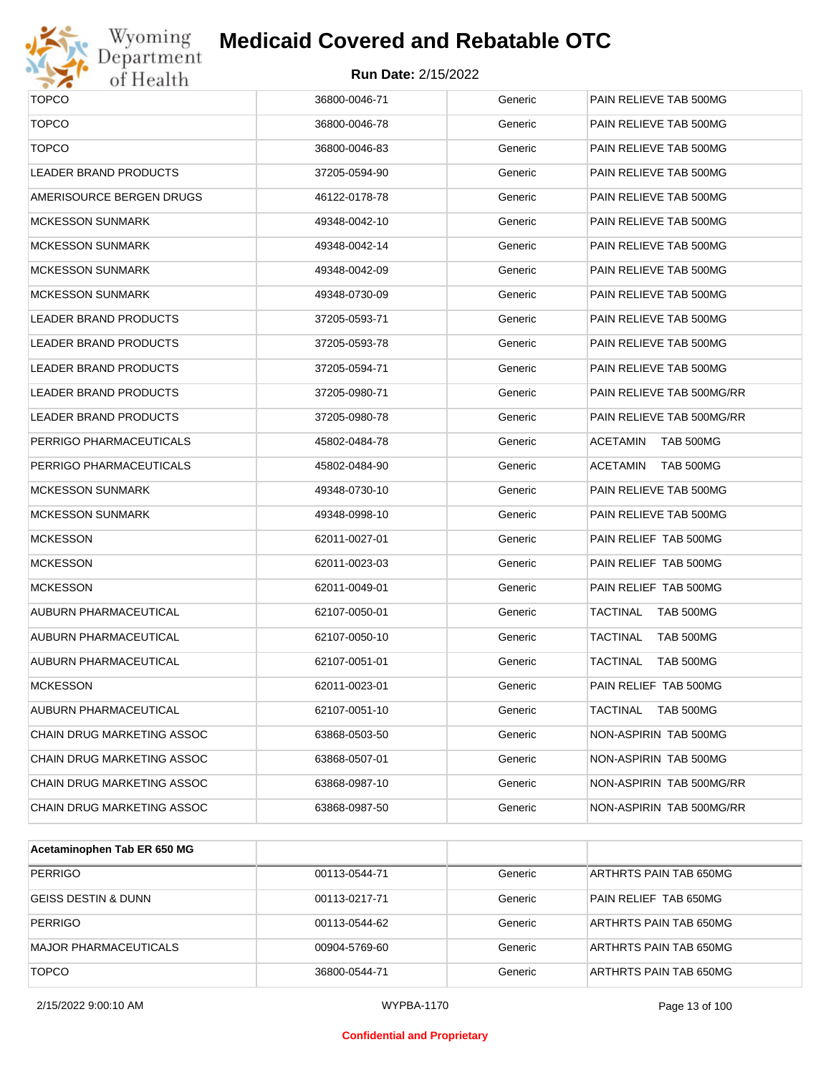

# Wyoming<br>Department<br>of Health

# **Medicaid Covered and Rebatable OTC**

| <b>TOPCO</b>                 | 36800-0046-71 | Generic | PAIN RELIEVE TAB 500MG              |  |  |
|------------------------------|---------------|---------|-------------------------------------|--|--|
| <b>TOPCO</b>                 | 36800-0046-78 | Generic | PAIN RELIEVE TAB 500MG              |  |  |
| <b>TOPCO</b>                 | 36800-0046-83 | Generic | PAIN RELIEVE TAB 500MG              |  |  |
| <b>LEADER BRAND PRODUCTS</b> | 37205-0594-90 | Generic | PAIN RELIEVE TAB 500MG              |  |  |
| AMERISOURCE BERGEN DRUGS     | 46122-0178-78 | Generic | PAIN RELIEVE TAB 500MG              |  |  |
| <b>MCKESSON SUNMARK</b>      | 49348-0042-10 | Generic | PAIN RELIEVE TAB 500MG              |  |  |
| <b>MCKESSON SUNMARK</b>      | 49348-0042-14 | Generic | PAIN RELIEVE TAB 500MG              |  |  |
| <b>MCKESSON SUNMARK</b>      | 49348-0042-09 | Generic | PAIN RELIEVE TAB 500MG              |  |  |
| <b>MCKESSON SUNMARK</b>      | 49348-0730-09 | Generic | PAIN RELIEVE TAB 500MG              |  |  |
| <b>LEADER BRAND PRODUCTS</b> | 37205-0593-71 | Generic | PAIN RELIEVE TAB 500MG              |  |  |
| LEADER BRAND PRODUCTS        | 37205-0593-78 | Generic | PAIN RELIEVE TAB 500MG              |  |  |
| LEADER BRAND PRODUCTS        | 37205-0594-71 | Generic | PAIN RELIEVE TAB 500MG              |  |  |
| <b>LEADER BRAND PRODUCTS</b> | 37205-0980-71 | Generic | PAIN RELIEVE TAB 500MG/RR           |  |  |
| <b>LEADER BRAND PRODUCTS</b> | 37205-0980-78 | Generic | PAIN RELIEVE TAB 500MG/RR           |  |  |
| PERRIGO PHARMACEUTICALS      | 45802-0484-78 | Generic | ACETAMIN<br>TAB 500MG               |  |  |
| PERRIGO PHARMACEUTICALS      | 45802-0484-90 | Generic | ACETAMIN<br>TAB 500MG               |  |  |
| <b>MCKESSON SUNMARK</b>      | 49348-0730-10 | Generic | PAIN RELIEVE TAB 500MG              |  |  |
| <b>MCKESSON SUNMARK</b>      | 49348-0998-10 | Generic | PAIN RELIEVE TAB 500MG              |  |  |
| <b>MCKESSON</b>              | 62011-0027-01 | Generic | PAIN RELIEF TAB 500MG               |  |  |
| <b>MCKESSON</b>              | 62011-0023-03 | Generic | PAIN RELIEF TAB 500MG               |  |  |
| <b>MCKESSON</b>              | 62011-0049-01 | Generic | PAIN RELIEF TAB 500MG               |  |  |
| AUBURN PHARMACEUTICAL        | 62107-0050-01 | Generic | TACTINAL<br>TAB 500MG               |  |  |
| <b>AUBURN PHARMACEUTICAL</b> | 62107-0050-10 | Generic | TACTINAL<br>TAB 500MG               |  |  |
| AUBURN PHARMACEUTICAL        | 62107-0051-01 | Generic | <b>TACTINAL</b><br>TAB 500MG        |  |  |
| <b>MCKESSON</b>              | 62011-0023-01 | Generic | PAIN RELIEF TAB 500MG               |  |  |
| AUBURN PHARMACEUTICAL        | 62107-0051-10 | Generic | <b>TACTINAL</b><br><b>TAB 500MG</b> |  |  |
| CHAIN DRUG MARKETING ASSOC   | 63868-0503-50 | Generic | NON-ASPIRIN TAB 500MG               |  |  |
| CHAIN DRUG MARKETING ASSOC   | 63868-0507-01 | Generic | NON-ASPIRIN TAB 500MG               |  |  |
| CHAIN DRUG MARKETING ASSOC   | 63868-0987-10 | Generic | NON-ASPIRIN TAB 500MG/RR            |  |  |
| CHAIN DRUG MARKETING ASSOC   | 63868-0987-50 | Generic | NON-ASPIRIN TAB 500MG/RR            |  |  |
|                              |               |         |                                     |  |  |

| Acetaminophen Tab ER 650 MG    |               |         |                        |
|--------------------------------|---------------|---------|------------------------|
| <b>PERRIGO</b>                 | 00113-0544-71 | Generic | ARTHRTS PAIN TAB 650MG |
| <b>GEISS DESTIN &amp; DUNN</b> | 00113-0217-71 | Generic | PAIN RELIEF TAB 650MG  |
| <b>PERRIGO</b>                 | 00113-0544-62 | Generic | ARTHRTS PAIN TAB 650MG |
| <b>MAJOR PHARMACEUTICALS</b>   | 00904-5769-60 | Generic | ARTHRTS PAIN TAB 650MG |
| <b>TOPCO</b>                   | 36800-0544-71 | Generic | ARTHRTS PAIN TAB 650MG |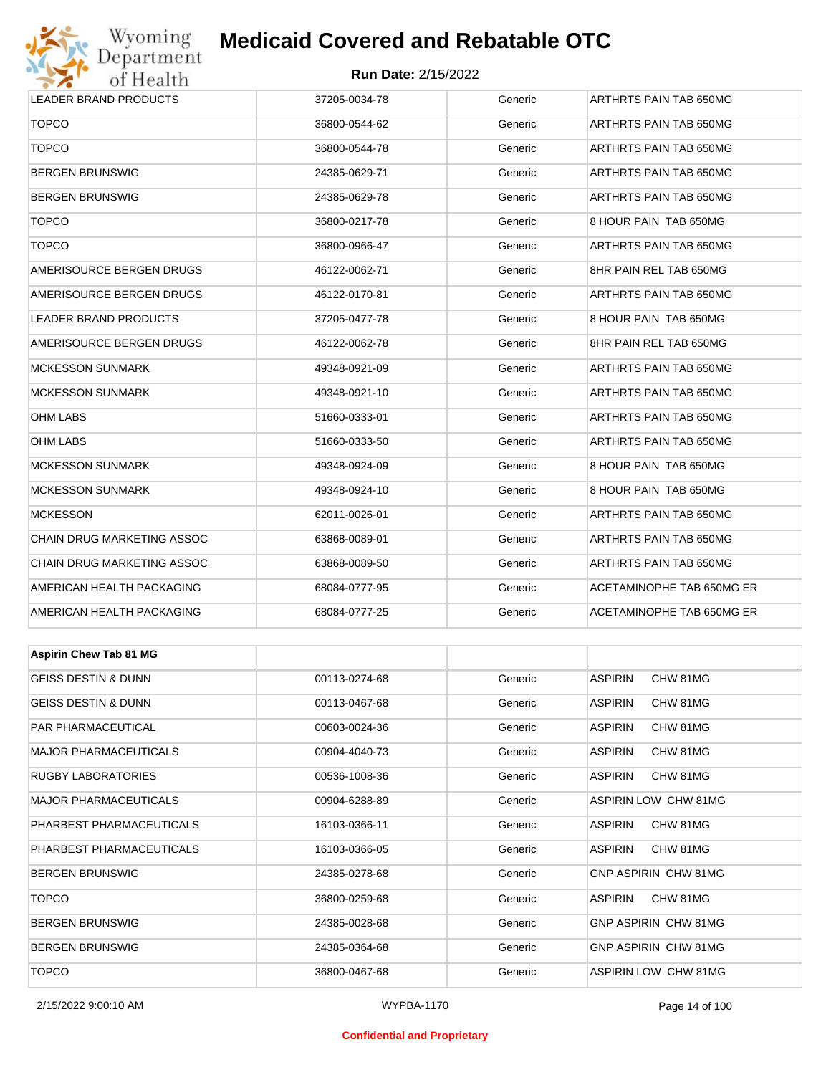# Wyoming<br>Department<br>of Health

# **Medicaid Covered and Rebatable OTC**

### **Run Date:** 2/15/2022

| <b>LEADER BRAND PRODUCTS</b>   | 37205-0034-78 | Generic | ARTHRTS PAIN TAB 650MG      |  |  |
|--------------------------------|---------------|---------|-----------------------------|--|--|
| <b>TOPCO</b>                   | 36800-0544-62 | Generic | ARTHRTS PAIN TAB 650MG      |  |  |
| <b>TOPCO</b>                   | 36800-0544-78 | Generic | ARTHRTS PAIN TAB 650MG      |  |  |
| BERGEN BRUNSWIG                | 24385-0629-71 | Generic | ARTHRTS PAIN TAB 650MG      |  |  |
| BERGEN BRUNSWIG                | 24385-0629-78 | Generic | ARTHRTS PAIN TAB 650MG      |  |  |
| <b>TOPCO</b>                   | 36800-0217-78 | Generic | 8 HOUR PAIN TAB 650MG       |  |  |
| <b>TOPCO</b>                   | 36800-0966-47 | Generic | ARTHRTS PAIN TAB 650MG      |  |  |
| AMERISOURCE BERGEN DRUGS       | 46122-0062-71 | Generic | 8HR PAIN REL TAB 650MG      |  |  |
| AMERISOURCE BERGEN DRUGS       | 46122-0170-81 | Generic | ARTHRTS PAIN TAB 650MG      |  |  |
| LEADER BRAND PRODUCTS          | 37205-0477-78 | Generic | 8 HOUR PAIN TAB 650MG       |  |  |
| AMERISOURCE BERGEN DRUGS       | 46122-0062-78 | Generic | 8HR PAIN REL TAB 650MG      |  |  |
| MCKESSON SUNMARK               | 49348-0921-09 | Generic | ARTHRTS PAIN TAB 650MG      |  |  |
| <b>MCKESSON SUNMARK</b>        | 49348-0921-10 | Generic | ARTHRTS PAIN TAB 650MG      |  |  |
| OHM LABS                       | 51660-0333-01 | Generic | ARTHRTS PAIN TAB 650MG      |  |  |
| OHM LABS                       | 51660-0333-50 | Generic | ARTHRTS PAIN TAB 650MG      |  |  |
| <b>MCKESSON SUNMARK</b>        | 49348-0924-09 | Generic | 8 HOUR PAIN TAB 650MG       |  |  |
| <b>MCKESSON SUNMARK</b>        | 49348-0924-10 | Generic | 8 HOUR PAIN TAB 650MG       |  |  |
| MCKESSON                       | 62011-0026-01 | Generic | ARTHRTS PAIN TAB 650MG      |  |  |
| CHAIN DRUG MARKETING ASSOC     | 63868-0089-01 | Generic | ARTHRTS PAIN TAB 650MG      |  |  |
| CHAIN DRUG MARKETING ASSOC     | 63868-0089-50 | Generic | ARTHRTS PAIN TAB 650MG      |  |  |
| AMERICAN HEALTH PACKAGING      | 68084-0777-95 | Generic | ACETAMINOPHE TAB 650MG ER   |  |  |
| AMERICAN HEALTH PACKAGING      | 68084-0777-25 | Generic | ACETAMINOPHE TAB 650MG ER   |  |  |
|                                |               |         |                             |  |  |
| <b>Aspirin Chew Tab 81 MG</b>  |               |         |                             |  |  |
| <b>GEISS DESTIN &amp; DUNN</b> | 00113-0274-68 | Generic | <b>ASPIRIN</b><br>CHW 81MG  |  |  |
| GEISS DESTIN & DUNN            | 00113-0467-68 | Generic | <b>ASPIRIN</b><br>CHW 81MG  |  |  |
| PAR PHARMACEUTICAL             | 00603-0024-36 | Generic | <b>ASPIRIN</b><br>CHW 81MG  |  |  |
| MAJOR PHARMACEUTICALS          | 00904-4040-73 | Generic | ASPIRIN<br>CHW 81MG         |  |  |
| RUGBY LABORATORIES             | 00536-1008-36 | Generic | ASPIRIN<br>CHW 81MG         |  |  |
| <b>MAJOR PHARMACEUTICALS</b>   | 00904-6288-89 | Generic | ASPIRIN LOW CHW 81MG        |  |  |
| PHARBEST PHARMACEUTICALS       | 16103-0366-11 | Generic | <b>ASPIRIN</b><br>CHW 81MG  |  |  |
| PHARBEST PHARMACEUTICALS       | 16103-0366-05 | Generic | ASPIRIN<br>CHW 81MG         |  |  |
| BERGEN BRUNSWIG                | 24385-0278-68 | Generic | <b>GNP ASPIRIN CHW 81MG</b> |  |  |
| <b>TOPCO</b>                   | 36800-0259-68 | Generic | ASPIRIN<br>CHW 81MG         |  |  |
| <b>BERGEN BRUNSWIG</b>         | 24385-0028-68 | Generic | GNP ASPIRIN CHW 81MG        |  |  |

BERGEN BRUNSWIG 
BROW CHARGEN BRUNSWIG 

BROW CHARGEN BRUNSWIG 

BROW CHARGEN BRUNSWIG TOPCO 36800-0467-68 Generic ASPIRIN LOW CHW 81MG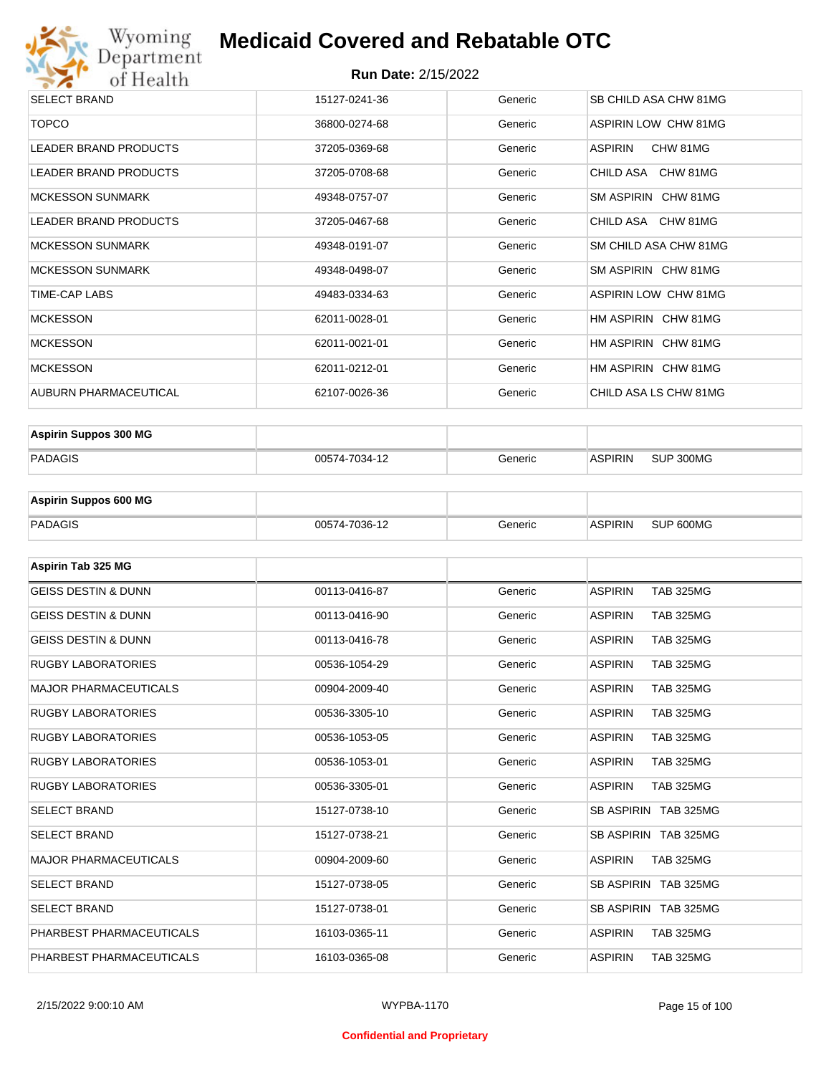

| <b>SELECT BRAND</b>          | 15127-0241-36 | Generic | SB CHILD ASA CHW 81MG |
|------------------------------|---------------|---------|-----------------------|
| <b>TOPCO</b>                 | 36800-0274-68 | Generic | ASPIRIN LOW CHW 81MG  |
| <b>LEADER BRAND PRODUCTS</b> | 37205-0369-68 | Generic | ASPIRIN<br>CHW 81MG   |
| LEADER BRAND PRODUCTS        | 37205-0708-68 | Generic | CHILD ASA CHW 81MG    |
| <b>MCKESSON SUNMARK</b>      | 49348-0757-07 | Generic | SM ASPIRIN CHW 81MG   |
| LEADER BRAND PRODUCTS        | 37205-0467-68 | Generic | CHILD ASA CHW 81MG    |
| <b>MCKESSON SUNMARK</b>      | 49348-0191-07 | Generic | SM CHILD ASA CHW 81MG |
| <b>MCKESSON SUNMARK</b>      | 49348-0498-07 | Generic | SM ASPIRIN CHW 81MG   |
| TIME-CAP LABS                | 49483-0334-63 | Generic | ASPIRIN LOW CHW 81MG  |
| <b>MCKESSON</b>              | 62011-0028-01 | Generic | HM ASPIRIN CHW 81MG   |
| <b>MCKESSON</b>              | 62011-0021-01 | Generic | HM ASPIRIN CHW 81MG   |
| <b>MCKESSON</b>              | 62011-0212-01 | Generic | HM ASPIRIN CHW 81MG   |
| AUBURN PHARMACEUTICAL        | 62107-0026-36 | Generic | CHILD ASA LS CHW 81MG |
|                              |               |         |                       |

| <b>Aspirin Suppos 300 MG</b> |               |         |                |           |
|------------------------------|---------------|---------|----------------|-----------|
| PADAGIS                      | 00574-7034-12 | Generic | <b>ASPIRIN</b> | SUP 300MG |

| <b>Aspirin Suppos 600 MG</b> |               |         |                |           |
|------------------------------|---------------|---------|----------------|-----------|
| PADAGIS                      | 00574-7036-12 | Generic | <b>ASPIRIN</b> | SUP 600MG |

| Aspirin Tab 325 MG             |               |         |                                    |
|--------------------------------|---------------|---------|------------------------------------|
| <b>GEISS DESTIN &amp; DUNN</b> | 00113-0416-87 | Generic | <b>ASPIRIN</b><br><b>TAB 325MG</b> |
| <b>GEISS DESTIN &amp; DUNN</b> | 00113-0416-90 | Generic | <b>ASPIRIN</b><br><b>TAB 325MG</b> |
| <b>GEISS DESTIN &amp; DUNN</b> | 00113-0416-78 | Generic | <b>ASPIRIN</b><br><b>TAB 325MG</b> |
| <b>RUGBY LABORATORIES</b>      | 00536-1054-29 | Generic | <b>ASPIRIN</b><br><b>TAB 325MG</b> |
| <b>MAJOR PHARMACEUTICALS</b>   | 00904-2009-40 | Generic | <b>ASPIRIN</b><br><b>TAB 325MG</b> |
| <b>RUGBY LABORATORIES</b>      | 00536-3305-10 | Generic | <b>ASPIRIN</b><br><b>TAB 325MG</b> |
| <b>RUGBY LABORATORIES</b>      | 00536-1053-05 | Generic | <b>ASPIRIN</b><br><b>TAB 325MG</b> |
| <b>RUGBY LABORATORIES</b>      | 00536-1053-01 | Generic | <b>TAB 325MG</b><br><b>ASPIRIN</b> |
| <b>RUGBY LABORATORIES</b>      | 00536-3305-01 | Generic | <b>TAB 325MG</b><br><b>ASPIRIN</b> |
| <b>SELECT BRAND</b>            | 15127-0738-10 | Generic | SB ASPIRIN TAB 325MG               |
| <b>SELECT BRAND</b>            | 15127-0738-21 | Generic | SB ASPIRIN TAB 325MG               |
| <b>MAJOR PHARMACEUTICALS</b>   | 00904-2009-60 | Generic | <b>ASPIRIN</b><br><b>TAB 325MG</b> |
| <b>SELECT BRAND</b>            | 15127-0738-05 | Generic | SB ASPIRIN TAB 325MG               |
| <b>SELECT BRAND</b>            | 15127-0738-01 | Generic | SB ASPIRIN TAB 325MG               |
| PHARBEST PHARMACEUTICALS       | 16103-0365-11 | Generic | <b>ASPIRIN</b><br><b>TAB 325MG</b> |
| PHARBEST PHARMACEUTICALS       | 16103-0365-08 | Generic | <b>ASPIRIN</b><br><b>TAB 325MG</b> |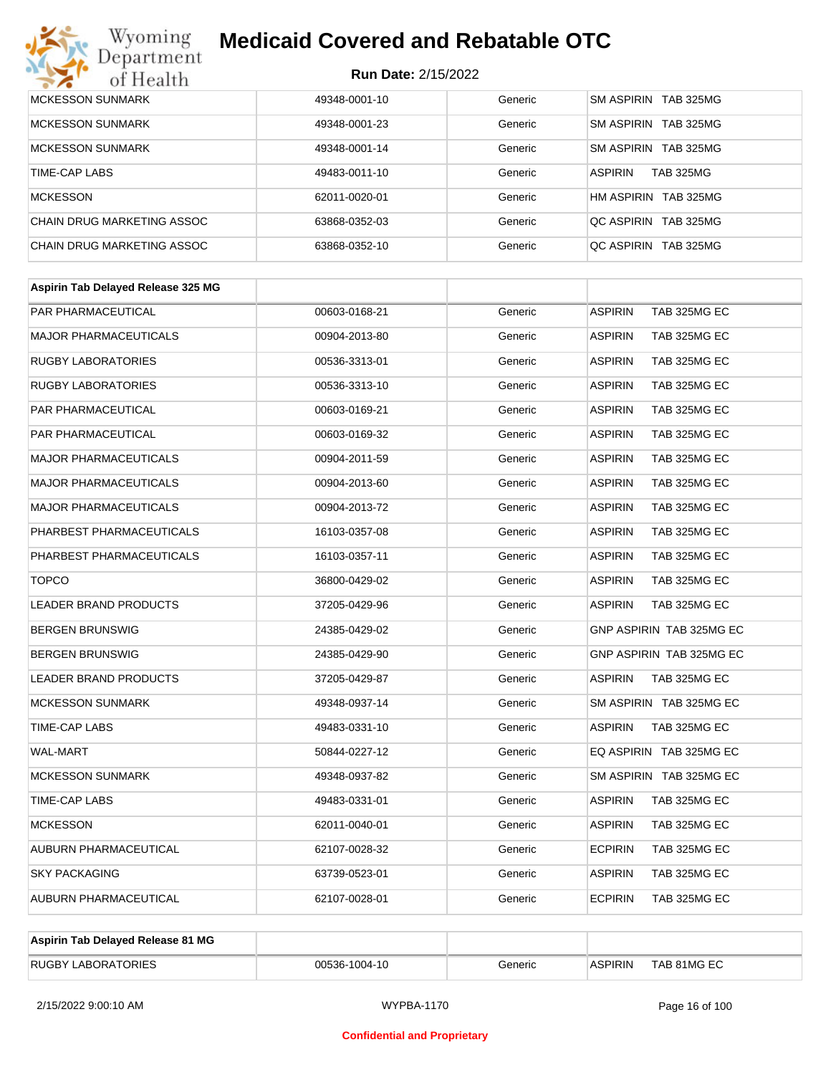# Wyoming<br>Department<br>of Health

# **Medicaid Covered and Rebatable OTC**

| <b>MCKESSON SUNMARK</b>    | 49348-0001-10 | Generic | SM ASPIRIN TAB 325MG               |
|----------------------------|---------------|---------|------------------------------------|
| <b>MCKESSON SUNMARK</b>    | 49348-0001-23 | Generic | SM ASPIRIN TAB 325MG               |
| <b>MCKESSON SUNMARK</b>    | 49348-0001-14 | Generic | SM ASPIRIN TAB 325MG               |
| TIME-CAP LABS              | 49483-0011-10 | Generic | <b>ASPIRIN</b><br><b>TAB 325MG</b> |
| <b>MCKESSON</b>            | 62011-0020-01 | Generic | HM ASPIRIN TAB 325MG               |
| CHAIN DRUG MARKETING ASSOC | 63868-0352-03 | Generic | OC ASPIRIN TAB 325MG               |
| CHAIN DRUG MARKETING ASSOC | 63868-0352-10 | Generic | OC ASPIRIN TAB 325MG               |

| Aspirin Tab Delayed Release 325 MG |               |         |                                       |
|------------------------------------|---------------|---------|---------------------------------------|
| PAR PHARMACEUTICAL                 | 00603-0168-21 | Generic | <b>ASPIRIN</b><br>TAB 325MG EC        |
| MAJOR PHARMACEUTICALS              | 00904-2013-80 | Generic | <b>ASPIRIN</b><br>TAB 325MG EC        |
| <b>RUGBY LABORATORIES</b>          | 00536-3313-01 | Generic | ASPIRIN<br>TAB 325MG EC               |
| <b>RUGBY LABORATORIES</b>          | 00536-3313-10 | Generic | <b>ASPIRIN</b><br>TAB 325MG EC        |
| PAR PHARMACEUTICAL                 | 00603-0169-21 | Generic | <b>ASPIRIN</b><br>TAB 325MG EC        |
| <b>PAR PHARMACEUTICAL</b>          | 00603-0169-32 | Generic | ASPIRIN<br>TAB 325MG EC               |
| <b>MAJOR PHARMACEUTICALS</b>       | 00904-2011-59 | Generic | ASPIRIN<br>TAB 325MG EC               |
| <b>MAJOR PHARMACEUTICALS</b>       | 00904-2013-60 | Generic | ASPIRIN<br>TAB 325MG EC               |
| <b>MAJOR PHARMACEUTICALS</b>       | 00904-2013-72 | Generic | <b>ASPIRIN</b><br>TAB 325MG EC        |
| PHARBEST PHARMACEUTICALS           | 16103-0357-08 | Generic | <b>ASPIRIN</b><br>TAB 325MG EC        |
| PHARBEST PHARMACEUTICALS           | 16103-0357-11 | Generic | <b>ASPIRIN</b><br>TAB 325MG EC        |
| <b>TOPCO</b>                       | 36800-0429-02 | Generic | <b>ASPIRIN</b><br>TAB 325MG EC        |
| LEADER BRAND PRODUCTS              | 37205-0429-96 | Generic | ASPIRIN<br>TAB 325MG EC               |
| <b>BERGEN BRUNSWIG</b>             | 24385-0429-02 | Generic | GNP ASPIRIN TAB 325MG EC              |
| <b>BERGEN BRUNSWIG</b>             | 24385-0429-90 | Generic | GNP ASPIRIN TAB 325MG EC              |
| LEADER BRAND PRODUCTS              | 37205-0429-87 | Generic | <b>ASPIRIN</b><br><b>TAB 325MG EC</b> |
| <b>MCKESSON SUNMARK</b>            | 49348-0937-14 | Generic | SM ASPIRIN TAB 325MG EC               |
| <b>TIME-CAP LABS</b>               | 49483-0331-10 | Generic | <b>ASPIRIN</b><br><b>TAB 325MG EC</b> |
| <b>WAL-MART</b>                    | 50844-0227-12 | Generic | EQ ASPIRIN TAB 325MG EC               |
| <b>MCKESSON SUNMARK</b>            | 49348-0937-82 | Generic | SM ASPIRIN TAB 325MG EC               |
| <b>TIME-CAP LABS</b>               | 49483-0331-01 | Generic | ASPIRIN<br>TAB 325MG EC               |
| <b>MCKESSON</b>                    | 62011-0040-01 | Generic | TAB 325MG EC<br>ASPIRIN               |
| AUBURN PHARMACEUTICAL              | 62107-0028-32 | Generic | <b>ECPIRIN</b><br>TAB 325MG EC        |
| <b>SKY PACKAGING</b>               | 63739-0523-01 | Generic | ASPIRIN<br>TAB 325MG EC               |
| AUBURN PHARMACEUTICAL              | 62107-0028-01 | Generic | <b>ECPIRIN</b><br>TAB 325MG EC        |

| Aspirin Tab Delayed Release 81 MG |               |         |         |             |
|-----------------------------------|---------------|---------|---------|-------------|
| <b>RUGBY LABORATORIES</b>         | 00536-1004-10 | Generic | ASPIRIN | TAB 81MG EC |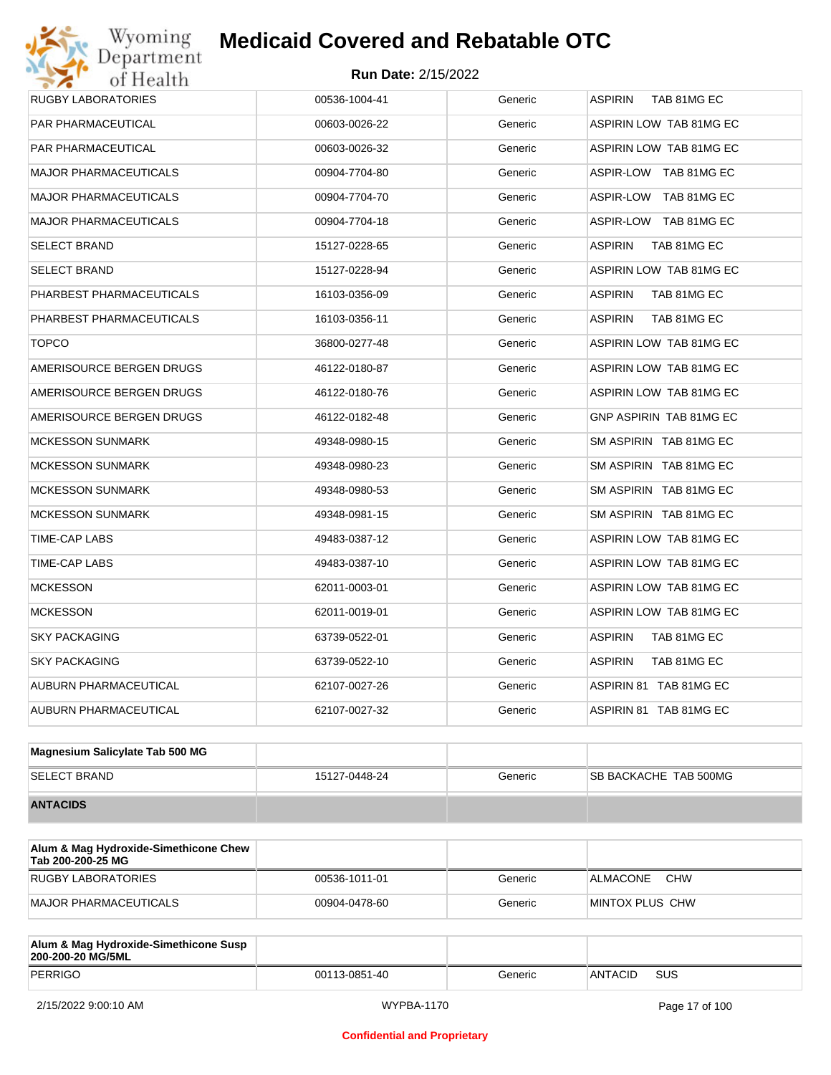# **Run Date:** 2/15/2022 **Medicaid Covered and Rebatable OTC**

| <b>RUGBY LABORATORIES</b>    | 00536-1004-41 | Generic | ASPIRIN TAB 81MG EC           |
|------------------------------|---------------|---------|-------------------------------|
| PAR PHARMACEUTICAL           | 00603-0026-22 | Generic | ASPIRIN LOW TAB 81MG EC       |
| PAR PHARMACEUTICAL           | 00603-0026-32 | Generic | ASPIRIN LOW TAB 81MG EC       |
| <b>MAJOR PHARMACEUTICALS</b> | 00904-7704-80 | Generic | ASPIR-LOW TAB 81MG EC         |
| <b>MAJOR PHARMACEUTICALS</b> | 00904-7704-70 | Generic | ASPIR-LOW TAB 81MG EC         |
| <b>MAJOR PHARMACEUTICALS</b> | 00904-7704-18 | Generic | ASPIR-LOW TAB 81MG EC         |
| SELECT BRAND                 | 15127-0228-65 | Generic | ASPIRIN<br>TAB 81MG EC        |
| SELECT BRAND                 | 15127-0228-94 | Generic | ASPIRIN LOW TAB 81MG EC       |
| PHARBEST PHARMACEUTICALS     | 16103-0356-09 | Generic | <b>ASPIRIN</b><br>TAB 81MG EC |
| PHARBEST PHARMACEUTICALS     | 16103-0356-11 | Generic | ASPIRIN<br>TAB 81MG EC        |
| <b>TOPCO</b>                 | 36800-0277-48 | Generic | ASPIRIN LOW TAB 81MG EC       |
| AMERISOURCE BERGEN DRUGS     | 46122-0180-87 | Generic | ASPIRIN LOW TAB 81MG EC       |
| AMERISOURCE BERGEN DRUGS     | 46122-0180-76 | Generic | ASPIRIN LOW TAB 81MG EC       |
| AMERISOURCE BERGEN DRUGS     | 46122-0182-48 | Generic | GNP ASPIRIN TAB 81MG EC       |
| <b>MCKESSON SUNMARK</b>      | 49348-0980-15 | Generic | SM ASPIRIN TAB 81MG EC        |
| <b>MCKESSON SUNMARK</b>      | 49348-0980-23 | Generic | SM ASPIRIN TAB 81MG EC        |
| <b>MCKESSON SUNMARK</b>      | 49348-0980-53 | Generic | SM ASPIRIN TAB 81MG EC        |
| <b>MCKESSON SUNMARK</b>      | 49348-0981-15 | Generic | SM ASPIRIN TAB 81MG EC        |
| TIME-CAP LABS                | 49483-0387-12 | Generic | ASPIRIN LOW TAB 81MG EC       |
| TIME-CAP LABS                | 49483-0387-10 | Generic | ASPIRIN LOW TAB 81MG EC       |
| <b>MCKESSON</b>              | 62011-0003-01 | Generic | ASPIRIN LOW TAB 81MG EC       |
| <b>MCKESSON</b>              | 62011-0019-01 | Generic | ASPIRIN LOW TAB 81MG EC       |
| <b>SKY PACKAGING</b>         | 63739-0522-01 | Generic | ASPIRIN<br>TAB 81MG EC        |
| SKY PACKAGING                | 63739-0522-10 | Generic | ASPIRIN<br>TAB 81MG EC        |
| AUBURN PHARMACEUTICAL        | 62107-0027-26 | Generic | ASPIRIN 81 TAB 81MG EC        |
| AUBURN PHARMACEUTICAL        | 62107-0027-32 | Generic | ASPIRIN 81 TAB 81MG EC        |
|                              |               |         |                               |

| Magnesium Salicylate Tab 500 MG |               |         |                              |
|---------------------------------|---------------|---------|------------------------------|
| <b>SELECT BRAND</b>             | 15127-0448-24 | Generic | <b>SB BACKACHE TAB 500MG</b> |
| <b>ANTACIDS</b>                 |               |         |                              |

| Alum & Mag Hydroxide-Simethicone Chew<br>Tab 200-200-25 MG |               |         |                         |
|------------------------------------------------------------|---------------|---------|-------------------------|
| RUGBY LABORATORIES                                         | 00536-1011-01 | Generic | CHW<br>ALMACONE         |
| MAJOR PHARMACEUTICALS                                      | 00904-0478-60 | Generic | <b>IMINTOX PLUS CHW</b> |

| Alum & Mag Hydroxide-Simethicone Susp<br>200-200-20 MG/5ML |               |         |         |     |
|------------------------------------------------------------|---------------|---------|---------|-----|
| PERRIGO                                                    | 00113-0851-40 | Generic | ANTACID | SUS |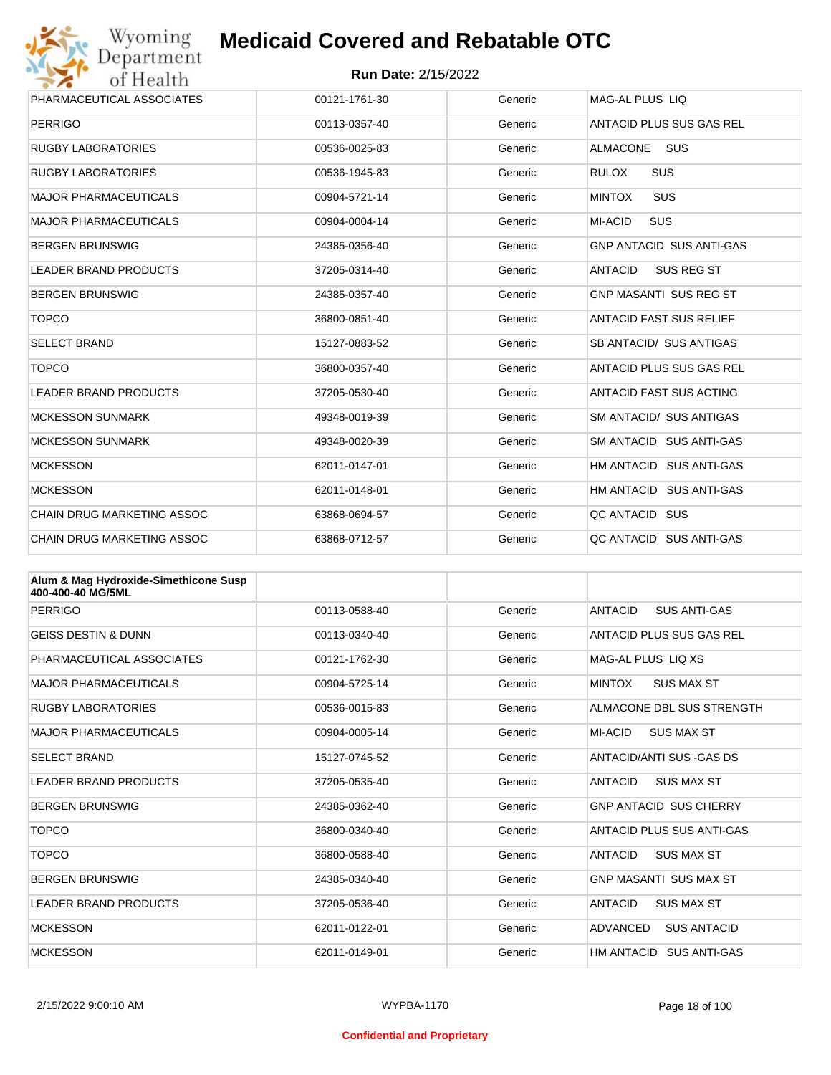

| Wyoming                                               | <b>Medicaid Covered and Rebatable OTC</b> |         |                                     |  |  |
|-------------------------------------------------------|-------------------------------------------|---------|-------------------------------------|--|--|
| Department<br><b>Run Date: 2/15/2022</b><br>of Health |                                           |         |                                     |  |  |
| PHARMACEUTICAL ASSOCIATES                             | 00121-1761-30                             | Generic | MAG-AL PLUS LIQ                     |  |  |
| <b>PERRIGO</b>                                        | 00113-0357-40                             | Generic | ANTACID PLUS SUS GAS REL            |  |  |
| <b>RUGBY LABORATORIES</b>                             | 00536-0025-83                             | Generic | <b>ALMACONE</b><br><b>SUS</b>       |  |  |
| <b>RUGBY LABORATORIES</b>                             | 00536-1945-83                             | Generic | <b>RULOX</b><br><b>SUS</b>          |  |  |
| <b>MAJOR PHARMACEUTICALS</b>                          | 00904-5721-14                             | Generic | <b>SUS</b><br><b>MINTOX</b>         |  |  |
| <b>MAJOR PHARMACEUTICALS</b>                          | 00904-0004-14                             | Generic | <b>MI-ACID</b><br><b>SUS</b>        |  |  |
| <b>BERGEN BRUNSWIG</b>                                | 24385-0356-40                             | Generic | <b>GNP ANTACID SUS ANTI-GAS</b>     |  |  |
| <b>LEADER BRAND PRODUCTS</b>                          | 37205-0314-40                             | Generic | <b>ANTACID</b><br><b>SUS REG ST</b> |  |  |
| <b>BERGEN BRUNSWIG</b>                                | 24385-0357-40                             | Generic | <b>GNP MASANTI SUS REG ST</b>       |  |  |
| <b>TOPCO</b>                                          | 36800-0851-40                             | Generic | <b>ANTACID FAST SUS RELIEF</b>      |  |  |
| <b>SELECT BRAND</b>                                   | 15127-0883-52                             | Generic | SB ANTACID/ SUS ANTIGAS             |  |  |
| <b>TOPCO</b>                                          | 36800-0357-40                             | Generic | ANTACID PLUS SUS GAS REL            |  |  |
| <b>LEADER BRAND PRODUCTS</b>                          | 37205-0530-40                             | Generic | ANTACID FAST SUS ACTING             |  |  |
| <b>MCKESSON SUNMARK</b>                               | 49348-0019-39                             | Generic | <b>SM ANTACID/ SUS ANTIGAS</b>      |  |  |
| <b>MCKESSON SUNMARK</b>                               | 49348-0020-39                             | Generic | SM ANTACID SUS ANTI-GAS             |  |  |
| <b>MCKESSON</b>                                       | 62011-0147-01                             | Generic | HM ANTACID SUS ANTI-GAS             |  |  |
| <b>MCKESSON</b>                                       | 62011-0148-01                             | Generic | HM ANTACID SUS ANTI-GAS             |  |  |
| CHAIN DRUG MARKETING ASSOC                            | 63868-0694-57                             | Generic | QC ANTACID SUS                      |  |  |
| <b>CHAIN DRUG MARKETING ASSOC</b>                     | 63868-0712-57                             | Generic | QC ANTACID SUS ANTI-GAS             |  |  |

| Alum & Mag Hydroxide-Simethicone Susp<br>400-400-40 MG/5ML |               |         |                                       |
|------------------------------------------------------------|---------------|---------|---------------------------------------|
| <b>PERRIGO</b>                                             | 00113-0588-40 | Generic | <b>ANTACID</b><br><b>SUS ANTI-GAS</b> |
| <b>GEISS DESTIN &amp; DUNN</b>                             | 00113-0340-40 | Generic | ANTACID PLUS SUS GAS REL              |
| PHARMACEUTICAL ASSOCIATES                                  | 00121-1762-30 | Generic | MAG-AL PLUS LIO XS                    |
| <b>MAJOR PHARMACEUTICALS</b>                               | 00904-5725-14 | Generic | <b>SUS MAX ST</b><br><b>MINTOX</b>    |
| <b>RUGBY LABORATORIES</b>                                  | 00536-0015-83 | Generic | ALMACONE DBL SUS STRENGTH             |
| <b>MAJOR PHARMACEUTICALS</b>                               | 00904-0005-14 | Generic | MI-ACID<br><b>SUS MAX ST</b>          |
| <b>SELECT BRAND</b>                                        | 15127-0745-52 | Generic | ANTACID/ANTI SUS-GAS DS               |
| <b>LEADER BRAND PRODUCTS</b>                               | 37205-0535-40 | Generic | <b>ANTACID</b><br><b>SUS MAX ST</b>   |
| <b>BERGEN BRUNSWIG</b>                                     | 24385-0362-40 | Generic | <b>GNP ANTACID SUS CHERRY</b>         |
| <b>TOPCO</b>                                               | 36800-0340-40 | Generic | ANTACID PLUS SUS ANTI-GAS             |
| <b>TOPCO</b>                                               | 36800-0588-40 | Generic | <b>SUS MAX ST</b><br><b>ANTACID</b>   |
| <b>BERGEN BRUNSWIG</b>                                     | 24385-0340-40 | Generic | <b>GNP MASANTI SUS MAX ST</b>         |
| <b>LEADER BRAND PRODUCTS</b>                               | 37205-0536-40 | Generic | <b>ANTACID</b><br><b>SUS MAX ST</b>   |
| <b>MCKESSON</b>                                            | 62011-0122-01 | Generic | <b>ADVANCED</b><br><b>SUS ANTACID</b> |
| <b>MCKESSON</b>                                            | 62011-0149-01 | Generic | HM ANTACID<br><b>SUS ANTI-GAS</b>     |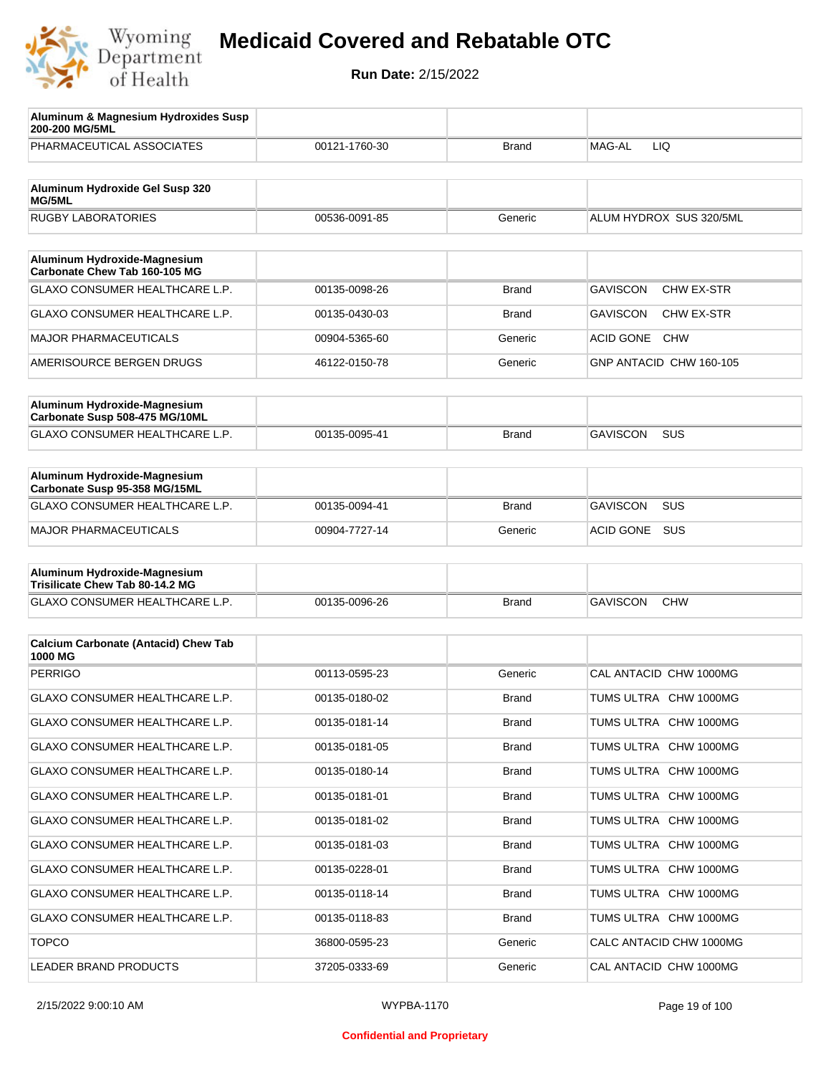

| Aluminum & Magnesium Hydroxides Susp<br>200-200 MG/5ML          |               |              |                                      |
|-----------------------------------------------------------------|---------------|--------------|--------------------------------------|
| PHARMACEUTICAL ASSOCIATES                                       | 00121-1760-30 | Brand        | MAG-AL<br>LIQ                        |
| Aluminum Hydroxide Gel Susp 320<br><b>MG/5ML</b>                |               |              |                                      |
| <b>RUGBY LABORATORIES</b>                                       | 00536-0091-85 | Generic      | ALUM HYDROX SUS 320/5ML              |
| Aluminum Hydroxide-Magnesium                                    |               |              |                                      |
| Carbonate Chew Tab 160-105 MG                                   |               |              |                                      |
| GLAXO CONSUMER HEALTHCARE L.P.                                  | 00135-0098-26 | Brand        | <b>GAVISCON</b><br><b>CHW EX-STR</b> |
| GLAXO CONSUMER HEALTHCARE L.P.                                  | 00135-0430-03 | Brand        | <b>GAVISCON</b><br>CHW EX-STR        |
| <b>MAJOR PHARMACEUTICALS</b>                                    | 00904-5365-60 | Generic      | <b>ACID GONE</b><br><b>CHW</b>       |
| AMERISOURCE BERGEN DRUGS                                        | 46122-0150-78 | Generic      | GNP ANTACID CHW 160-105              |
| Aluminum Hydroxide-Magnesium<br>Carbonate Susp 508-475 MG/10ML  |               |              |                                      |
| GLAXO CONSUMER HEALTHCARE L.P.                                  | 00135-0095-41 | Brand        | <b>GAVISCON</b><br><b>SUS</b>        |
|                                                                 |               |              |                                      |
| Aluminum Hydroxide-Magnesium<br>Carbonate Susp 95-358 MG/15ML   |               |              |                                      |
| <b>GLAXO CONSUMER HEALTHCARE L.P.</b>                           | 00135-0094-41 | <b>Brand</b> | <b>GAVISCON</b><br><b>SUS</b>        |
| <b>MAJOR PHARMACEUTICALS</b>                                    | 00904-7727-14 | Generic      | ACID GONE<br>SUS                     |
| Aluminum Hydroxide-Magnesium<br>Trisilicate Chew Tab 80-14.2 MG |               |              |                                      |
| GLAXO CONSUMER HEALTHCARE L.P.                                  | 00135-0096-26 | <b>Brand</b> | <b>GAVISCON</b><br><b>CHW</b>        |
|                                                                 |               |              |                                      |
| <b>Calcium Carbonate (Antacid) Chew Tab</b><br>1000 MG          |               |              |                                      |
| <b>PERRIGO</b>                                                  | 00113-0595-23 | Generic      | CAL ANTACID CHW 1000MG               |
| <b>GLAXO CONSUMER HEALTHCARE L.P.</b>                           | 00135-0180-02 | <b>Brand</b> | TUMS ULTRA CHW 1000MG                |
| GLAXO CONSUMER HEALTHCARE L.P.                                  | 00135-0181-14 | <b>Brand</b> | TUMS ULTRA CHW 1000MG                |
| GLAXO CONSUMER HEALTHCARE L.P.                                  | 00135-0181-05 | <b>Brand</b> | TUMS ULTRA CHW 1000MG                |
| GLAXO CONSUMER HEALTHCARE L.P.                                  | 00135-0180-14 | <b>Brand</b> | TUMS ULTRA CHW 1000MG                |
| GLAXO CONSUMER HEALTHCARE L.P.                                  | 00135-0181-01 | <b>Brand</b> | TUMS ULTRA CHW 1000MG                |
| GLAXO CONSUMER HEALTHCARE L.P.                                  | 00135-0181-02 | <b>Brand</b> | TUMS ULTRA CHW 1000MG                |
| GLAXO CONSUMER HEALTHCARE L.P.                                  | 00135-0181-03 | <b>Brand</b> | TUMS ULTRA CHW 1000MG                |
| GLAXO CONSUMER HEALTHCARE L.P.                                  | 00135-0228-01 | <b>Brand</b> | TUMS ULTRA CHW 1000MG                |
| GLAXO CONSUMER HEALTHCARE L.P.                                  | 00135-0118-14 | <b>Brand</b> | TUMS ULTRA CHW 1000MG                |
| GLAXO CONSUMER HEALTHCARE L.P.                                  | 00135-0118-83 | <b>Brand</b> | TUMS ULTRA CHW 1000MG                |
| <b>TOPCO</b>                                                    | 36800-0595-23 | Generic      | CALC ANTACID CHW 1000MG              |
| LEADER BRAND PRODUCTS                                           | 37205-0333-69 | Generic      | CAL ANTACID CHW 1000MG               |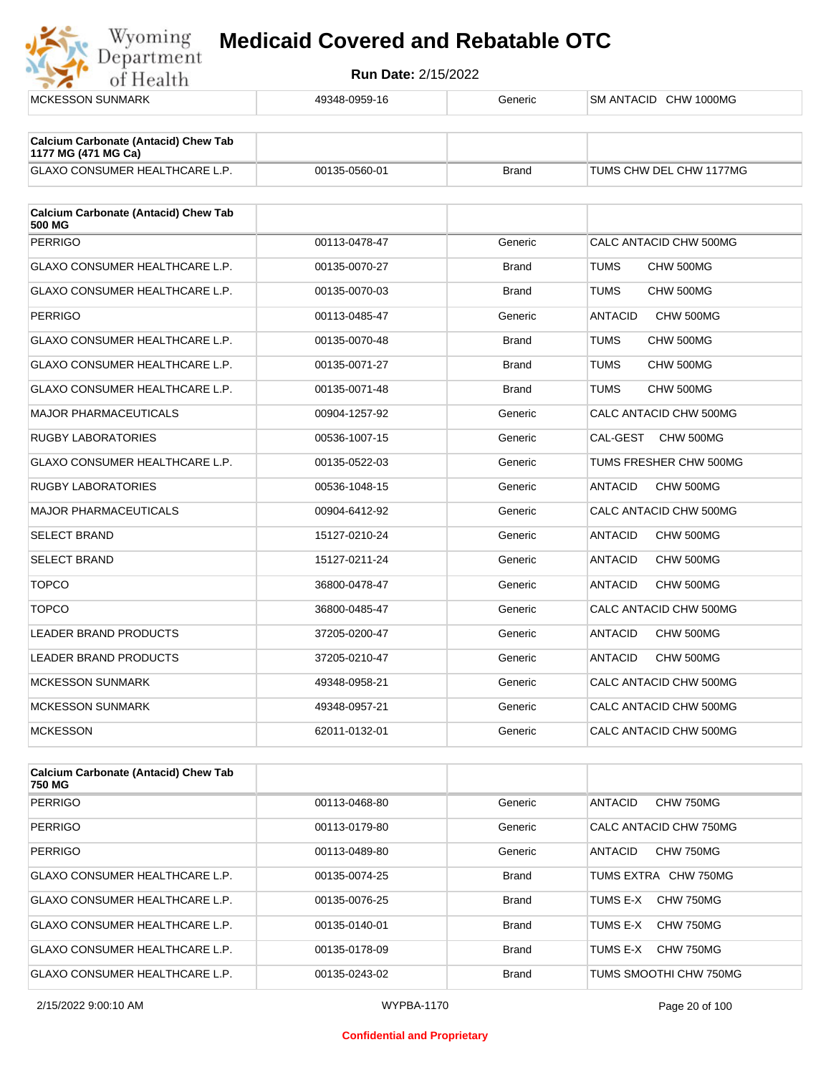

| <b>MCKESSON SUNMARK</b>                                            | 49348-0959-16 | Generic      | SM ANTACID CHW 1000MG       |
|--------------------------------------------------------------------|---------------|--------------|-----------------------------|
|                                                                    |               |              |                             |
| <b>Calcium Carbonate (Antacid) Chew Tab</b><br>1177 MG (471 MG Ca) |               |              |                             |
| GLAXO CONSUMER HEALTHCARE L.P.                                     | 00135-0560-01 | <b>Brand</b> | TUMS CHW DEL CHW 1177MG     |
| <b>Calcium Carbonate (Antacid) Chew Tab</b>                        |               |              |                             |
| <b>500 MG</b>                                                      |               |              |                             |
| <b>PERRIGO</b>                                                     | 00113-0478-47 | Generic      | CALC ANTACID CHW 500MG      |
| GLAXO CONSUMER HEALTHCARE L.P.                                     | 00135-0070-27 | <b>Brand</b> | <b>TUMS</b><br>CHW 500MG    |
| GLAXO CONSUMER HEALTHCARE L.P.                                     | 00135-0070-03 | <b>Brand</b> | <b>TUMS</b><br>CHW 500MG    |
| <b>PERRIGO</b>                                                     | 00113-0485-47 | Generic      | <b>ANTACID</b><br>CHW 500MG |
| GLAXO CONSUMER HEALTHCARE L.P.                                     | 00135-0070-48 | <b>Brand</b> | <b>TUMS</b><br>CHW 500MG    |
| GLAXO CONSUMER HEALTHCARE L.P.                                     | 00135-0071-27 | <b>Brand</b> | <b>TUMS</b><br>CHW 500MG    |
| GLAXO CONSUMER HEALTHCARE L.P.                                     | 00135-0071-48 | <b>Brand</b> | <b>TUMS</b><br>CHW 500MG    |
| <b>MAJOR PHARMACEUTICALS</b>                                       | 00904-1257-92 | Generic      | CALC ANTACID CHW 500MG      |
| <b>RUGBY LABORATORIES</b>                                          | 00536-1007-15 | Generic      | CAL-GEST<br>CHW 500MG       |
| GLAXO CONSUMER HEALTHCARE L.P.                                     | 00135-0522-03 | Generic      | TUMS FRESHER CHW 500MG      |
| <b>RUGBY LABORATORIES</b>                                          | 00536-1048-15 | Generic      | <b>ANTACID</b><br>CHW 500MG |
| <b>MAJOR PHARMACEUTICALS</b>                                       | 00904-6412-92 | Generic      | CALC ANTACID CHW 500MG      |
| <b>SELECT BRAND</b>                                                | 15127-0210-24 | Generic      | <b>ANTACID</b><br>CHW 500MG |
| <b>SELECT BRAND</b>                                                | 15127-0211-24 | Generic      | <b>ANTACID</b><br>CHW 500MG |
| <b>TOPCO</b>                                                       | 36800-0478-47 | Generic      | <b>ANTACID</b><br>CHW 500MG |
| <b>TOPCO</b>                                                       | 36800-0485-47 | Generic      | CALC ANTACID CHW 500MG      |
| <b>LEADER BRAND PRODUCTS</b>                                       | 37205-0200-47 | Generic      | <b>ANTACID</b><br>CHW 500MG |
| <b>LEADER BRAND PRODUCTS</b>                                       | 37205-0210-47 | Generic      | <b>ANTACID</b><br>CHW 500MG |
| <b>MCKESSON SUNMARK</b>                                            | 49348-0958-21 | Generic      | CALC ANTACID CHW 500MG      |
| <b>MCKESSON SUNMARK</b>                                            | 49348-0957-21 | Generic      | CALC ANTACID CHW 500MG      |
| <b>MCKESSON</b>                                                    | 62011-0132-01 | Generic      | CALC ANTACID CHW 500MG      |

| <b>Calcium Carbonate (Antacid) Chew Tab</b><br>750 MG |               |              |                             |
|-------------------------------------------------------|---------------|--------------|-----------------------------|
| PERRIGO                                               | 00113-0468-80 | Generic      | ANTACID<br>CHW 750MG        |
| PERRIGO                                               | 00113-0179-80 | Generic      | CALC ANTACID CHW 750MG      |
| PERRIGO                                               | 00113-0489-80 | Generic      | <b>CHW 750MG</b><br>ANTACID |
| <b>GLAXO CONSUMER HEALTHCARE L.P.</b>                 | 00135-0074-25 | <b>Brand</b> | TUMS EXTRA CHW 750MG        |
| <b>GLAXO CONSUMER HEALTHCARE L.P.</b>                 | 00135-0076-25 | <b>Brand</b> | CHW 750MG<br>TUMS F-X       |
| <b>GLAXO CONSUMER HEALTHCARE L.P.</b>                 | 00135-0140-01 | <b>Brand</b> | CHW 750MG<br>TUMS E-X       |
| <b>GLAXO CONSUMER HEALTHCARE L.P.</b>                 | 00135-0178-09 | <b>Brand</b> | CHW 750MG<br>TUMS E-X       |
| GLAXO CONSUMER HEALTHCARE L.P.                        | 00135-0243-02 | <b>Brand</b> | TUMS SMOOTHI CHW 750MG      |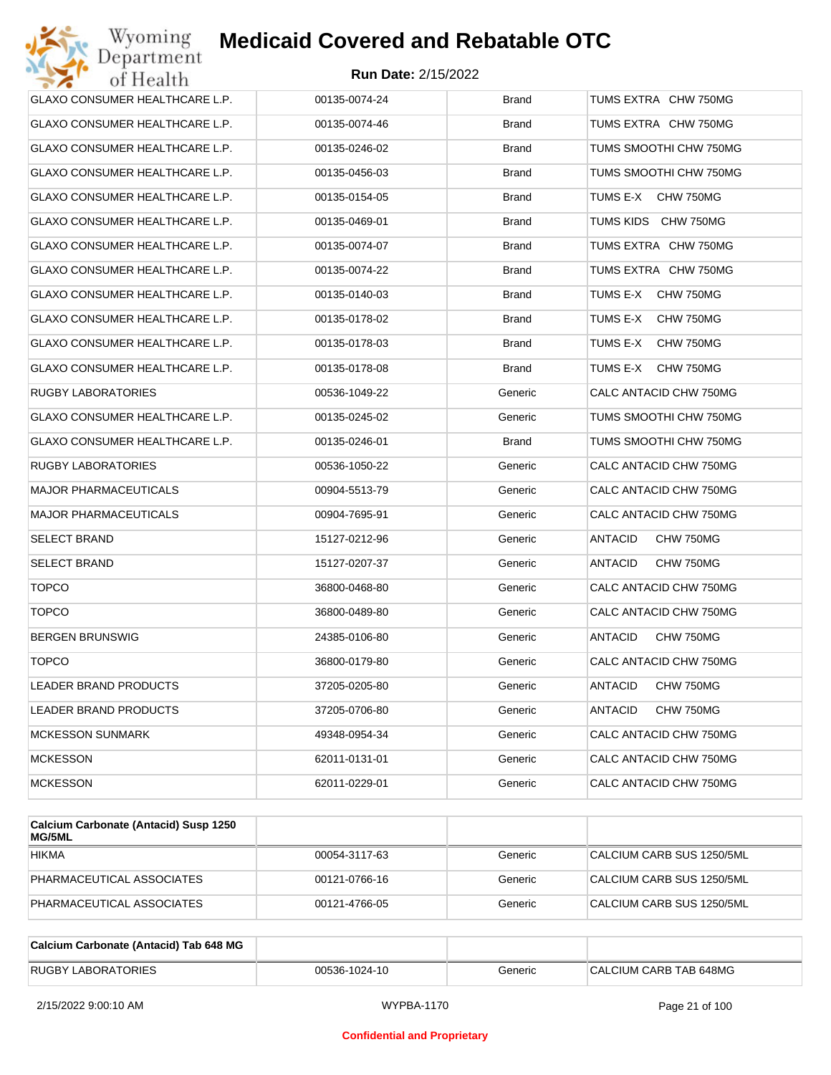| Wyoming<br><b>Medicaid Covered and Rebatable OTC</b><br>Department |                            |              |                             |  |
|--------------------------------------------------------------------|----------------------------|--------------|-----------------------------|--|
| of Health                                                          | <b>Run Date: 2/15/2022</b> |              |                             |  |
| GLAXO CONSUMER HEALTHCARE L.P.                                     | 00135-0074-24              | <b>Brand</b> | TUMS EXTRA CHW 750MG        |  |
| GLAXO CONSUMER HEALTHCARE L.P.                                     | 00135-0074-46              | Brand        | TUMS EXTRA CHW 750MG        |  |
| GLAXO CONSUMER HEALTHCARE L.P.                                     | 00135-0246-02              | Brand        | TUMS SMOOTHI CHW 750MG      |  |
| GLAXO CONSUMER HEALTHCARE L.P.                                     | 00135-0456-03              | <b>Brand</b> | TUMS SMOOTHI CHW 750MG      |  |
| GLAXO CONSUMER HEALTHCARE L.P.                                     | 00135-0154-05              | Brand        | TUMS E-X<br>CHW 750MG       |  |
| GLAXO CONSUMER HEALTHCARE L.P.                                     | 00135-0469-01              | <b>Brand</b> | TUMS KIDS CHW 750MG         |  |
| GLAXO CONSUMER HEALTHCARE L.P.                                     | 00135-0074-07              | <b>Brand</b> | TUMS EXTRA CHW 750MG        |  |
| GLAXO CONSUMER HEALTHCARE L.P.                                     | 00135-0074-22              | Brand        | TUMS EXTRA CHW 750MG        |  |
| GLAXO CONSUMER HEALTHCARE L.P.                                     | 00135-0140-03              | <b>Brand</b> | TUMS E-X<br>CHW 750MG       |  |
| GLAXO CONSUMER HEALTHCARE L.P.                                     | 00135-0178-02              | <b>Brand</b> | TUMS E-X<br>CHW 750MG       |  |
| GLAXO CONSUMER HEALTHCARE L.P.                                     | 00135-0178-03              | Brand        | TUMS E-X<br>CHW 750MG       |  |
| GLAXO CONSUMER HEALTHCARE L.P.                                     | 00135-0178-08              | <b>Brand</b> | TUMS E-X<br>CHW 750MG       |  |
| RUGBY LABORATORIES                                                 | 00536-1049-22              | Generic      | CALC ANTACID CHW 750MG      |  |
| GLAXO CONSUMER HEALTHCARE L.P.                                     | 00135-0245-02              | Generic      | TUMS SMOOTHI CHW 750MG      |  |
| GLAXO CONSUMER HEALTHCARE L.P.                                     | 00135-0246-01              | <b>Brand</b> | TUMS SMOOTHI CHW 750MG      |  |
| RUGBY LABORATORIES                                                 | 00536-1050-22              | Generic      | CALC ANTACID CHW 750MG      |  |
| <b>MAJOR PHARMACEUTICALS</b>                                       | 00904-5513-79              | Generic      | CALC ANTACID CHW 750MG      |  |
| MAJOR PHARMACEUTICALS                                              | 00904-7695-91              | Generic      | CALC ANTACID CHW 750MG      |  |
| SELECT BRAND                                                       | 15127-0212-96              | Generic      | ANTACID<br>CHW 750MG        |  |
| SELECT BRAND                                                       | 15127-0207-37              | Generic      | ANTACID<br>CHW 750MG        |  |
| <b>TOPCO</b>                                                       | 36800-0468-80              | Generic      | CALC ANTACID CHW 750MG      |  |
| <b>TOPCO</b>                                                       | 36800-0489-80              | Generic      | CALC ANTACID CHW 750MG      |  |
| BERGEN BRUNSWIG                                                    | 24385-0106-80              | Generic      | <b>ANTACID</b><br>CHW 750MG |  |
| <b>TOPCO</b>                                                       | 36800-0179-80              | Generic      | CALC ANTACID CHW 750MG      |  |
| LEADER BRAND PRODUCTS                                              | 37205-0205-80              | Generic      | ANTACID<br>CHW 750MG        |  |
| LEADER BRAND PRODUCTS                                              | 37205-0706-80              | Generic      | ANTACID<br>CHW 750MG        |  |
| <b>MCKESSON SUNMARK</b>                                            | 49348-0954-34              | Generic      | CALC ANTACID CHW 750MG      |  |
| <b>MCKESSON</b>                                                    | 62011-0131-01              | Generic      | CALC ANTACID CHW 750MG      |  |
| MCKESSON                                                           | 62011-0229-01              | Generic      | CALC ANTACID CHW 750MG      |  |
|                                                                    |                            |              |                             |  |

| Calcium Carbonate (Antacid) Susp 1250<br><b>MG/5ML</b> |               |         |                           |
|--------------------------------------------------------|---------------|---------|---------------------------|
| <b>HIKMA</b>                                           | 00054-3117-63 | Generic | CALCIUM CARB SUS 1250/5ML |
| PHARMACEUTICAL ASSOCIATES                              | 00121-0766-16 | Generic | CALCIUM CARB SUS 1250/5ML |
| PHARMACEUTICAL ASSOCIATES                              | 00121-4766-05 | Generic | CALCIUM CARB SUS 1250/5ML |

| Calcium Carbonate (Antacid) Tab 648 MG |               |         |                        |
|----------------------------------------|---------------|---------|------------------------|
| <b>RUGBY LABORATORIES</b>              | 00536-1024-10 | Generic | CALCIUM CARB TAB 648MG |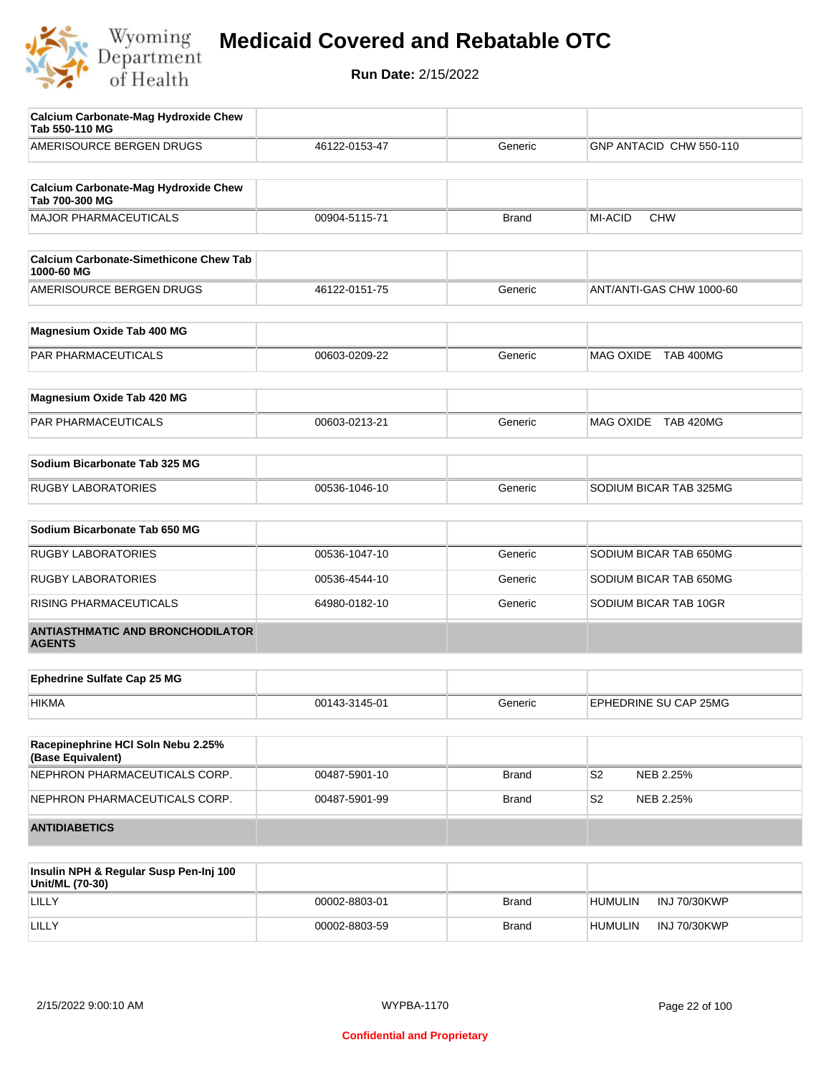

| <b>Calcium Carbonate-Mag Hydroxide Chew</b><br>Tab 550-110 MG |               |              |                          |
|---------------------------------------------------------------|---------------|--------------|--------------------------|
| AMERISOURCE BERGEN DRUGS                                      | 46122-0153-47 | Generic      | GNP ANTACID CHW 550-110  |
| <b>Calcium Carbonate-Mag Hydroxide Chew</b><br>Tab 700-300 MG |               |              |                          |
| <b>MAJOR PHARMACEUTICALS</b>                                  | 00904-5115-71 | <b>Brand</b> | MI-ACID<br><b>CHW</b>    |
| <b>Calcium Carbonate-Simethicone Chew Tab</b><br>1000-60 MG   |               |              |                          |
| AMERISOURCE BERGEN DRUGS                                      | 46122-0151-75 | Generic      | ANT/ANTI-GAS CHW 1000-60 |
| Magnesium Oxide Tab 400 MG                                    |               |              |                          |
| PAR PHARMACEUTICALS                                           | 00603-0209-22 | Generic      | MAG OXIDE TAB 400MG      |
| Magnesium Oxide Tab 420 MG                                    |               |              |                          |
| <b>PAR PHARMACEUTICALS</b>                                    | 00603-0213-21 | Generic      | MAG OXIDE TAB 420MG      |
| Sodium Bicarbonate Tab 325 MG                                 |               |              |                          |
| <b>RUGBY LABORATORIES</b>                                     | 00536-1046-10 | Generic      | SODIUM BICAR TAB 325MG   |
| Sodium Bicarbonate Tab 650 MG                                 |               |              |                          |
| <b>RUGBY LABORATORIES</b>                                     | 00536-1047-10 | Generic      | SODIUM BICAR TAB 650MG   |
| <b>RUGBY LABORATORIES</b>                                     | 00536-4544-10 | Generic      | SODIUM BICAR TAB 650MG   |
| RISING PHARMACEUTICALS                                        | 64980-0182-10 | Generic      | SODIUM BICAR TAB 10GR    |
| <b>ANTIASTHMATIC AND BRONCHODILATOR</b><br><b>AGENTS</b>      |               |              |                          |
| <b>Ephedrine Sulfate Cap 25 MG</b>                            |               |              |                          |
| HIKMA                                                         | 00143-3145-01 | Generic      | EPHEDRINE SU CAP 25MG    |
| Racepinephrine HCI Soln Nebu 2.25%<br>(Base Equivalent)       |               |              |                          |
| NEPHRON PHARMACEUTICALS CORP.                                 | 00487-5901-10 | <b>Brand</b> | S2<br>NEB 2.25%          |
| NEPHRON PHARMACEUTICALS CORP.                                 | 00487-5901-99 | <b>Brand</b> | S2<br>NEB 2.25%          |
| <b>ANTIDIABETICS</b>                                          |               |              |                          |

| Insulin NPH & Regular Susp Pen-Inj 100<br>Unit/ML (70-30) |               |              |                                |
|-----------------------------------------------------------|---------------|--------------|--------------------------------|
| <b>LILLY</b>                                              | 00002-8803-01 | <b>Brand</b> | INJ 70/30KWP<br><b>HUMULIN</b> |
| LILLY                                                     | 00002-8803-59 | Brand        | INJ 70/30KWP<br><b>HUMULIN</b> |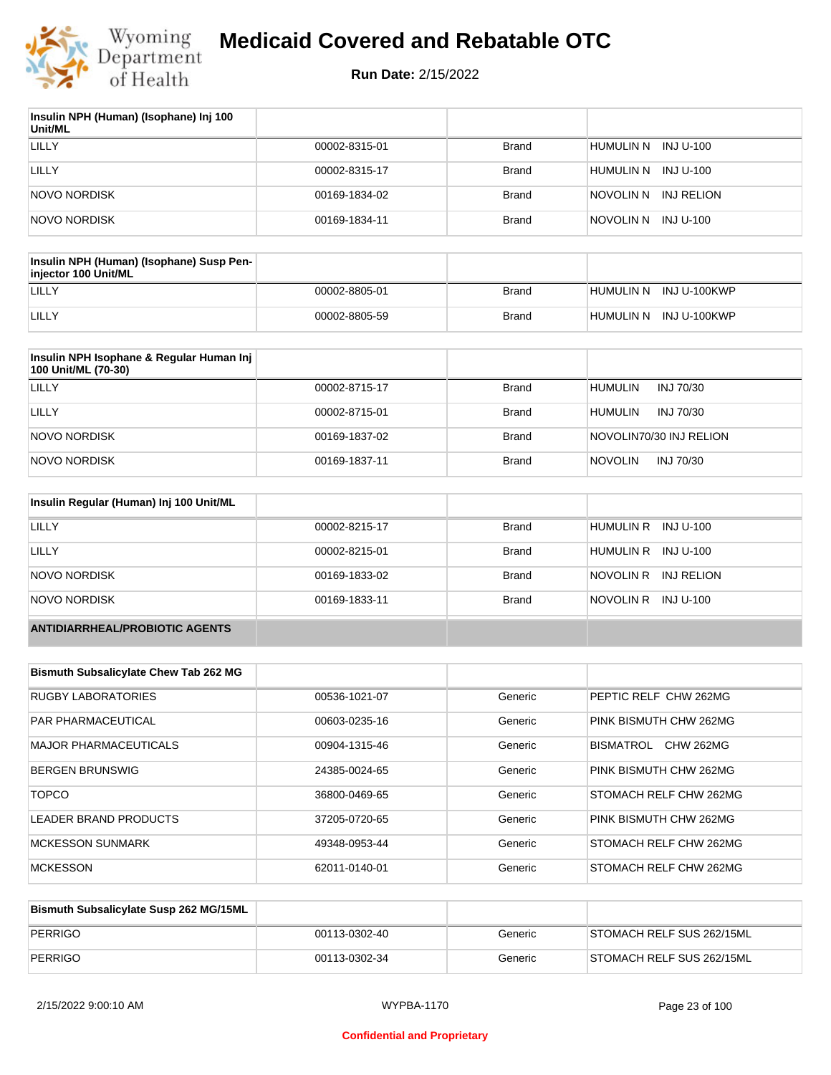

| Insulin NPH (Human) (Isophane) Inj 100<br>Unit/ML |               |              |                         |
|---------------------------------------------------|---------------|--------------|-------------------------|
| LILLY                                             | 00002-8315-01 | Brand        | HUMULIN N INJ U-100     |
| LILLY                                             | 00002-8315-17 | Brand        | HUMULIN N<br>INJ U-100  |
| NOVO NORDISK                                      | 00169-1834-02 | Brand        | INJ RELION<br>NOVOLIN N |
| NOVO NORDISK                                      | 00169-1834-11 | <b>Brand</b> | INJ U-100<br>NOVOLIN N  |

| Insulin NPH (Human) (Isophane) Susp Pen-<br>injector 100 Unit/ML |               |              |                        |
|------------------------------------------------------------------|---------------|--------------|------------------------|
| LILLY                                                            | 00002-8805-01 | Brand        | HUMULIN N INJ U-100KWP |
| LILLY                                                            | 00002-8805-59 | <b>Brand</b> | HUMULIN N INJ U-100KWP |

| Insulin NPH Isophane & Regular Human Inj<br>100 Unit/ML (70-30) |               |              |                             |
|-----------------------------------------------------------------|---------------|--------------|-----------------------------|
| LILLY                                                           | 00002-8715-17 | <b>Brand</b> | <b>HUMULIN</b><br>INJ 70/30 |
| LILLY                                                           | 00002-8715-01 | <b>Brand</b> | <b>HUMULIN</b><br>INJ 70/30 |
| NOVO NORDISK                                                    | 00169-1837-02 | <b>Brand</b> | NOVOLIN70/30 INJ RELION     |
| NOVO NORDISK                                                    | 00169-1837-11 | <b>Brand</b> | <b>NOVOLIN</b><br>INJ 70/30 |

| Insulin Regular (Human) Inj 100 Unit/ML |               |              |                         |
|-----------------------------------------|---------------|--------------|-------------------------|
| <b>LILLY</b>                            | 00002-8215-17 | <b>Brand</b> | HUMULIN R INJ U-100     |
| LILLY                                   | 00002-8215-01 | <b>Brand</b> | HUMULIN R INJ U-100     |
| NOVO NORDISK                            | 00169-1833-02 | <b>Brand</b> | NOVOLIN R<br>INJ RELION |
| NOVO NORDISK                            | 00169-1833-11 | <b>Brand</b> | NOVOLIN R INJ U-100     |
| <b>ANTIDIARRHEAL/PROBIOTIC AGENTS</b>   |               |              |                         |

| <b>Bismuth Subsalicylate Chew Tab 262 MG</b> |               |         |                               |
|----------------------------------------------|---------------|---------|-------------------------------|
| <b>RUGBY LABORATORIES</b>                    | 00536-1021-07 | Generic | PEPTIC RELF CHW 262MG         |
| <b>PAR PHARMACEUTICAL</b>                    | 00603-0235-16 | Generic | PINK BISMUTH CHW 262MG        |
| <b>MAJOR PHARMACEUTICALS</b>                 | 00904-1315-46 | Generic | <b>CHW 262MG</b><br>BISMATROL |
| <b>BERGEN BRUNSWIG</b>                       | 24385-0024-65 | Generic | PINK BISMUTH CHW 262MG        |
| <b>TOPCO</b>                                 | 36800-0469-65 | Generic | <b>STOMACH RELF CHW 262MG</b> |
| LEADER BRAND PRODUCTS                        | 37205-0720-65 | Generic | PINK BISMUTH CHW 262MG        |
| <b>MCKESSON SUNMARK</b>                      | 49348-0953-44 | Generic | <b>STOMACH RELF CHW 262MG</b> |
| <b>MCKESSON</b>                              | 62011-0140-01 | Generic | <b>STOMACH RELF CHW 262MG</b> |

| Bismuth Subsalicylate Susp 262 MG/15ML |               |         |                           |
|----------------------------------------|---------------|---------|---------------------------|
| PERRIGO                                | 00113-0302-40 | Generic | STOMACH RELF SUS 262/15ML |
| PERRIGO                                | 00113-0302-34 | Generic | STOMACH RELF SUS 262/15ML |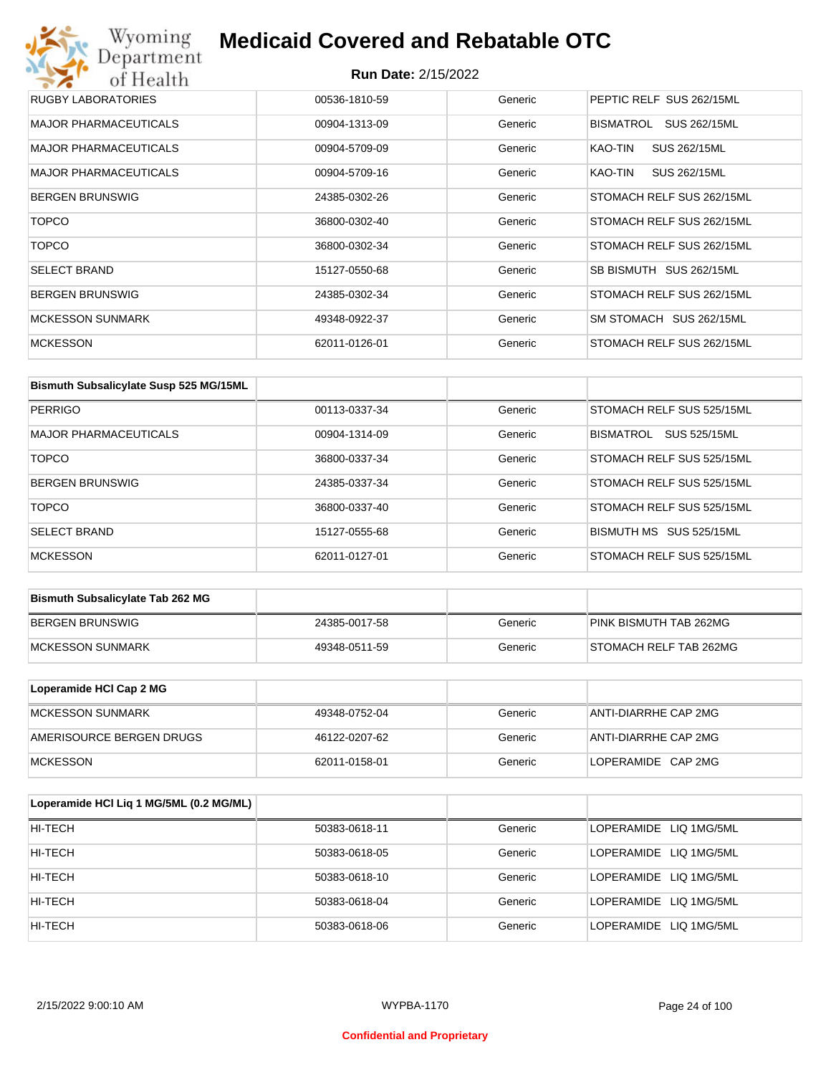| RUGBY LABORATORIES           | 00536-1810-59 | Generic | PEPTIC RELF SUS 262/15ML  |
|------------------------------|---------------|---------|---------------------------|
| <b>MAJOR PHARMACEUTICALS</b> | 00904-1313-09 | Generic | BISMATROL<br>SUS 262/15ML |
| <b>MAJOR PHARMACEUTICALS</b> | 00904-5709-09 | Generic | SUS 262/15ML<br>KAO-TIN   |
| <b>MAJOR PHARMACEUTICALS</b> | 00904-5709-16 | Generic | KAO-TIN<br>SUS 262/15ML   |
| <b>BERGEN BRUNSWIG</b>       | 24385-0302-26 | Generic | STOMACH RELF SUS 262/15ML |
| <b>TOPCO</b>                 | 36800-0302-40 | Generic | STOMACH RELF SUS 262/15ML |
| <b>TOPCO</b>                 | 36800-0302-34 | Generic | STOMACH RELF SUS 262/15ML |
| <b>SELECT BRAND</b>          | 15127-0550-68 | Generic | SB BISMUTH SUS 262/15ML   |
| <b>BERGEN BRUNSWIG</b>       | 24385-0302-34 | Generic | STOMACH RELF SUS 262/15ML |
| <b>MCKESSON SUNMARK</b>      | 49348-0922-37 | Generic | SM STOMACH SUS 262/15ML   |
| <b>MCKESSON</b>              | 62011-0126-01 | Generic | STOMACH RELF SUS 262/15ML |

| Bismuth Subsalicylate Susp 525 MG/15ML |               |         |                                         |
|----------------------------------------|---------------|---------|-----------------------------------------|
| PERRIGO                                | 00113-0337-34 | Generic | STOMACH RELF SUS 525/15ML               |
| <b>MAJOR PHARMACEUTICALS</b>           | 00904-1314-09 | Generic | <b>SUS 525/15ML</b><br><b>BISMATROL</b> |
| <b>TOPCO</b>                           | 36800-0337-34 | Generic | STOMACH RELF SUS 525/15ML               |
| <b>BERGEN BRUNSWIG</b>                 | 24385-0337-34 | Generic | STOMACH RELF SUS 525/15ML               |
| <b>TOPCO</b>                           | 36800-0337-40 | Generic | STOMACH RELF SUS 525/15ML               |
| <b>SELECT BRAND</b>                    | 15127-0555-68 | Generic | BISMUTH MS SUS 525/15ML                 |
| <b>MCKESSON</b>                        | 62011-0127-01 | Generic | STOMACH RELF SUS 525/15ML               |

| <b>Bismuth Subsalicylate Tab 262 MG</b> |               |         |                        |
|-----------------------------------------|---------------|---------|------------------------|
| BERGEN BRUNSWIG                         | 24385-0017-58 | Generic | PINK BISMUTH TAB 262MG |
| <b>IMCKESSON SUNMARK</b>                | 49348-0511-59 | Generic | STOMACH RELF TAB 262MG |

| Loperamide HCI Cap 2 MG  |               |         |                      |
|--------------------------|---------------|---------|----------------------|
| IMCKESSON SUNMARK        | 49348-0752-04 | Generic | ANTI-DIARRHE CAP 2MG |
| AMERISOURCE BERGEN DRUGS | 46122-0207-62 | Generic | ANTI-DIARRHE CAP 2MG |
| <b>IMCKESSON</b>         | 62011-0158-01 | Generic | LOPERAMIDE CAP 2MG   |

| Loperamide HCI Liq 1 MG/5ML (0.2 MG/ML) |               |         |                        |
|-----------------------------------------|---------------|---------|------------------------|
| HI-TECH                                 | 50383-0618-11 | Generic | LOPERAMIDE LIQ 1MG/5ML |
| HI-TECH                                 | 50383-0618-05 | Generic | LOPERAMIDE LIQ 1MG/5ML |
| HI-TECH                                 | 50383-0618-10 | Generic | LOPERAMIDE LIQ 1MG/5ML |
| HI-TECH                                 | 50383-0618-04 | Generic | LOPERAMIDE LIQ 1MG/5ML |
| HI-TECH                                 | 50383-0618-06 | Generic | LOPERAMIDE LIQ 1MG/5ML |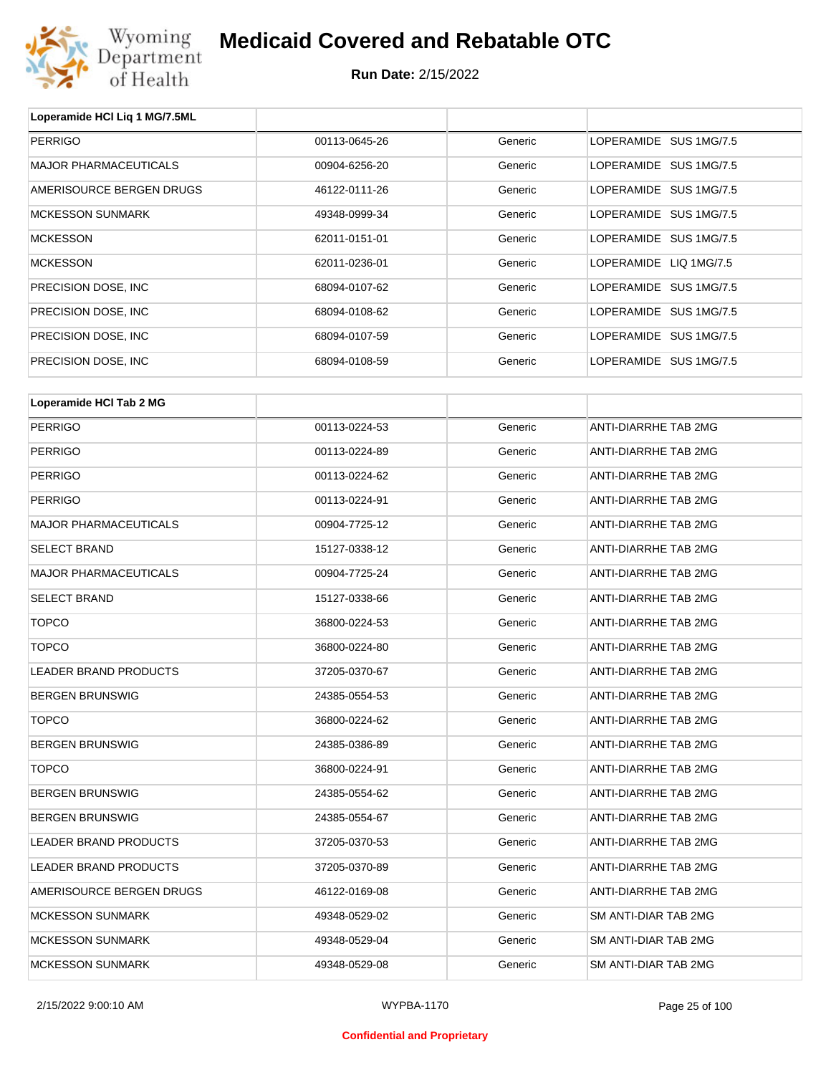

| Loperamide HCI Liq 1 MG/7.5ML |               |         |                             |
|-------------------------------|---------------|---------|-----------------------------|
| <b>PERRIGO</b>                | 00113-0645-26 | Generic | LOPERAMIDE SUS 1MG/7.5      |
| <b>MAJOR PHARMACEUTICALS</b>  | 00904-6256-20 | Generic | LOPERAMIDE SUS 1MG/7.5      |
| AMERISOURCE BERGEN DRUGS      | 46122-0111-26 | Generic | LOPERAMIDE SUS 1MG/7.5      |
| <b>MCKESSON SUNMARK</b>       | 49348-0999-34 | Generic | LOPERAMIDE SUS 1MG/7.5      |
| <b>MCKESSON</b>               | 62011-0151-01 | Generic | LOPERAMIDE SUS 1MG/7.5      |
| <b>MCKESSON</b>               | 62011-0236-01 | Generic | LOPERAMIDE LIQ 1MG/7.5      |
| PRECISION DOSE, INC           | 68094-0107-62 | Generic | LOPERAMIDE SUS 1MG/7.5      |
| PRECISION DOSE, INC           | 68094-0108-62 | Generic | LOPERAMIDE SUS 1MG/7.5      |
| PRECISION DOSE, INC           | 68094-0107-59 | Generic | LOPERAMIDE SUS 1MG/7.5      |
| PRECISION DOSE, INC           | 68094-0108-59 | Generic | LOPERAMIDE SUS 1MG/7.5      |
|                               |               |         |                             |
| Loperamide HCI Tab 2 MG       |               |         |                             |
| <b>PERRIGO</b>                | 00113-0224-53 | Generic | <b>ANTI-DIARRHE TAB 2MG</b> |
| <b>PERRIGO</b>                | 00113-0224-89 | Generic | <b>ANTI-DIARRHE TAB 2MG</b> |
| <b>PERRIGO</b>                | 00113-0224-62 | Generic | ANTI-DIARRHE TAB 2MG        |
| <b>PERRIGO</b>                | 00113-0224-91 | Generic | <b>ANTI-DIARRHE TAB 2MG</b> |
| <b>MAJOR PHARMACEUTICALS</b>  | 00904-7725-12 | Generic | <b>ANTI-DIARRHE TAB 2MG</b> |
| <b>SELECT BRAND</b>           | 15127-0338-12 | Generic | <b>ANTI-DIARRHE TAB 2MG</b> |
| <b>MAJOR PHARMACEUTICALS</b>  | 00904-7725-24 | Generic | <b>ANTI-DIARRHE TAB 2MG</b> |
| <b>SELECT BRAND</b>           | 15127-0338-66 | Generic | ANTI-DIARRHE TAB 2MG        |
| <b>TOPCO</b>                  | 36800-0224-53 | Generic | ANTI-DIARRHE TAB 2MG        |
| <b>TOPCO</b>                  | 36800-0224-80 | Generic | <b>ANTI-DIARRHE TAB 2MG</b> |
| LEANED PRAND DRODUCTS         | 27205 0270 £7 | Conorio | ANITI DIADDUE TAD OMC       |

| TUPCO                        | 36800-0224-80 | Generic | ANTI-DIARRHETAB ZMG  |
|------------------------------|---------------|---------|----------------------|
| LEADER BRAND PRODUCTS        | 37205-0370-67 | Generic | ANTI-DIARRHE TAB 2MG |
| <b>BERGEN BRUNSWIG</b>       | 24385-0554-53 | Generic | ANTI-DIARRHE TAB 2MG |
| <b>TOPCO</b>                 | 36800-0224-62 | Generic | ANTI-DIARRHE TAB 2MG |
| <b>BERGEN BRUNSWIG</b>       | 24385-0386-89 | Generic | ANTI-DIARRHE TAB 2MG |
| TOPCO                        | 36800-0224-91 | Generic | ANTI-DIARRHE TAB 2MG |
| <b>BERGEN BRUNSWIG</b>       | 24385-0554-62 | Generic | ANTI-DIARRHE TAB 2MG |
| <b>BERGEN BRUNSWIG</b>       | 24385-0554-67 | Generic | ANTI-DIARRHE TAB 2MG |
| <b>LEADER BRAND PRODUCTS</b> | 37205-0370-53 | Generic | ANTI-DIARRHE TAB 2MG |
| LEADER BRAND PRODUCTS        | 37205-0370-89 | Generic | ANTI-DIARRHE TAB 2MG |
| AMERISOURCE BERGEN DRUGS     | 46122-0169-08 | Generic | ANTI-DIARRHE TAB 2MG |
| <b>MCKESSON SUNMARK</b>      | 49348-0529-02 | Generic | SM ANTI-DIAR TAB 2MG |
| <b>MCKESSON SUNMARK</b>      | 49348-0529-04 | Generic | SM ANTI-DIAR TAB 2MG |
| <b>MCKESSON SUNMARK</b>      | 49348-0529-08 | Generic | SM ANTI-DIAR TAB 2MG |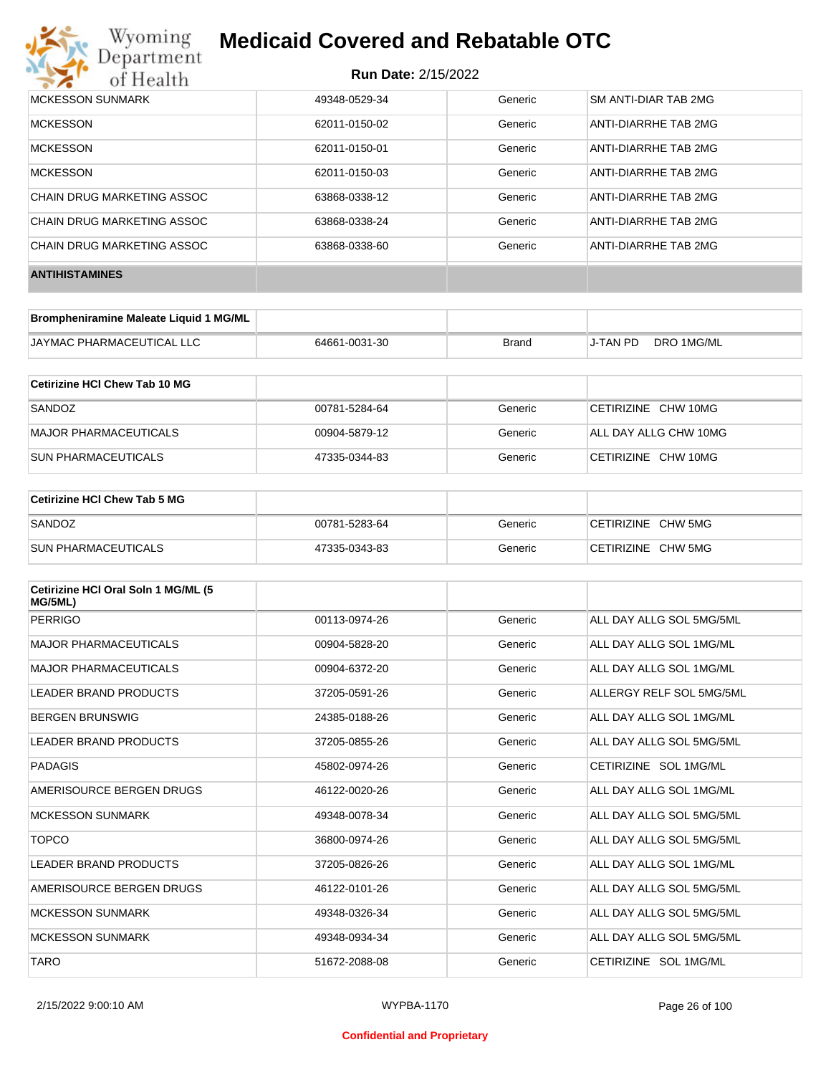

| <b>MCKESSON SUNMARK</b>    | 49348-0529-34 | Generic | SM ANTI-DIAR TAB 2MG |
|----------------------------|---------------|---------|----------------------|
| <b>MCKESSON</b>            | 62011-0150-02 | Generic | ANTI-DIARRHE TAB 2MG |
| <b>MCKESSON</b>            | 62011-0150-01 | Generic | ANTI-DIARRHE TAB 2MG |
| <b>MCKESSON</b>            | 62011-0150-03 | Generic | ANTI-DIARRHE TAB 2MG |
| CHAIN DRUG MARKETING ASSOC | 63868-0338-12 | Generic | ANTI-DIARRHE TAB 2MG |
| CHAIN DRUG MARKETING ASSOC | 63868-0338-24 | Generic | ANTI-DIARRHE TAB 2MG |
| CHAIN DRUG MARKETING ASSOC | 63868-0338-60 | Generic | ANTI-DIARRHE TAB 2MG |
| <b>ANTIHISTAMINES</b>      |               |         |                      |

| Brompheniramine Maleate Liquid 1 MG/ML |               |       |          |            |
|----------------------------------------|---------------|-------|----------|------------|
| <b>JAYMAC PHARMACEUTICAL LLC</b>       | 64661-0031-30 | Brand | J-TAN PD | DRO 1MG/ML |

| Cetirizine HCI Chew Tab 10 MG |               |         |                       |
|-------------------------------|---------------|---------|-----------------------|
| SANDOZ                        | 00781-5284-64 | Generic | CETIRIZINE CHW 10MG   |
| MAJOR PHARMACEUTICALS         | 00904-5879-12 | Generic | ALL DAY ALLG CHW 10MG |
| <b>SUN PHARMACEUTICALS</b>    | 47335-0344-83 | Generic | CETIRIZINE CHW 10MG   |

| Cetirizine HCI Chew Tab 5 MG |               |         |                    |
|------------------------------|---------------|---------|--------------------|
| SANDOZ                       | 00781-5283-64 | Generic | CETIRIZINE CHW 5MG |
| <b>SUN PHARMACEUTICALS</b>   | 47335-0343-83 | Generic | CETIRIZINE CHW 5MG |

| Cetirizine HCI Oral Soln 1 MG/ML (5<br>MG/5ML) |               |         |                          |
|------------------------------------------------|---------------|---------|--------------------------|
| PERRIGO                                        | 00113-0974-26 | Generic | ALL DAY ALLG SOL 5MG/5ML |
| <b>MAJOR PHARMACEUTICALS</b>                   | 00904-5828-20 | Generic | ALL DAY ALLG SOL 1MG/ML  |
| <b>MAJOR PHARMACEUTICALS</b>                   | 00904-6372-20 | Generic | ALL DAY ALLG SOL 1MG/ML  |
| <b>LEADER BRAND PRODUCTS</b>                   | 37205-0591-26 | Generic | ALLERGY RELF SOL 5MG/5ML |
| <b>BERGEN BRUNSWIG</b>                         | 24385-0188-26 | Generic | ALL DAY ALLG SOL 1MG/ML  |
| <b>LEADER BRAND PRODUCTS</b>                   | 37205-0855-26 | Generic | ALL DAY ALLG SOL 5MG/5ML |
| PADAGIS                                        | 45802-0974-26 | Generic | CETIRIZINE SOL 1MG/ML    |
| AMERISOURCE BERGEN DRUGS                       | 46122-0020-26 | Generic | ALL DAY ALLG SOL 1MG/ML  |
| <b>MCKESSON SUNMARK</b>                        | 49348-0078-34 | Generic | ALL DAY ALLG SOL 5MG/5ML |
| <b>TOPCO</b>                                   | 36800-0974-26 | Generic | ALL DAY ALLG SOL 5MG/5ML |
| <b>LEADER BRAND PRODUCTS</b>                   | 37205-0826-26 | Generic | ALL DAY ALLG SOL 1MG/ML  |
| AMERISOURCE BERGEN DRUGS                       | 46122-0101-26 | Generic | ALL DAY ALLG SOL 5MG/5ML |
| <b>MCKESSON SUNMARK</b>                        | 49348-0326-34 | Generic | ALL DAY ALLG SOL 5MG/5ML |
| <b>MCKESSON SUNMARK</b>                        | 49348-0934-34 | Generic | ALL DAY ALLG SOL 5MG/5ML |
| <b>TARO</b>                                    | 51672-2088-08 | Generic | CETIRIZINE SOL 1MG/ML    |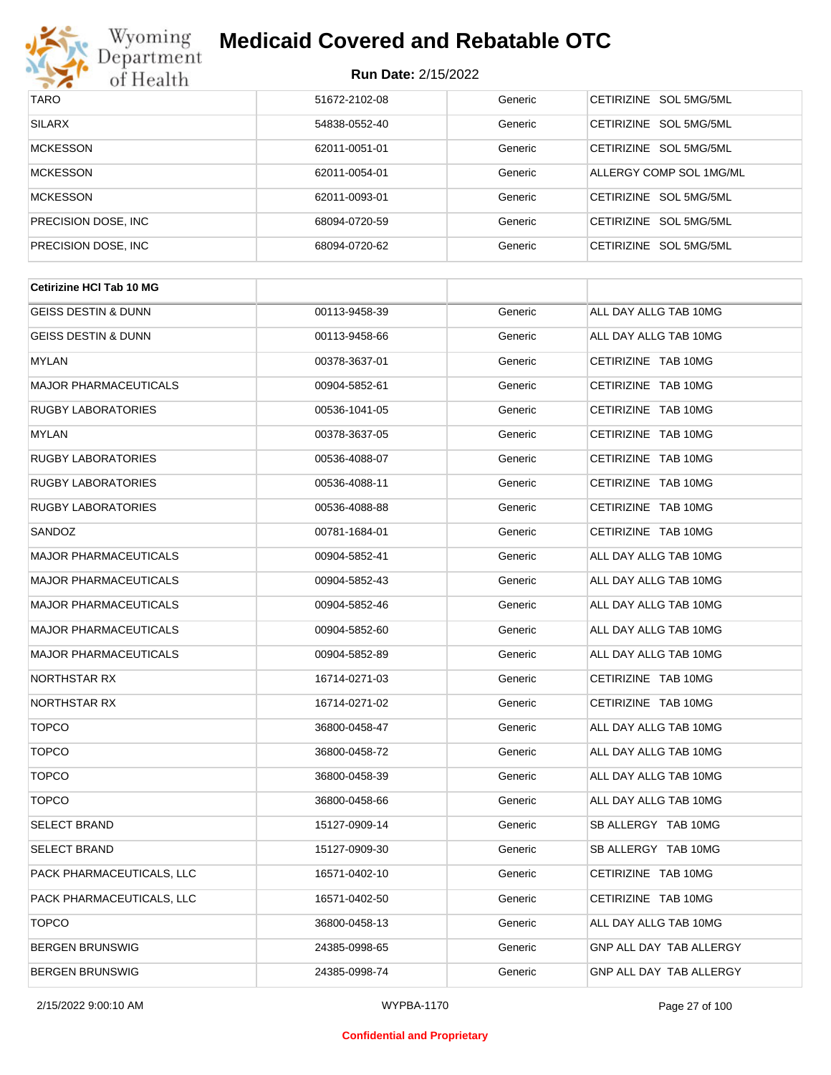

| <b>TARO</b>          | 51672-2102-08 | Generic | CETIRIZINE SOL 5MG/5ML  |
|----------------------|---------------|---------|-------------------------|
| <b>SILARX</b>        | 54838-0552-40 | Generic | CETIRIZINE SOL 5MG/5ML  |
| <b>MCKESSON</b>      | 62011-0051-01 | Generic | CETIRIZINE SOL 5MG/5ML  |
| <b>MCKESSON</b>      | 62011-0054-01 | Generic | ALLERGY COMP SOL 1MG/ML |
| <b>MCKESSON</b>      | 62011-0093-01 | Generic | CETIRIZINE SOL 5MG/5ML  |
| PRECISION DOSE, INC. | 68094-0720-59 | Generic | CETIRIZINE SOL 5MG/5ML  |
| PRECISION DOSE, INC. | 68094-0720-62 | Generic | CETIRIZINE SOL 5MG/5ML  |

| <b>Cetirizine HCI Tab 10 MG</b> |               |         |                         |
|---------------------------------|---------------|---------|-------------------------|
| <b>GEISS DESTIN &amp; DUNN</b>  | 00113-9458-39 | Generic | ALL DAY ALLG TAB 10MG   |
| <b>GEISS DESTIN &amp; DUNN</b>  | 00113-9458-66 | Generic | ALL DAY ALLG TAB 10MG   |
| MYLAN                           | 00378-3637-01 | Generic | CETIRIZINE TAB 10MG     |
| <b>MAJOR PHARMACEUTICALS</b>    | 00904-5852-61 | Generic | CETIRIZINE TAB 10MG     |
| <b>RUGBY LABORATORIES</b>       | 00536-1041-05 | Generic | CETIRIZINE TAB 10MG     |
| MYLAN                           | 00378-3637-05 | Generic | CETIRIZINE TAB 10MG     |
| <b>RUGBY LABORATORIES</b>       | 00536-4088-07 | Generic | CETIRIZINE TAB 10MG     |
| <b>RUGBY LABORATORIES</b>       | 00536-4088-11 | Generic | CETIRIZINE TAB 10MG     |
| <b>RUGBY LABORATORIES</b>       | 00536-4088-88 | Generic | CETIRIZINE TAB 10MG     |
| SANDOZ                          | 00781-1684-01 | Generic | CETIRIZINE TAB 10MG     |
| <b>MAJOR PHARMACEUTICALS</b>    | 00904-5852-41 | Generic | ALL DAY ALLG TAB 10MG   |
| <b>MAJOR PHARMACEUTICALS</b>    | 00904-5852-43 | Generic | ALL DAY ALLG TAB 10MG   |
| <b>MAJOR PHARMACEUTICALS</b>    | 00904-5852-46 | Generic | ALL DAY ALLG TAB 10MG   |
| <b>MAJOR PHARMACEUTICALS</b>    | 00904-5852-60 | Generic | ALL DAY ALLG TAB 10MG   |
| <b>MAJOR PHARMACEUTICALS</b>    | 00904-5852-89 | Generic | ALL DAY ALLG TAB 10MG   |
| <b>NORTHSTAR RX</b>             | 16714-0271-03 | Generic | CETIRIZINE TAB 10MG     |
| NORTHSTAR RX                    | 16714-0271-02 | Generic | CETIRIZINE TAB 10MG     |
| <b>TOPCO</b>                    | 36800-0458-47 | Generic | ALL DAY ALLG TAB 10MG   |
| <b>TOPCO</b>                    | 36800-0458-72 | Generic | ALL DAY ALLG TAB 10MG   |
| <b>TOPCO</b>                    | 36800-0458-39 | Generic | ALL DAY ALLG TAB 10MG   |
| <b>TOPCO</b>                    | 36800-0458-66 | Generic | ALL DAY ALLG TAB 10MG   |
| <b>SELECT BRAND</b>             | 15127-0909-14 | Generic | SB ALLERGY TAB 10MG     |
| <b>SELECT BRAND</b>             | 15127-0909-30 | Generic | SB ALLERGY TAB 10MG     |
| PACK PHARMACEUTICALS, LLC       | 16571-0402-10 | Generic | CETIRIZINE TAB 10MG     |
| PACK PHARMACEUTICALS, LLC       | 16571-0402-50 | Generic | CETIRIZINE TAB 10MG     |
| <b>TOPCO</b>                    | 36800-0458-13 | Generic | ALL DAY ALLG TAB 10MG   |
| <b>BERGEN BRUNSWIG</b>          | 24385-0998-65 | Generic | GNP ALL DAY TAB ALLERGY |
| <b>BERGEN BRUNSWIG</b>          | 24385-0998-74 | Generic | GNP ALL DAY TAB ALLERGY |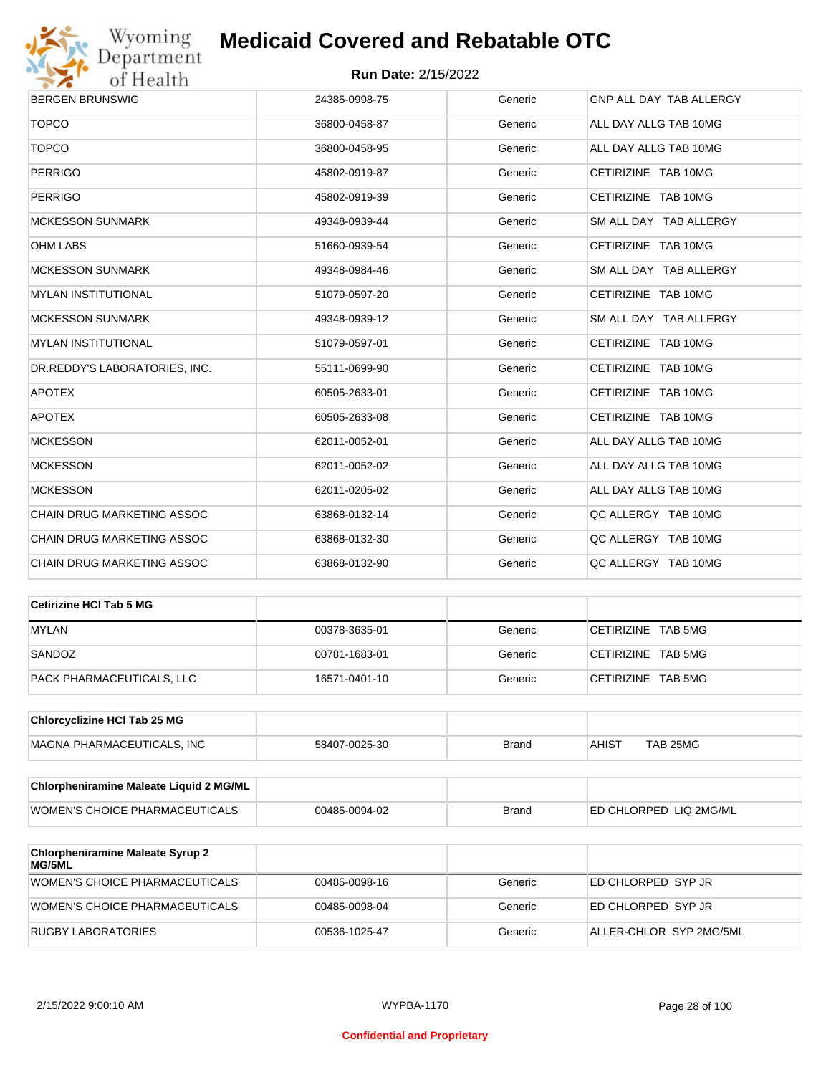

| <b>BERGEN BRUNSWIG</b>        | 24385-0998-75 | Generic | GNP ALL DAY TAB ALLERGY |
|-------------------------------|---------------|---------|-------------------------|
| <b>TOPCO</b>                  | 36800-0458-87 | Generic | ALL DAY ALLG TAB 10MG   |
| <b>TOPCO</b>                  | 36800-0458-95 | Generic | ALL DAY ALLG TAB 10MG   |
| <b>PERRIGO</b>                | 45802-0919-87 | Generic | CETIRIZINE TAB 10MG     |
| <b>PERRIGO</b>                | 45802-0919-39 | Generic | CETIRIZINE TAB 10MG     |
| <b>MCKESSON SUNMARK</b>       | 49348-0939-44 | Generic | SM ALL DAY TAB ALLERGY  |
| <b>OHM LABS</b>               | 51660-0939-54 | Generic | CETIRIZINE TAB 10MG     |
| <b>MCKESSON SUNMARK</b>       | 49348-0984-46 | Generic | SM ALL DAY TAB ALLERGY  |
| <b>MYLAN INSTITUTIONAL</b>    | 51079-0597-20 | Generic | CETIRIZINE TAB 10MG     |
| <b>MCKESSON SUNMARK</b>       | 49348-0939-12 | Generic | SM ALL DAY TAB ALLERGY  |
| <b>MYLAN INSTITUTIONAL</b>    | 51079-0597-01 | Generic | CETIRIZINE TAB 10MG     |
| DR.REDDY'S LABORATORIES, INC. | 55111-0699-90 | Generic | CETIRIZINE TAB 10MG     |
| <b>APOTEX</b>                 | 60505-2633-01 | Generic | CETIRIZINE TAB 10MG     |
| <b>APOTEX</b>                 | 60505-2633-08 | Generic | CETIRIZINE TAB 10MG     |
| <b>MCKESSON</b>               | 62011-0052-01 | Generic | ALL DAY ALLG TAB 10MG   |
| <b>MCKESSON</b>               | 62011-0052-02 | Generic | ALL DAY ALLG TAB 10MG   |
| <b>MCKESSON</b>               | 62011-0205-02 | Generic | ALL DAY ALLG TAB 10MG   |
| CHAIN DRUG MARKETING ASSOC    | 63868-0132-14 | Generic | QC ALLERGY TAB 10MG     |
| CHAIN DRUG MARKETING ASSOC    | 63868-0132-30 | Generic | QC ALLERGY TAB 10MG     |
| CHAIN DRUG MARKETING ASSOC    | 63868-0132-90 | Generic | QC ALLERGY TAB 10MG     |
|                               |               |         |                         |

| Cetirizine HCI Tab 5 MG   |               |         |                    |
|---------------------------|---------------|---------|--------------------|
| <b>MYLAN</b>              | 00378-3635-01 | Generic | CETIRIZINE TAB 5MG |
| SANDOZ                    | 00781-1683-01 | Generic | CETIRIZINE TAB 5MG |
| PACK PHARMACEUTICALS, LLC | 16571-0401-10 | Generic | CETIRIZINE TAB 5MG |

| <b>Chlorcyclizine HCI Tab 25 MG</b> |               |       |              |          |
|-------------------------------------|---------------|-------|--------------|----------|
| MAGNA PHARMACEUTICALS. INC          | 58407-0025-30 | Brand | <b>AHIST</b> | TAB 25MG |

| Chlorpheniramine Maleate Liquid 2 MG/ML |               |              |                        |
|-----------------------------------------|---------------|--------------|------------------------|
| WOMEN'S CHOICE PHARMACEUTICALS          | 00485-0094-02 | <b>Brand</b> | ED CHLORPED LIQ 2MG/ML |

| <b>Chlorpheniramine Maleate Syrup 2</b><br><b>MG/5ML</b> |               |         |                         |
|----------------------------------------------------------|---------------|---------|-------------------------|
| WOMEN'S CHOICE PHARMACEUTICALS                           | 00485-0098-16 | Generic | ED CHLORPED SYP JR      |
| WOMEN'S CHOICE PHARMACEUTICALS                           | 00485-0098-04 | Generic | ED CHLORPED SYP JR      |
| RUGBY LABORATORIES                                       | 00536-1025-47 | Generic | ALLER-CHLOR SYP 2MG/5ML |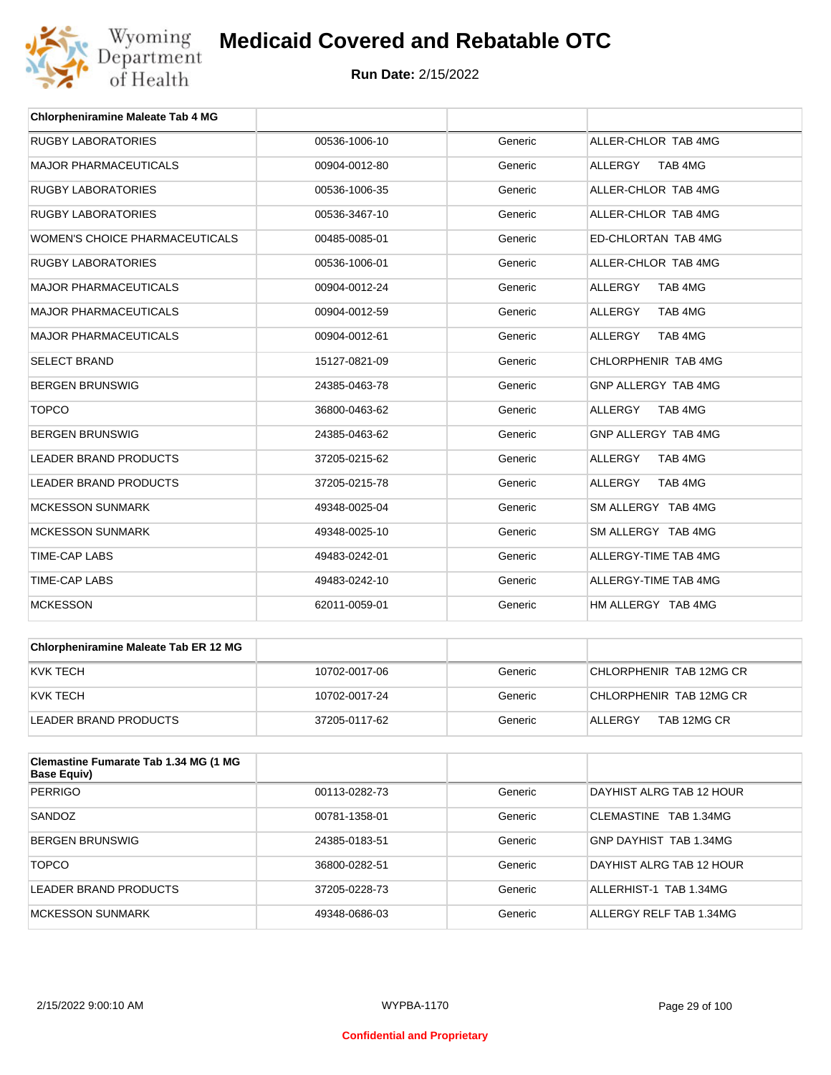

| <b>Chlorpheniramine Maleate Tab 4 MG</b> |               |         |                           |
|------------------------------------------|---------------|---------|---------------------------|
| <b>RUGBY LABORATORIES</b>                | 00536-1006-10 | Generic | ALLER-CHLOR TAB 4MG       |
| <b>MAJOR PHARMACEUTICALS</b>             | 00904-0012-80 | Generic | TAB 4MG<br><b>ALLERGY</b> |
| <b>RUGBY LABORATORIES</b>                | 00536-1006-35 | Generic | ALLER-CHLOR TAB 4MG       |
| <b>RUGBY LABORATORIES</b>                | 00536-3467-10 | Generic | ALLER-CHLOR TAB 4MG       |
| <b>WOMEN'S CHOICE PHARMACEUTICALS</b>    | 00485-0085-01 | Generic | ED-CHLORTAN TAB 4MG       |
| <b>RUGBY LABORATORIES</b>                | 00536-1006-01 | Generic | ALLER-CHLOR TAB 4MG       |
| <b>MAJOR PHARMACEUTICALS</b>             | 00904-0012-24 | Generic | <b>ALLERGY</b><br>TAB 4MG |
| <b>MAJOR PHARMACEUTICALS</b>             | 00904-0012-59 | Generic | <b>ALLERGY</b><br>TAB 4MG |
| <b>MAJOR PHARMACEUTICALS</b>             | 00904-0012-61 | Generic | ALLERGY<br>TAB 4MG        |
| <b>SELECT BRAND</b>                      | 15127-0821-09 | Generic | CHLORPHENIR TAB 4MG       |
| <b>BERGEN BRUNSWIG</b>                   | 24385-0463-78 | Generic | GNP ALLERGY TAB 4MG       |
| <b>TOPCO</b>                             | 36800-0463-62 | Generic | TAB 4MG<br><b>ALLERGY</b> |
| <b>BERGEN BRUNSWIG</b>                   | 24385-0463-62 | Generic | GNP ALLERGY TAB 4MG       |
| <b>LEADER BRAND PRODUCTS</b>             | 37205-0215-62 | Generic | <b>ALLERGY</b><br>TAB 4MG |
| <b>LEADER BRAND PRODUCTS</b>             | 37205-0215-78 | Generic | <b>ALLERGY</b><br>TAB 4MG |
| <b>MCKESSON SUNMARK</b>                  | 49348-0025-04 | Generic | SM ALLERGY TAB 4MG        |
| <b>MCKESSON SUNMARK</b>                  | 49348-0025-10 | Generic | SM ALLERGY TAB 4MG        |
| <b>TIME-CAP LABS</b>                     | 49483-0242-01 | Generic | ALLERGY-TIME TAB 4MG      |
| <b>TIME-CAP LABS</b>                     | 49483-0242-10 | Generic | ALLERGY-TIME TAB 4MG      |
| <b>MCKESSON</b>                          | 62011-0059-01 | Generic | HM ALLERGY TAB 4MG        |

| <b>Chlorpheniramine Maleate Tab ER 12 MG</b> |               |         |                         |
|----------------------------------------------|---------------|---------|-------------------------|
| KVK TECH                                     | 10702-0017-06 | Generic | CHLORPHENIR TAB 12MG CR |
| KVK TECH                                     | 10702-0017-24 | Generic | CHLORPHENIR TAB 12MG CR |
| LEADER BRAND PRODUCTS                        | 37205-0117-62 | Generic | TAB 12MG CR<br>ALLERGY  |

| Clemastine Fumarate Tab 1.34 MG (1 MG<br><b>Base Equiv)</b> |               |         |                          |
|-------------------------------------------------------------|---------------|---------|--------------------------|
| <b>PERRIGO</b>                                              | 00113-0282-73 | Generic | DAYHIST ALRG TAB 12 HOUR |
| SANDOZ                                                      | 00781-1358-01 | Generic | CLEMASTINE TAB 1.34MG    |
| <b>BERGEN BRUNSWIG</b>                                      | 24385-0183-51 | Generic | GNP DAYHIST TAB 1.34MG   |
| <b>TOPCO</b>                                                | 36800-0282-51 | Generic | DAYHIST ALRG TAB 12 HOUR |
| LEADER BRAND PRODUCTS                                       | 37205-0228-73 | Generic | ALLERHIST-1 TAB 1.34MG   |
| MCKESSON SUNMARK                                            | 49348-0686-03 | Generic | ALLERGY RELF TAB 1.34MG  |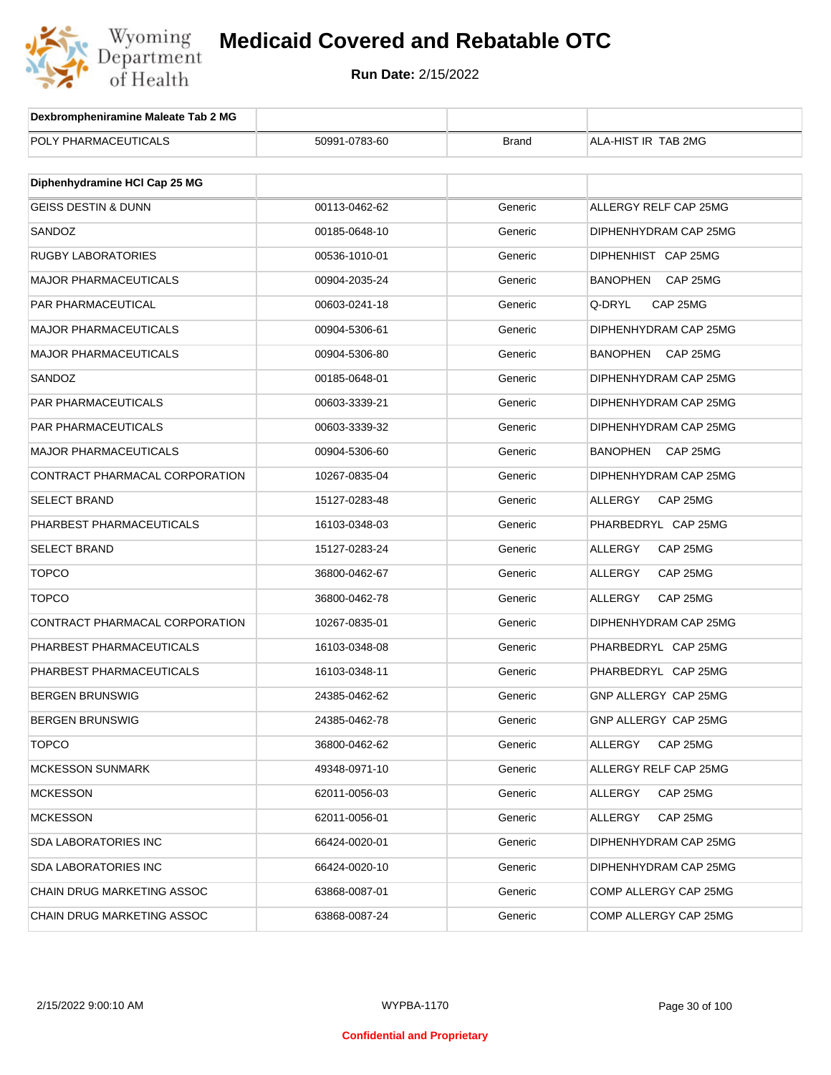

| Dexbrompheniramine Maleate Tab 2 MG |               |              |                             |
|-------------------------------------|---------------|--------------|-----------------------------|
| POLY PHARMACEUTICALS                | 50991-0783-60 | <b>Brand</b> | ALA-HIST IR TAB 2MG         |
|                                     |               |              |                             |
| Diphenhydramine HCI Cap 25 MG       |               |              |                             |
| <b>GEISS DESTIN &amp; DUNN</b>      | 00113-0462-62 | Generic      | ALLERGY RELF CAP 25MG       |
| SANDOZ                              | 00185-0648-10 | Generic      | DIPHENHYDRAM CAP 25MG       |
| RUGBY LABORATORIES                  | 00536-1010-01 | Generic      | DIPHENHIST CAP 25MG         |
| <b>MAJOR PHARMACEUTICALS</b>        | 00904-2035-24 | Generic      | BANOPHEN<br>CAP 25MG        |
| <b>PAR PHARMACEUTICAL</b>           | 00603-0241-18 | Generic      | Q-DRYL<br>CAP 25MG          |
| <b>MAJOR PHARMACEUTICALS</b>        | 00904-5306-61 | Generic      | DIPHENHYDRAM CAP 25MG       |
| <b>MAJOR PHARMACEUTICALS</b>        | 00904-5306-80 | Generic      | <b>BANOPHEN</b><br>CAP 25MG |
| SANDOZ                              | 00185-0648-01 | Generic      | DIPHENHYDRAM CAP 25MG       |
| PAR PHARMACEUTICALS                 | 00603-3339-21 | Generic      | DIPHENHYDRAM CAP 25MG       |
| PAR PHARMACEUTICALS                 | 00603-3339-32 | Generic      | DIPHENHYDRAM CAP 25MG       |
| <b>MAJOR PHARMACEUTICALS</b>        | 00904-5306-60 | Generic      | <b>BANOPHEN</b><br>CAP 25MG |
| CONTRACT PHARMACAL CORPORATION      | 10267-0835-04 | Generic      | DIPHENHYDRAM CAP 25MG       |
| <b>SELECT BRAND</b>                 | 15127-0283-48 | Generic      | ALLERGY<br>CAP 25MG         |
| PHARBEST PHARMACEUTICALS            | 16103-0348-03 | Generic      | PHARBEDRYL CAP 25MG         |
| <b>SELECT BRAND</b>                 | 15127-0283-24 | Generic      | ALLERGY<br>CAP 25MG         |
| <b>TOPCO</b>                        | 36800-0462-67 | Generic      | ALLERGY<br>CAP 25MG         |
| <b>TOPCO</b>                        | 36800-0462-78 | Generic      | ALLERGY<br>CAP 25MG         |
| CONTRACT PHARMACAL CORPORATION      | 10267-0835-01 | Generic      | DIPHENHYDRAM CAP 25MG       |
| PHARBEST PHARMACEUTICALS            | 16103-0348-08 | Generic      | PHARBEDRYL CAP 25MG         |
| PHARBEST PHARMACEUTICALS            | 16103-0348-11 | Generic      | PHARBEDRYL CAP 25MG         |
| <b>BERGEN BRUNSWIG</b>              | 24385-0462-62 | Generic      | GNP ALLERGY CAP 25MG        |
| <b>BERGEN BRUNSWIG</b>              | 24385-0462-78 | Generic      | GNP ALLERGY CAP 25MG        |
| <b>TOPCO</b>                        | 36800-0462-62 | Generic      | ALLERGY<br>CAP 25MG         |
| <b>MCKESSON SUNMARK</b>             | 49348-0971-10 | Generic      | ALLERGY RELF CAP 25MG       |
| <b>MCKESSON</b>                     | 62011-0056-03 | Generic      | ALLERGY<br>CAP 25MG         |
| <b>MCKESSON</b>                     | 62011-0056-01 | Generic      | ALLERGY<br>CAP 25MG         |
| <b>SDA LABORATORIES INC</b>         | 66424-0020-01 | Generic      | DIPHENHYDRAM CAP 25MG       |
| SDA LABORATORIES INC                | 66424-0020-10 | Generic      | DIPHENHYDRAM CAP 25MG       |
| <b>CHAIN DRUG MARKETING ASSOC</b>   | 63868-0087-01 | Generic      | COMP ALLERGY CAP 25MG       |
| CHAIN DRUG MARKETING ASSOC          | 63868-0087-24 | Generic      | COMP ALLERGY CAP 25MG       |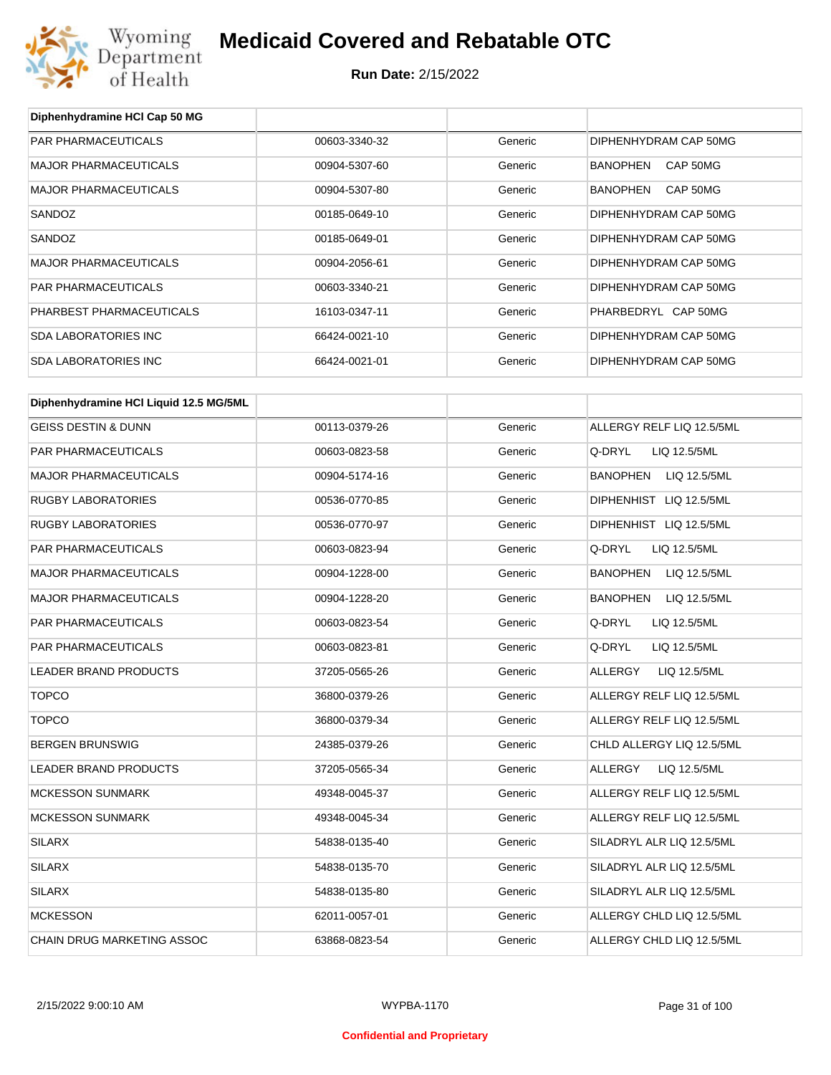

**Diphenhydramine HCl Cap 50 MG**

# **Medicaid Covered and Rebatable OTC**

| <b>PAR PHARMACEUTICALS</b>             | 00603-3340-32 | Generic | DIPHENHYDRAM CAP 50MG           |
|----------------------------------------|---------------|---------|---------------------------------|
| <b>MAJOR PHARMACEUTICALS</b>           | 00904-5307-60 | Generic | BANOPHEN<br>CAP 50MG            |
| <b>MAJOR PHARMACEUTICALS</b>           | 00904-5307-80 | Generic | BANOPHEN<br>CAP 50MG            |
| SANDOZ                                 | 00185-0649-10 | Generic | DIPHENHYDRAM CAP 50MG           |
| SANDOZ                                 | 00185-0649-01 | Generic | DIPHENHYDRAM CAP 50MG           |
| <b>MAJOR PHARMACEUTICALS</b>           | 00904-2056-61 | Generic | DIPHENHYDRAM CAP 50MG           |
| PAR PHARMACEUTICALS                    | 00603-3340-21 | Generic | DIPHENHYDRAM CAP 50MG           |
| PHARBEST PHARMACEUTICALS               | 16103-0347-11 | Generic | PHARBEDRYL CAP 50MG             |
| <b>SDA LABORATORIES INC</b>            | 66424-0021-10 | Generic | DIPHENHYDRAM CAP 50MG           |
| <b>SDA LABORATORIES INC</b>            | 66424-0021-01 | Generic | DIPHENHYDRAM CAP 50MG           |
| Diphenhydramine HCI Liquid 12.5 MG/5ML |               |         |                                 |
| <b>GEISS DESTIN &amp; DUNN</b>         | 00113-0379-26 | Generic | ALLERGY RELF LIQ 12.5/5ML       |
| PAR PHARMACEUTICALS                    | 00603-0823-58 | Generic | Q-DRYL<br>LIQ 12.5/5ML          |
| <b>MAJOR PHARMACEUTICALS</b>           | 00904-5174-16 | Generic | <b>BANOPHEN</b><br>LIQ 12.5/5ML |
| <b>RUGBY LABORATORIES</b>              | 00536-0770-85 | Generic | DIPHENHIST LIQ 12.5/5ML         |
| <b>RUGBY LABORATORIES</b>              | 00536-0770-97 | Generic | DIPHENHIST LIQ 12.5/5ML         |
| PAR PHARMACEUTICALS                    | 00603-0823-94 | Generic | Q-DRYL<br>LIQ 12.5/5ML          |
| MAJOR PHARMACEUTICALS                  | 00904-1228-00 | Generic | <b>BANOPHEN</b><br>LIQ 12.5/5ML |
| <b>MAJOR PHARMACEUTICALS</b>           | 00904-1228-20 | Generic | <b>BANOPHEN</b><br>LIQ 12.5/5ML |
| PAR PHARMACEUTICALS                    | 00603-0823-54 | Generic | Q-DRYL<br>LIQ 12.5/5ML          |
| PAR PHARMACEUTICALS                    | 00603-0823-81 | Generic | Q-DRYL<br>LIQ 12.5/5ML          |
| LEADER BRAND PRODUCTS                  | 37205-0565-26 | Generic | ALLERGY<br>LIQ 12.5/5ML         |
| <b>TOPCO</b>                           | 36800-0379-26 | Generic | ALLERGY RELF LIQ 12.5/5ML       |
| <b>TOPCO</b>                           | 36800-0379-34 | Generic | ALLERGY RELF LIQ 12.5/5ML       |
| <b>BERGEN BRUNSWIG</b>                 | 24385-0379-26 | Generic | CHLD ALLERGY LIQ 12.5/5ML       |
| LEADER BRAND PRODUCTS                  | 37205-0565-34 | Generic | ALLERGY<br>LIQ 12.5/5ML         |
| <b>MCKESSON SUNMARK</b>                | 49348-0045-37 | Generic | ALLERGY RELF LIQ 12.5/5ML       |
| <b>MCKESSON SUNMARK</b>                | 49348-0045-34 | Generic | ALLERGY RELF LIQ 12.5/5ML       |
| <b>SILARX</b>                          | 54838-0135-40 | Generic | SILADRYL ALR LIQ 12.5/5ML       |
| <b>SILARX</b>                          | 54838-0135-70 | Generic | SILADRYL ALR LIQ 12.5/5ML       |
| <b>SILARX</b>                          | 54838-0135-80 | Generic | SILADRYL ALR LIQ 12.5/5ML       |
| <b>MCKESSON</b>                        | 62011-0057-01 | Generic | ALLERGY CHLD LIQ 12.5/5ML       |
| CHAIN DRUG MARKETING ASSOC             | 63868-0823-54 | Generic | ALLERGY CHLD LIQ 12.5/5ML       |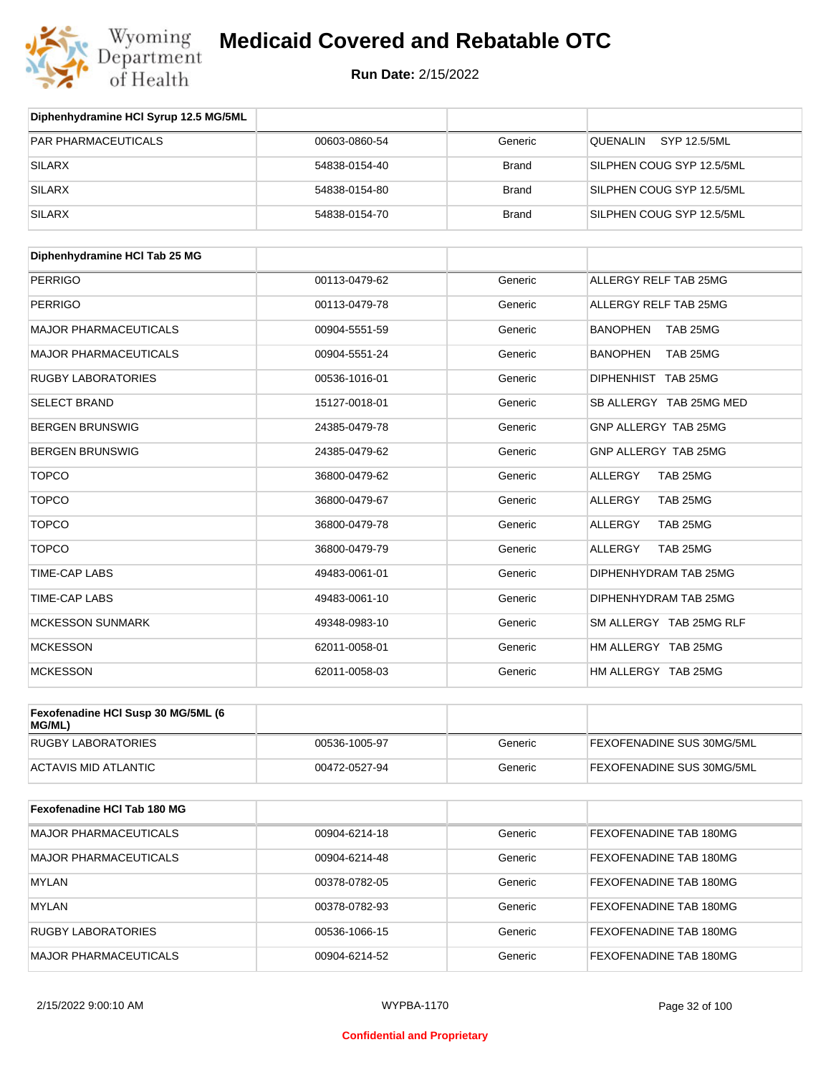

| Diphenhydramine HCI Syrup 12.5 MG/5ML |               |              |                           |
|---------------------------------------|---------------|--------------|---------------------------|
| <b>PAR PHARMACEUTICALS</b>            | 00603-0860-54 | Generic      | SYP 12.5/5ML<br>QUENALIN  |
| <b>SILARX</b>                         | 54838-0154-40 | <b>Brand</b> | SILPHEN COUG SYP 12.5/5ML |
| <b>SILARX</b>                         | 54838-0154-80 | <b>Brand</b> | SILPHEN COUG SYP 12.5/5ML |
| <b>SILARX</b>                         | 54838-0154-70 | <b>Brand</b> | SILPHEN COUG SYP 12.5/5ML |

| Diphenhydramine HCI Tab 25 MG |               |         |                             |
|-------------------------------|---------------|---------|-----------------------------|
| <b>PERRIGO</b>                | 00113-0479-62 | Generic | ALLERGY RELF TAB 25MG       |
| <b>PERRIGO</b>                | 00113-0479-78 | Generic | ALLERGY RELF TAB 25MG       |
| <b>MAJOR PHARMACEUTICALS</b>  | 00904-5551-59 | Generic | <b>BANOPHEN</b><br>TAB 25MG |
| <b>MAJOR PHARMACEUTICALS</b>  | 00904-5551-24 | Generic | <b>BANOPHEN</b><br>TAB 25MG |
| <b>RUGBY LABORATORIES</b>     | 00536-1016-01 | Generic | DIPHENHIST TAB 25MG         |
| <b>SELECT BRAND</b>           | 15127-0018-01 | Generic | SB ALLERGY TAB 25MG MED     |
| <b>BERGEN BRUNSWIG</b>        | 24385-0479-78 | Generic | GNP ALLERGY TAB 25MG        |
| <b>BERGEN BRUNSWIG</b>        | 24385-0479-62 | Generic | GNP ALLERGY TAB 25MG        |
| <b>TOPCO</b>                  | 36800-0479-62 | Generic | ALLERGY<br>TAB 25MG         |
| <b>TOPCO</b>                  | 36800-0479-67 | Generic | <b>ALLERGY</b><br>TAB 25MG  |
| <b>TOPCO</b>                  | 36800-0479-78 | Generic | TAB 25MG<br>ALLERGY         |
| <b>TOPCO</b>                  | 36800-0479-79 | Generic | <b>ALLERGY</b><br>TAB 25MG  |
| <b>TIME-CAP LABS</b>          | 49483-0061-01 | Generic | DIPHENHYDRAM TAB 25MG       |
| <b>TIME-CAP LABS</b>          | 49483-0061-10 | Generic | DIPHENHYDRAM TAB 25MG       |
| <b>MCKESSON SUNMARK</b>       | 49348-0983-10 | Generic | SM ALLERGY TAB 25MG RLF     |
| <b>MCKESSON</b>               | 62011-0058-01 | Generic | HM ALLERGY TAB 25MG         |
| <b>MCKESSON</b>               | 62011-0058-03 | Generic | HM ALLERGY TAB 25MG         |

| Fexofenadine HCI Susp 30 MG/5ML (6)<br>MG/ML) |               |         |                           |
|-----------------------------------------------|---------------|---------|---------------------------|
| <b>RUGBY LABORATORIES</b>                     | 00536-1005-97 | Generic | FEXOFENADINE SUS 30MG/5ML |
| ACTAVIS MID ATLANTIC                          | 00472-0527-94 | Generic | FEXOFENADINE SUS 30MG/5ML |

| <b>Fexofenadine HCI Tab 180 MG</b> |               |         |                               |
|------------------------------------|---------------|---------|-------------------------------|
| <b>MAJOR PHARMACEUTICALS</b>       | 00904-6214-18 | Generic | <b>FEXOFENADINE TAB 180MG</b> |
| <b>MAJOR PHARMACEUTICALS</b>       | 00904-6214-48 | Generic | <b>FEXOFENADINE TAB 180MG</b> |
| MYLAN                              | 00378-0782-05 | Generic | <b>FEXOFENADINE TAB 180MG</b> |
| MYLAN                              | 00378-0782-93 | Generic | <b>FEXOFENADINE TAB 180MG</b> |
| <b>RUGBY LABORATORIES</b>          | 00536-1066-15 | Generic | FEXOFENADINE TAB 180MG        |
| <b>MAJOR PHARMACEUTICALS</b>       | 00904-6214-52 | Generic | <b>FEXOFENADINE TAB 180MG</b> |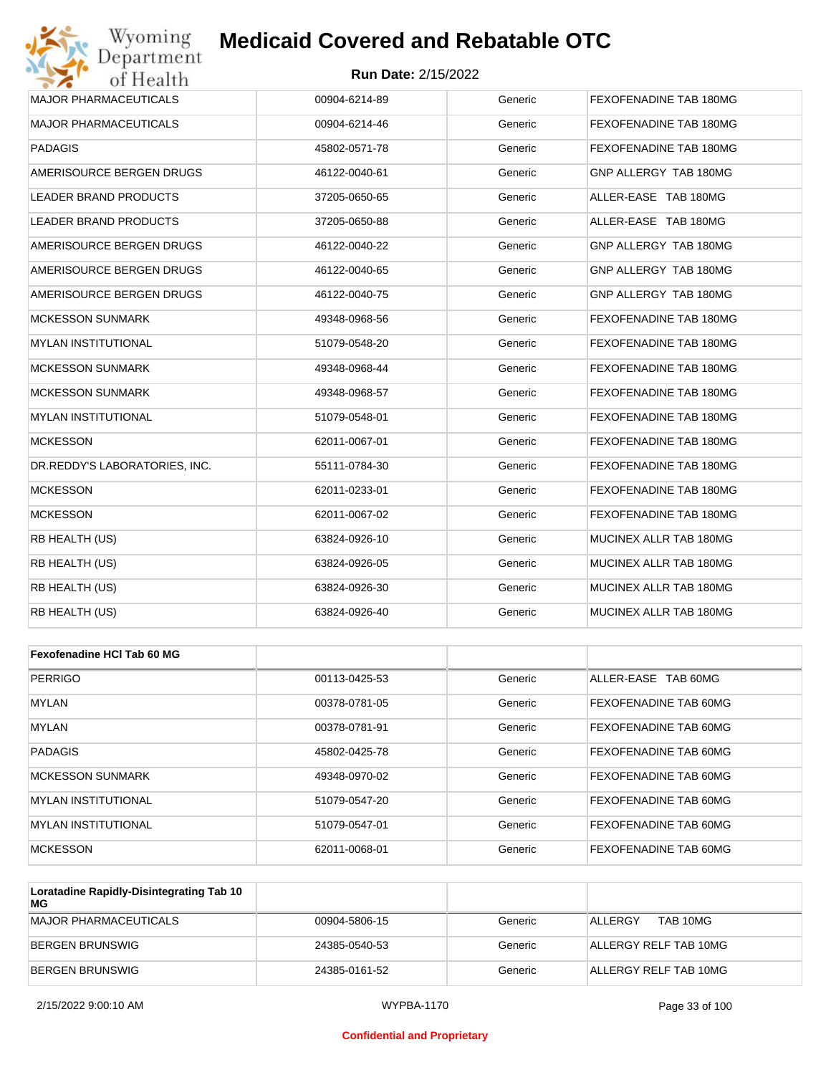### **Run Date:** 2/15/2022

| Wyoming<br>Department         | <b>Medicaid Covered and Rebatable OTC</b> |         |                        |
|-------------------------------|-------------------------------------------|---------|------------------------|
| of Health                     | <b>Run Date: 2/15/2022</b>                |         |                        |
| <b>MAJOR PHARMACEUTICALS</b>  | 00904-6214-89                             | Generic | FEXOFENADINE TAB 180MG |
| <b>MAJOR PHARMACEUTICALS</b>  | 00904-6214-46                             | Generic | FEXOFENADINE TAB 180MG |
| <b>PADAGIS</b>                | 45802-0571-78                             | Generic | FEXOFENADINE TAB 180MG |
| AMERISOURCE BERGEN DRUGS      | 46122-0040-61                             | Generic | GNP ALLERGY TAB 180MG  |
| LEADER BRAND PRODUCTS         | 37205-0650-65                             | Generic | ALLER-EASE TAB 180MG   |
| LEADER BRAND PRODUCTS         | 37205-0650-88                             | Generic | ALLER-EASE TAB 180MG   |
| AMERISOURCE BERGEN DRUGS      | 46122-0040-22                             | Generic | GNP ALLERGY TAB 180MG  |
| AMERISOURCE BERGEN DRUGS      | 46122-0040-65                             | Generic | GNP ALLERGY TAB 180MG  |
| AMERISOURCE BERGEN DRUGS      | 46122-0040-75                             | Generic | GNP ALLERGY TAB 180MG  |
| <b>MCKESSON SUNMARK</b>       | 49348-0968-56                             | Generic | FEXOFENADINE TAB 180MG |
| <b>MYLAN INSTITUTIONAL</b>    | 51079-0548-20                             | Generic | FEXOFENADINE TAB 180MG |
| <b>MCKESSON SUNMARK</b>       | 49348-0968-44                             | Generic | FEXOFENADINE TAB 180MG |
| <b>MCKESSON SUNMARK</b>       | 49348-0968-57                             | Generic | FEXOFENADINE TAB 180MG |
| <b>MYLAN INSTITUTIONAL</b>    | 51079-0548-01                             | Generic | FEXOFENADINE TAB 180MG |
| <b>MCKESSON</b>               | 62011-0067-01                             | Generic | FEXOFENADINE TAB 180MG |
| DR.REDDY'S LABORATORIES, INC. | 55111-0784-30                             | Generic | FEXOFENADINE TAB 180MG |
| <b>MCKESSON</b>               | 62011-0233-01                             | Generic | FEXOFENADINE TAB 180MG |
| <b>MCKESSON</b>               | 62011-0067-02                             | Generic | FEXOFENADINE TAB 180MG |
| RB HEALTH (US)                | 63824-0926-10                             | Generic | MUCINEX ALLR TAB 180MG |
| RB HEALTH (US)                | 63824-0926-05                             | Generic | MUCINEX ALLR TAB 180MG |
| RB HEALTH (US)                | 63824-0926-30                             | Generic | MUCINEX ALLR TAB 180MG |
| RB HEALTH (US)                | 63824-0926-40                             | Generic | MUCINEX ALLR TAB 180MG |
|                               |                                           |         |                        |
| Fexofenadine HCI Tab 60 MG    |                                           |         |                        |
| <b>PERRIGO</b>                | 00113-0425-53                             | Generic | ALLER-EASE TAB 60MG    |
| MYLAN                         | 00378-0781-05                             | Generic | FEXOFENADINE TAB 60MG  |
| <b>MYLAN</b>                  | 00378-0781-91                             | Generic | FEXOFENADINE TAB 60MG  |
| <b>PADAGIS</b>                | 45802-0425-78                             | Generic | FEXOFENADINE TAB 60MG  |
| <b>MCKESSON SUNMARK</b>       | 49348-0970-02                             | Generic | FEXOFENADINE TAB 60MG  |

MYLAN INSTITUTIONAL 51079-0547-20 Generic FEXOFENADINE TAB 60MG MYLAN INSTITUTIONAL 51079-0547-01 Generic FEXOFENADINE TAB 60MG MCKESSON 62011-0068-01 Generic FEXOFENADINE TAB 60MG **Loratadine Rapidly-Disintegrating Tab 10** 

| MG                    |               |         |                            |
|-----------------------|---------------|---------|----------------------------|
| MAJOR PHARMACEUTICALS | 00904-5806-15 | Generic | TAB 10MG<br><b>ALLERGY</b> |
| BERGEN BRUNSWIG       | 24385-0540-53 | Generic | ALLERGY RELF TAB 10MG      |
| BERGEN BRUNSWIG       | 24385-0161-52 | Generic | ALLERGY RELF TAB 10MG      |

### **Confidential and Proprietary**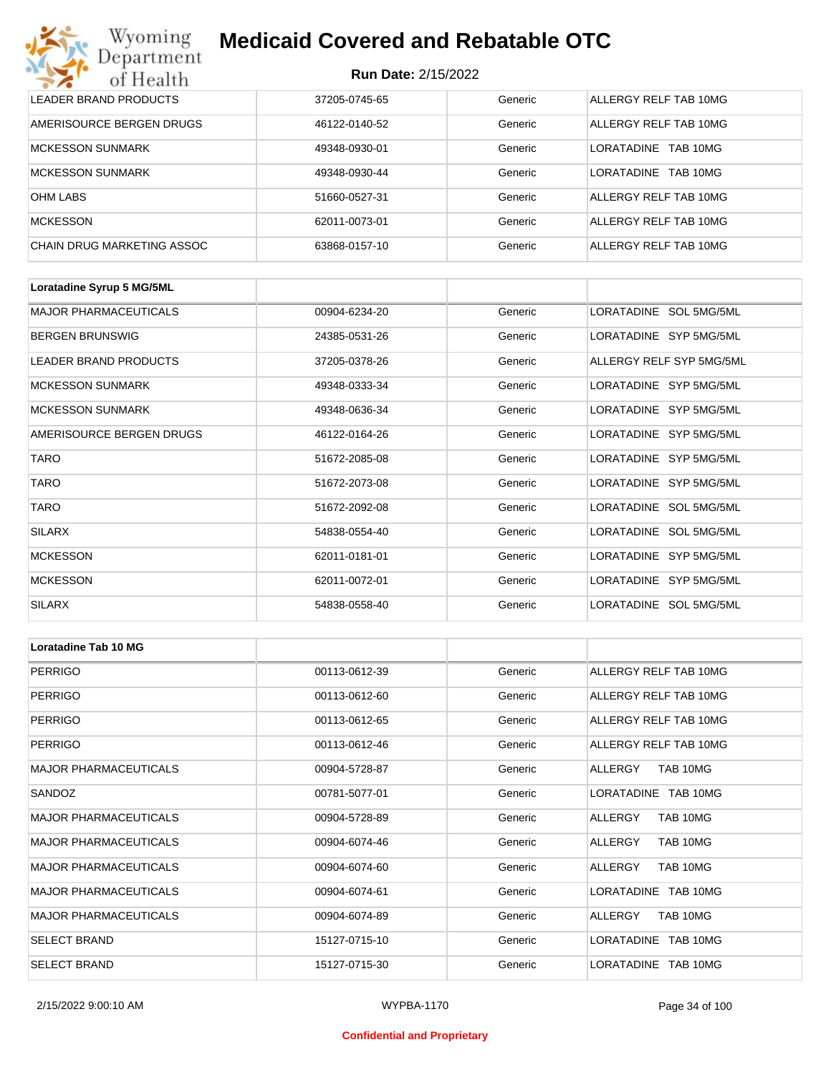| Wyoming<br><b>Medicaid Covered and Rebatable OTC</b><br>Department |                            |         |                        |  |  |
|--------------------------------------------------------------------|----------------------------|---------|------------------------|--|--|
| of Health                                                          | <b>Run Date: 2/15/2022</b> |         |                        |  |  |
| LEADER BRAND PRODUCTS                                              | 37205-0745-65              | Generic | ALLERGY RELF TAB 10MG  |  |  |
| AMERISOURCE BERGEN DRUGS                                           | 46122-0140-52              | Generic | ALLERGY RELF TAB 10MG  |  |  |
| <b>MCKESSON SUNMARK</b>                                            | 49348-0930-01              | Generic | LORATADINE<br>TAB 10MG |  |  |
| <b>MCKESSON SUNMARK</b>                                            | 49348-0930-44              | Generic | LORATADINE<br>TAB 10MG |  |  |
| <b>OHM LABS</b>                                                    | 51660-0527-31              | Generic | ALLERGY RELF TAB 10MG  |  |  |
| <b>MCKESSON</b>                                                    | 62011-0073-01              | Generic | ALLERGY RELF TAB 10MG  |  |  |
| <b>CHAIN DRUG MARKETING ASSOC</b>                                  | 63868-0157-10              | Generic | ALLERGY RELF TAB 10MG  |  |  |

| Loratadine Syrup 5 MG/5ML    |               |         |                          |
|------------------------------|---------------|---------|--------------------------|
| <b>MAJOR PHARMACEUTICALS</b> | 00904-6234-20 | Generic | LORATADINE SOL 5MG/5ML   |
| <b>BERGEN BRUNSWIG</b>       | 24385-0531-26 | Generic | LORATADINE SYP 5MG/5ML   |
| LEADER BRAND PRODUCTS        | 37205-0378-26 | Generic | ALLERGY RELF SYP 5MG/5ML |
| <b>MCKESSON SUNMARK</b>      | 49348-0333-34 | Generic | LORATADINE SYP 5MG/5ML   |
| <b>MCKESSON SUNMARK</b>      | 49348-0636-34 | Generic | LORATADINE SYP 5MG/5ML   |
| AMERISOURCE BERGEN DRUGS     | 46122-0164-26 | Generic | LORATADINE SYP 5MG/5ML   |
| <b>TARO</b>                  | 51672-2085-08 | Generic | LORATADINE SYP 5MG/5ML   |
| <b>TARO</b>                  | 51672-2073-08 | Generic | LORATADINE SYP 5MG/5ML   |
| <b>TARO</b>                  | 51672-2092-08 | Generic | LORATADINE SOL 5MG/5ML   |
| <b>SILARX</b>                | 54838-0554-40 | Generic | LORATADINE SOL 5MG/5ML   |
| <b>MCKESSON</b>              | 62011-0181-01 | Generic | LORATADINE SYP 5MG/5ML   |
| <b>MCKESSON</b>              | 62011-0072-01 | Generic | LORATADINE SYP 5MG/5ML   |
| <b>SILARX</b>                | 54838-0558-40 | Generic | LORATADINE SOL 5MG/5ML   |

| Loratadine Tab 10 MG         |               |         |                       |
|------------------------------|---------------|---------|-----------------------|
| <b>PERRIGO</b>               | 00113-0612-39 | Generic | ALLERGY RELF TAB 10MG |
| <b>PERRIGO</b>               | 00113-0612-60 | Generic | ALLERGY RELF TAB 10MG |
| <b>PERRIGO</b>               | 00113-0612-65 | Generic | ALLERGY RELF TAB 10MG |
| <b>PERRIGO</b>               | 00113-0612-46 | Generic | ALLERGY RELF TAB 10MG |
| <b>MAJOR PHARMACEUTICALS</b> | 00904-5728-87 | Generic | TAB 10MG<br>ALLERGY   |
| SANDOZ                       | 00781-5077-01 | Generic | LORATADINE TAB 10MG   |
| <b>MAJOR PHARMACEUTICALS</b> | 00904-5728-89 | Generic | ALLERGY<br>TAB 10MG   |
| <b>MAJOR PHARMACEUTICALS</b> | 00904-6074-46 | Generic | TAB 10MG<br>ALLERGY   |
| <b>MAJOR PHARMACEUTICALS</b> | 00904-6074-60 | Generic | ALLERGY<br>TAB 10MG   |
| <b>MAJOR PHARMACEUTICALS</b> | 00904-6074-61 | Generic | LORATADINE TAB 10MG   |
| <b>MAJOR PHARMACEUTICALS</b> | 00904-6074-89 | Generic | ALLERGY<br>TAB 10MG   |
| <b>SELECT BRAND</b>          | 15127-0715-10 | Generic | LORATADINE TAB 10MG   |
| <b>SELECT BRAND</b>          | 15127-0715-30 | Generic | LORATADINE TAB 10MG   |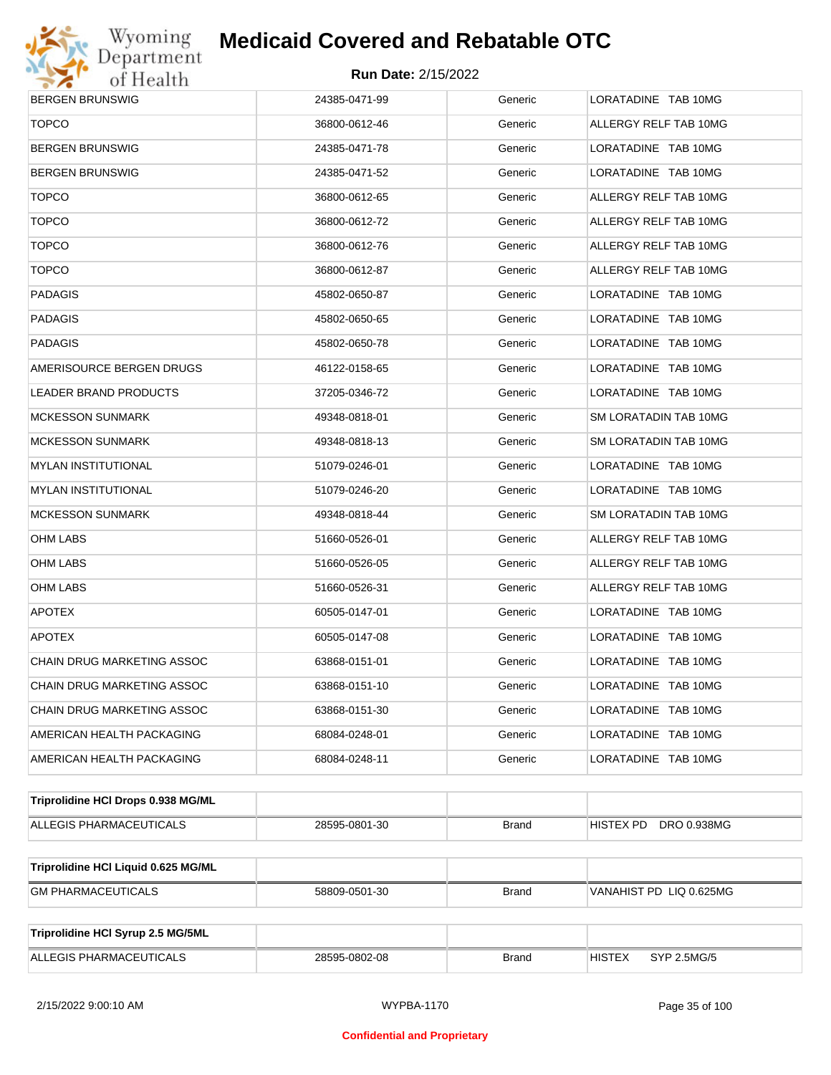

| <b>BERGEN BRUNSWIG</b>              | 24385-0471-99 | Generic      | LORATADINE TAB 10MG             |
|-------------------------------------|---------------|--------------|---------------------------------|
| <b>TOPCO</b>                        | 36800-0612-46 | Generic      | ALLERGY RELF TAB 10MG           |
| BERGEN BRUNSWIG                     | 24385-0471-78 | Generic      | LORATADINE TAB 10MG             |
| BERGEN BRUNSWIG                     | 24385-0471-52 | Generic      | LORATADINE TAB 10MG             |
| <b>TOPCO</b>                        | 36800-0612-65 | Generic      | ALLERGY RELF TAB 10MG           |
| <b>TOPCO</b>                        | 36800-0612-72 | Generic      | ALLERGY RELF TAB 10MG           |
| <b>TOPCO</b>                        | 36800-0612-76 | Generic      | ALLERGY RELF TAB 10MG           |
| <b>TOPCO</b>                        | 36800-0612-87 | Generic      | ALLERGY RELF TAB 10MG           |
| PADAGIS                             | 45802-0650-87 | Generic      | LORATADINE TAB 10MG             |
| PADAGIS                             | 45802-0650-65 | Generic      | LORATADINE TAB 10MG             |
| PADAGIS                             | 45802-0650-78 | Generic      | LORATADINE TAB 10MG             |
| AMERISOURCE BERGEN DRUGS            | 46122-0158-65 | Generic      | LORATADINE TAB 10MG             |
| LEADER BRAND PRODUCTS               | 37205-0346-72 | Generic      | LORATADINE TAB 10MG             |
| MCKESSON SUNMARK                    | 49348-0818-01 | Generic      | SM LORATADIN TAB 10MG           |
| MCKESSON SUNMARK                    | 49348-0818-13 | Generic      | SM LORATADIN TAB 10MG           |
| MYLAN INSTITUTIONAL                 | 51079-0246-01 | Generic      | LORATADINE TAB 10MG             |
| MYLAN INSTITUTIONAL                 | 51079-0246-20 | Generic      | LORATADINE TAB 10MG             |
| MCKESSON SUNMARK                    | 49348-0818-44 | Generic      | SM LORATADIN TAB 10MG           |
| OHM LABS                            | 51660-0526-01 | Generic      | ALLERGY RELF TAB 10MG           |
| OHM LABS                            | 51660-0526-05 | Generic      | ALLERGY RELF TAB 10MG           |
| OHM LABS                            | 51660-0526-31 | Generic      | ALLERGY RELF TAB 10MG           |
| <b>APOTEX</b>                       | 60505-0147-01 | Generic      | LORATADINE TAB 10MG             |
| <b>APOTEX</b>                       | 60505-0147-08 | Generic      | LORATADINE TAB 10MG             |
| CHAIN DRUG MARKETING ASSOC          | 63868-0151-01 | Generic      | LORATADINE TAB 10MG             |
| CHAIN DRUG MARKETING ASSOC          | 63868-0151-10 | Generic      | LORATADINE TAB 10MG             |
| CHAIN DRUG MARKETING ASSOC          | 63868-0151-30 | Generic      | LORATADINE TAB 10MG             |
| AMERICAN HEALTH PACKAGING           | 68084-0248-01 | Generic      | LORATADINE TAB 10MG             |
| AMERICAN HEALTH PACKAGING           | 68084-0248-11 | Generic      | LORATADINE TAB 10MG             |
| Triprolidine HCI Drops 0.938 MG/ML  |               |              |                                 |
| ALLEGIS PHARMACEUTICALS             | 28595-0801-30 | <b>Brand</b> | DRO 0.938MG<br><b>HISTEX PD</b> |
|                                     |               |              |                                 |
| Triprolidine HCI Liquid 0.625 MG/ML |               |              |                                 |
| <b>GM PHARMACEUTICALS</b>           | 58809-0501-30 | Brand        | VANAHIST PD LIQ 0.625MG         |
| Triprolidine HCI Syrup 2.5 MG/5ML   |               |              |                                 |
| ALLEGIS PHARMACEUTICALS             | 28595-0802-08 | <b>Brand</b> | <b>HISTEX</b><br>SYP 2.5MG/5    |
|                                     |               |              |                                 |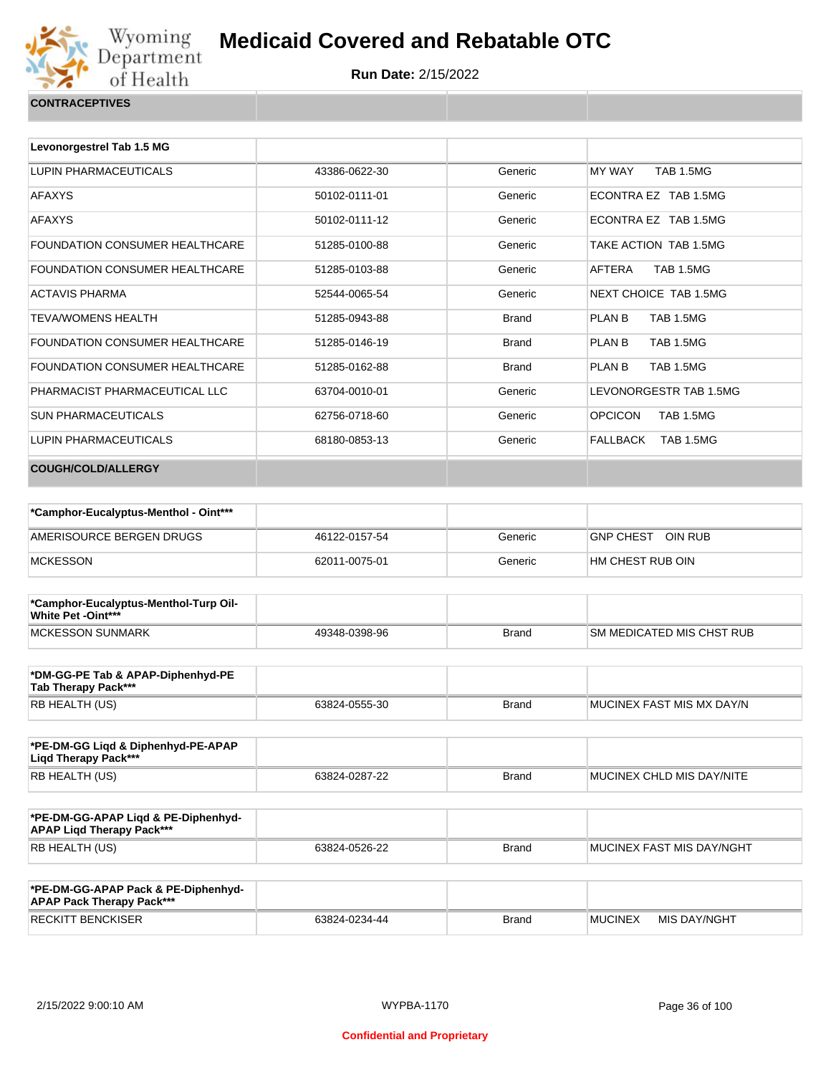

| Levonorgestrel Tab 1.5 MG             |               |              |                                    |
|---------------------------------------|---------------|--------------|------------------------------------|
| LUPIN PHARMACEUTICALS                 | 43386-0622-30 | Generic      | <b>TAB 1.5MG</b><br><b>MY WAY</b>  |
| <b>AFAXYS</b>                         | 50102-0111-01 | Generic      | ECONTRA EZ TAB 1.5MG               |
| <b>AFAXYS</b>                         | 50102-0111-12 | Generic      | ECONTRA EZ TAB 1.5MG               |
| <b>FOUNDATION CONSUMER HEALTHCARE</b> | 51285-0100-88 | Generic      | TAKE ACTION TAB 1.5MG              |
| <b>FOUNDATION CONSUMER HEALTHCARE</b> | 51285-0103-88 | Generic      | <b>TAB 1.5MG</b><br>AFTERA         |
| <b>ACTAVIS PHARMA</b>                 | 52544-0065-54 | Generic      | NEXT CHOICE TAB 1.5MG              |
| <b>TEVA/WOMENS HEALTH</b>             | 51285-0943-88 | <b>Brand</b> | <b>TAB 1.5MG</b><br>PLAN B         |
| FOUNDATION CONSUMER HEALTHCARE        | 51285-0146-19 | <b>Brand</b> | PLAN B<br><b>TAB 1.5MG</b>         |
| <b>FOUNDATION CONSUMER HEALTHCARE</b> | 51285-0162-88 | <b>Brand</b> | <b>TAB 1.5MG</b><br>PLAN B         |
| PHARMACIST PHARMACEUTICAL LLC         | 63704-0010-01 | Generic      | LEVONORGESTR TAB 1.5MG             |
| <b>SUN PHARMACEUTICALS</b>            | 62756-0718-60 | Generic      | <b>OPCICON</b><br><b>TAB 1.5MG</b> |
| LUPIN PHARMACEUTICALS                 | 68180-0853-13 | Generic      | FALLBACK<br><b>TAB 1.5MG</b>       |
| <b>COUGH/COLD/ALLERGY</b>             |               |              |                                    |
|                                       |               |              |                                    |

| *Camphor-Eucalyptus-Menthol - Oint*** |               |         |                             |
|---------------------------------------|---------------|---------|-----------------------------|
| AMERISOURCE BERGEN DRUGS              | 46122-0157-54 | Generic | OIN RUB<br><b>GNP CHEST</b> |
| <b>MCKESSON</b>                       | 62011-0075-01 | Generic | HM CHEST RUB OIN            |

| *Camphor-Eucalyptus-Menthol-Turp Oil-<br>White Pet -Oint*** |               |              |                            |
|-------------------------------------------------------------|---------------|--------------|----------------------------|
| <b>IMCKESSON SUNMARK</b>                                    | 49348-0398-96 | <b>Brand</b> | ISM MEDICATED MIS CHST RUB |

| *DM-GG-PE Tab & APAP-Diphenhyd-PE<br>Tab Therapy Pack*** |               |       |                           |
|----------------------------------------------------------|---------------|-------|---------------------------|
| RB HEALTH (US)                                           | 63824-0555-30 | Brand | MUCINEX FAST MIS MX DAY/N |

| *PE-DM-GG Ligd & Diphenhyd-PE-APAP<br>Ligd Therapy Pack*** |               |       |                           |
|------------------------------------------------------------|---------------|-------|---------------------------|
| RB HEALTH (US)                                             | 63824-0287-22 | Brand | MUCINEX CHLD MIS DAY/NITE |

| *PE-DM-GG-APAP Ligd & PE-Diphenhyd-<br><b>APAP Ligd Therapy Pack***</b> |               |       |                           |
|-------------------------------------------------------------------------|---------------|-------|---------------------------|
| <b>RB HEALTH (US)</b>                                                   | 63824-0526-22 | Brand | MUCINEX FAST MIS DAY/NGHT |

| *PE-DM-GG-APAP Pack & PE-Diphenhyd-<br><b>APAP Pack Therapy Pack***</b> |               |       |         |              |
|-------------------------------------------------------------------------|---------------|-------|---------|--------------|
| <b>RECKITT BENCKISER</b>                                                | 63824-0234-44 | Brand | MUCINEX | MIS DAY/NGHT |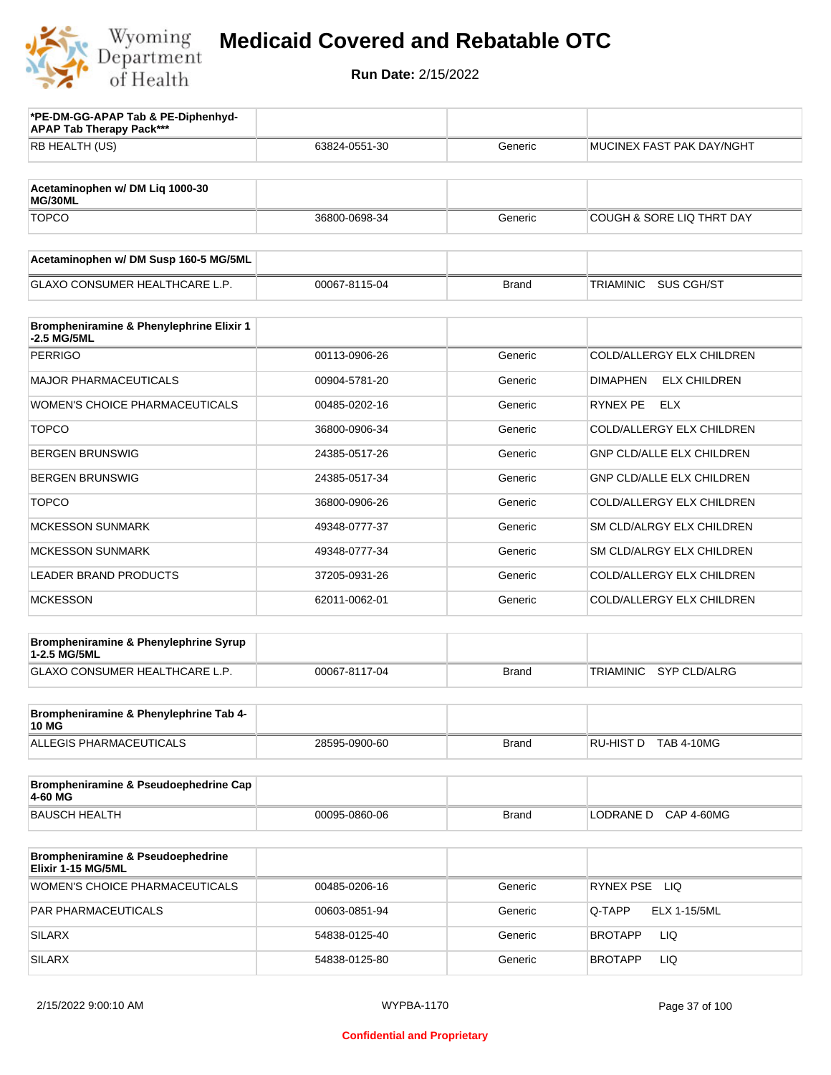

| *PE-DM-GG-APAP Tab & PE-Diphenhyd-<br><b>APAP Tab Therapy Pack***</b> |               |              |                                        |
|-----------------------------------------------------------------------|---------------|--------------|----------------------------------------|
| RB HEALTH (US)                                                        | 63824-0551-30 | Generic      | MUCINEX FAST PAK DAY/NGHT              |
|                                                                       |               |              |                                        |
| Acetaminophen w/ DM Liq 1000-30<br>MG/30ML                            |               |              |                                        |
| <b>TOPCO</b>                                                          | 36800-0698-34 | Generic      | COUGH & SORE LIQ THRT DAY              |
| Acetaminophen w/ DM Susp 160-5 MG/5ML                                 |               |              |                                        |
| <b>GLAXO CONSUMER HEALTHCARE L.P.</b>                                 | 00067-8115-04 | <b>Brand</b> | SUS CGH/ST<br>TRIAMINIC                |
| Brompheniramine & Phenylephrine Elixir 1<br>-2.5 MG/5ML               |               |              |                                        |
| <b>PERRIGO</b>                                                        | 00113-0906-26 | Generic      | COLD/ALLERGY ELX CHILDREN              |
| <b>MAJOR PHARMACEUTICALS</b>                                          | 00904-5781-20 | Generic      | <b>DIMAPHEN</b><br><b>ELX CHILDREN</b> |
| <b>WOMEN'S CHOICE PHARMACEUTICALS</b>                                 | 00485-0202-16 | Generic      | RYNEX PE<br>ELX                        |
| <b>TOPCO</b>                                                          | 36800-0906-34 | Generic      | COLD/ALLERGY ELX CHILDREN              |
| <b>BERGEN BRUNSWIG</b>                                                | 24385-0517-26 | Generic      | <b>GNP CLD/ALLE ELX CHILDREN</b>       |
| <b>BERGEN BRUNSWIG</b>                                                | 24385-0517-34 | Generic      | <b>GNP CLD/ALLE ELX CHILDREN</b>       |
| <b>TOPCO</b>                                                          | 36800-0906-26 | Generic      | COLD/ALLERGY ELX CHILDREN              |
| <b>MCKESSON SUNMARK</b>                                               | 49348-0777-37 | Generic      | SM CLD/ALRGY ELX CHILDREN              |
| <b>MCKESSON SUNMARK</b>                                               | 49348-0777-34 | Generic      | SM CLD/ALRGY ELX CHILDREN              |
| <b>LEADER BRAND PRODUCTS</b>                                          | 37205-0931-26 | Generic      | COLD/ALLERGY ELX CHILDREN              |
| <b>MCKESSON</b>                                                       | 62011-0062-01 | Generic      | COLD/ALLERGY ELX CHILDREN              |
| Brompheniramine & Phenylephrine Syrup                                 |               |              |                                        |
| 1-2.5 MG/5ML<br>GLAXO CONSUMER HEALTHCARE L.P.                        | 00067-8117-04 | <b>Brand</b> | <b>TRIAMINIC</b><br>SYP CLD/ALRG       |
|                                                                       |               |              |                                        |
| Brompheniramine & Phenylephrine Tab 4-<br><b>10 MG</b>                |               |              |                                        |
| <b>ALLEGIS PHARMACEUTICALS</b>                                        | 28595-0900-60 | Brand        | RU-HIST D TAB 4-10MG                   |
| Brompheniramine & Pseudoephedrine Cap                                 |               |              |                                        |
| 4-60 MG                                                               |               |              |                                        |
| <b>BAUSCH HEALTH</b>                                                  | 00095-0860-06 | <b>Brand</b> | LODRANE D<br><b>CAP 4-60MG</b>         |
| Brompheniramine & Pseudoephedrine<br>Elixir 1-15 MG/5ML               |               |              |                                        |
| WOMEN'S CHOICE PHARMACEUTICALS                                        | 00485-0206-16 | Generic      | RYNEX PSE LIQ                          |
| PAR PHARMACEUTICALS                                                   | 00603-0851-94 | Generic      | Q-TAPP<br>ELX 1-15/5ML                 |
| <b>SILARX</b>                                                         | 54838-0125-40 | Generic      | LIQ<br><b>BROTAPP</b>                  |
| <b>SILARX</b>                                                         | 54838-0125-80 | Generic      | LIQ<br><b>BROTAPP</b>                  |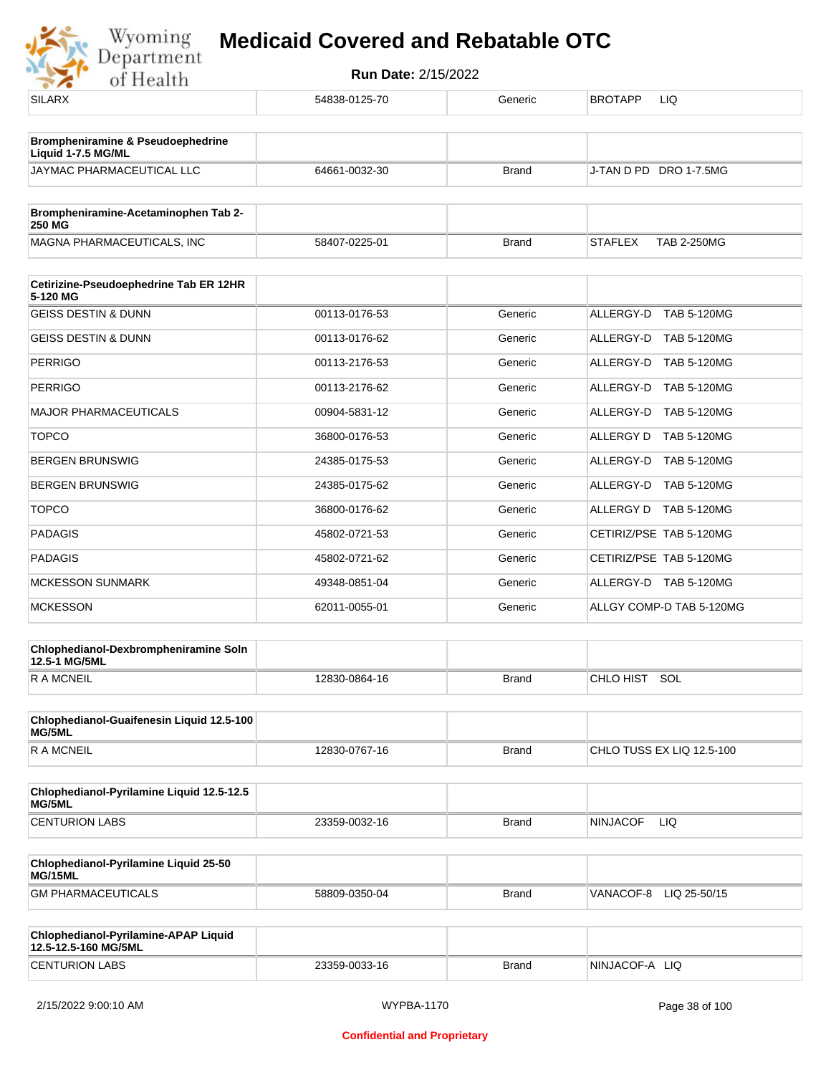

| .                                                            |               |              |                                      |
|--------------------------------------------------------------|---------------|--------------|--------------------------------------|
| <b>SILARX</b>                                                | 54838-0125-70 | Generic      | <b>BROTAPP</b><br>LIQ                |
| Brompheniramine & Pseudoephedrine<br>Liquid 1-7.5 MG/ML      |               |              |                                      |
| JAYMAC PHARMACEUTICAL LLC                                    | 64661-0032-30 | <b>Brand</b> | J-TAN D PD DRO 1-7.5MG               |
| Brompheniramine-Acetaminophen Tab 2-                         |               |              |                                      |
| 250 MG                                                       |               |              |                                      |
| MAGNA PHARMACEUTICALS, INC                                   | 58407-0225-01 | <b>Brand</b> | <b>TAB 2-250MG</b><br><b>STAFLEX</b> |
| Cetirizine-Pseudoephedrine Tab ER 12HR<br>5-120 MG           |               |              |                                      |
| <b>GEISS DESTIN &amp; DUNN</b>                               | 00113-0176-53 | Generic      | ALLERGY-D TAB 5-120MG                |
| <b>GEISS DESTIN &amp; DUNN</b>                               | 00113-0176-62 | Generic      | ALLERGY-D TAB 5-120MG                |
| <b>PERRIGO</b>                                               | 00113-2176-53 | Generic      | ALLERGY-D TAB 5-120MG                |
| <b>PERRIGO</b>                                               | 00113-2176-62 | Generic      | ALLERGY-D TAB 5-120MG                |
| <b>MAJOR PHARMACEUTICALS</b>                                 | 00904-5831-12 | Generic      | ALLERGY-D TAB 5-120MG                |
| <b>TOPCO</b>                                                 | 36800-0176-53 | Generic      | ALLERGY D TAB 5-120MG                |
| <b>BERGEN BRUNSWIG</b>                                       | 24385-0175-53 | Generic      | ALLERGY-D TAB 5-120MG                |
| <b>BERGEN BRUNSWIG</b>                                       | 24385-0175-62 | Generic      | ALLERGY-D TAB 5-120MG                |
| <b>TOPCO</b>                                                 | 36800-0176-62 | Generic      | ALLERGY D TAB 5-120MG                |
| <b>PADAGIS</b>                                               | 45802-0721-53 | Generic      | CETIRIZ/PSE TAB 5-120MG              |
| <b>PADAGIS</b>                                               | 45802-0721-62 | Generic      | CETIRIZ/PSE TAB 5-120MG              |
| <b>MCKESSON SUNMARK</b>                                      | 49348-0851-04 | Generic      | ALLERGY-D TAB 5-120MG                |
| <b>MCKESSON</b>                                              | 62011-0055-01 | Generic      | ALLGY COMP-D TAB 5-120MG             |
| Chlophedianol-Dexbrompheniramine Soln<br>12.5-1 MG/5ML       |               |              |                                      |
| <b>RAMCNEIL</b>                                              | 12830-0864-16 | <b>Brand</b> | CHLO HIST SOL                        |
| Chlophedianol-Guaifenesin Liquid 12.5-100<br>MG/5ML          |               |              |                                      |
| <b>RAMCNEIL</b>                                              | 12830-0767-16 | <b>Brand</b> | CHLO TUSS EX LIQ 12.5-100            |
| Chlophedianol-Pyrilamine Liquid 12.5-12.5<br>MG/5ML          |               |              |                                      |
| <b>CENTURION LABS</b>                                        | 23359-0032-16 | <b>Brand</b> | <b>NINJACOF</b><br>LIQ               |
| Chlophedianol-Pyrilamine Liquid 25-50<br>MG/15ML             |               |              |                                      |
| <b>GM PHARMACEUTICALS</b>                                    | 58809-0350-04 | Brand        | VANACOF-8<br>LIQ 25-50/15            |
| Chlophedianol-Pyrilamine-APAP Liquid<br>12.5-12.5-160 MG/5ML |               |              |                                      |
| <b>CENTURION LABS</b>                                        | 23359-0033-16 | <b>Brand</b> | NINJACOF-A LIQ                       |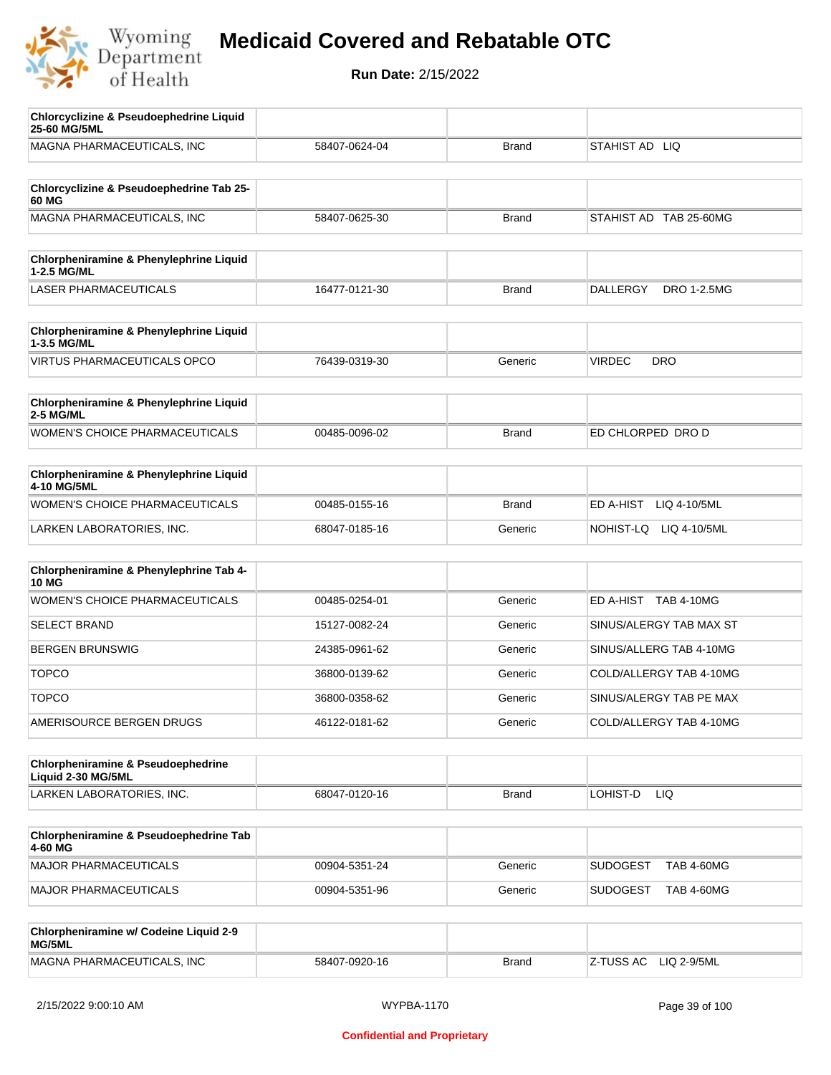

| <b>Chlorcyclizine &amp; Pseudoephedrine Liquid</b><br>25-60 MG/5ML |               |              |                                      |
|--------------------------------------------------------------------|---------------|--------------|--------------------------------------|
| MAGNA PHARMACEUTICALS, INC                                         | 58407-0624-04 | <b>Brand</b> | STAHIST AD LIQ                       |
|                                                                    |               |              |                                      |
| Chlorcyclizine & Pseudoephedrine Tab 25-<br>60 MG                  |               |              |                                      |
| MAGNA PHARMACEUTICALS, INC                                         | 58407-0625-30 | <b>Brand</b> | STAHIST AD TAB 25-60MG               |
|                                                                    |               |              |                                      |
| Chlorpheniramine & Phenylephrine Liquid<br>1-2.5 MG/ML             |               |              |                                      |
| <b>LASER PHARMACEUTICALS</b>                                       | 16477-0121-30 | <b>Brand</b> | DRO 1-2.5MG<br><b>DALLERGY</b>       |
|                                                                    |               |              |                                      |
| Chlorpheniramine & Phenylephrine Liquid<br>1-3.5 MG/ML             |               |              |                                      |
| <b>VIRTUS PHARMACEUTICALS OPCO</b>                                 | 76439-0319-30 | Generic      | <b>VIRDEC</b><br><b>DRO</b>          |
| Chlorpheniramine & Phenylephrine Liquid                            |               |              |                                      |
| 2-5 MG/ML                                                          |               |              |                                      |
| <b>WOMEN'S CHOICE PHARMACEUTICALS</b>                              | 00485-0096-02 | <b>Brand</b> | ED CHLORPED DRO D                    |
|                                                                    |               |              |                                      |
| Chlorpheniramine & Phenylephrine Liquid<br>4-10 MG/5ML             |               |              |                                      |
| WOMEN'S CHOICE PHARMACEUTICALS                                     | 00485-0155-16 | <b>Brand</b> | ED A-HIST<br>LIQ 4-10/5ML            |
| LARKEN LABORATORIES, INC.                                          | 68047-0185-16 | Generic      | NOHIST-LQ<br>LIQ 4-10/5ML            |
|                                                                    |               |              |                                      |
| Chlorpheniramine & Phenylephrine Tab 4-<br><b>10 MG</b>            |               |              |                                      |
| <b>WOMEN'S CHOICE PHARMACEUTICALS</b>                              | 00485-0254-01 | Generic      | ED A-HIST TAB 4-10MG                 |
| <b>SELECT BRAND</b>                                                | 15127-0082-24 | Generic      | SINUS/ALERGY TAB MAX ST              |
| <b>BERGEN BRUNSWIG</b>                                             | 24385-0961-62 | Generic      | SINUS/ALLERG TAB 4-10MG              |
| <b>TOPCO</b>                                                       | 36800-0139-62 | Generic      | COLD/ALLERGY TAB 4-10MG              |
| <b>TOPCO</b>                                                       | 36800-0358-62 | Generic      | SINUS/ALERGY TAB PE MAX              |
| AMERISOURCE BERGEN DRUGS                                           | 46122-0181-62 | Generic      | COLD/ALLERGY TAB 4-10MG              |
| <b>Chlorpheniramine &amp; Pseudoephedrine</b>                      |               |              |                                      |
| Liquid 2-30 MG/5ML                                                 |               |              |                                      |
| LARKEN LABORATORIES, INC.                                          | 68047-0120-16 | <b>Brand</b> | LOHIST-D<br>LIQ.                     |
|                                                                    |               |              |                                      |
| Chlorpheniramine & Pseudoephedrine Tab<br>4-60 MG                  |               |              |                                      |
| MAJOR PHARMACEUTICALS                                              | 00904-5351-24 | Generic      | <b>SUDOGEST</b><br><b>TAB 4-60MG</b> |
| MAJOR PHARMACEUTICALS                                              | 00904-5351-96 | Generic      | <b>SUDOGEST</b><br><b>TAB 4-60MG</b> |
| Chlorpheniramine w/ Codeine Liquid 2-9                             |               |              |                                      |
| MG/5ML                                                             |               |              |                                      |
| MAGNA PHARMACEUTICALS, INC                                         | 58407-0920-16 | <b>Brand</b> | Z-TUSS AC<br>LIQ 2-9/5ML             |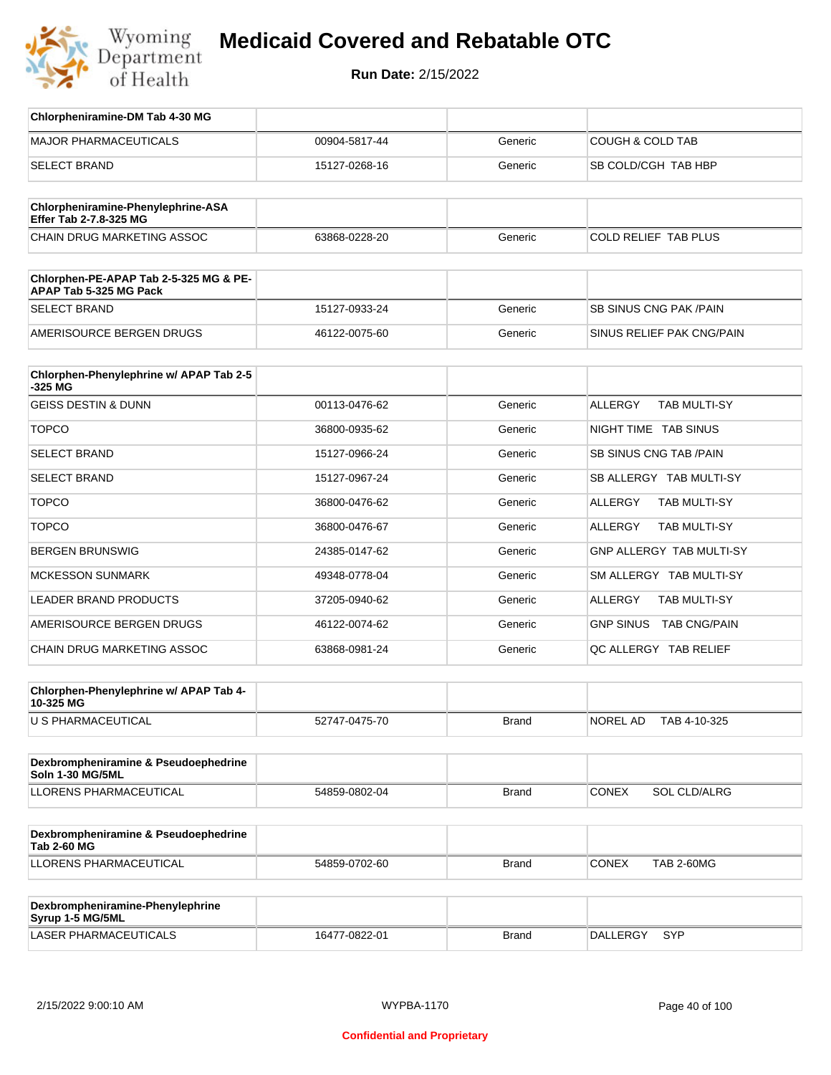

| Chlorpheniramine-DM Tab 4-30 MG                                  |               |              |                                       |
|------------------------------------------------------------------|---------------|--------------|---------------------------------------|
| <b>MAJOR PHARMACEUTICALS</b>                                     | 00904-5817-44 | Generic      | <b>COUGH &amp; COLD TAB</b>           |
| <b>SELECT BRAND</b>                                              | 15127-0268-16 | Generic      | SB COLD/CGH TAB HBP                   |
| Chlorpheniramine-Phenylephrine-ASA                               |               |              |                                       |
| Effer Tab 2-7.8-325 MG                                           |               |              |                                       |
| <b>CHAIN DRUG MARKETING ASSOC</b>                                | 63868-0228-20 | Generic      | <b>COLD RELIEF TAB PLUS</b>           |
| Chlorphen-PE-APAP Tab 2-5-325 MG & PE-<br>APAP Tab 5-325 MG Pack |               |              |                                       |
| <b>SELECT BRAND</b>                                              | 15127-0933-24 | Generic      | SB SINUS CNG PAK / PAIN               |
| AMERISOURCE BERGEN DRUGS                                         | 46122-0075-60 | Generic      | SINUS RELIEF PAK CNG/PAIN             |
| Chlorphen-Phenylephrine w/ APAP Tab 2-5                          |               |              |                                       |
| -325 MG<br><b>GEISS DESTIN &amp; DUNN</b>                        | 00113-0476-62 | Generic      | <b>ALLERGY</b><br><b>TAB MULTI-SY</b> |
|                                                                  |               |              |                                       |
| <b>TOPCO</b>                                                     | 36800-0935-62 | Generic      | NIGHT TIME TAB SINUS                  |
| <b>SELECT BRAND</b>                                              | 15127-0966-24 | Generic      | SB SINUS CNG TAB / PAIN               |
| <b>SELECT BRAND</b>                                              | 15127-0967-24 | Generic      | SB ALLERGY TAB MULTI-SY               |
| <b>TOPCO</b>                                                     | 36800-0476-62 | Generic      | TAB MULTI-SY<br>ALLERGY               |
| <b>TOPCO</b>                                                     | 36800-0476-67 | Generic      | <b>ALLERGY</b><br>TAB MULTI-SY        |
| <b>BERGEN BRUNSWIG</b>                                           | 24385-0147-62 | Generic      | GNP ALLERGY TAB MULTI-SY              |
| <b>MCKESSON SUNMARK</b>                                          | 49348-0778-04 | Generic      | SM ALLERGY TAB MULTI-SY               |
| LEADER BRAND PRODUCTS                                            | 37205-0940-62 | Generic      | ALLERGY<br>TAB MULTI-SY               |
| AMERISOURCE BERGEN DRUGS                                         | 46122-0074-62 | Generic      | GNP SINUS TAB CNG/PAIN                |
| CHAIN DRUG MARKETING ASSOC                                       | 63868-0981-24 | Generic      | QC ALLERGY TAB RELIEF                 |
| Chlorphen-Phenylephrine w/ APAP Tab 4-                           |               |              |                                       |
| 10-325 MG                                                        |               |              |                                       |
| U S PHARMACEUTICAL                                               | 52747-0475-70 | <b>Brand</b> | TAB 4-10-325<br>NOREL AD              |
| Dexbrompheniramine & Pseudoephedrine                             |               |              |                                       |
| Soln 1-30 MG/5ML<br>LLORENS PHARMACEUTICAL                       | 54859-0802-04 | <b>Brand</b> | <b>CONEX</b><br><b>SOL CLD/ALRG</b>   |
|                                                                  |               |              |                                       |
| Dexbrompheniramine & Pseudoephedrine<br><b>Tab 2-60 MG</b>       |               |              |                                       |
| LLORENS PHARMACEUTICAL                                           | 54859-0702-60 | Brand        | <b>CONEX</b><br><b>TAB 2-60MG</b>     |
| Dexbrompheniramine-Phenylephrine<br>Syrup 1-5 MG/5ML             |               |              |                                       |
| LASER PHARMACEUTICALS                                            | 16477-0822-01 | <b>Brand</b> | DALLERGY<br>SYP                       |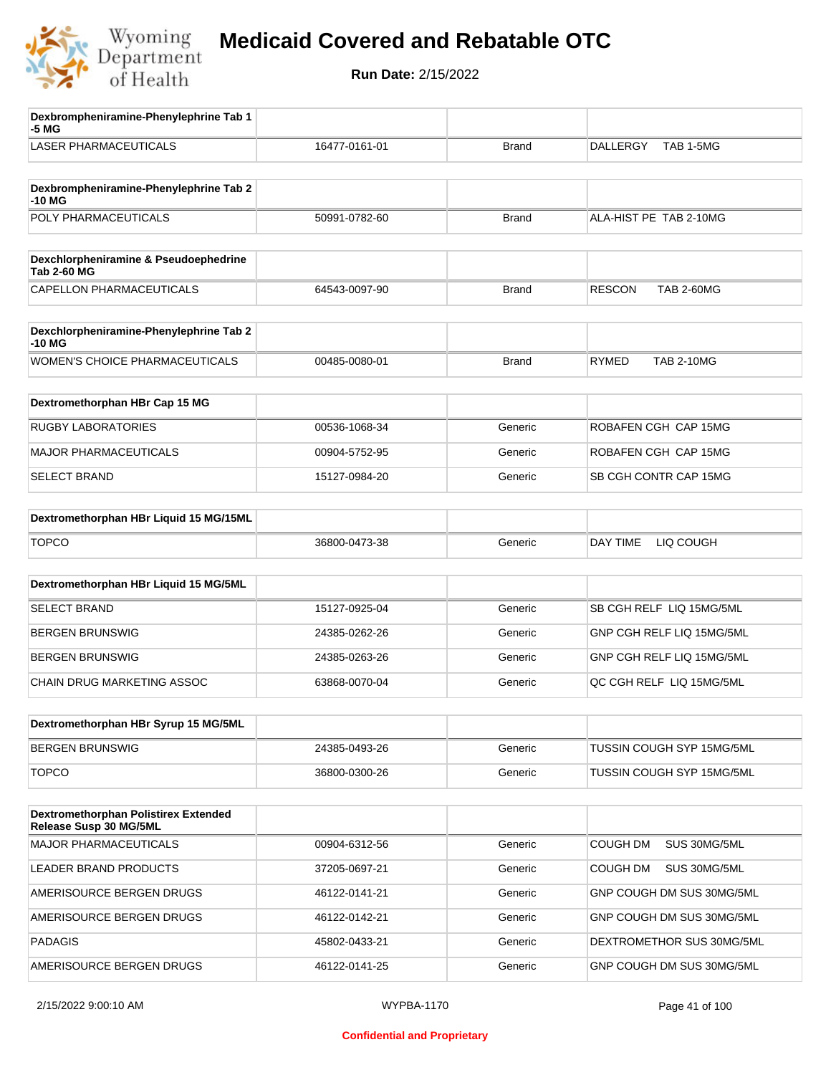

| Dexbrompheniramine-Phenylephrine Tab 1<br>-5 MG                |               |              |                                    |
|----------------------------------------------------------------|---------------|--------------|------------------------------------|
| <b>LASER PHARMACEUTICALS</b>                                   | 16477-0161-01 | <b>Brand</b> | TAB 1-5MG<br><b>DALLERGY</b>       |
| Dexbrompheniramine-Phenylephrine Tab 2<br>-10 MG               |               |              |                                    |
| POLY PHARMACEUTICALS                                           | 50991-0782-60 | <b>Brand</b> | ALA-HIST PE TAB 2-10MG             |
| Dexchlorpheniramine & Pseudoephedrine<br><b>Tab 2-60 MG</b>    |               |              |                                    |
| CAPELLON PHARMACEUTICALS                                       | 64543-0097-90 | <b>Brand</b> | <b>RESCON</b><br><b>TAB 2-60MG</b> |
| Dexchlorpheniramine-Phenylephrine Tab 2<br>$-10MG$             |               |              |                                    |
| WOMEN'S CHOICE PHARMACEUTICALS                                 | 00485-0080-01 | <b>Brand</b> | <b>RYMED</b><br><b>TAB 2-10MG</b>  |
| Dextromethorphan HBr Cap 15 MG                                 |               |              |                                    |
| <b>RUGBY LABORATORIES</b>                                      | 00536-1068-34 | Generic      | ROBAFEN CGH CAP 15MG               |
| <b>MAJOR PHARMACEUTICALS</b>                                   | 00904-5752-95 | Generic      | ROBAFEN CGH CAP 15MG               |
| <b>SELECT BRAND</b>                                            | 15127-0984-20 | Generic      | SB CGH CONTR CAP 15MG              |
| Dextromethorphan HBr Liquid 15 MG/15ML                         |               |              |                                    |
| <b>TOPCO</b>                                                   | 36800-0473-38 | Generic      | LIQ COUGH<br>DAY TIME              |
| Dextromethorphan HBr Liquid 15 MG/5ML                          |               |              |                                    |
| <b>SELECT BRAND</b>                                            | 15127-0925-04 | Generic      | SB CGH RELF LIQ 15MG/5ML           |
| <b>BERGEN BRUNSWIG</b>                                         | 24385-0262-26 | Generic      | GNP CGH RELF LIQ 15MG/5ML          |
| <b>BERGEN BRUNSWIG</b>                                         | 24385-0263-26 | Generic      | GNP CGH RELF LIQ 15MG/5ML          |
| CHAIN DRUG MARKETING ASSOC                                     | 63868-0070-04 | Generic      | QC CGH RELF LIQ 15MG/5ML           |
| Dextromethorphan HBr Syrup 15 MG/5ML                           |               |              |                                    |
| <b>BERGEN BRUNSWIG</b>                                         | 24385-0493-26 | Generic      | TUSSIN COUGH SYP 15MG/5ML          |
| <b>TOPCO</b>                                                   | 36800-0300-26 | Generic      | TUSSIN COUGH SYP 15MG/5ML          |
| Dextromethorphan Polistirex Extended<br>Release Susp 30 MG/5ML |               |              |                                    |
| <b>MAJOR PHARMACEUTICALS</b>                                   | 00904-6312-56 | Generic      | COUGH DM<br>SUS 30MG/5ML           |
| LEADER BRAND PRODUCTS                                          | 37205-0697-21 | Generic      | COUGH DM<br>SUS 30MG/5ML           |
| AMERISOURCE BERGEN DRUGS                                       | 46122-0141-21 | Generic      | GNP COUGH DM SUS 30MG/5ML          |
| AMERISOURCE BERGEN DRUGS                                       | 46122-0142-21 | Generic      | GNP COUGH DM SUS 30MG/5ML          |
| <b>PADAGIS</b>                                                 | 45802-0433-21 | Generic      | DEXTROMETHOR SUS 30MG/5ML          |
| AMERISOURCE BERGEN DRUGS                                       | 46122-0141-25 | Generic      | GNP COUGH DM SUS 30MG/5ML          |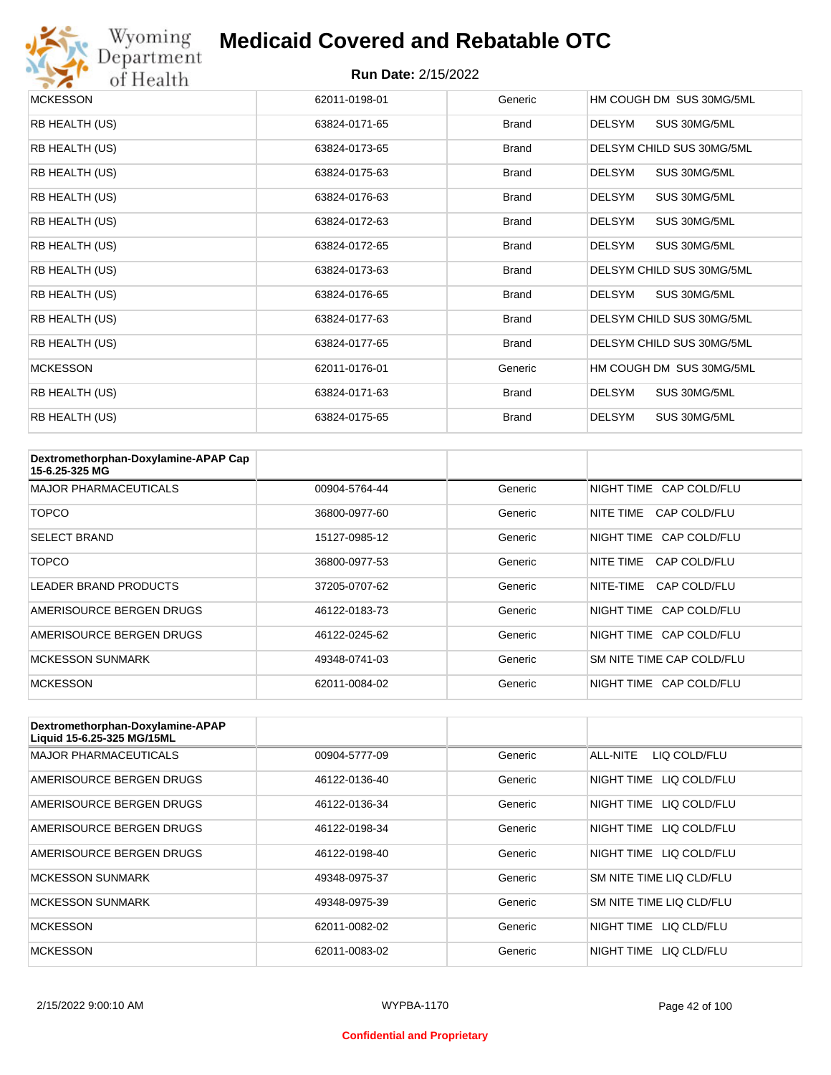

# Wyoming<br>Department<br>of Health

#### **Medicaid Covered and Rebatable OTC**

| <b>MCKESSON</b> | 62011-0198-01 | Generic      | HM COUGH DM SUS 30MG/5ML      |
|-----------------|---------------|--------------|-------------------------------|
| RB HEALTH (US)  | 63824-0171-65 | <b>Brand</b> | SUS 30MG/5ML<br><b>DELSYM</b> |
| RB HEALTH (US)  | 63824-0173-65 | <b>Brand</b> | DELSYM CHILD SUS 30MG/5ML     |
| RB HEALTH (US)  | 63824-0175-63 | <b>Brand</b> | <b>DELSYM</b><br>SUS 30MG/5ML |
| RB HEALTH (US)  | 63824-0176-63 | <b>Brand</b> | SUS 30MG/5ML<br><b>DELSYM</b> |
| RB HEALTH (US)  | 63824-0172-63 | <b>Brand</b> | <b>DELSYM</b><br>SUS 30MG/5ML |
| RB HEALTH (US)  | 63824-0172-65 | <b>Brand</b> | <b>DELSYM</b><br>SUS 30MG/5ML |
| RB HEALTH (US)  | 63824-0173-63 | <b>Brand</b> | DELSYM CHILD SUS 30MG/5ML     |
| RB HEALTH (US)  | 63824-0176-65 | <b>Brand</b> | SUS 30MG/5ML<br><b>DELSYM</b> |
| RB HEALTH (US)  | 63824-0177-63 | <b>Brand</b> | DELSYM CHILD SUS 30MG/5ML     |
| RB HEALTH (US)  | 63824-0177-65 | <b>Brand</b> | DELSYM CHILD SUS 30MG/5ML     |
| <b>MCKESSON</b> | 62011-0176-01 | Generic      | HM COUGH DM SUS 30MG/5ML      |
| RB HEALTH (US)  | 63824-0171-63 | <b>Brand</b> | <b>DELSYM</b><br>SUS 30MG/5ML |
| RB HEALTH (US)  | 63824-0175-65 | <b>Brand</b> | <b>DELSYM</b><br>SUS 30MG/5ML |

| Dextromethorphan-Doxylamine-APAP Cap<br>15-6.25-325 MG |               |         |                           |
|--------------------------------------------------------|---------------|---------|---------------------------|
| <b>MAJOR PHARMACEUTICALS</b>                           | 00904-5764-44 | Generic | NIGHT TIME CAP COLD/FLU   |
| <b>TOPCO</b>                                           | 36800-0977-60 | Generic | CAP COLD/FLU<br>NITE TIME |
| <b>SELECT BRAND</b>                                    | 15127-0985-12 | Generic | NIGHT TIME CAP COLD/FLU   |
| <b>TOPCO</b>                                           | 36800-0977-53 | Generic | CAP COLD/FLU<br>NITE TIME |
| <b>LEADER BRAND PRODUCTS</b>                           | 37205-0707-62 | Generic | NITE-TIME<br>CAP COLD/FLU |
| AMERISOURCE BERGEN DRUGS                               | 46122-0183-73 | Generic | NIGHT TIME CAP COLD/FLU   |
| AMERISOURCE BERGEN DRUGS                               | 46122-0245-62 | Generic | NIGHT TIME CAP COLD/FLU   |
| <b>MCKESSON SUNMARK</b>                                | 49348-0741-03 | Generic | SM NITE TIME CAP COLD/FLU |
| <b>MCKESSON</b>                                        | 62011-0084-02 | Generic | NIGHT TIME CAP COLD/FLU   |

| Dextromethorphan-Doxylamine-APAP<br>Liquid 15-6.25-325 MG/15ML |               |         |                            |
|----------------------------------------------------------------|---------------|---------|----------------------------|
| <b>MAJOR PHARMACEUTICALS</b>                                   | 00904-5777-09 | Generic | ALL-NITE<br>LIQ COLD/FLU   |
| AMERISOURCE BERGEN DRUGS                                       | 46122-0136-40 | Generic | LIQ COLD/FLU<br>NIGHT TIME |
| AMERISOURCE BERGEN DRUGS                                       | 46122-0136-34 | Generic | LIQ COLD/FLU<br>NIGHT TIME |
| AMERISOURCE BERGEN DRUGS                                       | 46122-0198-34 | Generic | NIGHT TIME<br>LIQ COLD/FLU |
| AMERISOURCE BERGEN DRUGS                                       | 46122-0198-40 | Generic | NIGHT TIME<br>LIO COLD/FLU |
| <b>MCKESSON SUNMARK</b>                                        | 49348-0975-37 | Generic | SM NITE TIME LIQ CLD/FLU   |
| <b>MCKESSON SUNMARK</b>                                        | 49348-0975-39 | Generic | SM NITE TIME LIQ CLD/FLU   |
| <b>MCKESSON</b>                                                | 62011-0082-02 | Generic | NIGHT TIME<br>LIO CLD/FLU  |
| <b>MCKESSON</b>                                                | 62011-0083-02 | Generic | NIGHT TIME<br>LIO CLD/FLU  |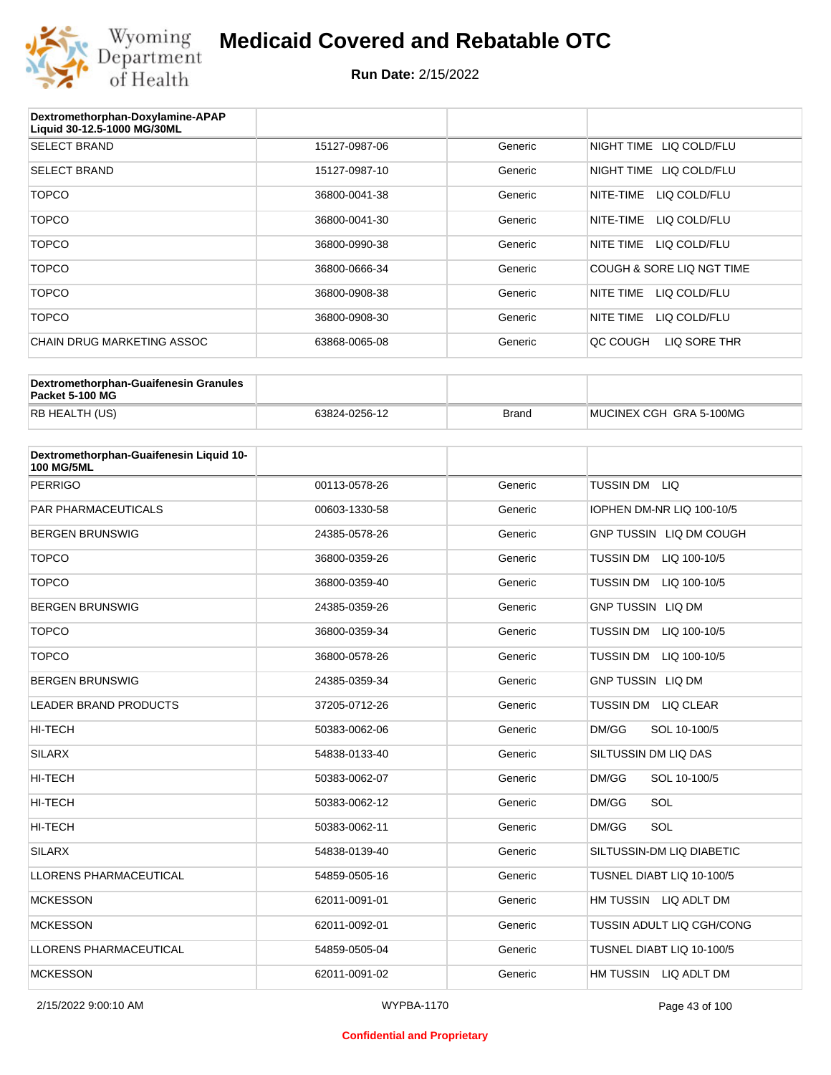

| Dextromethorphan-Doxylamine-APAP<br>Liquid 30-12.5-1000 MG/30ML |               |         |                           |
|-----------------------------------------------------------------|---------------|---------|---------------------------|
| <b>SELECT BRAND</b>                                             | 15127-0987-06 | Generic | NIGHT TIME LIQ COLD/FLU   |
| <b>SELECT BRAND</b>                                             | 15127-0987-10 | Generic | NIGHT TIME LIQ COLD/FLU   |
| <b>TOPCO</b>                                                    | 36800-0041-38 | Generic | NITE-TIME<br>LIQ COLD/FLU |
| <b>TOPCO</b>                                                    | 36800-0041-30 | Generic | NITE-TIME<br>LIQ COLD/FLU |
| <b>TOPCO</b>                                                    | 36800-0990-38 | Generic | LIQ COLD/FLU<br>NITE TIME |
| <b>TOPCO</b>                                                    | 36800-0666-34 | Generic | COUGH & SORE LIQ NGT TIME |
| <b>TOPCO</b>                                                    | 36800-0908-38 | Generic | NITE TIME<br>LIQ COLD/FLU |
| <b>TOPCO</b>                                                    | 36800-0908-30 | Generic | NITE TIME<br>LIQ COLD/FLU |
| CHAIN DRUG MARKETING ASSOC                                      | 63868-0065-08 | Generic | LIQ SORE THR<br>QC COUGH  |

| Dextromethorphan-Guaifenesin Granules<br>Packet 5-100 MG |               |              |                         |
|----------------------------------------------------------|---------------|--------------|-------------------------|
| RB HEALTH (US)                                           | 63824-0256-12 | <b>Brand</b> | MUCINEX CGH GRA 5-100MG |

| Dextromethorphan-Guaifenesin Liquid 10-<br><b>100 MG/5ML</b> |               |         |                                  |
|--------------------------------------------------------------|---------------|---------|----------------------------------|
| <b>PERRIGO</b>                                               | 00113-0578-26 | Generic | TUSSIN DM LIQ                    |
| <b>PAR PHARMACEUTICALS</b>                                   | 00603-1330-58 | Generic | IOPHEN DM-NR LIQ 100-10/5        |
| <b>BERGEN BRUNSWIG</b>                                       | 24385-0578-26 | Generic | GNP TUSSIN LIQ DM COUGH          |
| <b>TOPCO</b>                                                 | 36800-0359-26 | Generic | <b>TUSSIN DM</b><br>LIQ 100-10/5 |
| <b>TOPCO</b>                                                 | 36800-0359-40 | Generic | <b>TUSSIN DM</b><br>LIQ 100-10/5 |
| <b>BERGEN BRUNSWIG</b>                                       | 24385-0359-26 | Generic | <b>GNP TUSSIN LIQ DM</b>         |
| <b>TOPCO</b>                                                 | 36800-0359-34 | Generic | <b>TUSSIN DM</b><br>LIQ 100-10/5 |
| <b>TOPCO</b>                                                 | 36800-0578-26 | Generic | TUSSIN DM LIQ 100-10/5           |
| <b>BERGEN BRUNSWIG</b>                                       | 24385-0359-34 | Generic | <b>GNP TUSSIN LIQ DM</b>         |
| <b>LEADER BRAND PRODUCTS</b>                                 | 37205-0712-26 | Generic | TUSSIN DM LIQ CLEAR              |
| <b>HI-TECH</b>                                               | 50383-0062-06 | Generic | DM/GG<br>SOL 10-100/5            |
| <b>SILARX</b>                                                | 54838-0133-40 | Generic | SILTUSSIN DM LIQ DAS             |
| <b>HI-TECH</b>                                               | 50383-0062-07 | Generic | DM/GG<br>SOL 10-100/5            |
| <b>HI-TECH</b>                                               | 50383-0062-12 | Generic | DM/GG<br>SOL                     |
| <b>HI-TECH</b>                                               | 50383-0062-11 | Generic | SOL<br>DM/GG                     |
| <b>SILARX</b>                                                | 54838-0139-40 | Generic | SILTUSSIN-DM LIO DIABETIC        |
| <b>LLORENS PHARMACEUTICAL</b>                                | 54859-0505-16 | Generic | TUSNEL DIABT LIQ 10-100/5        |
| <b>MCKESSON</b>                                              | 62011-0091-01 | Generic | HM TUSSIN LIQ ADLT DM            |
| <b>MCKESSON</b>                                              | 62011-0092-01 | Generic | TUSSIN ADULT LIQ CGH/CONG        |
| <b>LLORENS PHARMACEUTICAL</b>                                | 54859-0505-04 | Generic | TUSNEL DIABT LIQ 10-100/5        |
| <b>MCKESSON</b>                                              | 62011-0091-02 | Generic | HM TUSSIN LIQ ADLT DM            |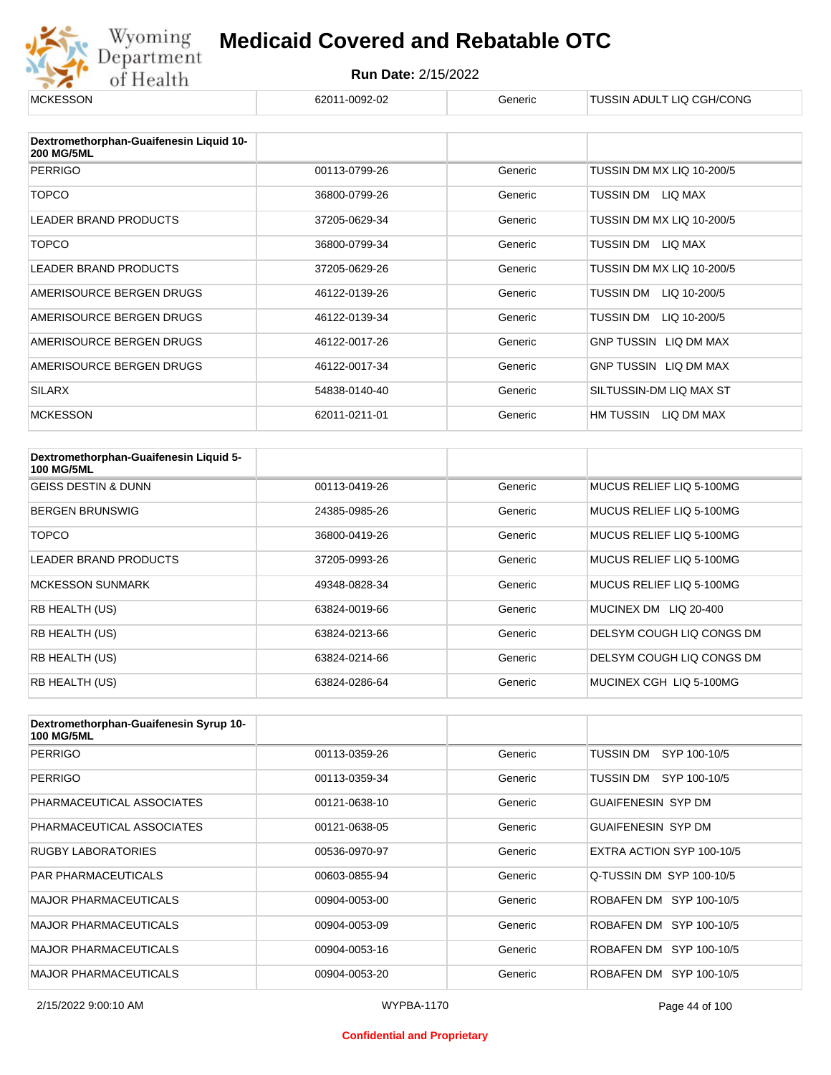

| <b>MCKESSON</b>                                              | 62011-0092-02 | Generic | TUSSIN ADULT LIQ CGH/CONG    |
|--------------------------------------------------------------|---------------|---------|------------------------------|
|                                                              |               |         |                              |
| Dextromethorphan-Guaifenesin Liquid 10-<br><b>200 MG/5ML</b> |               |         |                              |
| <b>PERRIGO</b>                                               | 00113-0799-26 | Generic | TUSSIN DM MX LIQ 10-200/5    |
| <b>TOPCO</b>                                                 | 36800-0799-26 | Generic | TUSSIN DM LIQ MAX            |
| <b>LEADER BRAND PRODUCTS</b>                                 | 37205-0629-34 | Generic | TUSSIN DM MX LIQ 10-200/5    |
| <b>TOPCO</b>                                                 | 36800-0799-34 | Generic | TUSSIN DM<br>LIQ MAX         |
| <b>LEADER BRAND PRODUCTS</b>                                 | 37205-0629-26 | Generic | TUSSIN DM MX LIQ 10-200/5    |
| AMERISOURCE BERGEN DRUGS                                     | 46122-0139-26 | Generic | TUSSIN DM<br>LIQ 10-200/5    |
| AMERISOURCE BERGEN DRUGS                                     | 46122-0139-34 | Generic | TUSSIN DM<br>LIQ 10-200/5    |
| AMERISOURCE BERGEN DRUGS                                     | 46122-0017-26 | Generic | <b>GNP TUSSIN LIQ DM MAX</b> |
| AMERISOURCE BERGEN DRUGS                                     | 46122-0017-34 | Generic | GNP TUSSIN LIQ DM MAX        |
| <b>SILARX</b>                                                | 54838-0140-40 | Generic | SILTUSSIN-DM LIQ MAX ST      |
| <b>MCKESSON</b>                                              | 62011-0211-01 | Generic | HM TUSSIN LIQ DM MAX         |

| Dextromethorphan-Guaifenesin Liquid 5-<br><b>100 MG/5ML</b> |               |         |                           |
|-------------------------------------------------------------|---------------|---------|---------------------------|
| <b>GEISS DESTIN &amp; DUNN</b>                              | 00113-0419-26 | Generic | MUCUS RELIEF LIQ 5-100MG  |
| <b>BERGEN BRUNSWIG</b>                                      | 24385-0985-26 | Generic | MUCUS RELIEF LIQ 5-100MG  |
| <b>TOPCO</b>                                                | 36800-0419-26 | Generic | MUCUS RELIEF LIQ 5-100MG  |
| <b>LEADER BRAND PRODUCTS</b>                                | 37205-0993-26 | Generic | MUCUS RELIEF LIQ 5-100MG  |
| <b>MCKESSON SUNMARK</b>                                     | 49348-0828-34 | Generic | MUCUS RELIEF LIQ 5-100MG  |
| RB HEALTH (US)                                              | 63824-0019-66 | Generic | MUCINEX DM LIQ 20-400     |
| RB HEALTH (US)                                              | 63824-0213-66 | Generic | DELSYM COUGH LIQ CONGS DM |
| <b>RB HEALTH (US)</b>                                       | 63824-0214-66 | Generic | DELSYM COUGH LIQ CONGS DM |
| RB HEALTH (US)                                              | 63824-0286-64 | Generic | MUCINEX CGH LIQ 5-100MG   |

| Dextromethorphan-Guaifenesin Syrup 10-<br><b>100 MG/5ML</b> |               |         |                           |
|-------------------------------------------------------------|---------------|---------|---------------------------|
| <b>PERRIGO</b>                                              | 00113-0359-26 | Generic | TUSSIN DM<br>SYP 100-10/5 |
| <b>PERRIGO</b>                                              | 00113-0359-34 | Generic | TUSSIN DM<br>SYP 100-10/5 |
| PHARMACEUTICAL ASSOCIATES                                   | 00121-0638-10 | Generic | <b>GUAIFENESIN SYP DM</b> |
| PHARMACEUTICAL ASSOCIATES                                   | 00121-0638-05 | Generic | <b>GUAIFENESIN SYP DM</b> |
| <b>RUGBY LABORATORIES</b>                                   | 00536-0970-97 | Generic | EXTRA ACTION SYP 100-10/5 |
| <b>PAR PHARMACEUTICALS</b>                                  | 00603-0855-94 | Generic | Q-TUSSIN DM SYP 100-10/5  |
| <b>MAJOR PHARMACEUTICALS</b>                                | 00904-0053-00 | Generic | ROBAFEN DM SYP 100-10/5   |
| <b>MAJOR PHARMACEUTICALS</b>                                | 00904-0053-09 | Generic | ROBAFEN DM SYP 100-10/5   |
| <b>MAJOR PHARMACEUTICALS</b>                                | 00904-0053-16 | Generic | ROBAFEN DM SYP 100-10/5   |
| <b>MAJOR PHARMACEUTICALS</b>                                | 00904-0053-20 | Generic | ROBAFEN DM SYP 100-10/5   |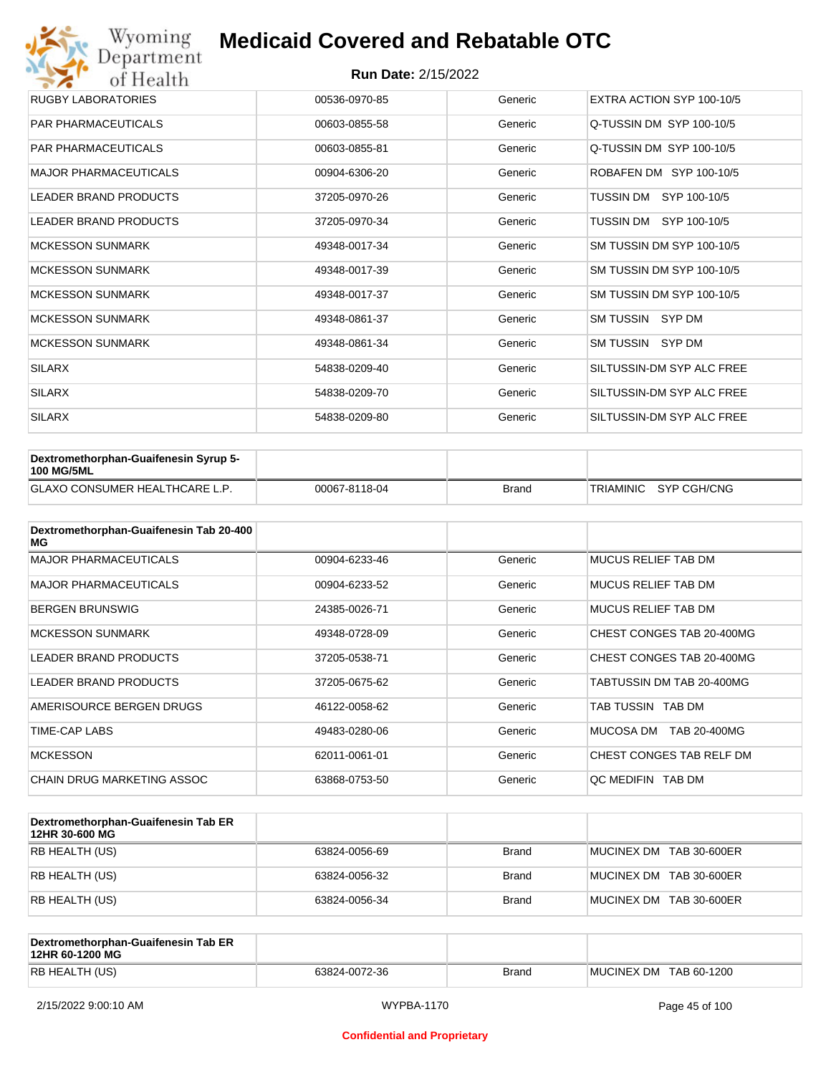| Wyoming<br>Department        | <b>Medicaid Covered and Rebatable OTC</b> |         |                           |  |  |  |
|------------------------------|-------------------------------------------|---------|---------------------------|--|--|--|
| of Health                    | <b>Run Date: 2/15/2022</b>                |         |                           |  |  |  |
| <b>RUGBY LABORATORIES</b>    | 00536-0970-85                             | Generic | EXTRA ACTION SYP 100-10/5 |  |  |  |
| <b>PAR PHARMACEUTICALS</b>   | 00603-0855-58                             | Generic | Q-TUSSIN DM SYP 100-10/5  |  |  |  |
| <b>PAR PHARMACEUTICALS</b>   | 00603-0855-81                             | Generic | Q-TUSSIN DM SYP 100-10/5  |  |  |  |
| <b>MAJOR PHARMACEUTICALS</b> | 00904-6306-20                             | Generic | ROBAFEN DM SYP 100-10/5   |  |  |  |
| <b>LEADER BRAND PRODUCTS</b> | 37205-0970-26                             | Generic | TUSSIN DM<br>SYP 100-10/5 |  |  |  |
| <b>LEADER BRAND PRODUCTS</b> | 37205-0970-34                             | Generic | TUSSIN DM SYP 100-10/5    |  |  |  |
| <b>MCKESSON SUNMARK</b>      | 49348-0017-34                             | Generic | SM TUSSIN DM SYP 100-10/5 |  |  |  |
| <b>MCKESSON SUNMARK</b>      | 49348-0017-39                             | Generic | SM TUSSIN DM SYP 100-10/5 |  |  |  |
| <b>MCKESSON SUNMARK</b>      | 49348-0017-37                             | Generic | SM TUSSIN DM SYP 100-10/5 |  |  |  |
| <b>MCKESSON SUNMARK</b>      | 49348-0861-37                             | Generic | SM TUSSIN SYP DM          |  |  |  |
| <b>MCKESSON SUNMARK</b>      | 49348-0861-34                             | Generic | SM TUSSIN SYP DM          |  |  |  |
| <b>SILARX</b>                | 54838-0209-40                             | Generic | SILTUSSIN-DM SYP ALC FREE |  |  |  |
| <b>SILARX</b>                | 54838-0209-70                             | Generic | SILTUSSIN-DM SYP ALC FREE |  |  |  |
| <b>SILARX</b>                | 54838-0209-80                             | Generic | SILTUSSIN-DM SYP ALC FREE |  |  |  |

| Dextromethorphan-Guaifenesin Syrup 5-<br><b>100 MG/5ML</b> |               |              |                       |
|------------------------------------------------------------|---------------|--------------|-----------------------|
| <b>GLAXO CONSUMER HEALTHCARE L.P.</b>                      | 00067-8118-04 | <b>Brand</b> | TRIAMINIC SYP CGH/CNG |

| Dextromethorphan-Guaifenesin Tab 20-400<br>MG |               |         |                           |
|-----------------------------------------------|---------------|---------|---------------------------|
| <b>MAJOR PHARMACEUTICALS</b>                  | 00904-6233-46 | Generic | MUCUS RELIEF TAB DM       |
| <b>MAJOR PHARMACEUTICALS</b>                  | 00904-6233-52 | Generic | MUCUS RELIEF TAB DM       |
| <b>BERGEN BRUNSWIG</b>                        | 24385-0026-71 | Generic | MUCUS RELIEF TAB DM       |
| <b>MCKESSON SUNMARK</b>                       | 49348-0728-09 | Generic | CHEST CONGES TAB 20-400MG |
| <b>LEADER BRAND PRODUCTS</b>                  | 37205-0538-71 | Generic | CHEST CONGES TAB 20-400MG |
| <b>LEADER BRAND PRODUCTS</b>                  | 37205-0675-62 | Generic | TABTUSSIN DM TAB 20-400MG |
| AMERISOURCE BERGEN DRUGS                      | 46122-0058-62 | Generic | TAB TUSSIN TAB DM         |
| <b>TIME-CAP LABS</b>                          | 49483-0280-06 | Generic | MUCOSA DM<br>TAB 20-400MG |
| <b>MCKESSON</b>                               | 62011-0061-01 | Generic | CHEST CONGES TAB RELF DM  |
| CHAIN DRUG MARKETING ASSOC                    | 63868-0753-50 | Generic | OC MEDIFIN TAB DM         |

| Dextromethorphan-Guaifenesin Tab ER<br>12HR 30-600 MG |               |              |                         |
|-------------------------------------------------------|---------------|--------------|-------------------------|
| RB HEALTH (US)                                        | 63824-0056-69 | <b>Brand</b> | MUCINEX DM TAB 30-600ER |
| RB HEALTH (US)                                        | 63824-0056-32 | <b>Brand</b> | MUCINEX DM TAB 30-600ER |
| RB HEALTH (US)                                        | 63824-0056-34 | <b>Brand</b> | MUCINEX DM TAB 30-600ER |

| Dextromethorphan-Guaifenesin Tab ER<br>12HR 60-1200 MG |               |       |                        |
|--------------------------------------------------------|---------------|-------|------------------------|
| RB HEALTH (US)                                         | 63824-0072-36 | Brand | MUCINEX DM TAB 60-1200 |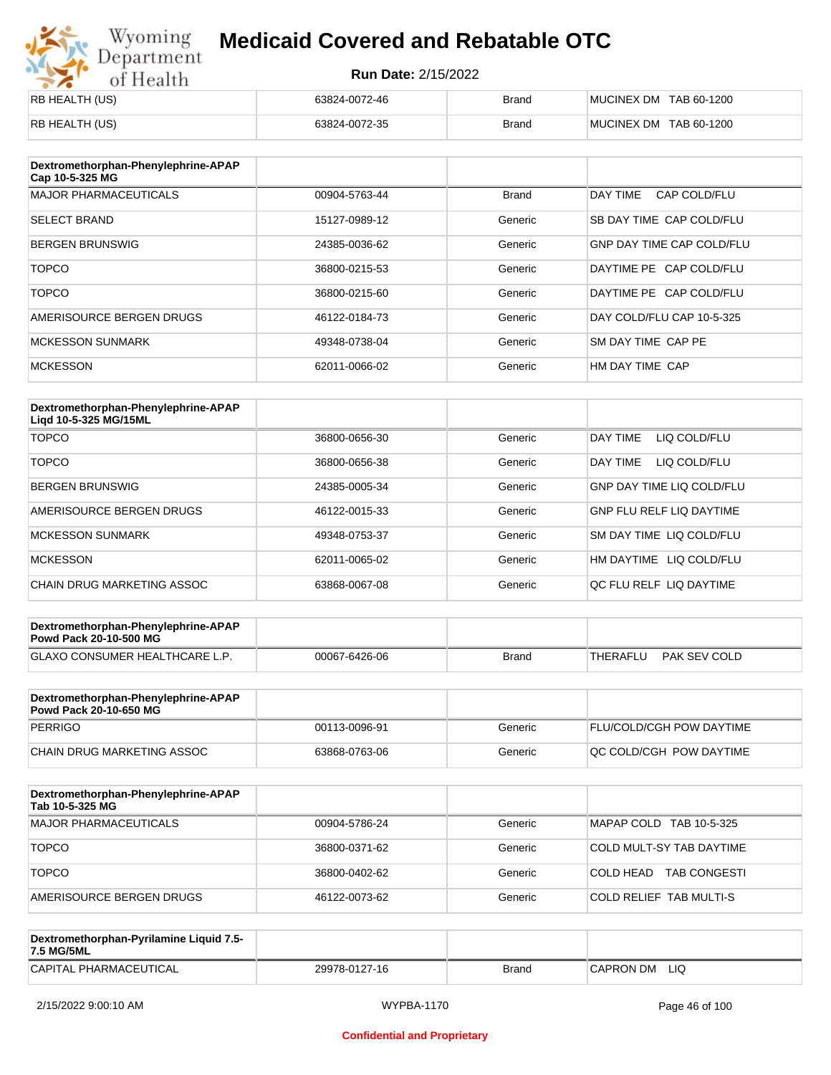# Wyoming<br>Department<br>of Health

## **Medicaid Covered and Rebatable OTC**

| RB HEALTH (US) | 63824-0072-46 | Brand | MUCINEX DM TAB 60-1200 |
|----------------|---------------|-------|------------------------|
| RB HEALTH (US) | 63824-0072-35 | Brand | MUCINEX DM TAB 60-1200 |

| Dextromethorphan-Phenylephrine-APAP<br>Cap 10-5-325 MG |               |              |                                  |
|--------------------------------------------------------|---------------|--------------|----------------------------------|
| <b>MAJOR PHARMACEUTICALS</b>                           | 00904-5763-44 | <b>Brand</b> | DAY TIME<br>CAP COLD/FLU         |
| <b>SELECT BRAND</b>                                    | 15127-0989-12 | Generic      | SB DAY TIME CAP COLD/FLU         |
| <b>BERGEN BRUNSWIG</b>                                 | 24385-0036-62 | Generic      | <b>GNP DAY TIME CAP COLD/FLU</b> |
| <b>TOPCO</b>                                           | 36800-0215-53 | Generic      | DAYTIME PE CAP COLD/FLU          |
| <b>TOPCO</b>                                           | 36800-0215-60 | Generic      | DAYTIME PE CAP COLD/FLU          |
| AMERISOURCE BERGEN DRUGS                               | 46122-0184-73 | Generic      | DAY COLD/FLU CAP 10-5-325        |
| <b>MCKESSON SUNMARK</b>                                | 49348-0738-04 | Generic      | SM DAY TIME CAP PE               |
| <b>MCKESSON</b>                                        | 62011-0066-02 | Generic      | HM DAY TIME CAP                  |

| Dextromethorphan-Phenylephrine-APAP<br>Ligd 10-5-325 MG/15ML |               |         |                                  |
|--------------------------------------------------------------|---------------|---------|----------------------------------|
| <b>TOPCO</b>                                                 | 36800-0656-30 | Generic | DAY TIME<br>LIQ COLD/FLU         |
| <b>TOPCO</b>                                                 | 36800-0656-38 | Generic | LIQ COLD/FLU<br>DAY TIME         |
| <b>BERGEN BRUNSWIG</b>                                       | 24385-0005-34 | Generic | <b>GNP DAY TIME LIQ COLD/FLU</b> |
| AMERISOURCE BERGEN DRUGS                                     | 46122-0015-33 | Generic | <b>GNP FLU RELF LIQ DAYTIME</b>  |
| <b>MCKESSON SUNMARK</b>                                      | 49348-0753-37 | Generic | SM DAY TIME LIQ COLD/FLU         |
| <b>MCKESSON</b>                                              | 62011-0065-02 | Generic | HM DAYTIME<br>LIQ COLD/FLU       |
| CHAIN DRUG MARKETING ASSOC                                   | 63868-0067-08 | Generic | OC FLU RELF LIO DAYTIME          |

| GLAXO CONSUMER HEALTHCARE L.P.<br>00067-6426-06<br>Brand | THERAFLU | PAK SEV COLD |  |
|----------------------------------------------------------|----------|--------------|--|

| Dextromethorphan-Phenylephrine-APAP<br>Powd Pack 20-10-650 MG |               |         |                                 |
|---------------------------------------------------------------|---------------|---------|---------------------------------|
| PERRIGO                                                       | 00113-0096-91 | Generic | <b>FLU/COLD/CGH POW DAYTIME</b> |
| ICHAIN DRUG MARKETING ASSOC                                   | 63868-0763-06 | Generic | <b>OC COLD/CGH POW DAYTIME</b>  |

| Dextromethorphan-Phenylephrine-APAP<br>Tab 10-5-325 MG |               |         |                                  |
|--------------------------------------------------------|---------------|---------|----------------------------------|
| MAJOR PHARMACEUTICALS                                  | 00904-5786-24 | Generic | MAPAP COLD TAB 10-5-325          |
| <b>TOPCO</b>                                           | 36800-0371-62 | Generic | COLD MULT-SY TAB DAYTIME         |
| <b>TOPCO</b>                                           | 36800-0402-62 | Generic | <b>TAB CONGESTI</b><br>COLD HEAD |
| AMERISOURCE BERGEN DRUGS                               | 46122-0073-62 | Generic | <b>COLD RELIEF TAB MULTI-S</b>   |

| Dextromethorphan-Pyrilamine Liquid 7.5-<br>7.5 MG/5ML |               |       |                  |
|-------------------------------------------------------|---------------|-------|------------------|
| CAPITAL PHARMACEUTICAL                                | 29978-0127-16 | Brand | LIQ<br>CAPRON DM |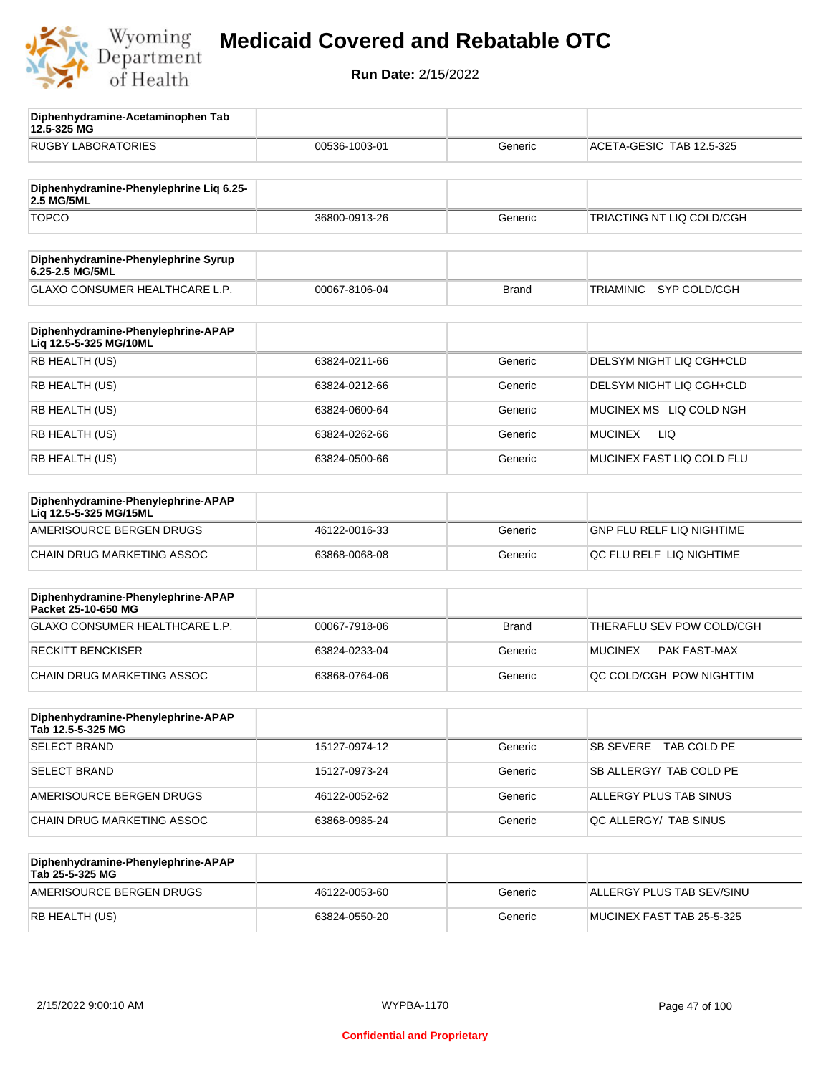

**12.5-325 MG**

**Diphenhydramine-Acetaminophen Tab** 

## **Medicaid Covered and Rebatable OTC**

| <b>RUGBY LABORATORIES</b>                                    | 00536-1003-01 | Generic      | ACETA-GESIC TAB 12.5-325     |
|--------------------------------------------------------------|---------------|--------------|------------------------------|
| Diphenhydramine-Phenylephrine Liq 6.25-                      |               |              |                              |
| 2.5 MG/5ML<br><b>TOPCO</b>                                   | 36800-0913-26 | Generic      | TRIACTING NT LIQ COLD/CGH    |
|                                                              |               |              |                              |
| Diphenhydramine-Phenylephrine Syrup<br>6.25-2.5 MG/5ML       |               |              |                              |
| <b>GLAXO CONSUMER HEALTHCARE L.P.</b>                        | 00067-8106-04 | <b>Brand</b> | SYP COLD/CGH<br>TRIAMINIC    |
| Diphenhydramine-Phenylephrine-APAP<br>Liq 12.5-5-325 MG/10ML |               |              |                              |
| RB HEALTH (US)                                               | 63824-0211-66 | Generic      | DELSYM NIGHT LIQ CGH+CLD     |
| RB HEALTH (US)                                               | 63824-0212-66 | Generic      | DELSYM NIGHT LIQ CGH+CLD     |
| RB HEALTH (US)                                               | 63824-0600-64 | Generic      | MUCINEX MS LIQ COLD NGH      |
| RB HEALTH (US)                                               | 63824-0262-66 | Generic      | <b>LIQ</b><br><b>MUCINEX</b> |
| RB HEALTH (US)                                               | 63824-0500-66 | Generic      | MUCINEX FAST LIQ COLD FLU    |
| Diphenhydramine-Phenylephrine-APAP<br>Lig 12.5-5-325 MG/15ML |               |              |                              |
| AMERISOURCE BERGEN DRUGS                                     | 46122-0016-33 | Generic      | GNP FLU RELF LIQ NIGHTIME    |
| CHAIN DRUG MARKETING ASSOC                                   | 63868-0068-08 | Generic      | QC FLU RELF LIQ NIGHTIME     |
| Diphenhydramine-Phenylephrine-APAP<br>Packet 25-10-650 MG    |               |              |                              |
| GLAXO CONSUMER HEALTHCARE L.P.                               | 00067-7918-06 | <b>Brand</b> | THERAFLU SEV POW COLD/CGH    |
| <b>RECKITT BENCKISER</b>                                     | 63824-0233-04 | Generic      | MUCINEX<br>PAK FAST-MAX      |
| CHAIN DRUG MARKETING ASSOC                                   | 63868-0764-06 | Generic      | QC COLD/CGH POW NIGHTTIM     |
| Diphenhydramine-Phenylephrine-APAP<br>Tab 12.5-5-325 MG      |               |              |                              |
| <b>SELECT BRAND</b>                                          | 15127-0974-12 | Generic      | SB SEVERE TAB COLD PE        |
| <b>SELECT BRAND</b>                                          | 15127-0973-24 | Generic      | SB ALLERGY/ TAB COLD PE      |
| AMERISOURCE BERGEN DRUGS                                     | 46122-0052-62 | Generic      | ALLERGY PLUS TAB SINUS       |
| CHAIN DRUG MARKETING ASSOC                                   | 63868-0985-24 | Generic      | QC ALLERGY/ TAB SINUS        |
| Diphenhydramine-Phenylephrine-APAP<br>Tab 25-5-325 MG        |               |              |                              |
| AMERISOURCE BERGEN DRUGS                                     | 46122-0053-60 | Generic      | ALLERGY PLUS TAB SEV/SINU    |
| RB HEALTH (US)                                               | 63824-0550-20 | Generic      | MUCINEX FAST TAB 25-5-325    |
|                                                              |               |              |                              |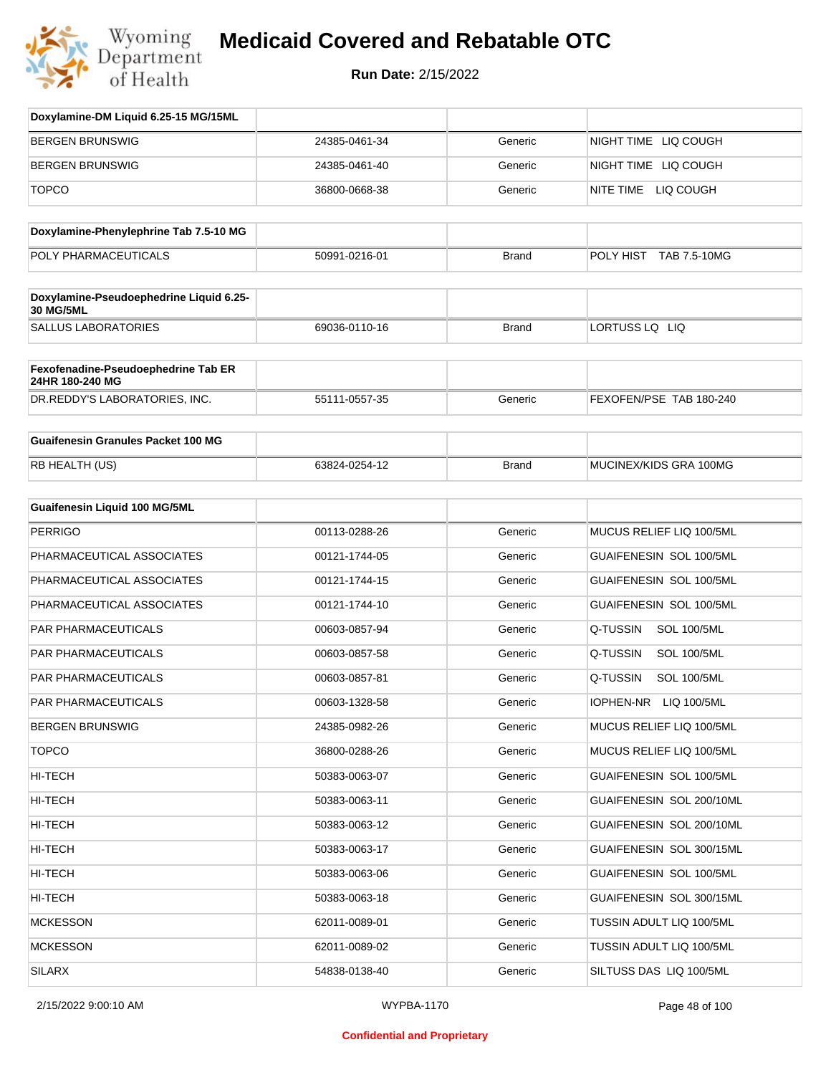

| Doxylamine-DM Liquid 6.25-15 MG/15ML                        |               |              |                                 |
|-------------------------------------------------------------|---------------|--------------|---------------------------------|
| <b>BERGEN BRUNSWIG</b>                                      | 24385-0461-34 | Generic      | NIGHT TIME LIQ COUGH            |
| <b>BERGEN BRUNSWIG</b>                                      | 24385-0461-40 | Generic      | NIGHT TIME LIQ COUGH            |
| <b>TOPCO</b>                                                | 36800-0668-38 | Generic      | NITE TIME LIQ COUGH             |
|                                                             |               |              |                                 |
| Doxylamine-Phenylephrine Tab 7.5-10 MG                      |               |              |                                 |
| POLY PHARMACEUTICALS                                        | 50991-0216-01 | <b>Brand</b> | POLY HIST TAB 7.5-10MG          |
| Doxylamine-Pseudoephedrine Liquid 6.25-<br><b>30 MG/5ML</b> |               |              |                                 |
| <b>SALLUS LABORATORIES</b>                                  | 69036-0110-16 | <b>Brand</b> | LORTUSS LQ LIQ                  |
| Fexofenadine-Pseudoephedrine Tab ER<br>24HR 180-240 MG      |               |              |                                 |
| DR.REDDY'S LABORATORIES, INC.                               | 55111-0557-35 | Generic      | FEXOFEN/PSE TAB 180-240         |
| <b>Guaifenesin Granules Packet 100 MG</b>                   |               |              |                                 |
| RB HEALTH (US)                                              | 63824-0254-12 | <b>Brand</b> | MUCINEX/KIDS GRA 100MG          |
| <b>Guaifenesin Liquid 100 MG/5ML</b>                        |               |              |                                 |
| <b>PERRIGO</b>                                              | 00113-0288-26 | Generic      | MUCUS RELIEF LIQ 100/5ML        |
| PHARMACEUTICAL ASSOCIATES                                   | 00121-1744-05 | Generic      | GUAIFENESIN SOL 100/5ML         |
| PHARMACEUTICAL ASSOCIATES                                   | 00121-1744-15 | Generic      | GUAIFENESIN SOL 100/5ML         |
| PHARMACEUTICAL ASSOCIATES                                   | 00121-1744-10 | Generic      | GUAIFENESIN SOL 100/5ML         |
| PAR PHARMACEUTICALS                                         | 00603-0857-94 | Generic      | Q-TUSSIN<br><b>SOL 100/5ML</b>  |
| PAR PHARMACEUTICALS                                         | 00603-0857-58 | Generic      | Q-TUSSIN<br><b>SOL 100/5ML</b>  |
| PAR PHARMACEUTICALS                                         | 00603-0857-81 | Generic      | Q-TUSSIN<br><b>SOL 100/5ML</b>  |
| <b>PAR PHARMACEUTICALS</b>                                  | 00603-1328-58 | Generic      | <b>IOPHEN-NR</b><br>LIQ 100/5ML |
| <b>BERGEN BRUNSWIG</b>                                      | 24385-0982-26 | Generic      | MUCUS RELIEF LIQ 100/5ML        |
| <b>TOPCO</b>                                                | 36800-0288-26 | Generic      | MUCUS RELIEF LIQ 100/5ML        |
| HI-TECH                                                     | 50383-0063-07 | Generic      | GUAIFENESIN SOL 100/5ML         |
| HI-TECH                                                     | 50383-0063-11 | Generic      | GUAIFENESIN SOL 200/10ML        |
| HI-TECH                                                     | 50383-0063-12 | Generic      | GUAIFENESIN SOL 200/10ML        |
| HI-TECH                                                     | 50383-0063-17 | Generic      | GUAIFENESIN SOL 300/15ML        |
| HI-TECH                                                     | 50383-0063-06 | Generic      | GUAIFENESIN SOL 100/5ML         |
| HI-TECH                                                     | 50383-0063-18 | Generic      | GUAIFENESIN SOL 300/15ML        |
| <b>MCKESSON</b>                                             | 62011-0089-01 | Generic      | TUSSIN ADULT LIQ 100/5ML        |
| <b>MCKESSON</b>                                             | 62011-0089-02 | Generic      | TUSSIN ADULT LIQ 100/5ML        |
| SILARX                                                      | 54838-0138-40 | Generic      | SILTUSS DAS LIQ 100/5ML         |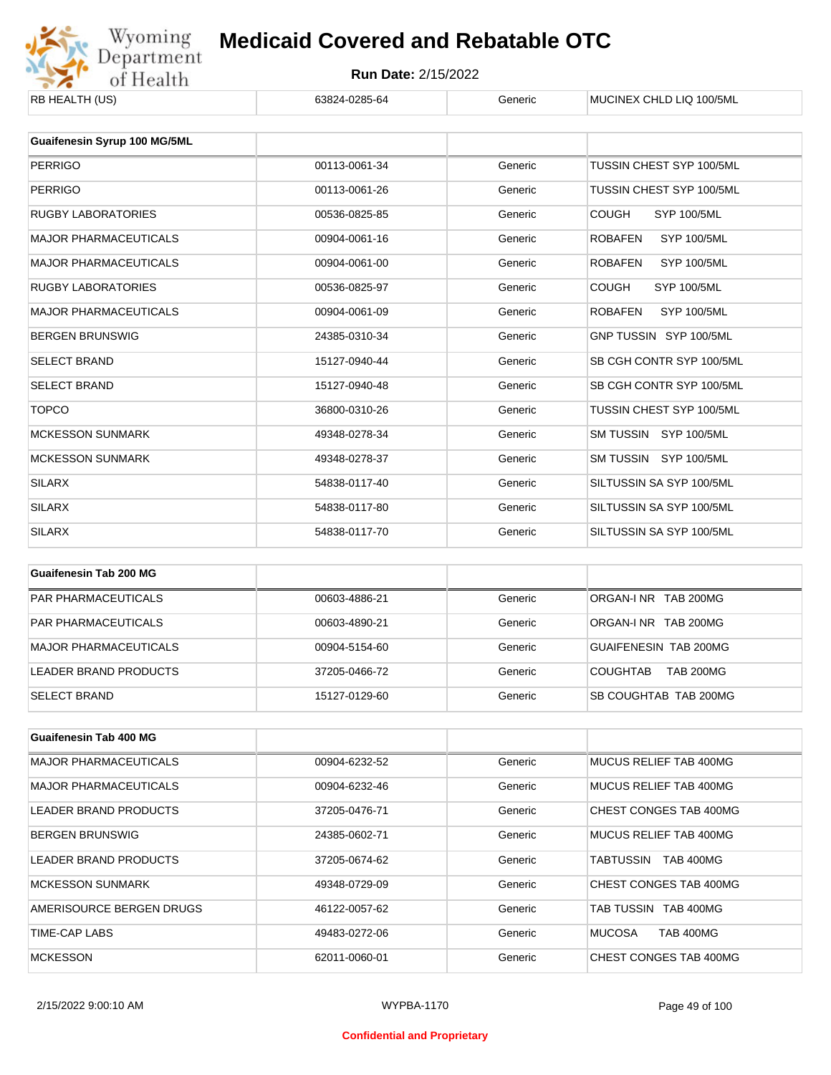

| RB HEALTH (US)                | 63824-0285-64 | Generic | MUCINEX CHLD LIQ 100/5ML             |
|-------------------------------|---------------|---------|--------------------------------------|
|                               |               |         |                                      |
| Guaifenesin Syrup 100 MG/5ML  |               |         |                                      |
| <b>PERRIGO</b>                | 00113-0061-34 | Generic | TUSSIN CHEST SYP 100/5ML             |
| <b>PERRIGO</b>                | 00113-0061-26 | Generic | TUSSIN CHEST SYP 100/5ML             |
| <b>RUGBY LABORATORIES</b>     | 00536-0825-85 | Generic | <b>COUGH</b><br><b>SYP 100/5ML</b>   |
| <b>MAJOR PHARMACEUTICALS</b>  | 00904-0061-16 | Generic | <b>SYP 100/5ML</b><br><b>ROBAFEN</b> |
| <b>MAJOR PHARMACEUTICALS</b>  | 00904-0061-00 | Generic | <b>SYP 100/5ML</b><br><b>ROBAFEN</b> |
| <b>RUGBY LABORATORIES</b>     | 00536-0825-97 | Generic | <b>COUGH</b><br><b>SYP 100/5ML</b>   |
| <b>MAJOR PHARMACEUTICALS</b>  | 00904-0061-09 | Generic | <b>SYP 100/5ML</b><br><b>ROBAFEN</b> |
| <b>BERGEN BRUNSWIG</b>        | 24385-0310-34 | Generic | GNP TUSSIN SYP 100/5ML               |
| <b>SELECT BRAND</b>           | 15127-0940-44 | Generic | SB CGH CONTR SYP 100/5ML             |
| <b>SELECT BRAND</b>           | 15127-0940-48 | Generic | SB CGH CONTR SYP 100/5ML             |
| <b>TOPCO</b>                  | 36800-0310-26 | Generic | TUSSIN CHEST SYP 100/5ML             |
| <b>MCKESSON SUNMARK</b>       | 49348-0278-34 | Generic | SM TUSSIN SYP 100/5ML                |
| <b>MCKESSON SUNMARK</b>       | 49348-0278-37 | Generic | SM TUSSIN SYP 100/5ML                |
| <b>SILARX</b>                 | 54838-0117-40 | Generic | SILTUSSIN SA SYP 100/5ML             |
| <b>SILARX</b>                 | 54838-0117-80 | Generic | SILTUSSIN SA SYP 100/5ML             |
| <b>SILARX</b>                 | 54838-0117-70 | Generic | SILTUSSIN SA SYP 100/5ML             |
|                               |               |         |                                      |
| <b>Guaifenesin Tab 200 MG</b> |               |         |                                      |

| PAR PHARMACEUTICALS          | 00603-4886-21 | Generic | ORGAN-INR TAB 200MG                 |
|------------------------------|---------------|---------|-------------------------------------|
| <b>PAR PHARMACEUTICALS</b>   | 00603-4890-21 | Generic | ORGAN-INR TAB 200MG                 |
| <b>MAJOR PHARMACEUTICALS</b> | 00904-5154-60 | Generic | GUAIFENESIN TAB 200MG               |
| LEADER BRAND PRODUCTS        | 37205-0466-72 | Generic | <b>TAB 200MG</b><br><b>COUGHTAB</b> |
| <b>SELECT BRAND</b>          | 15127-0129-60 | Generic | SB COUGHTAB TAB 200MG               |

| <b>Guaifenesin Tab 400 MG</b> |               |         |                                   |
|-------------------------------|---------------|---------|-----------------------------------|
| <b>MAJOR PHARMACEUTICALS</b>  | 00904-6232-52 | Generic | MUCUS RELIEF TAB 400MG            |
| <b>MAJOR PHARMACEUTICALS</b>  | 00904-6232-46 | Generic | MUCUS RELIEF TAB 400MG            |
| LEADER BRAND PRODUCTS         | 37205-0476-71 | Generic | CHEST CONGES TAB 400MG            |
| <b>BERGEN BRUNSWIG</b>        | 24385-0602-71 | Generic | MUCUS RELIEF TAB 400MG            |
| LEADER BRAND PRODUCTS         | 37205-0674-62 | Generic | <b>TAB 400MG</b><br>TABTUSSIN     |
| <b>MCKESSON SUNMARK</b>       | 49348-0729-09 | Generic | CHEST CONGES TAB 400MG            |
| AMERISOURCE BERGEN DRUGS      | 46122-0057-62 | Generic | TAB TUSSIN TAB 400MG              |
| TIME-CAP LABS                 | 49483-0272-06 | Generic | <b>TAB 400MG</b><br><b>MUCOSA</b> |
| <b>MCKESSON</b>               | 62011-0060-01 | Generic | CHEST CONGES TAB 400MG            |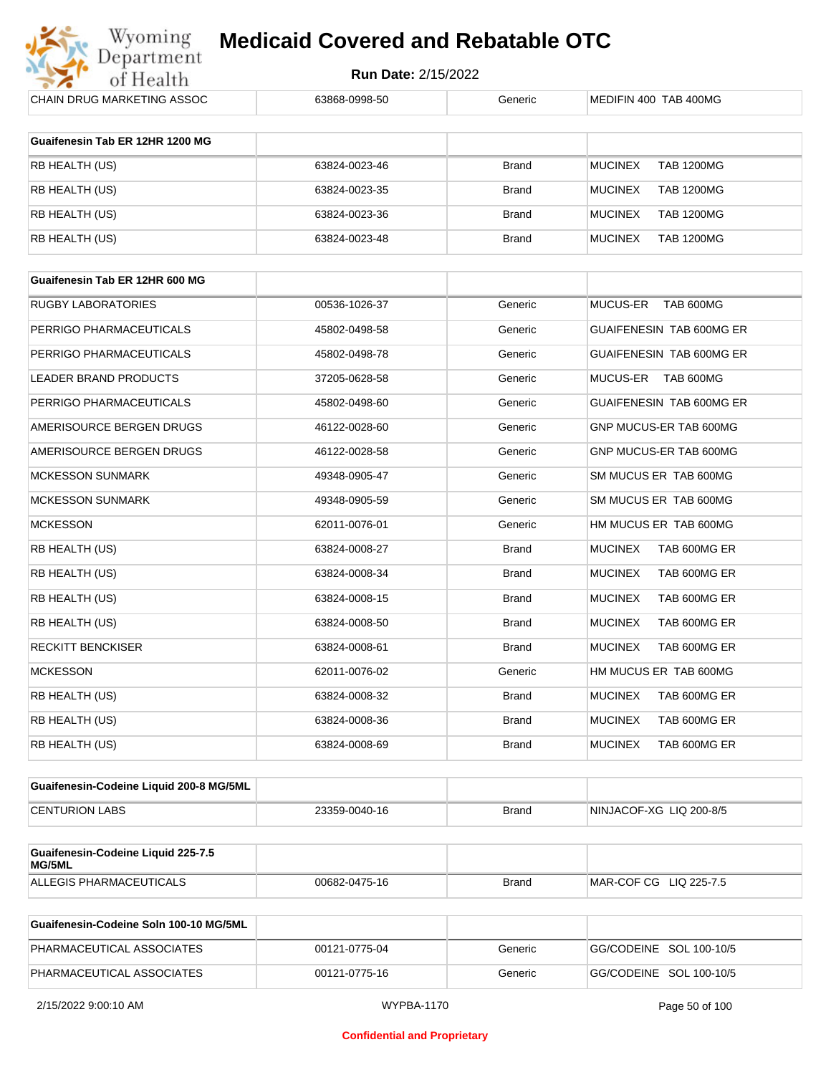

| CHAIN DRUG MARKETING ASSOC                   | 63868-0998-50 | Generic      | MEDIFIN 400 TAB 400MG               |
|----------------------------------------------|---------------|--------------|-------------------------------------|
| Guaifenesin Tab ER 12HR 1200 MG              |               |              |                                     |
| RB HEALTH (US)                               | 63824-0023-46 | <b>Brand</b> | <b>MUCINEX</b><br><b>TAB 1200MG</b> |
| RB HEALTH (US)                               | 63824-0023-35 | Brand        | <b>MUCINEX</b><br><b>TAB 1200MG</b> |
| RB HEALTH (US)                               | 63824-0023-36 | Brand        | <b>MUCINEX</b><br><b>TAB 1200MG</b> |
| RB HEALTH (US)                               | 63824-0023-48 | Brand        | <b>MUCINEX</b><br><b>TAB 1200MG</b> |
|                                              |               |              |                                     |
| Guaifenesin Tab ER 12HR 600 MG               |               |              |                                     |
| RUGBY LABORATORIES                           | 00536-1026-37 | Generic      | MUCUS-ER<br>TAB 600MG               |
| PERRIGO PHARMACEUTICALS                      | 45802-0498-58 | Generic      | GUAIFENESIN TAB 600MG ER            |
| PERRIGO PHARMACEUTICALS                      | 45802-0498-78 | Generic      | GUAIFENESIN TAB 600MG ER            |
| LEADER BRAND PRODUCTS                        | 37205-0628-58 | Generic      | <b>MUCUS-ER</b><br>TAB 600MG        |
| PERRIGO PHARMACEUTICALS                      | 45802-0498-60 | Generic      | <b>GUAIFENESIN TAB 600MG ER</b>     |
| AMERISOURCE BERGEN DRUGS                     | 46122-0028-60 | Generic      | GNP MUCUS-ER TAB 600MG              |
| AMERISOURCE BERGEN DRUGS                     | 46122-0028-58 | Generic      | GNP MUCUS-ER TAB 600MG              |
| <b>MCKESSON SUNMARK</b>                      | 49348-0905-47 | Generic      | SM MUCUS ER TAB 600MG               |
| <b>MCKESSON SUNMARK</b>                      | 49348-0905-59 | Generic      | SM MUCUS ER TAB 600MG               |
| <b>MCKESSON</b>                              | 62011-0076-01 | Generic      | HM MUCUS ER TAB 600MG               |
| RB HEALTH (US)                               | 63824-0008-27 | <b>Brand</b> | TAB 600MG ER<br><b>MUCINEX</b>      |
| RB HEALTH (US)                               | 63824-0008-34 | Brand        | <b>MUCINEX</b><br>TAB 600MG ER      |
| RB HEALTH (US)                               | 63824-0008-15 | <b>Brand</b> | <b>MUCINEX</b><br>TAB 600MG ER      |
| RB HEALTH (US)                               | 63824-0008-50 | Brand        | <b>MUCINEX</b><br>TAB 600MG ER      |
| RECKITT BENCKISER                            | 63824-0008-61 | <b>Brand</b> | <b>MUCINEX</b><br>TAB 600MG ER      |
| <b>MCKESSON</b>                              | 62011-0076-02 | Generic      | HM MUCUS ER TAB 600MG               |
| RB HEALTH (US)                               | 63824-0008-32 | Brand        | <b>MUCINEX</b><br>TAB 600MG ER      |
| RB HEALTH (US)                               | 63824-0008-36 | <b>Brand</b> | <b>MUCINEX</b><br>TAB 600MG ER      |
| RB HEALTH (US)                               | 63824-0008-69 | <b>Brand</b> | <b>MUCINEX</b><br>TAB 600MG ER      |
|                                              |               |              |                                     |
| Guaifenesin-Codeine Liquid 200-8 MG/5ML      |               |              |                                     |
| <b>CENTURION LABS</b>                        | 23359-0040-16 | <b>Brand</b> | NINJACOF-XG LIQ 200-8/5             |
| Guaifenesin-Codeine Liquid 225-7.5<br>MG/5ML |               |              |                                     |
| ALLEGIS PHARMACEUTICALS                      | 00682-0475-16 | <b>Brand</b> | MAR-COF CG LIQ 225-7.5              |

| Guaifenesin-Codeine Soln 100-10 MG/5ML |               |         |                         |
|----------------------------------------|---------------|---------|-------------------------|
| PHARMACEUTICAL ASSOCIATES              | 00121-0775-04 | Generic | GG/CODEINE SOL 100-10/5 |
| PHARMACEUTICAL ASSOCIATES              | 00121-0775-16 | Generic | GG/CODEINE SOL 100-10/5 |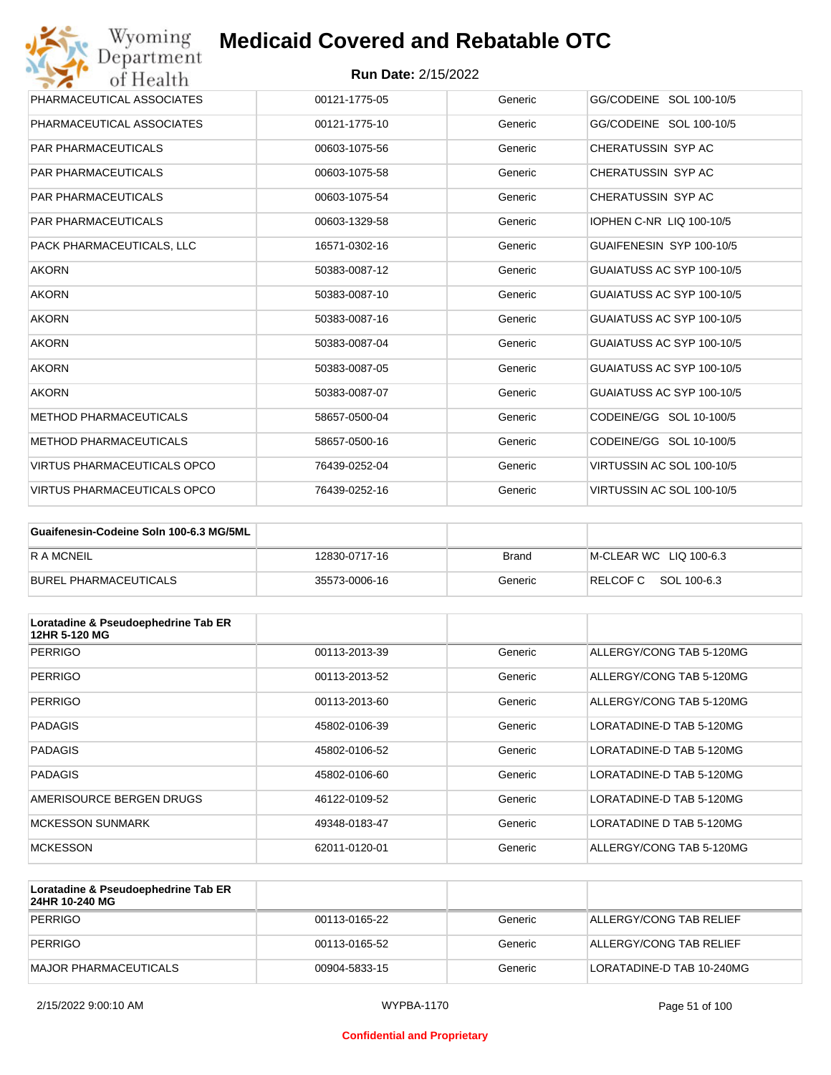| Wyoming<br>Department              | <b>Medicaid Covered and Rebatable OTC</b> |         |                                 |
|------------------------------------|-------------------------------------------|---------|---------------------------------|
| of Health                          | <b>Run Date: 2/15/2022</b>                |         |                                 |
| PHARMACEUTICAL ASSOCIATES          | 00121-1775-05                             | Generic | GG/CODEINE SOL 100-10/5         |
| PHARMACEUTICAL ASSOCIATES          | 00121-1775-10                             | Generic | GG/CODEINE SOL 100-10/5         |
| <b>PAR PHARMACEUTICALS</b>         | 00603-1075-56                             | Generic | CHERATUSSIN SYP AC              |
| <b>PAR PHARMACEUTICALS</b>         | 00603-1075-58                             | Generic | CHERATUSSIN SYP AC              |
| <b>PAR PHARMACEUTICALS</b>         | 00603-1075-54                             | Generic | CHERATUSSIN SYP AC              |
| <b>PAR PHARMACEUTICALS</b>         | 00603-1329-58                             | Generic | <b>IOPHEN C-NR LIQ 100-10/5</b> |
| PACK PHARMACEUTICALS. LLC          | 16571-0302-16                             | Generic | GUAIFENESIN SYP 100-10/5        |
| <b>AKORN</b>                       | 50383-0087-12                             | Generic | GUAIATUSS AC SYP 100-10/5       |
| <b>AKORN</b>                       | 50383-0087-10                             | Generic | GUAIATUSS AC SYP 100-10/5       |
| <b>AKORN</b>                       | 50383-0087-16                             | Generic | GUAIATUSS AC SYP 100-10/5       |
| <b>AKORN</b>                       | 50383-0087-04                             | Generic | GUAIATUSS AC SYP 100-10/5       |
| <b>AKORN</b>                       | 50383-0087-05                             | Generic | GUAIATUSS AC SYP 100-10/5       |
| <b>AKORN</b>                       | 50383-0087-07                             | Generic | GUAIATUSS AC SYP 100-10/5       |
| <b>METHOD PHARMACEUTICALS</b>      | 58657-0500-04                             | Generic | CODEINE/GG SOL 10-100/5         |
| <b>METHOD PHARMACEUTICALS</b>      | 58657-0500-16                             | Generic | CODEINE/GG SOL 10-100/5         |
| <b>VIRTUS PHARMACEUTICALS OPCO</b> | 76439-0252-04                             | Generic | VIRTUSSIN AC SOL 100-10/5       |
| VIRTUS PHARMACEUTICALS OPCO        | 76439-0252-16                             | Generic | VIRTUSSIN AC SOL 100-10/5       |

| Guaifenesin-Codeine Soln 100-6.3 MG/5ML |               |         |                        |
|-----------------------------------------|---------------|---------|------------------------|
| <b>RAMCNEIL</b>                         | 12830-0717-16 | Brand   | M-CLEAR WC LIQ 100-6.3 |
| BUREL PHARMACEUTICALS                   | 35573-0006-16 | Generic | RELCOF C SOL 100-6.3   |

| Loratadine & Pseudoephedrine Tab ER<br>12HR 5-120 MG |               |         |                          |
|------------------------------------------------------|---------------|---------|--------------------------|
| <b>PERRIGO</b>                                       | 00113-2013-39 | Generic | ALLERGY/CONG TAB 5-120MG |
| PERRIGO                                              | 00113-2013-52 | Generic | ALLERGY/CONG TAB 5-120MG |
| PERRIGO                                              | 00113-2013-60 | Generic | ALLERGY/CONG TAB 5-120MG |
| <b>PADAGIS</b>                                       | 45802-0106-39 | Generic | LORATADINE-D TAB 5-120MG |
| <b>PADAGIS</b>                                       | 45802-0106-52 | Generic | LORATADINE-D TAB 5-120MG |
| <b>PADAGIS</b>                                       | 45802-0106-60 | Generic | LORATADINE-D TAB 5-120MG |
| AMERISOURCE BERGEN DRUGS                             | 46122-0109-52 | Generic | LORATADINE-D TAB 5-120MG |
| <b>MCKESSON SUNMARK</b>                              | 49348-0183-47 | Generic | LORATADINE D TAB 5-120MG |
| <b>MCKESSON</b>                                      | 62011-0120-01 | Generic | ALLERGY/CONG TAB 5-120MG |

| Loratadine & Pseudoephedrine Tab ER<br>24HR 10-240 MG |               |         |                           |
|-------------------------------------------------------|---------------|---------|---------------------------|
| PERRIGO                                               | 00113-0165-22 | Generic | ALLERGY/CONG TAB RELIEF   |
| PERRIGO                                               | 00113-0165-52 | Generic | ALLERGY/CONG TAB RELIEF   |
| MAJOR PHARMACEUTICALS                                 | 00904-5833-15 | Generic | LORATADINE-D TAB 10-240MG |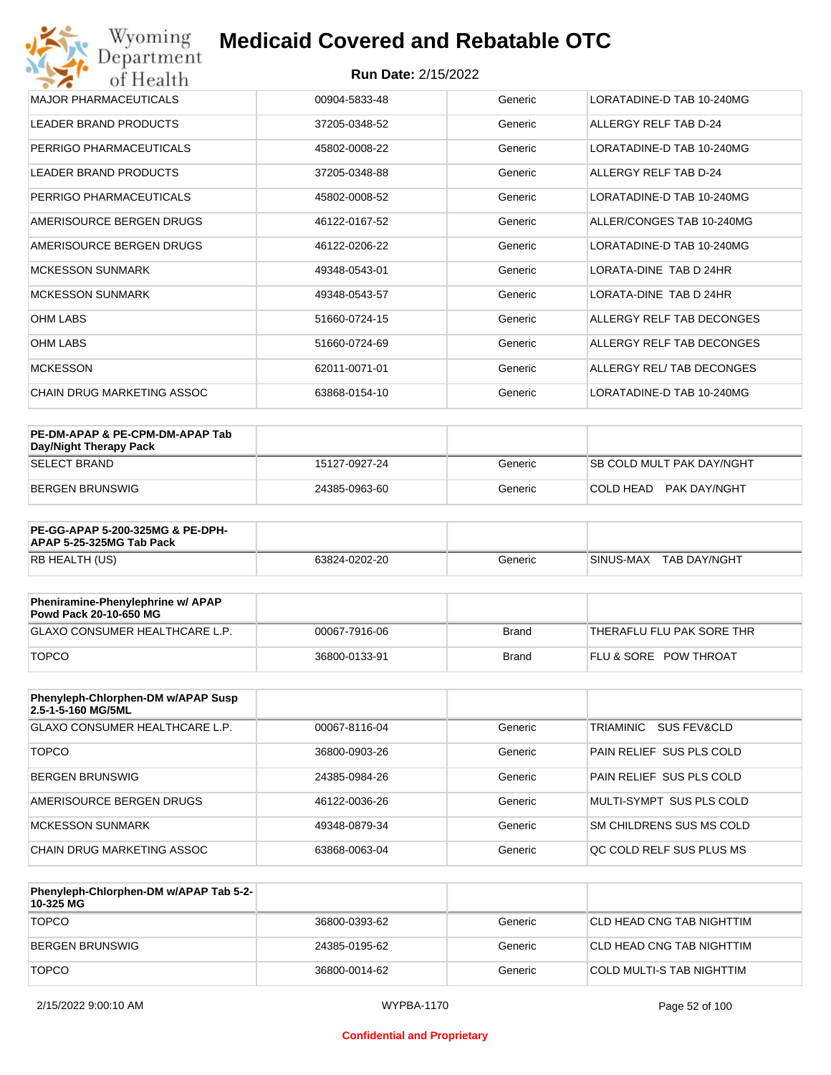| <b>MAJOR PHARMACEUTICALS</b> | 00904-5833-48 | Generic | LORATADINE-D TAB 10-240MG |
|------------------------------|---------------|---------|---------------------------|
| <b>LEADER BRAND PRODUCTS</b> | 37205-0348-52 | Generic | ALLERGY RELF TAB D-24     |
| PERRIGO PHARMACEUTICALS      | 45802-0008-22 | Generic | LORATADINE-D TAB 10-240MG |
| LEADER BRAND PRODUCTS        | 37205-0348-88 | Generic | ALLERGY RELF TAB D-24     |
| PERRIGO PHARMACEUTICALS      | 45802-0008-52 | Generic | LORATADINE-D TAB 10-240MG |
| AMERISOURCE BERGEN DRUGS     | 46122-0167-52 | Generic | ALLER/CONGES TAB 10-240MG |
| AMERISOURCE BERGEN DRUGS     | 46122-0206-22 | Generic | LORATADINE-D TAB 10-240MG |
| <b>MCKESSON SUNMARK</b>      | 49348-0543-01 | Generic | LORATA-DINE TAB D 24HR    |
| <b>MCKESSON SUNMARK</b>      | 49348-0543-57 | Generic | LORATA-DINE TAB D 24HR    |
| <b>OHM LABS</b>              | 51660-0724-15 | Generic | ALLERGY RELF TAB DECONGES |
| <b>OHM LABS</b>              | 51660-0724-69 | Generic | ALLERGY RELF TAB DECONGES |
| <b>MCKESSON</b>              | 62011-0071-01 | Generic | ALLERGY REL/ TAB DECONGES |
| CHAIN DRUG MARKETING ASSOC   | 63868-0154-10 | Generic | LORATADINE-D TAB 10-240MG |

| PE-DM-APAP & PE-CPM-DM-APAP Tab<br>Day/Night Therapy Pack |               |         |                                  |
|-----------------------------------------------------------|---------------|---------|----------------------------------|
| <b>SELECT BRAND</b>                                       | 15127-0927-24 | Generic | <b>SB COLD MULT PAK DAY/NGHT</b> |
| BERGEN BRUNSWIG                                           | 24385-0963-60 | Generic | PAK DAY/NGHT<br>ICOI D HEAD.     |

| <b>PE-GG-APAP 5-200-325MG &amp; PE-DPH-</b><br>APAP 5-25-325MG Tab Pack |               |         |                           |
|-------------------------------------------------------------------------|---------------|---------|---------------------------|
| RB HEALTH (US)                                                          | 63824-0202-20 | Generic | SINUS-MAX<br>TAB DAY/NGHT |

| Pheniramine-Phenylephrine w/ APAP<br>Powd Pack 20-10-650 MG |               |       |                                  |
|-------------------------------------------------------------|---------------|-------|----------------------------------|
| GLAXO CONSUMER HEALTHCARE L.P.                              | 00067-7916-06 | Brand | 'THERAFLU FLU PAK SORE THR       |
| <b>TOPCO</b>                                                | 36800-0133-91 | Brand | <b>FLU &amp; SORE POW THROAT</b> |

| Phenyleph-Chlorphen-DM w/APAP Susp<br>2.5-1-5-160 MG/5ML |               |         |                          |
|----------------------------------------------------------|---------------|---------|--------------------------|
| GLAXO CONSUMER HEALTHCARE L.P.                           | 00067-8116-04 | Generic | TRIAMINIC<br>SUS FEV&CLD |
| <b>TOPCO</b>                                             | 36800-0903-26 | Generic | PAIN RELIEF SUS PLS COLD |
| <b>BERGEN BRUNSWIG</b>                                   | 24385-0984-26 | Generic | PAIN RELIEF SUS PLS COLD |
| AMERISOURCE BERGEN DRUGS                                 | 46122-0036-26 | Generic | MULTI-SYMPT SUS PLS COLD |
| MCKESSON SUNMARK                                         | 49348-0879-34 | Generic | SM CHILDRENS SUS MS COLD |
| CHAIN DRUG MARKETING ASSOC                               | 63868-0063-04 | Generic | OC COLD RELF SUS PLUS MS |

| Phenyleph-Chlorphen-DM w/APAP Tab 5-2-<br>10-325 MG |               |         |                           |
|-----------------------------------------------------|---------------|---------|---------------------------|
| <b>TOPCO</b>                                        | 36800-0393-62 | Generic | CLD HEAD CNG TAB NIGHTTIM |
| BERGEN BRUNSWIG                                     | 24385-0195-62 | Generic | CLD HEAD CNG TAB NIGHTTIM |
| <b>TOPCO</b>                                        | 36800-0014-62 | Generic | COLD MULTI-S TAB NIGHTTIM |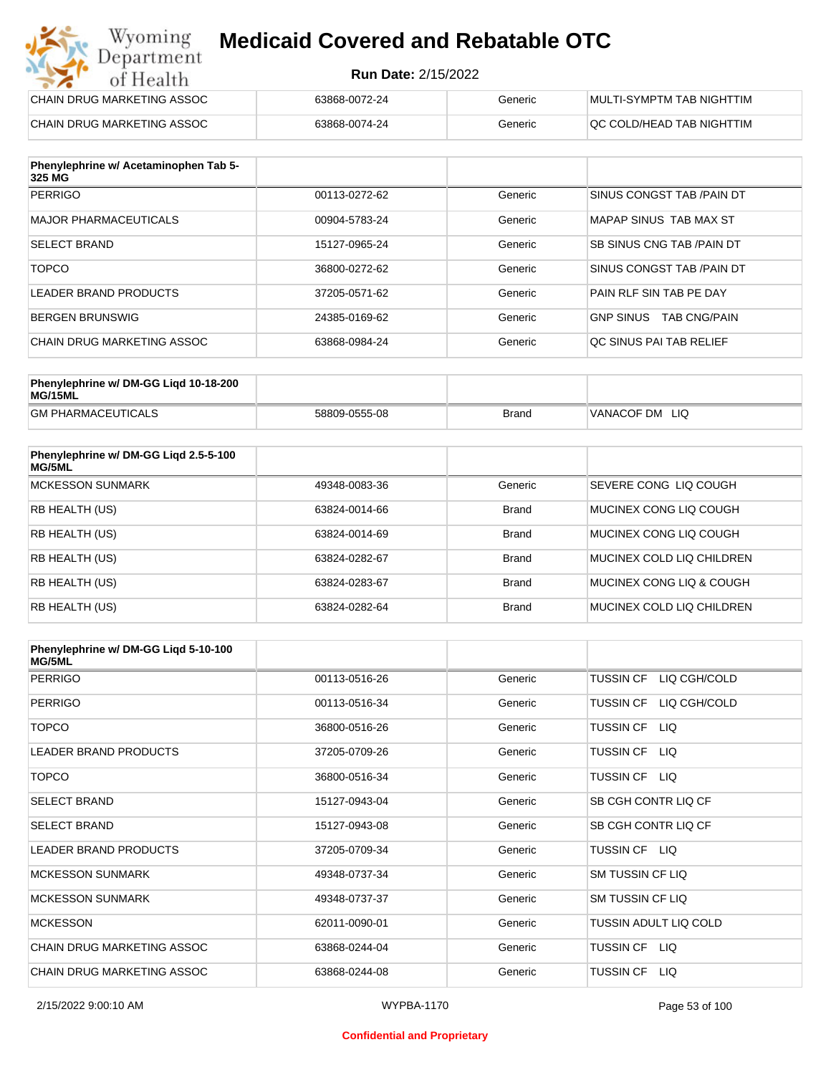#### **Run Date:** 2/15/2022

| CHAIN DRUG MARKETING ASSOC | 63868-0072-24 | Generic | MULTI-SYMPTM TAB NIGHTTIM  |
|----------------------------|---------------|---------|----------------------------|
| CHAIN DRUG MARKETING ASSOC | 63868-0074-24 | Generic | IQC COLD/HEAD TAB NIGHTTIM |

| Phenylephrine w/ Acetaminophen Tab 5-<br>325 MG |               |         |                                         |
|-------------------------------------------------|---------------|---------|-----------------------------------------|
| PERRIGO                                         | 00113-0272-62 | Generic | SINUS CONGST TAB /PAIN DT               |
| MAJOR PHARMACEUTICALS                           | 00904-5783-24 | Generic | MAPAP SINUS TAB MAX ST                  |
| <b>SELECT BRAND</b>                             | 15127-0965-24 | Generic | <b>SB SINUS CNG TAB /PAIN DT</b>        |
| <b>TOPCO</b>                                    | 36800-0272-62 | Generic | SINUS CONGST TAB /PAIN DT               |
| LEADER BRAND PRODUCTS                           | 37205-0571-62 | Generic | PAIN RLF SIN TAB PE DAY                 |
| <b>BERGEN BRUNSWIG</b>                          | 24385-0169-62 | Generic | <b>GNP SINUS</b><br><b>TAB CNG/PAIN</b> |
| CHAIN DRUG MARKETING ASSOC                      | 63868-0984-24 | Generic | OC SINUS PAI TAB RELIEF                 |

| Phenylephrine w/ DM-GG Ligd 10-18-200<br>MG/15ML |               |              |                   |
|--------------------------------------------------|---------------|--------------|-------------------|
| <b>GM PHARMACEUTICALS</b>                        | 58809-0555-08 | <b>Brand</b> | VANACOF DM<br>LIQ |

| Phenylephrine w/ DM-GG Ligd 2.5-5-100<br>MG/5ML |               |              |                           |
|-------------------------------------------------|---------------|--------------|---------------------------|
| <b>MCKESSON SUNMARK</b>                         | 49348-0083-36 | Generic      | SEVERE CONG LIO COUGH     |
| <b>RB HEALTH (US)</b>                           | 63824-0014-66 | <b>Brand</b> | MUCINEX CONG LIO COUGH    |
| <b>RB HEALTH (US)</b>                           | 63824-0014-69 | <b>Brand</b> | MUCINEX CONG LIO COUGH    |
| <b>RB HEALTH (US)</b>                           | 63824-0282-67 | <b>Brand</b> | MUCINEX COLD LIQ CHILDREN |
| RB HEALTH (US)                                  | 63824-0283-67 | <b>Brand</b> | MUCINEX CONG LIQ & COUGH  |
| <b>RB HEALTH (US)</b>                           | 63824-0282-64 | <b>Brand</b> | MUCINEX COLD LIQ CHILDREN |

| Phenylephrine w/ DM-GG Ligd 5-10-100<br><b>MG/5ML</b> |               |         |                                  |
|-------------------------------------------------------|---------------|---------|----------------------------------|
| <b>PERRIGO</b>                                        | 00113-0516-26 | Generic | <b>TUSSIN CF</b><br>LIQ CGH/COLD |
| <b>PERRIGO</b>                                        | 00113-0516-34 | Generic | LIQ CGH/COLD<br><b>TUSSIN CF</b> |
| <b>TOPCO</b>                                          | 36800-0516-26 | Generic | <b>TUSSIN CF</b><br>LIQ.         |
| <b>LEADER BRAND PRODUCTS</b>                          | 37205-0709-26 | Generic | <b>TUSSIN CF</b><br>LIQ.         |
| <b>TOPCO</b>                                          | 36800-0516-34 | Generic | TUSSIN CF LIQ                    |
| <b>SELECT BRAND</b>                                   | 15127-0943-04 | Generic | SB CGH CONTR LIQ CF              |
| <b>SELECT BRAND</b>                                   | 15127-0943-08 | Generic | SB CGH CONTR LIQ CF              |
| LEADER BRAND PRODUCTS                                 | 37205-0709-34 | Generic | TUSSIN CF LIQ                    |
| <b>MCKESSON SUNMARK</b>                               | 49348-0737-34 | Generic | <b>SM TUSSIN CF LIQ</b>          |
| <b>MCKESSON SUNMARK</b>                               | 49348-0737-37 | Generic | <b>SM TUSSIN CF LIQ</b>          |
| <b>MCKESSON</b>                                       | 62011-0090-01 | Generic | <b>TUSSIN ADULT LIQ COLD</b>     |
| CHAIN DRUG MARKETING ASSOC                            | 63868-0244-04 | Generic | TUSSIN CF LIQ                    |
| CHAIN DRUG MARKETING ASSOC                            | 63868-0244-08 | Generic | <b>TUSSIN CF</b><br>LIQ.         |

#### **Confidential and Proprietary**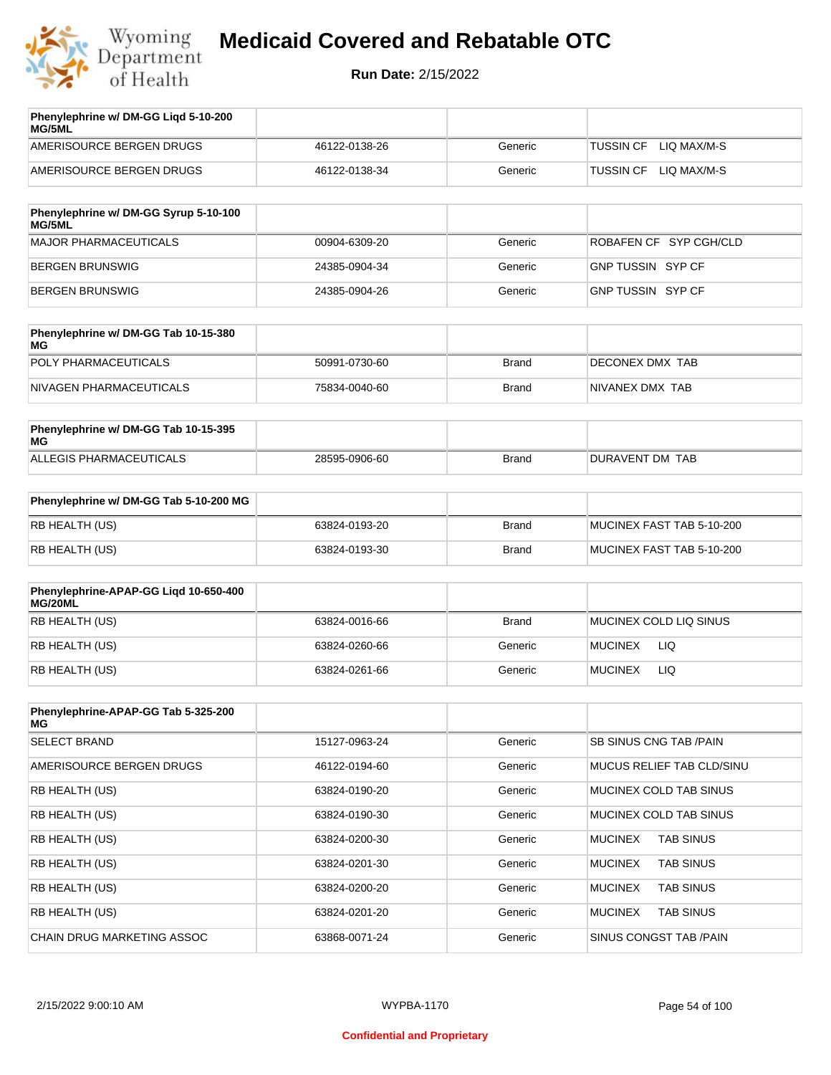

| Phenylephrine w/ DM-GG Ligd 5-10-200<br>MG/5ML |               |         |                                 |
|------------------------------------------------|---------------|---------|---------------------------------|
| AMERISOURCE BERGEN DRUGS                       | 46122-0138-26 | Generic | LIO MAX/M-S<br>TUSSIN CF        |
| AMERISOURCE BERGEN DRUGS                       | 46122-0138-34 | Generic | LIO MAX/M-S<br><b>TUSSIN CF</b> |
|                                                |               |         |                                 |

| Phenylephrine w/ DM-GG Syrup 5-10-100<br>MG/5ML |               |         |                          |
|-------------------------------------------------|---------------|---------|--------------------------|
| MAJOR PHARMACEUTICALS                           | 00904-6309-20 | Generic | ROBAFEN CF SYP CGH/CLD   |
| BERGEN BRUNSWIG                                 | 24385-0904-34 | Generic | <b>GNP TUSSIN SYP CF</b> |
| BERGEN BRUNSWIG                                 | 24385-0904-26 | Generic | GNP TUSSIN SYP CF        |

| Phenylephrine w/ DM-GG Tab 10-15-380<br>MG |               |       |                 |
|--------------------------------------------|---------------|-------|-----------------|
| POLY PHARMACEUTICALS                       | 50991-0730-60 | Brand | DECONEX DMX TAB |
| NIVAGEN PHARMACEUTICALS                    | 75834-0040-60 | Brand | NIVANEX DMX TAB |

| Phenylephrine w/ DM-GG Tab 10-15-395<br>MG |               |       |                 |
|--------------------------------------------|---------------|-------|-----------------|
| ALLEGIS PHARMACEUTICALS                    | 28595-0906-60 | Brand | DURAVENT DM TAB |

| Phenylephrine w/ DM-GG Tab 5-10-200 MG |               |       |                           |
|----------------------------------------|---------------|-------|---------------------------|
| RB HEALTH (US)                         | 63824-0193-20 | Brand | MUCINEX FAST TAB 5-10-200 |
| RB HEALTH (US)                         | 63824-0193-30 | Brand | MUCINEX FAST TAB 5-10-200 |

| Phenylephrine-APAP-GG Ligd 10-650-400<br>MG/20ML |               |         |                        |
|--------------------------------------------------|---------------|---------|------------------------|
| RB HEALTH (US)                                   | 63824-0016-66 | Brand   | MUCINEX COLD LIQ SINUS |
| RB HEALTH (US)                                   | 63824-0260-66 | Generic | LIQ<br><b>MUCINEX</b>  |
| RB HEALTH (US)                                   | 63824-0261-66 | Generic | <b>MUCINEX</b><br>LIQ  |

| Phenylephrine-APAP-GG Tab 5-325-200<br>MG |               |         |                                    |
|-------------------------------------------|---------------|---------|------------------------------------|
| <b>SELECT BRAND</b>                       | 15127-0963-24 | Generic | SB SINUS CNG TAB /PAIN             |
| AMERISOURCE BERGEN DRUGS                  | 46122-0194-60 | Generic | MUCUS RELIEF TAB CLD/SINU          |
| <b>RB HEALTH (US)</b>                     | 63824-0190-20 | Generic | MUCINEX COLD TAB SINUS             |
| <b>RB HEALTH (US)</b>                     | 63824-0190-30 | Generic | MUCINEX COLD TAB SINUS             |
| <b>RB HEALTH (US)</b>                     | 63824-0200-30 | Generic | <b>TAB SINUS</b><br><b>MUCINEX</b> |
| <b>RB HEALTH (US)</b>                     | 63824-0201-30 | Generic | <b>TAB SINUS</b><br><b>MUCINEX</b> |
| <b>RB HEALTH (US)</b>                     | 63824-0200-20 | Generic | <b>MUCINEX</b><br><b>TAB SINUS</b> |
| <b>RB HEALTH (US)</b>                     | 63824-0201-20 | Generic | <b>TAB SINUS</b><br><b>MUCINEX</b> |
| CHAIN DRUG MARKETING ASSOC                | 63868-0071-24 | Generic | SINUS CONGST TAB /PAIN             |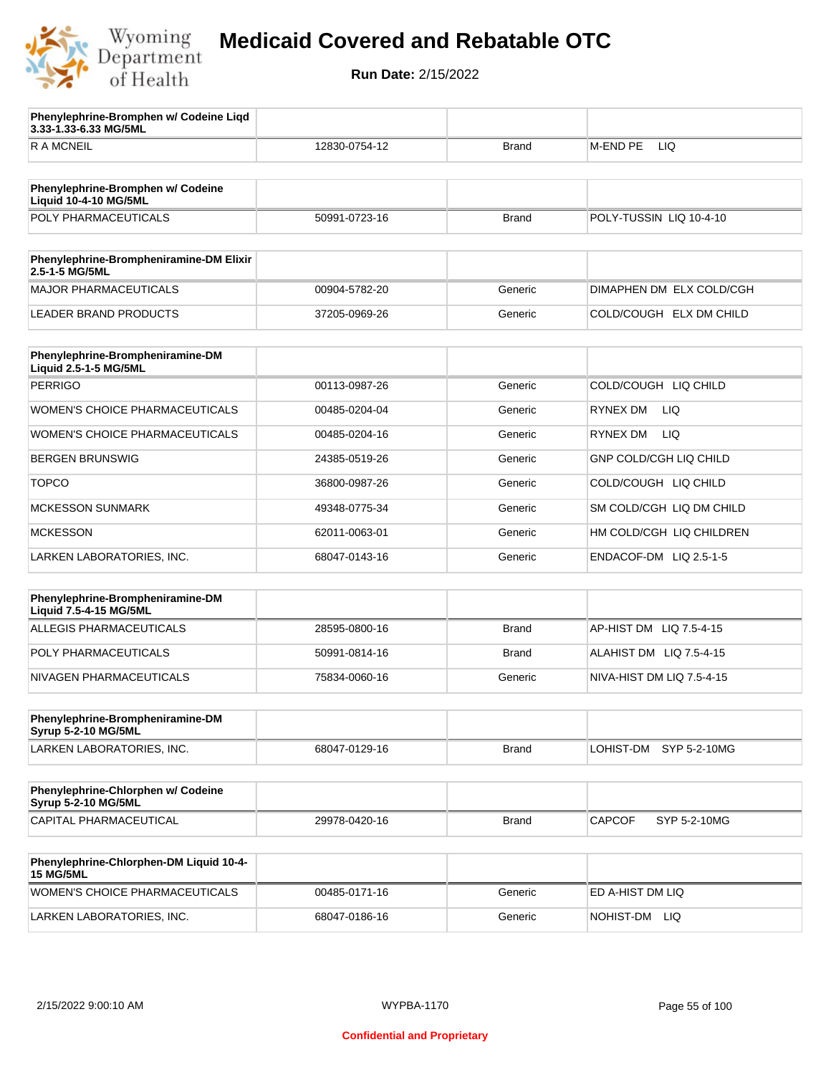

**3.33-1.33-6.33 MG/5ML**

**Phenylephrine-Bromphen w/ Codeine Liqd** 

## **Medicaid Covered and Rebatable OTC**

**Run Date:** 2/15/2022

| <b>RAMCNEIL</b>                                             | 12830-0754-12 | <b>Brand</b> | M-END PE<br>LIQ               |
|-------------------------------------------------------------|---------------|--------------|-------------------------------|
|                                                             |               |              |                               |
| Phenylephrine-Bromphen w/ Codeine<br>Liquid 10-4-10 MG/5ML  |               |              |                               |
| POLY PHARMACEUTICALS                                        | 50991-0723-16 | <b>Brand</b> | POLY-TUSSIN LIQ 10-4-10       |
|                                                             |               |              |                               |
| Phenylephrine-Brompheniramine-DM Elixir<br>2.5-1-5 MG/5ML   |               |              |                               |
| MAJOR PHARMACEUTICALS                                       | 00904-5782-20 | Generic      | DIMAPHEN DM ELX COLD/CGH      |
| <b>LEADER BRAND PRODUCTS</b>                                | 37205-0969-26 | Generic      | COLD/COUGH ELX DM CHILD       |
| Phenylephrine-Brompheniramine-DM                            |               |              |                               |
| Liquid 2.5-1-5 MG/5ML<br><b>PERRIGO</b>                     | 00113-0987-26 | Generic      | COLD/COUGH LIQ CHILD          |
| <b>WOMEN'S CHOICE PHARMACEUTICALS</b>                       | 00485-0204-04 | Generic      | RYNEX DM<br>LIQ               |
|                                                             |               |              |                               |
| WOMEN'S CHOICE PHARMACEUTICALS                              | 00485-0204-16 | Generic      | LIQ<br>RYNEX DM               |
| <b>BERGEN BRUNSWIG</b>                                      | 24385-0519-26 | Generic      | GNP COLD/CGH LIQ CHILD        |
| <b>TOPCO</b>                                                | 36800-0987-26 | Generic      | COLD/COUGH LIQ CHILD          |
| <b>MCKESSON SUNMARK</b>                                     | 49348-0775-34 | Generic      | SM COLD/CGH LIQ DM CHILD      |
| <b>MCKESSON</b>                                             | 62011-0063-01 | Generic      | HM COLD/CGH LIQ CHILDREN      |
| LARKEN LABORATORIES, INC.                                   | 68047-0143-16 | Generic      | ENDACOF-DM LIQ 2.5-1-5        |
|                                                             |               |              |                               |
| Phenylephrine-Brompheniramine-DM<br>Liquid 7.5-4-15 MG/5ML  |               |              |                               |
| ALLEGIS PHARMACEUTICALS                                     | 28595-0800-16 | <b>Brand</b> | AP-HIST DM LIQ 7.5-4-15       |
| POLY PHARMACEUTICALS                                        | 50991-0814-16 | <b>Brand</b> | ALAHIST DM LIQ 7.5-4-15       |
| NIVAGEN PHARMACEUTICALS                                     | 75834-0060-16 | Generic      | NIVA-HIST DM LIQ 7.5-4-15     |
| Phenylephrine-Brompheniramine-DM                            |               |              |                               |
| Syrup 5-2-10 MG/5ML                                         |               |              |                               |
| LARKEN LABORATORIES, INC.                                   | 68047-0129-16 | Brand        | LOHIST-DM SYP 5-2-10MG        |
| Phenylephrine-Chlorphen w/ Codeine<br>Syrup 5-2-10 MG/5ML   |               |              |                               |
| CAPITAL PHARMACEUTICAL                                      | 29978-0420-16 | <b>Brand</b> | <b>CAPCOF</b><br>SYP 5-2-10MG |
|                                                             |               |              |                               |
| Phenylephrine-Chlorphen-DM Liquid 10-4-<br><b>15 MG/5ML</b> |               |              |                               |
| WOMEN'S CHOICE PHARMACEUTICALS                              | 00485-0171-16 | Generic      | ED A-HIST DM LIQ              |

LARKEN LABORATORIES, INC. 68047-0186-16 Generic NOHIST-DM LIQ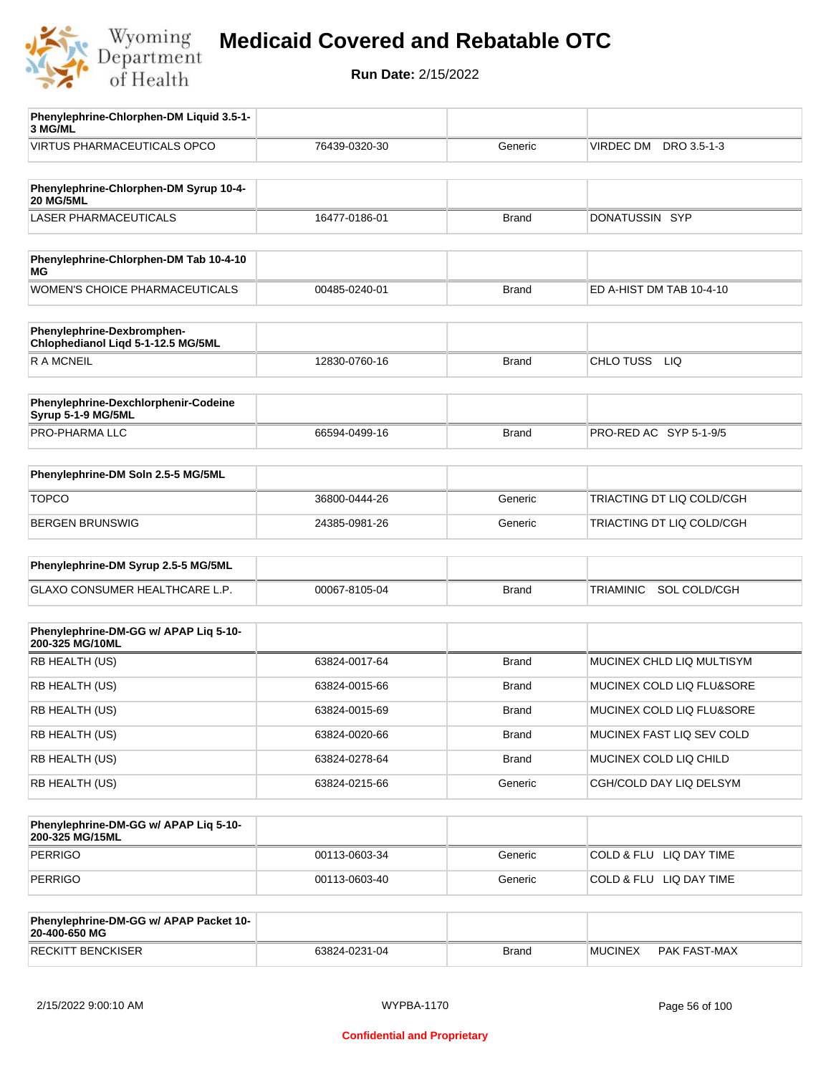

| Phenylephrine-Chlorphen-DM Liquid 3.5-1-<br>3 MG/ML        |               |              |                                |
|------------------------------------------------------------|---------------|--------------|--------------------------------|
| VIRTUS PHARMACEUTICALS OPCO                                | 76439-0320-30 | Generic      | VIRDEC DM DRO 3.5-1-3          |
|                                                            |               |              |                                |
| Phenylephrine-Chlorphen-DM Syrup 10-4-<br><b>20 MG/5ML</b> |               |              |                                |
| <b>LASER PHARMACEUTICALS</b>                               | 16477-0186-01 | <b>Brand</b> | DONATUSSIN SYP                 |
|                                                            |               |              |                                |
| Phenylephrine-Chlorphen-DM Tab 10-4-10<br>ΜG               |               |              |                                |
| WOMEN'S CHOICE PHARMACEUTICALS                             | 00485-0240-01 | <b>Brand</b> | ED A-HIST DM TAB 10-4-10       |
| Phenylephrine-Dexbromphen-                                 |               |              |                                |
| Chlophedianol Liqd 5-1-12.5 MG/5ML                         |               |              |                                |
| R A MCNEIL                                                 | 12830-0760-16 | <b>Brand</b> | CHLO TUSS LIQ                  |
|                                                            |               |              |                                |
| Phenylephrine-Dexchlorphenir-Codeine<br>Syrup 5-1-9 MG/5ML |               |              |                                |
| PRO-PHARMA LLC                                             | 66594-0499-16 | <b>Brand</b> | PRO-RED AC SYP 5-1-9/5         |
|                                                            |               |              |                                |
| Phenylephrine-DM Soln 2.5-5 MG/5ML                         |               |              |                                |
| <b>TOPCO</b>                                               | 36800-0444-26 | Generic      | TRIACTING DT LIQ COLD/CGH      |
| <b>BERGEN BRUNSWIG</b>                                     | 24385-0981-26 | Generic      | TRIACTING DT LIQ COLD/CGH      |
| Phenylephrine-DM Syrup 2.5-5 MG/5ML                        |               |              |                                |
| GLAXO CONSUMER HEALTHCARE L.P.                             | 00067-8105-04 | <b>Brand</b> | SOL COLD/CGH<br>TRIAMINIC      |
|                                                            |               |              |                                |
| Phenylephrine-DM-GG w/ APAP Liq 5-10-                      |               |              |                                |
| 200-325 MG/10ML                                            |               |              |                                |
| RB HEALTH (US)                                             | 63824-0017-64 | <b>Brand</b> | MUCINEX CHLD LIQ MULTISYM      |
| RB HEALTH (US)                                             | 63824-0015-66 | Brand        | MUCINEX COLD LIQ FLU&SORE      |
| RB HEALTH (US)                                             | 63824-0015-69 | <b>Brand</b> | MUCINEX COLD LIQ FLU&SORE      |
| RB HEALTH (US)                                             | 63824-0020-66 | <b>Brand</b> | MUCINEX FAST LIQ SEV COLD      |
| RB HEALTH (US)                                             | 63824-0278-64 | Brand        | MUCINEX COLD LIQ CHILD         |
| RB HEALTH (US)                                             | 63824-0215-66 | Generic      | CGH/COLD DAY LIQ DELSYM        |
|                                                            |               |              |                                |
| Phenylephrine-DM-GG w/ APAP Liq 5-10-<br>200-325 MG/15ML   |               |              |                                |
| <b>PERRIGO</b>                                             | 00113-0603-34 | Generic      | COLD & FLU LIQ DAY TIME        |
| <b>PERRIGO</b>                                             | 00113-0603-40 | Generic      | COLD & FLU LIQ DAY TIME        |
|                                                            |               |              |                                |
| Phenylephrine-DM-GG w/ APAP Packet 10-<br>20-400-650 MG    |               |              |                                |
| <b>RECKITT BENCKISER</b>                                   | 63824-0231-04 | <b>Brand</b> | <b>MUCINEX</b><br>PAK FAST-MAX |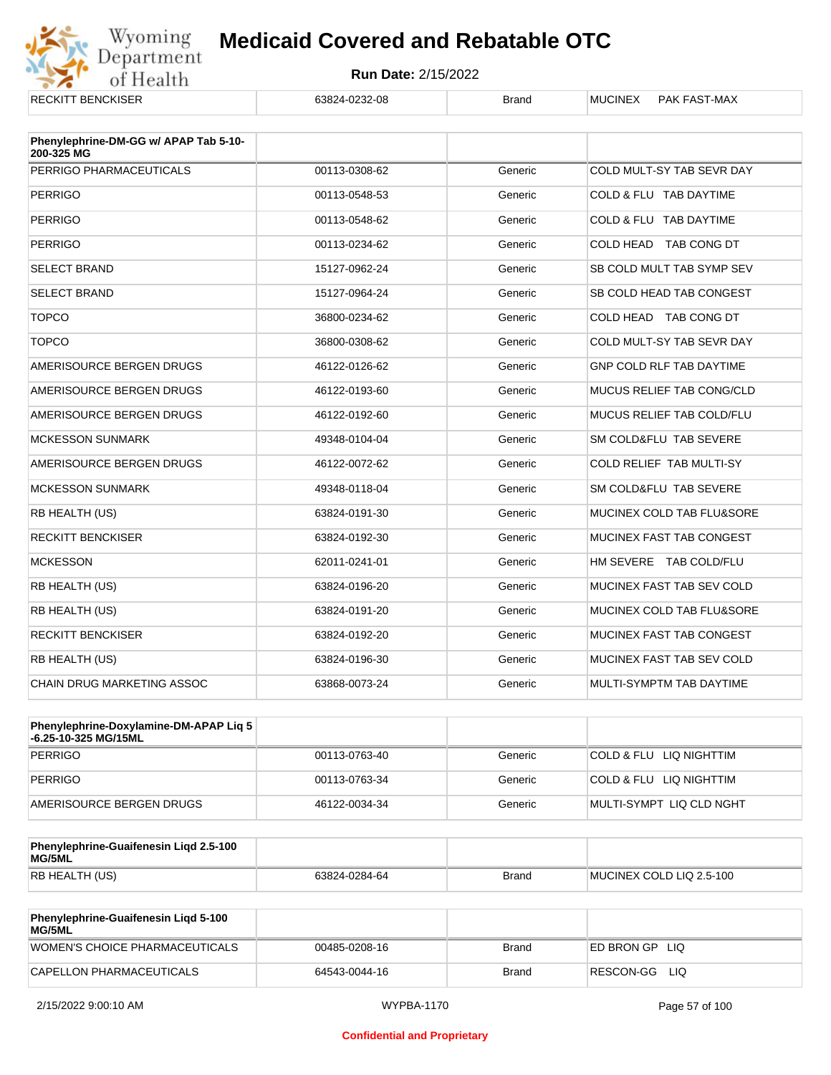

| <b>RECKITT BENCKISER</b>              | 63824-0232-08 | <b>Brand</b> | <b>MUCINEX</b><br><b>PAK FAST-MAX</b> |
|---------------------------------------|---------------|--------------|---------------------------------------|
| Phenylephrine-DM-GG w/ APAP Tab 5-10- |               |              |                                       |
| 200-325 MG<br>PERRIGO PHARMACEUTICALS | 00113-0308-62 | Generic      | COLD MULT-SY TAB SEVR DAY             |
|                                       |               |              |                                       |
| <b>PERRIGO</b>                        | 00113-0548-53 | Generic      | COLD & FLU TAB DAYTIME                |
| <b>PERRIGO</b>                        | 00113-0548-62 | Generic      | COLD & FLU TAB DAYTIME                |
| <b>PERRIGO</b>                        | 00113-0234-62 | Generic      | COLD HEAD TAB CONG DT                 |
| <b>SELECT BRAND</b>                   | 15127-0962-24 | Generic      | SB COLD MULT TAB SYMP SEV             |
| <b>SELECT BRAND</b>                   | 15127-0964-24 | Generic      | SB COLD HEAD TAB CONGEST              |
| <b>TOPCO</b>                          | 36800-0234-62 | Generic      | COLD HEAD TAB CONG DT                 |
| <b>TOPCO</b>                          | 36800-0308-62 | Generic      | COLD MULT-SY TAB SEVR DAY             |
| AMERISOURCE BERGEN DRUGS              | 46122-0126-62 | Generic      | <b>GNP COLD RLF TAB DAYTIME</b>       |
| AMERISOURCE BERGEN DRUGS              | 46122-0193-60 | Generic      | MUCUS RELIEF TAB CONG/CLD             |
| AMERISOURCE BERGEN DRUGS              | 46122-0192-60 | Generic      | MUCUS RELIEF TAB COLD/FLU             |
| <b>MCKESSON SUNMARK</b>               | 49348-0104-04 | Generic      | SM COLD&FLU TAB SEVERE                |
| AMERISOURCE BERGEN DRUGS              | 46122-0072-62 | Generic      | COLD RELIEF TAB MULTI-SY              |
| <b>MCKESSON SUNMARK</b>               | 49348-0118-04 | Generic      | SM COLD&FLU TAB SEVERE                |
| RB HEALTH (US)                        | 63824-0191-30 | Generic      | MUCINEX COLD TAB FLU&SORE             |
| <b>RECKITT BENCKISER</b>              | 63824-0192-30 | Generic      | <b>MUCINEX FAST TAB CONGEST</b>       |
| <b>MCKESSON</b>                       | 62011-0241-01 | Generic      | HM SEVERE TAB COLD/FLU                |
| RB HEALTH (US)                        | 63824-0196-20 | Generic      | MUCINEX FAST TAB SEV COLD             |
| RB HEALTH (US)                        | 63824-0191-20 | Generic      | MUCINEX COLD TAB FLU&SORE             |
| <b>RECKITT BENCKISER</b>              | 63824-0192-20 | Generic      | MUCINEX FAST TAB CONGEST              |
| RB HEALTH (US)                        | 63824-0196-30 | Generic      | MUCINEX FAST TAB SEV COLD             |
| <b>CHAIN DRUG MARKETING ASSOC</b>     | 63868-0073-24 | Generic      | MULTI-SYMPTM TAB DAYTIME              |

| <b>Phenylephrine-Doxylamine-DM-APAP Lig 5</b><br>-6.25-10-325 MG/15ML |               |         |                          |
|-----------------------------------------------------------------------|---------------|---------|--------------------------|
| PERRIGO                                                               | 00113-0763-40 | Generic | COLD & FLU LIQ NIGHTTIM  |
| PERRIGO                                                               | 00113-0763-34 | Generic | COLD & FLU LIQ NIGHTTIM  |
| AMERISOURCE BERGEN DRUGS                                              | 46122-0034-34 | Generic | MULTI-SYMPT LIQ CLD NGHT |

| Phenylephrine-Guaifenesin Ligd 2.5-100<br>MG/5ML |               |              |                          |
|--------------------------------------------------|---------------|--------------|--------------------------|
| <b>RB HEALTH (US)</b>                            | 63824-0284-64 | <b>Brand</b> | MUCINEX COLD LIQ 2.5-100 |

| Phenylephrine-Guaifenesin Ligd 5-100<br><b>MG/5ML</b> |               |       |                  |
|-------------------------------------------------------|---------------|-------|------------------|
| WOMEN'S CHOICE PHARMACEUTICALS                        | 00485-0208-16 | Brand | ED BRON GP LIQ   |
| CAPELLON PHARMACEUTICALS                              | 64543-0044-16 | Brand | RESCON-GG<br>LIQ |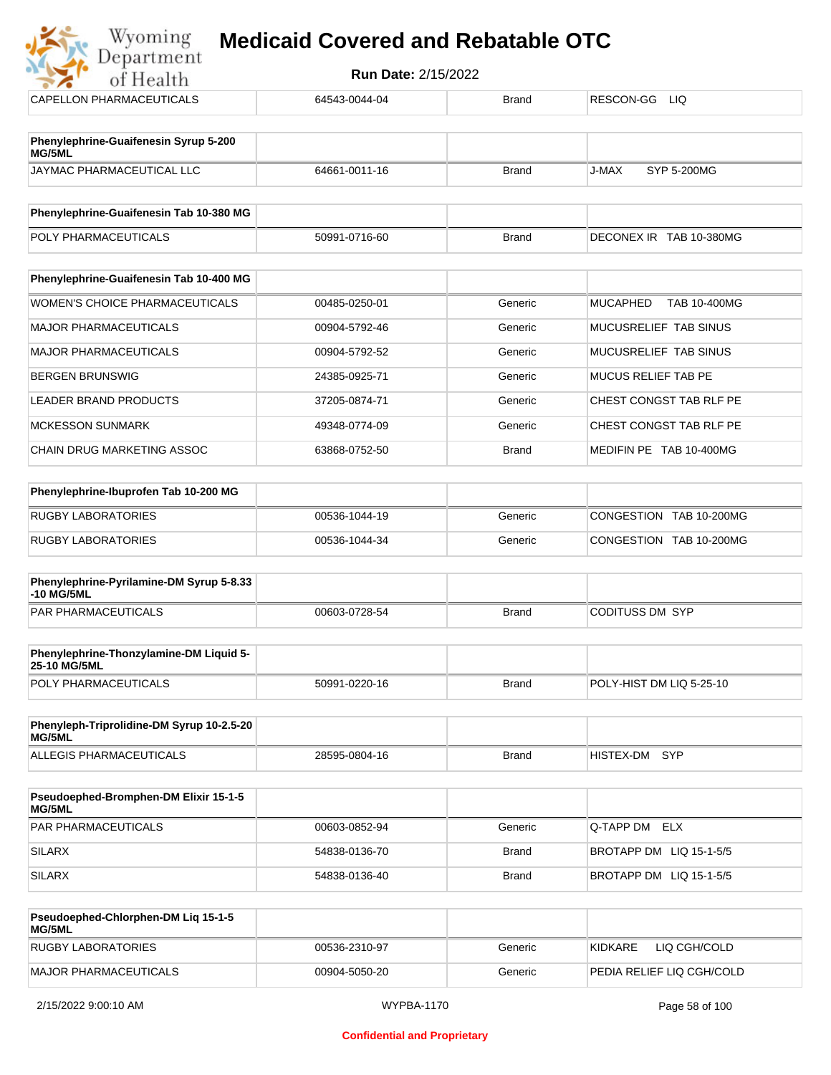| Wyoming<br>Department                                  | <b>Medicaid Covered and Rebatable OTC</b> |              |                                        |
|--------------------------------------------------------|-------------------------------------------|--------------|----------------------------------------|
| of Health                                              | <b>Run Date: 2/15/2022</b>                |              |                                        |
| CAPELLON PHARMACEUTICALS                               | 64543-0044-04                             | <b>Brand</b> | RESCON-GG LIQ                          |
| Phenylephrine-Guaifenesin Syrup 5-200<br>MG/5ML        |                                           |              |                                        |
| JAYMAC PHARMACEUTICAL LLC                              | 64661-0011-16                             | <b>Brand</b> | <b>SYP 5-200MG</b><br>J-MAX            |
| Phenylephrine-Guaifenesin Tab 10-380 MG                |                                           |              |                                        |
| POLY PHARMACEUTICALS                                   | 50991-0716-60                             | <b>Brand</b> | DECONEX IR TAB 10-380MG                |
| Phenylephrine-Guaifenesin Tab 10-400 MG                |                                           |              |                                        |
| WOMEN'S CHOICE PHARMACEUTICALS                         | 00485-0250-01                             | Generic      | <b>MUCAPHED</b><br><b>TAB 10-400MG</b> |
| <b>MAJOR PHARMACEUTICALS</b>                           | 00904-5792-46                             | Generic      | MUCUSRELIEF TAB SINUS                  |
| <b>MAJOR PHARMACEUTICALS</b>                           | 00904-5792-52                             | Generic      | MUCUSRELIEF TAB SINUS                  |
| <b>BERGEN BRUNSWIG</b>                                 | 24385-0925-71                             | Generic      | <b>MUCUS RELIEF TAB PE</b>             |
| LEADER BRAND PRODUCTS                                  | 37205-0874-71                             | Generic      | CHEST CONGST TAB RLF PE                |
| <b>MCKESSON SUNMARK</b>                                | 49348-0774-09                             | Generic      | CHEST CONGST TAB RLF PE                |
| CHAIN DRUG MARKETING ASSOC                             | 63868-0752-50                             | <b>Brand</b> | MEDIFIN PE TAB 10-400MG                |
| Phenylephrine-Ibuprofen Tab 10-200 MG                  |                                           |              |                                        |
| <b>RUGBY LABORATORIES</b>                              | 00536-1044-19                             | Generic      | CONGESTION TAB 10-200MG                |
| <b>RUGBY LABORATORIES</b>                              | 00536-1044-34                             | Generic      | CONGESTION TAB 10-200MG                |
| Phenylephrine-Pyrilamine-DM Syrup 5-8.33<br>-10 MG/5ML |                                           |              |                                        |
| <b>PAR PHARMACEUTICALS</b>                             | 00603-0728-54                             | <b>Brand</b> | <b>CODITUSS DM SYP</b>                 |
| <b>Dhonylophring-Thonzyloming-DM Liquid E-</b>         |                                           |              |                                        |

| Phenylephrine-Thonzylamine-DM Liquid 5-<br><b>25-10 MG/5ML</b> |               |       |                          |
|----------------------------------------------------------------|---------------|-------|--------------------------|
| <b>POLY PHARMACEUTICALS</b>                                    | 50991-0220-16 | Brand | POLY-HIST DM LIQ 5-25-10 |

| Phenyleph-Triprolidine-DM Syrup 10-2.5-20<br>MG/5ML |               |       |               |  |
|-----------------------------------------------------|---------------|-------|---------------|--|
| ALLEGIS PHARMACEUTICALS                             | 28595-0804-16 | Brand | HISTEX-DM SYP |  |

| <b>Pseudoephed-Bromphen-DM Elixir 15-1-5</b><br>MG/5ML |               |         |                         |
|--------------------------------------------------------|---------------|---------|-------------------------|
| <b>PAR PHARMACEUTICALS</b>                             | 00603-0852-94 | Generic | <b>Q-TAPP DM ELX</b>    |
| SILARX                                                 | 54838-0136-70 | Brand   | BROTAPP DM LIQ 15-1-5/5 |
| SILARX                                                 | 54838-0136-40 | Brand   | BROTAPP DM LIQ 15-1-5/5 |

| Pseudoephed-Chlorphen-DM Lig 15-1-5<br><b>MG/5ML</b> |               |         |                            |
|------------------------------------------------------|---------------|---------|----------------------------|
| RUGBY LABORATORIES                                   | 00536-2310-97 | Generic | LIQ CGH/COLD<br>KIDKARF    |
| MAJOR PHARMACEUTICALS                                | 00904-5050-20 | Generic | IPEDIA RELIEF LIQ CGH/COLD |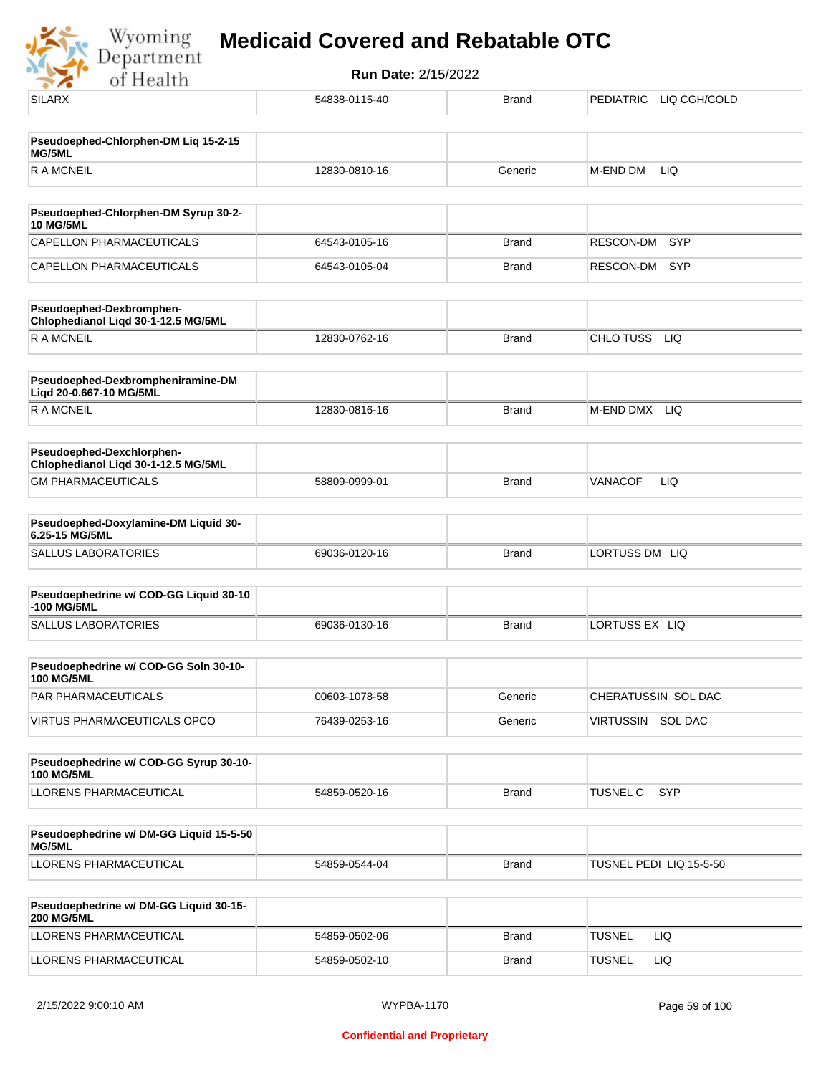

| <b>SILARX</b>                                                    | 54838-0115-40 | <b>Brand</b> | PEDIATRIC LIQ CGH/COLD        |
|------------------------------------------------------------------|---------------|--------------|-------------------------------|
| Pseudoephed-Chlorphen-DM Liq 15-2-15<br>MG/5ML                   |               |              |                               |
| <b>RAMCNEIL</b>                                                  | 12830-0810-16 | Generic      | M-END DM<br>LIQ               |
| Pseudoephed-Chlorphen-DM Syrup 30-2-                             |               |              |                               |
| <b>10 MG/5ML</b>                                                 |               |              |                               |
| CAPELLON PHARMACEUTICALS                                         | 64543-0105-16 | <b>Brand</b> | <b>SYP</b><br>RESCON-DM       |
| CAPELLON PHARMACEUTICALS                                         | 64543-0105-04 | <b>Brand</b> | RESCON-DM<br>SYP              |
| Pseudoephed-Dexbromphen-<br>Chlophedianol Liqd 30-1-12.5 MG/5ML  |               |              |                               |
| <b>RAMCNEIL</b>                                                  | 12830-0762-16 | <b>Brand</b> | CHLO TUSS<br><b>LIQ</b>       |
| Pseudoephed-Dexbrompheniramine-DM<br>Liqd 20-0.667-10 MG/5ML     |               |              |                               |
| <b>RAMCNEIL</b>                                                  | 12830-0816-16 | <b>Brand</b> | M-END DMX LIQ                 |
| Pseudoephed-Dexchlorphen-<br>Chlophedianol Liqd 30-1-12.5 MG/5ML |               |              |                               |
| <b>GM PHARMACEUTICALS</b>                                        | 58809-0999-01 | <b>Brand</b> | <b>VANACOF</b><br>LIQ         |
| Pseudoephed-Doxylamine-DM Liquid 30-<br>6.25-15 MG/5ML           |               |              |                               |
| SALLUS LABORATORIES                                              | 69036-0120-16 | <b>Brand</b> | LORTUSS DM LIQ                |
| Pseudoephedrine w/ COD-GG Liquid 30-10<br>-100 MG/5ML            |               |              |                               |
| SALLUS LABORATORIES                                              | 69036-0130-16 | <b>Brand</b> | LORTUSS EX LIQ                |
| Pseudoephedrine w/ COD-GG Soln 30-10-<br><b>100 MG/5ML</b>       |               |              |                               |
| PAR PHARMACEUTICALS                                              | 00603-1078-58 | Generic      | CHERATUSSIN SOL DAC           |
| VIRTUS PHARMACEUTICALS OPCO                                      | 76439-0253-16 | Generic      | VIRTUSSIN SOL DAC             |
| Pseudoephedrine w/ COD-GG Syrup 30-10-<br><b>100 MG/5ML</b>      |               |              |                               |
| LLORENS PHARMACEUTICAL                                           | 54859-0520-16 | <b>Brand</b> | <b>SYP</b><br><b>TUSNEL C</b> |
|                                                                  |               |              |                               |
| Pseudoephedrine w/ DM-GG Liquid 15-5-50<br>MG/5ML                |               |              |                               |
| LLORENS PHARMACEUTICAL                                           | 54859-0544-04 | <b>Brand</b> | TUSNEL PEDI LIQ 15-5-50       |
| Pseudoephedrine w/ DM-GG Liquid 30-15-<br><b>200 MG/5ML</b>      |               |              |                               |
| LLORENS PHARMACEUTICAL                                           | 54859-0502-06 | <b>Brand</b> | <b>TUSNEL</b><br>LIQ.         |
| LLORENS PHARMACEUTICAL                                           | 54859-0502-10 | <b>Brand</b> | <b>TUSNEL</b><br>LIQ          |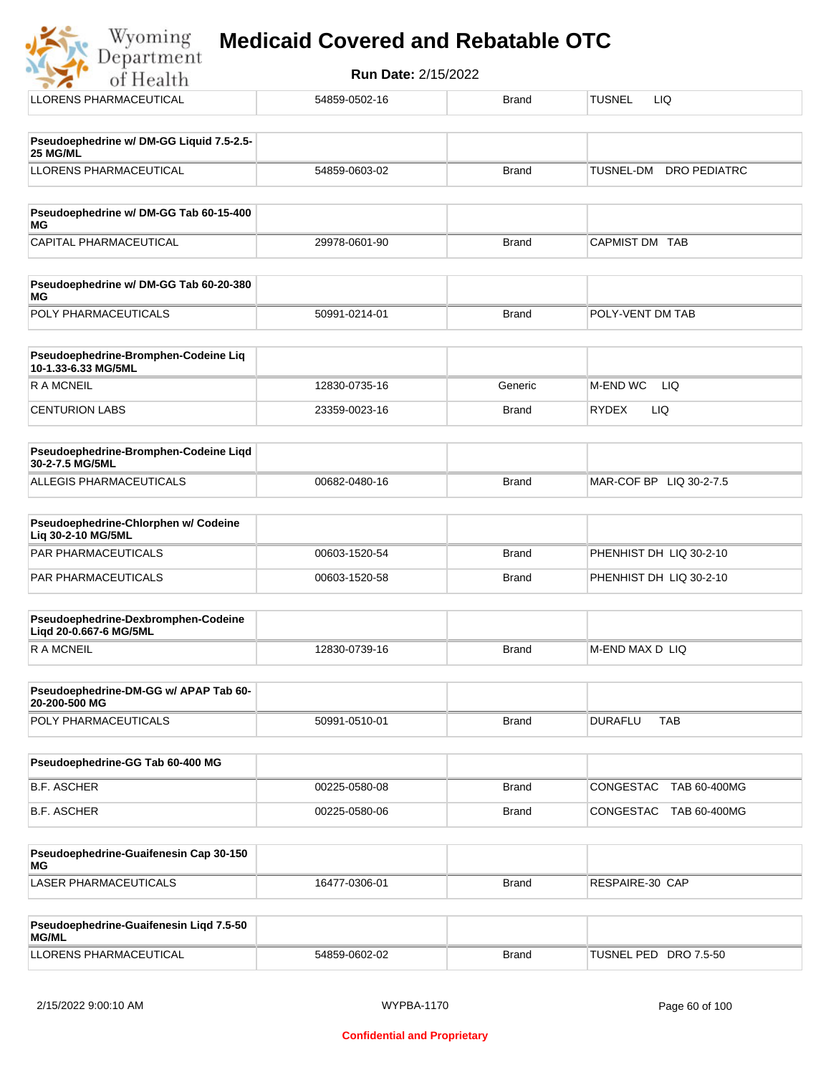# **Wyoming Medicaid Covered and Rebatable OTC**<br>Department

| <b>Run Date: 2/15/2022</b><br>of Health                     |               |              |                                  |  |  |
|-------------------------------------------------------------|---------------|--------------|----------------------------------|--|--|
| <b>LLORENS PHARMACEUTICAL</b>                               | 54859-0502-16 | <b>Brand</b> | <b>TUSNEL</b><br>LIQ.            |  |  |
| Pseudoephedrine w/ DM-GG Liquid 7.5-2.5-                    |               |              |                                  |  |  |
| 25 MG/ML                                                    |               |              |                                  |  |  |
| <b>LLORENS PHARMACEUTICAL</b>                               | 54859-0603-02 | <b>Brand</b> | TUSNEL-DM<br><b>DRO PEDIATRC</b> |  |  |
| Pseudoephedrine w/ DM-GG Tab 60-15-400<br>МG                |               |              |                                  |  |  |
| CAPITAL PHARMACEUTICAL                                      | 29978-0601-90 | <b>Brand</b> | CAPMIST DM TAB                   |  |  |
| Pseudoephedrine w/ DM-GG Tab 60-20-380<br><b>MG</b>         |               |              |                                  |  |  |
| POLY PHARMACEUTICALS                                        | 50991-0214-01 | <b>Brand</b> | POLY-VENT DM TAB                 |  |  |
| Pseudoephedrine-Bromphen-Codeine Liq<br>10-1.33-6.33 MG/5ML |               |              |                                  |  |  |
| <b>RAMCNEIL</b>                                             | 12830-0735-16 | Generic      | M-END WC<br><b>LIQ</b>           |  |  |
| <b>CENTURION LABS</b>                                       | 23359-0023-16 | <b>Brand</b> | <b>LIQ</b><br><b>RYDEX</b>       |  |  |
| Pseudoephedrine-Bromphen-Codeine Liqd<br>30-2-7.5 MG/5ML    |               |              |                                  |  |  |
| ALLEGIS PHARMACEUTICALS                                     | 00682-0480-16 | <b>Brand</b> | MAR-COF BP LIQ 30-2-7.5          |  |  |

| <b>Pseudoephedrine-Chlorphen w/ Codeine</b><br>Lig 30-2-10 MG/5ML |               |       |                         |
|-------------------------------------------------------------------|---------------|-------|-------------------------|
| PAR PHARMACEUTICALS                                               | 00603-1520-54 | Brand | PHENHIST DH LIO 30-2-10 |
| PAR PHARMACEUTICALS                                               | 00603-1520-58 | Brand | PHENHIST DH LIQ 30-2-10 |

| Pseudoephedrine-Dexbromphen-Codeine<br>Ligd 20-0.667-6 MG/5ML |               |       |                  |
|---------------------------------------------------------------|---------------|-------|------------------|
| R A MCNEIL                                                    | 12830-0739-16 | Brand | IM-END MAX D LIQ |

| Pseudoephedrine-DM-GG w/ APAP Tab 60-<br>20-200-500 MG |               |              |         |            |
|--------------------------------------------------------|---------------|--------------|---------|------------|
| <b>POLY PHARMACEUTICALS</b>                            | 50991-0510-01 | <b>Brand</b> | DURAFLU | <b>TAB</b> |

| Pseudoephedrine-GG Tab 60-400 MG |               |       |                                  |
|----------------------------------|---------------|-------|----------------------------------|
| B.F. ASCHER                      | 00225-0580-08 | Brand | TAB 60-400MG<br> CONGESTAC_      |
| B.F. ASCHER                      | 00225-0580-06 | Brand | TAB 60-400MG<br><b>CONGESTAC</b> |

| Pseudoephedrine-Guaifenesin Cap 30-150<br>MG |               |              |                 |
|----------------------------------------------|---------------|--------------|-----------------|
| LASER PHARMACEUTICALS                        | 16477-0306-01 | <b>Brand</b> | RESPAIRE-30 CAP |

| <b>Pseudoephedrine-Guaifenesin Ligd 7.5-50</b><br>MG/ML |               |       |                       |
|---------------------------------------------------------|---------------|-------|-----------------------|
| LLORENS PHARMACEUTICAL                                  | 54859-0602-02 | Brand | TUSNEL PED DRO 7.5-50 |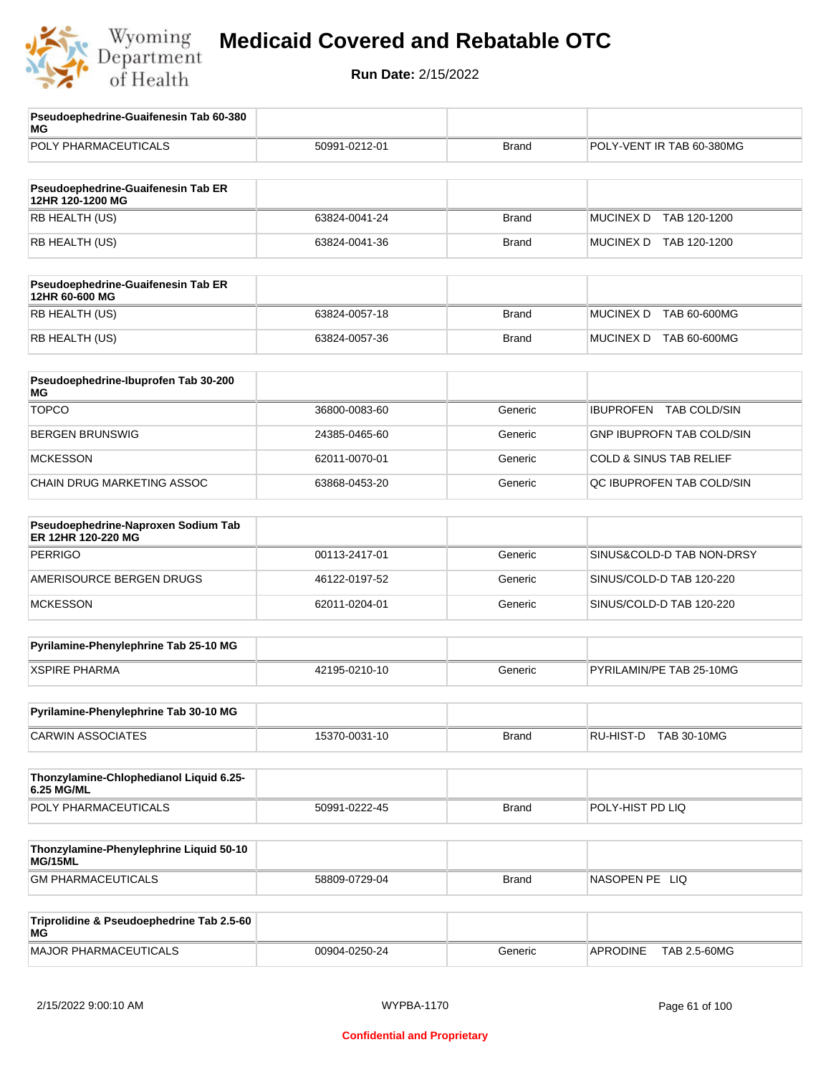

| Pseudoephedrine-Guaifenesin Tab 60-380<br>MG              |               |              |                                    |
|-----------------------------------------------------------|---------------|--------------|------------------------------------|
| POLY PHARMACEUTICALS                                      | 50991-0212-01 | <b>Brand</b> | POLY-VENT IR TAB 60-380MG          |
| Pseudoephedrine-Guaifenesin Tab ER                        |               |              |                                    |
| 12HR 120-1200 MG                                          |               |              |                                    |
| RB HEALTH (US)                                            | 63824-0041-24 | <b>Brand</b> | <b>MUCINEX D</b><br>TAB 120-1200   |
| RB HEALTH (US)                                            | 63824-0041-36 | <b>Brand</b> | MUCINEX D TAB 120-1200             |
| Pseudoephedrine-Guaifenesin Tab ER<br>12HR 60-600 MG      |               |              |                                    |
| RB HEALTH (US)                                            | 63824-0057-18 | <b>Brand</b> | <b>MUCINEX D</b><br>TAB 60-600MG   |
| RB HEALTH (US)                                            | 63824-0057-36 | <b>Brand</b> | MUCINEX D TAB 60-600MG             |
| Pseudoephedrine-Ibuprofen Tab 30-200<br>МG                |               |              |                                    |
| <b>TOPCO</b>                                              | 36800-0083-60 | Generic      | <b>IBUPROFEN</b><br>TAB COLD/SIN   |
| <b>BERGEN BRUNSWIG</b>                                    | 24385-0465-60 | Generic      | <b>GNP IBUPROFN TAB COLD/SIN</b>   |
| <b>MCKESSON</b>                                           | 62011-0070-01 | Generic      | <b>COLD &amp; SINUS TAB RELIEF</b> |
| CHAIN DRUG MARKETING ASSOC                                | 63868-0453-20 | Generic      | QC IBUPROFEN TAB COLD/SIN          |
| Pseudoephedrine-Naproxen Sodium Tab<br>ER 12HR 120-220 MG |               |              |                                    |
| <b>PERRIGO</b>                                            | 00113-2417-01 | Generic      | SINUS&COLD-D TAB NON-DRSY          |
| AMERISOURCE BERGEN DRUGS                                  | 46122-0197-52 | Generic      | SINUS/COLD-D TAB 120-220           |
| <b>MCKESSON</b>                                           | 62011-0204-01 | Generic      | SINUS/COLD-D TAB 120-220           |
| Pyrilamine-Phenylephrine Tab 25-10 MG                     |               |              |                                    |
| <b>XSPIRE PHARMA</b>                                      | 42195-0210-10 | Generic      | PYRILAMIN/PE TAB 25-10MG           |
| Pyrilamine-Phenylephrine Tab 30-10 MG                     |               |              |                                    |
| <b>CARWIN ASSOCIATES</b>                                  | 15370-0031-10 | <b>Brand</b> | RU-HIST-D TAB 30-10MG              |
| Thonzylamine-Chlophedianol Liquid 6.25-<br>6.25 MG/ML     |               |              |                                    |
| POLY PHARMACEUTICALS                                      | 50991-0222-45 | <b>Brand</b> | POLY-HIST PD LIQ                   |
| Thonzylamine-Phenylephrine Liquid 50-10                   |               |              |                                    |
| MG/15ML<br><b>GM PHARMACEUTICALS</b>                      | 58809-0729-04 | <b>Brand</b> | NASOPEN PE LIQ                     |
|                                                           |               |              |                                    |
| Triprolidine & Pseudoephedrine Tab 2.5-60<br>МG           |               |              |                                    |
| <b>MAJOR PHARMACEUTICALS</b>                              | 00904-0250-24 | Generic      | TAB 2.5-60MG<br><b>APRODINE</b>    |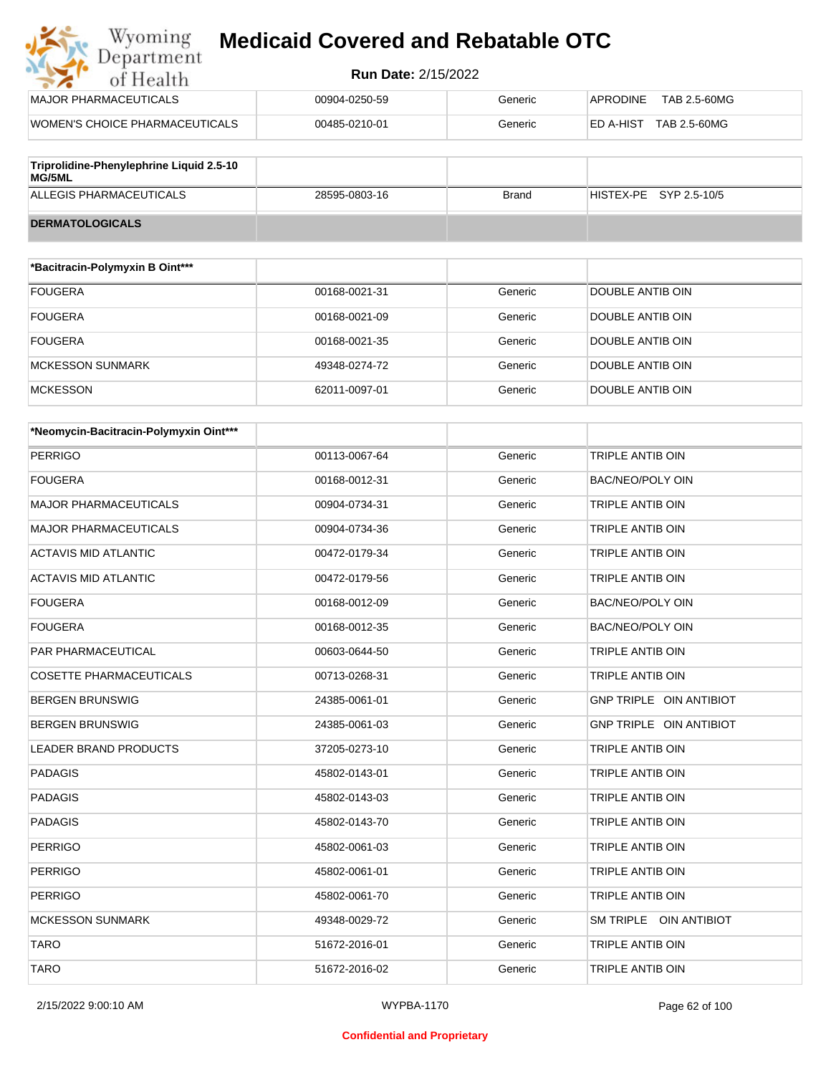#### **Run Date:** 2/15/2022

| Wyoming<br><b>Medicaid Covered and Rebatable OTC</b><br>Department |                            |         |                                 |  |
|--------------------------------------------------------------------|----------------------------|---------|---------------------------------|--|
| of Health                                                          | <b>Run Date: 2/15/2022</b> |         |                                 |  |
| MAJOR PHARMACEUTICALS                                              | 00904-0250-59              | Generic | <b>APRODINE</b><br>TAB 2.5-60MG |  |
| WOMEN'S CHOICE PHARMACEUTICALS                                     | 00485-0210-01              | Generic | TAB 2.5-60MG<br>ED A-HIST       |  |
|                                                                    |                            |         |                                 |  |

| Triprolidine-Phenylephrine Liquid 2.5-10<br><b>MG/5ML</b> |               |       |                        |
|-----------------------------------------------------------|---------------|-------|------------------------|
| ALLEGIS PHARMACEUTICALS                                   | 28595-0803-16 | Brand | HISTEX-PE SYP 2.5-10/5 |
| <b>DERMATOLOGICALS</b>                                    |               |       |                        |

| *Bacitracin-Polymyxin B Oint*** |               |         |                  |
|---------------------------------|---------------|---------|------------------|
| <b>FOUGERA</b>                  | 00168-0021-31 | Generic | DOUBLE ANTIB OIN |
| <b>FOUGERA</b>                  | 00168-0021-09 | Generic | DOUBLE ANTIB OIN |
| <b>FOUGERA</b>                  | 00168-0021-35 | Generic | DOUBLE ANTIB OIN |
| <b>MCKESSON SUNMARK</b>         | 49348-0274-72 | Generic | DOUBLE ANTIB OIN |
| <b>MCKESSON</b>                 | 62011-0097-01 | Generic | DOUBLE ANTIB OIN |

| *Neomycin-Bacitracin-Polymyxin Oint*** |               |         |                         |
|----------------------------------------|---------------|---------|-------------------------|
| <b>PERRIGO</b>                         | 00113-0067-64 | Generic | <b>TRIPLE ANTIB OIN</b> |
| <b>FOUGERA</b>                         | 00168-0012-31 | Generic | <b>BAC/NEO/POLY OIN</b> |
| <b>MAJOR PHARMACEUTICALS</b>           | 00904-0734-31 | Generic | TRIPLE ANTIB OIN        |
| <b>MAJOR PHARMACEUTICALS</b>           | 00904-0734-36 | Generic | <b>TRIPLE ANTIB OIN</b> |
| <b>ACTAVIS MID ATLANTIC</b>            | 00472-0179-34 | Generic | TRIPLE ANTIB OIN        |
| <b>ACTAVIS MID ATLANTIC</b>            | 00472-0179-56 | Generic | TRIPLE ANTIB OIN        |
| <b>FOUGERA</b>                         | 00168-0012-09 | Generic | BAC/NEO/POLY OIN        |
| <b>FOUGERA</b>                         | 00168-0012-35 | Generic | BAC/NEO/POLY OIN        |
| <b>PAR PHARMACEUTICAL</b>              | 00603-0644-50 | Generic | <b>TRIPLE ANTIB OIN</b> |
| <b>COSETTE PHARMACEUTICALS</b>         | 00713-0268-31 | Generic | <b>TRIPLE ANTIB OIN</b> |
| <b>BERGEN BRUNSWIG</b>                 | 24385-0061-01 | Generic | GNP TRIPLE OIN ANTIBIOT |
| <b>BERGEN BRUNSWIG</b>                 | 24385-0061-03 | Generic | GNP TRIPLE OIN ANTIBIOT |
| <b>LEADER BRAND PRODUCTS</b>           | 37205-0273-10 | Generic | <b>TRIPLE ANTIB OIN</b> |
| <b>PADAGIS</b>                         | 45802-0143-01 | Generic | <b>TRIPLE ANTIB OIN</b> |
| <b>PADAGIS</b>                         | 45802-0143-03 | Generic | <b>TRIPLE ANTIB OIN</b> |
| <b>PADAGIS</b>                         | 45802-0143-70 | Generic | TRIPLE ANTIB OIN        |
| <b>PERRIGO</b>                         | 45802-0061-03 | Generic | TRIPLE ANTIB OIN        |
| <b>PERRIGO</b>                         | 45802-0061-01 | Generic | <b>TRIPLE ANTIB OIN</b> |
| <b>PERRIGO</b>                         | 45802-0061-70 | Generic | TRIPLE ANTIB OIN        |
| <b>MCKESSON SUNMARK</b>                | 49348-0029-72 | Generic | SM TRIPLE OIN ANTIBIOT  |
| <b>TARO</b>                            | 51672-2016-01 | Generic | <b>TRIPLE ANTIB OIN</b> |
| <b>TARO</b>                            | 51672-2016-02 | Generic | <b>TRIPLE ANTIB OIN</b> |

2/15/2022 9:00:10 AM WYPBA-1170 Page 62 of 100

#### **Confidential and Proprietary**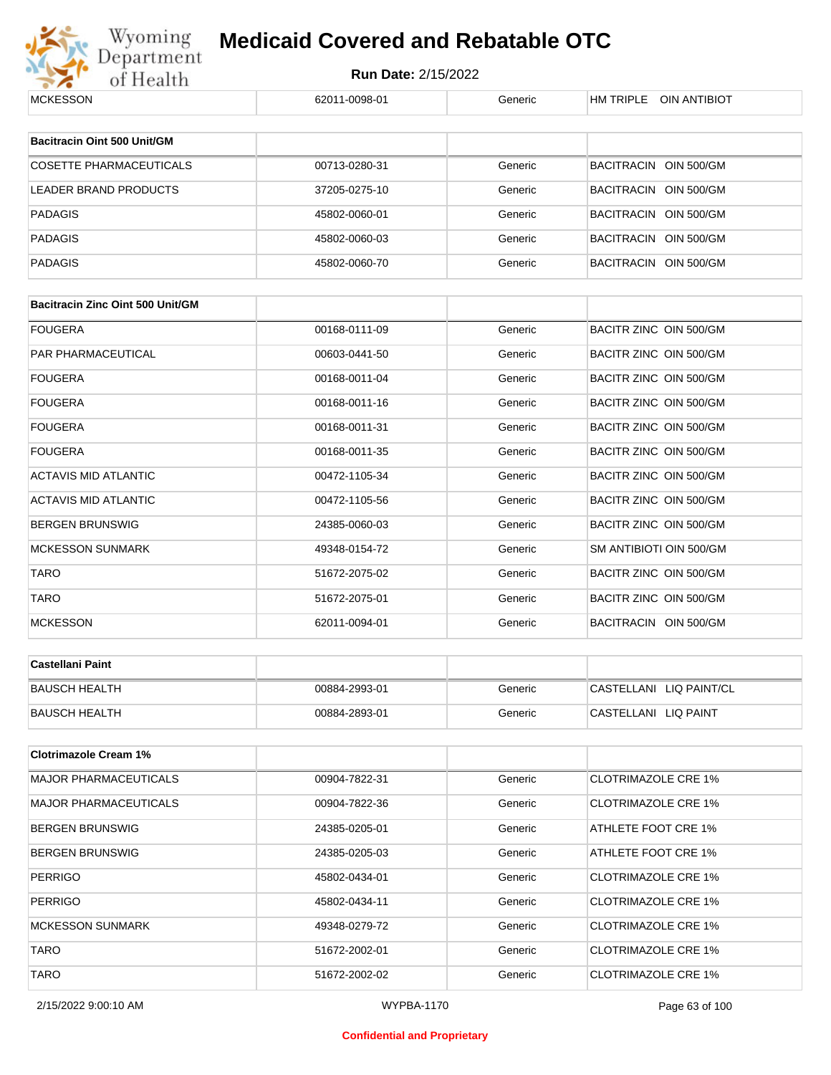

# Wyoming **Medicaid Covered and Rebatable OTC**<br>Department Run Date: 2/15/2022<br>of Health 62011-0098-01 **Medicaid Covered and Rebatable OTC**

| MUNESSUIN                               | 02011-0090-01 | oenenc  | <b>NIVEL UIN ANTIBIUT</b>  |
|-----------------------------------------|---------------|---------|----------------------------|
|                                         |               |         |                            |
| Bacitracin Oint 500 Unit/GM             |               |         |                            |
| <b>COSETTE PHARMACEUTICALS</b>          | 00713-0280-31 | Generic | BACITRACIN OIN 500/GM      |
| LEADER BRAND PRODUCTS                   | 37205-0275-10 | Generic | BACITRACIN OIN 500/GM      |
| <b>PADAGIS</b>                          | 45802-0060-01 | Generic | BACITRACIN OIN 500/GM      |
| <b>PADAGIS</b>                          | 45802-0060-03 | Generic | BACITRACIN OIN 500/GM      |
| <b>PADAGIS</b>                          | 45802-0060-70 | Generic | BACITRACIN OIN 500/GM      |
| <b>Bacitracin Zinc Oint 500 Unit/GM</b> |               |         |                            |
| <b>FOUGERA</b>                          | 00168-0111-09 | Generic | BACITR ZINC OIN 500/GM     |
| PAR PHARMACEUTICAL                      | 00603-0441-50 | Generic | BACITR ZINC OIN 500/GM     |
|                                         |               |         |                            |
| <b>FOUGERA</b>                          | 00168-0011-04 | Generic | BACITR ZINC OIN 500/GM     |
| <b>FOUGERA</b>                          | 00168-0011-16 | Generic | BACITR ZINC OIN 500/GM     |
| <b>FOUGERA</b>                          | 00168-0011-31 | Generic | BACITR ZINC OIN 500/GM     |
| <b>FOUGERA</b>                          | 00168-0011-35 | Generic | BACITR ZINC OIN 500/GM     |
| <b>ACTAVIS MID ATLANTIC</b>             | 00472-1105-34 | Generic | BACITR ZINC OIN 500/GM     |
| <b>ACTAVIS MID ATLANTIC</b>             | 00472-1105-56 | Generic | BACITR ZINC OIN 500/GM     |
| <b>BERGEN BRUNSWIG</b>                  | 24385-0060-03 | Generic | BACITR ZINC OIN 500/GM     |
| <b>MCKESSON SUNMARK</b>                 | 49348-0154-72 | Generic | SM ANTIBIOTI OIN 500/GM    |
| <b>TARO</b>                             | 51672-2075-02 | Generic | BACITR ZINC OIN 500/GM     |
| <b>TARO</b>                             | 51672-2075-01 | Generic | BACITR ZINC OIN 500/GM     |
| <b>MCKESSON</b>                         | 62011-0094-01 | Generic | BACITRACIN OIN 500/GM      |
| <b>Castellani Paint</b>                 |               |         |                            |
|                                         |               |         |                            |
| <b>BAUSCH HEALTH</b>                    | 00884-2993-01 | Generic | CASTELLANI LIQ PAINT/CL    |
| <b>BAUSCH HEALTH</b>                    | 00884-2893-01 | Generic | CASTELLANI LIQ PAINT       |
| <b>Clotrimazole Cream 1%</b>            |               |         |                            |
| <b>MAJOR PHARMACEUTICALS</b>            | 00904-7822-31 | Generic | <b>CLOTRIMAZOLE CRE 1%</b> |
| <b>MAJOR PHARMACEUTICALS</b>            | 00904-7822-36 | Generic | <b>CLOTRIMAZOLE CRE 1%</b> |
| <b>BERGEN BRUNSWIG</b>                  | 24385-0205-01 | Generic | ATHLETE FOOT CRE 1%        |
| <b>BERGEN BRUNSWIG</b>                  | 24385-0205-03 | Generic | ATHLETE FOOT CRE 1%        |
| <b>PERRIGO</b>                          | 45802-0434-01 | Generic | <b>CLOTRIMAZOLE CRE 1%</b> |
| <b>PERRIGO</b>                          | 45802-0434-11 | Generic | <b>CLOTRIMAZOLE CRE 1%</b> |
| <b>MCKESSON SUNMARK</b>                 | 49348-0279-72 | Generic | <b>CLOTRIMAZOLE CRE 1%</b> |
| <b>TARO</b>                             | 51672-2002-01 | Generic | <b>CLOTRIMAZOLE CRE 1%</b> |
| <b>TARO</b>                             | 51672-2002-02 | Generic | <b>CLOTRIMAZOLE CRE 1%</b> |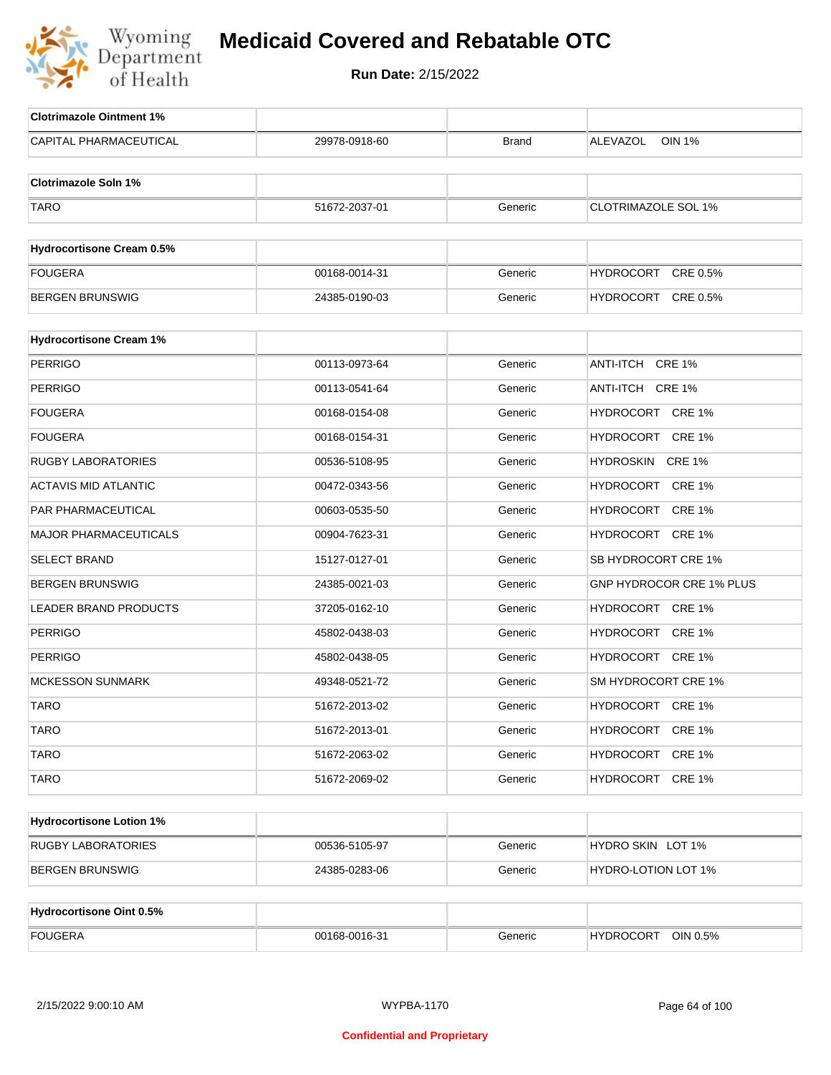

| <b>Clotrimazole Ointment 1%</b>  |               |              |                            |
|----------------------------------|---------------|--------------|----------------------------|
| <b>CAPITAL PHARMACEUTICAL</b>    | 29978-0918-60 | <b>Brand</b> | ALEVAZOL<br><b>OIN 1%</b>  |
| <b>Clotrimazole Soln 1%</b>      |               |              |                            |
| <b>TARO</b>                      | 51672-2037-01 | Generic      | <b>CLOTRIMAZOLE SOL 1%</b> |
|                                  |               |              |                            |
| <b>Hydrocortisone Cream 0.5%</b> |               |              |                            |
| <b>FOUGERA</b>                   | 00168-0014-31 | Generic      | HYDROCORT CRE 0.5%         |
| <b>BERGEN BRUNSWIG</b>           | 24385-0190-03 | Generic      | HYDROCORT CRE 0.5%         |
| <b>Hydrocortisone Cream 1%</b>   |               |              |                            |
| <b>PERRIGO</b>                   | 00113-0973-64 | Generic      | ANTI-ITCH CRE 1%           |
| PERRIGO                          | 00113-0541-64 | Generic      | ANTI-ITCH CRE 1%           |
| FOUGERA                          | 00168-0154-08 | Generic      | HYDROCORT CRE 1%           |
| <b>FOUGERA</b>                   | 00168-0154-31 | Generic      | HYDROCORT CRE 1%           |
| RUGBY LABORATORIES               | 00536-5108-95 | Generic      | HYDROSKIN CRE 1%           |
| <b>ACTAVIS MID ATLANTIC</b>      | 00472-0343-56 | Generic      | HYDROCORT CRE 1%           |
| PAR PHARMACEUTICAL               | 00603-0535-50 | Generic      | HYDROCORT CRE 1%           |
| MAJOR PHARMACEUTICALS            | 00904-7623-31 | Generic      | HYDROCORT CRE 1%           |
| <b>SELECT BRAND</b>              | 15127-0127-01 | Generic      | SB HYDROCORT CRE 1%        |
| BERGEN BRUNSWIG                  | 24385-0021-03 | Generic      | GNP HYDROCOR CRE 1% PLUS   |
| LEADER BRAND PRODUCTS            | 37205-0162-10 | Generic      | HYDROCORT CRE 1%           |
| <b>PERRIGO</b>                   | 45802-0438-03 | Generic      | HYDROCORT CRE 1%           |
| <b>PERRIGO</b>                   | 45802-0438-05 | Generic      | HYDROCORT CRE 1%           |
| <b>MCKESSON SUNMARK</b>          | 49348-0521-72 | Generic      | SM HYDROCORT CRE 1%        |
| <b>TARO</b>                      | 51672-2013-02 | Generic      | HYDROCORT CRE 1%           |
| <b>TARO</b>                      | 51672-2013-01 | Generic      | HYDROCORT CRE 1%           |
| <b>TARO</b>                      | 51672-2063-02 | Generic      | HYDROCORT CRE 1%           |
| <b>TARO</b>                      | 51672-2069-02 | Generic      | HYDROCORT CRE 1%           |
| <b>Hydrocortisone Lotion 1%</b>  |               |              |                            |
| RUGBY LABORATORIES               | 00536-5105-97 | Generic      | HYDRO SKIN LOT 1%          |
| <b>BERGEN BRUNSWIG</b>           | 24385-0283-06 | Generic      | HYDRO-LOTION LOT 1%        |
|                                  |               |              |                            |
| <b>Hydrocortisone Oint 0.5%</b>  |               |              |                            |
| <b>FOUGERA</b>                   | 00168-0016-31 | Generic      | HYDROCORT OIN 0.5%         |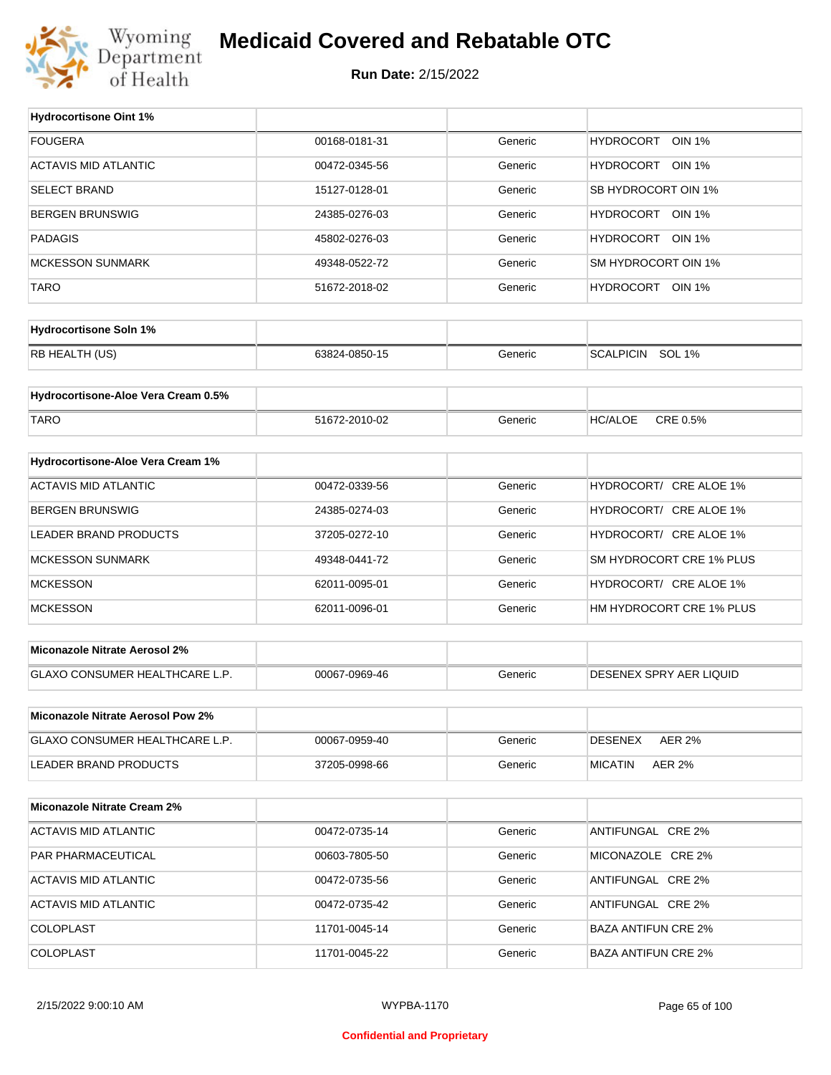

#### **Medicaid Covered and Rebatable OTC**

**Run Date:** 2/15/2022

 $\top$ 

| <b>Hydrocortisone Oint 1%</b>       |               |         |                                   |
|-------------------------------------|---------------|---------|-----------------------------------|
| <b>FOUGERA</b>                      | 00168-0181-31 | Generic | <b>HYDROCORT</b><br><b>OIN 1%</b> |
| <b>ACTAVIS MID ATLANTIC</b>         | 00472-0345-56 | Generic | HYDROCORT OIN 1%                  |
| <b>SELECT BRAND</b>                 | 15127-0128-01 | Generic | SB HYDROCORT OIN 1%               |
| <b>BERGEN BRUNSWIG</b>              | 24385-0276-03 | Generic | HYDROCORT OIN 1%                  |
| <b>PADAGIS</b>                      | 45802-0276-03 | Generic | HYDROCORT OIN 1%                  |
| <b>MCKESSON SUNMARK</b>             | 49348-0522-72 | Generic | SM HYDROCORT OIN 1%               |
| <b>TARO</b>                         | 51672-2018-02 | Generic | HYDROCORT OIN 1%                  |
|                                     |               |         |                                   |
| <b>Hydrocortisone Soln 1%</b>       |               |         |                                   |
| RB HEALTH (US)                      | 63824-0850-15 | Generic | SCALPICIN SOL 1%                  |
| Hydrocortisone-Aloe Vera Cream 0.5% |               |         |                                   |
|                                     |               |         |                                   |
| <b>TARO</b>                         | 51672-2010-02 | Generic | CRE 0.5%<br><b>HC/ALOE</b>        |
| Hydrocortisone-Aloe Vera Cream 1%   |               |         |                                   |
| <b>ACTAVIS MID ATLANTIC</b>         | 00472-0339-56 | Generic | HYDROCORT/ CRE ALOE 1%            |
| <b>BERGEN BRUNSWIG</b>              | 24385-0274-03 | Generic | HYDROCORT/ CRE ALOE 1%            |
| LEADER BRAND PRODUCTS               | 37205-0272-10 | Generic | HYDROCORT/ CRE ALOE 1%            |
| <b>MCKESSON SUNMARK</b>             | 49348-0441-72 | Generic | SM HYDROCORT CRE 1% PLUS          |
| <b>MCKESSON</b>                     | 62011-0095-01 | Generic | HYDROCORT/ CRE ALOE 1%            |
| <b>MCKESSON</b>                     | 62011-0096-01 | Generic | HM HYDROCORT CRE 1% PLUS          |
|                                     |               |         |                                   |
| Miconazole Nitrate Aerosol 2%       |               |         |                                   |
| GLAXO CONSUMER HEALTHCARE L.P.      | 00067-0969-46 | Generic | <b>DESENEX SPRY AER LIQUID</b>    |
|                                     |               |         |                                   |
| Miconazole Nitrate Aerosol Pow 2%   |               |         |                                   |
| GLAXO CONSUMER HEALTHCARE L.P.      | 00067-0959-40 | Generic | <b>DESENEX</b><br><b>AER 2%</b>   |
| <b>LEADER BRAND PRODUCTS</b>        | 37205-0998-66 | Generic | <b>MICATIN</b><br>AER 2%          |
| <b>Miconazole Nitrate Cream 2%</b>  |               |         |                                   |
| <b>ACTAVIS MID ATLANTIC</b>         | 00472-0735-14 | Generic | ANTIFUNGAL CRE 2%                 |
|                                     |               |         |                                   |
| PAR PHARMACEUTICAL                  | 00603-7805-50 | Generic | MICONAZOLE CRE 2%                 |
| ACTAVIS MID ATLANTIC                | 00472-0735-56 | Generic | ANTIFUNGAL CRE 2%                 |
| ACTAVIS MID ATLANTIC                | 00472-0735-42 | Generic | ANTIFUNGAL CRE 2%                 |
| COLOPLAST                           | 11701-0045-14 | Generic | <b>BAZA ANTIFUN CRE 2%</b>        |
| COLOPLAST                           | 11701-0045-22 | Generic | <b>BAZA ANTIFUN CRE 2%</b>        |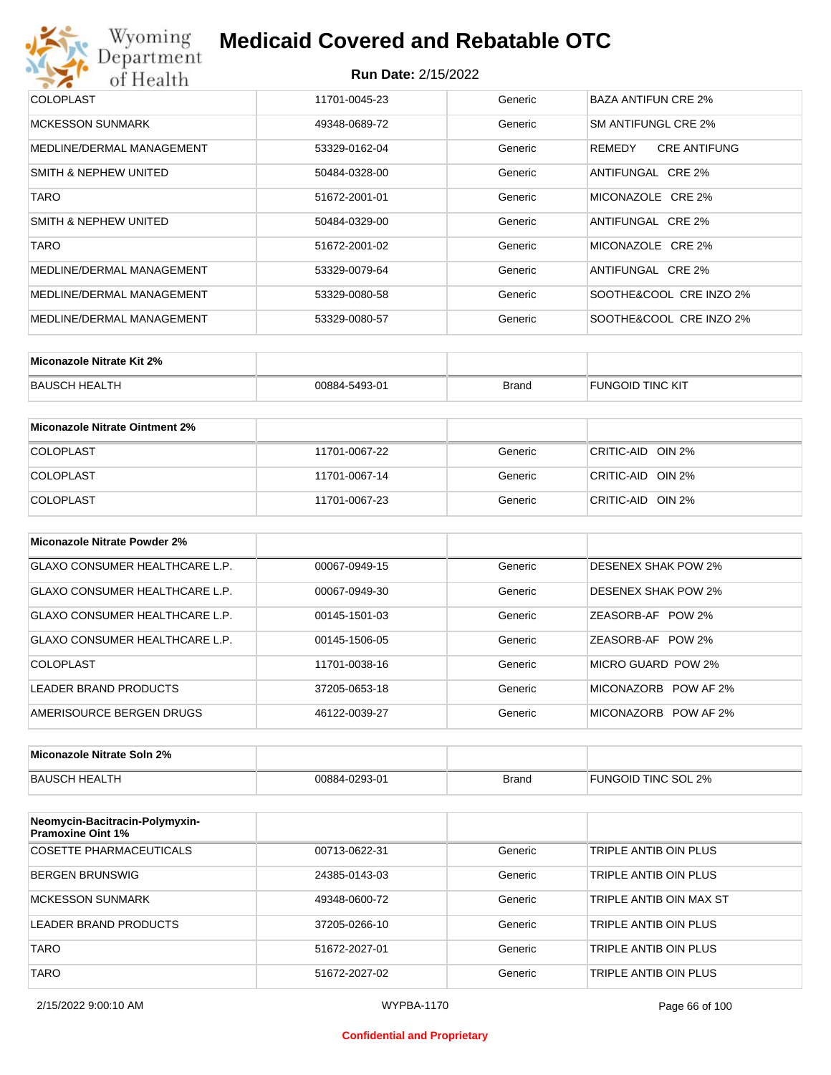## Wyoming<br>Department<br>of Health **Medicaid Covered and Rebatable OTC**

#### **Run Date:** 2/15/2022

| COLOPLAST                        | 11701-0045-23 | Generic | BAZA ANTIFUN CRE 2%           |
|----------------------------------|---------------|---------|-------------------------------|
| <b>MCKESSON SUNMARK</b>          | 49348-0689-72 | Generic | SM ANTIFUNGL CRE 2%           |
| MEDLINE/DERMAL MANAGEMENT        | 53329-0162-04 | Generic | <b>CRE ANTIFUNG</b><br>REMEDY |
| SMITH & NEPHEW UNITED            | 50484-0328-00 | Generic | ANTIFUNGAL CRE 2%             |
| <b>TARO</b>                      | 51672-2001-01 | Generic | MICONAZOLE CRE 2%             |
| <b>SMITH &amp; NEPHEW UNITED</b> | 50484-0329-00 | Generic | ANTIFUNGAL CRE 2%             |
| <b>TARO</b>                      | 51672-2001-02 | Generic | MICONAZOLE CRE 2%             |
| MEDLINE/DERMAL MANAGEMENT        | 53329-0079-64 | Generic | ANTIFUNGAL CRE 2%             |
| MEDLINE/DERMAL MANAGEMENT        | 53329-0080-58 | Generic | SOOTHE&COOL CRE INZO 2%       |
| MEDLINE/DERMAL MANAGEMENT        | 53329-0080-57 | Generic | SOOTHE&COOL CRE INZO 2%       |

| Miconazole Nitrate Kit 2% |               |              |                  |
|---------------------------|---------------|--------------|------------------|
| BAUSCH HEALTH             | 00884-5493-01 | <b>Brand</b> | FUNGOID TINC KIT |

| Miconazole Nitrate Ointment 2% |               |         |                   |
|--------------------------------|---------------|---------|-------------------|
| <b>COLOPLAST</b>               | 11701-0067-22 | Generic | CRITIC-AID OIN 2% |
| <b>COLOPLAST</b>               | 11701-0067-14 | Generic | CRITIC-AID OIN 2% |
| <b>COLOPLAST</b>               | 11701-0067-23 | Generic | CRITIC-AID OIN 2% |

| Miconazole Nitrate Powder 2%          |               |         |                            |
|---------------------------------------|---------------|---------|----------------------------|
| <b>GLAXO CONSUMER HEALTHCARE L.P.</b> | 00067-0949-15 | Generic | <b>DESENEX SHAK POW 2%</b> |
| GLAXO CONSUMER HEALTHCARE L.P.        | 00067-0949-30 | Generic | <b>DESENEX SHAK POW 2%</b> |
| GLAXO CONSUMER HEALTHCARE L.P.        | 00145-1501-03 | Generic | ZEASORB-AF POW 2%          |
| GLAXO CONSUMER HEALTHCARE L.P.        | 00145-1506-05 | Generic | ZEASORB-AF POW 2%          |
| COLOPLAST                             | 11701-0038-16 | Generic | MICRO GUARD POW 2%         |
| LEADER BRAND PRODUCTS                 | 37205-0653-18 | Generic | MICONAZORB<br>POW AF 2%    |
| AMERISOURCE BERGEN DRUGS              | 46122-0039-27 | Generic | MICONAZORB POW AF 2%       |

| Miconazole Nitrate Soln 2% |               |       |                     |
|----------------------------|---------------|-------|---------------------|
| BAUSCH HEALTH              | 00884-0293-01 | Brand | FUNGOID TINC SOL 2% |

| Neomycin-Bacitracin-Polymyxin-<br><b>Pramoxine Oint 1%</b> |               |         |                         |
|------------------------------------------------------------|---------------|---------|-------------------------|
| COSETTE PHARMACEUTICALS                                    | 00713-0622-31 | Generic | TRIPLE ANTIB OIN PLUS   |
| <b>BERGEN BRUNSWIG</b>                                     | 24385-0143-03 | Generic | TRIPLE ANTIB OIN PLUS   |
| <b>MCKESSON SUNMARK</b>                                    | 49348-0600-72 | Generic | TRIPLE ANTIB OIN MAX ST |
| LEADER BRAND PRODUCTS                                      | 37205-0266-10 | Generic | TRIPLE ANTIB OIN PLUS   |
| <b>TARO</b>                                                | 51672-2027-01 | Generic | TRIPLE ANTIB OIN PLUS   |
| TARO                                                       | 51672-2027-02 | Generic | TRIPLE ANTIB OIN PLUS   |

#### **Confidential and Proprietary**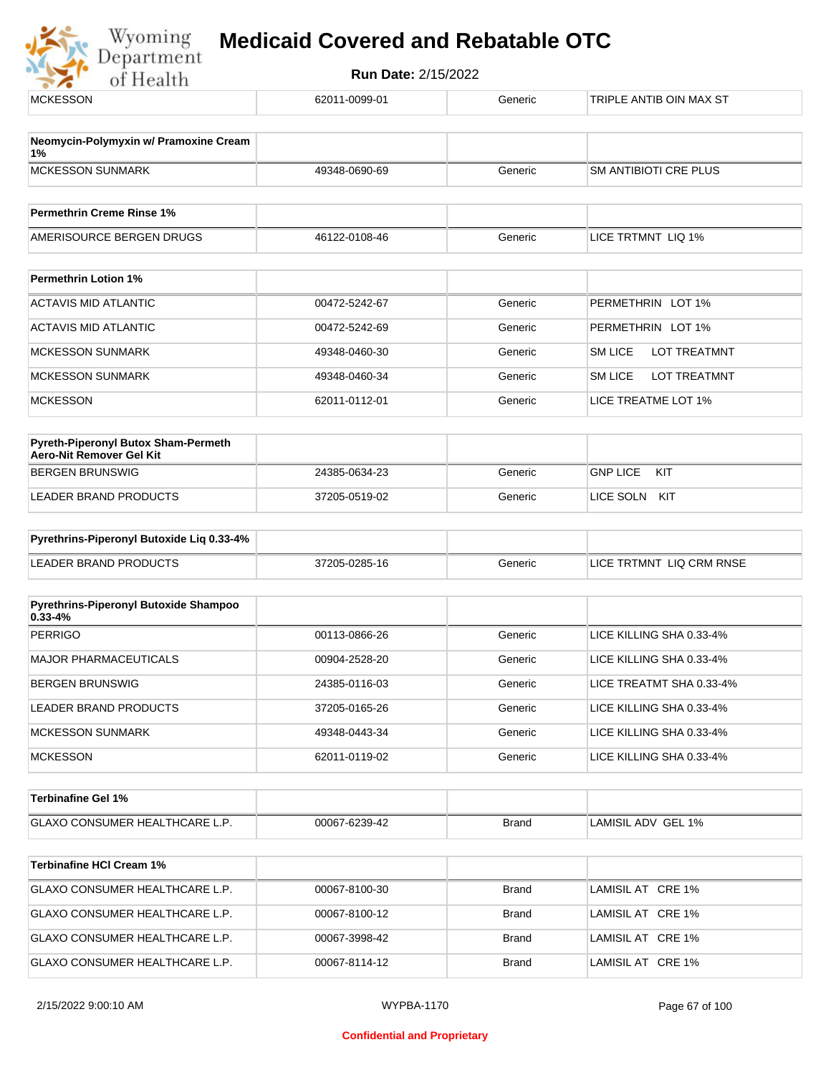

| <b>MCKESSON</b>                                                 | 62011-0099-01 | Generic      | TRIPLE ANTIB OIN MAX ST               |
|-----------------------------------------------------------------|---------------|--------------|---------------------------------------|
| Neomycin-Polymyxin w/ Pramoxine Cream                           |               |              |                                       |
| 1%                                                              |               |              |                                       |
| <b>MCKESSON SUNMARK</b>                                         | 49348-0690-69 | Generic      | SM ANTIBIOTI CRE PLUS                 |
| <b>Permethrin Creme Rinse 1%</b>                                |               |              |                                       |
| AMERISOURCE BERGEN DRUGS                                        | 46122-0108-46 | Generic      | LICE TRTMNT LIQ 1%                    |
| <b>Permethrin Lotion 1%</b>                                     |               |              |                                       |
|                                                                 |               |              |                                       |
| <b>ACTAVIS MID ATLANTIC</b>                                     | 00472-5242-67 | Generic      | PERMETHRIN LOT 1%                     |
| ACTAVIS MID ATLANTIC                                            | 00472-5242-69 | Generic      | PERMETHRIN LOT 1%                     |
| <b>MCKESSON SUNMARK</b>                                         | 49348-0460-30 | Generic      | <b>SM LICE</b><br><b>LOT TREATMNT</b> |
| <b>MCKESSON SUNMARK</b>                                         | 49348-0460-34 | Generic      | <b>SM LICE</b><br>LOT TREATMNT        |
| <b>MCKESSON</b>                                                 | 62011-0112-01 | Generic      | LICE TREATME LOT 1%                   |
|                                                                 |               |              |                                       |
| Pyreth-Piperonyl Butox Sham-Permeth<br>Aero-Nit Remover Gel Kit |               |              |                                       |
| <b>BERGEN BRUNSWIG</b>                                          | 24385-0634-23 | Generic      | <b>GNP LICE</b><br>KIT                |
| <b>LEADER BRAND PRODUCTS</b>                                    | 37205-0519-02 | Generic      | LICE SOLN KIT                         |
| Pyrethrins-Piperonyl Butoxide Liq 0.33-4%                       |               |              |                                       |
| <b>LEADER BRAND PRODUCTS</b>                                    |               |              | LICE TRTMNT LIQ CRM RNSE              |
|                                                                 | 37205-0285-16 | Generic      |                                       |
| Pyrethrins-Piperonyl Butoxide Shampoo                           |               |              |                                       |
| $0.33 - 4%$<br><b>PERRIGO</b>                                   | 00113-0866-26 | Generic      | LICE KILLING SHA 0.33-4%              |
|                                                                 |               |              |                                       |
| MAJOR PHARMACEUTICALS                                           | 00904-2528-20 | Generic      | LICE KILLING SHA 0.33-4%              |
| <b>BERGEN BRUNSWIG</b>                                          | 24385-0116-03 | Generic      | LICE TREATMT SHA 0.33-4%              |
| LEADER BRAND PRODUCTS                                           | 37205-0165-26 | Generic      | LICE KILLING SHA 0.33-4%              |
| <b>MCKESSON SUNMARK</b>                                         | 49348-0443-34 | Generic      | LICE KILLING SHA 0.33-4%              |
| <b>MCKESSON</b>                                                 | 62011-0119-02 | Generic      | LICE KILLING SHA 0.33-4%              |
| Terbinafine Gel 1%                                              |               |              |                                       |
| <b>GLAXO CONSUMER HEALTHCARE L.P.</b>                           | 00067-6239-42 | <b>Brand</b> | LAMISIL ADV GEL 1%                    |
|                                                                 |               |              |                                       |
| <b>Terbinafine HCI Cream 1%</b>                                 |               |              |                                       |
| GLAXO CONSUMER HEALTHCARE L.P.                                  | 00067-8100-30 | <b>Brand</b> | LAMISIL AT CRE 1%                     |
| GLAXO CONSUMER HEALTHCARE L.P.                                  | 00067-8100-12 | <b>Brand</b> | LAMISIL AT CRE 1%                     |
| GLAXO CONSUMER HEALTHCARE L.P.                                  | 00067-3998-42 | <b>Brand</b> | LAMISIL AT CRE 1%                     |
| GLAXO CONSUMER HEALTHCARE L.P.                                  | 00067-8114-12 | <b>Brand</b> | LAMISIL AT CRE 1%                     |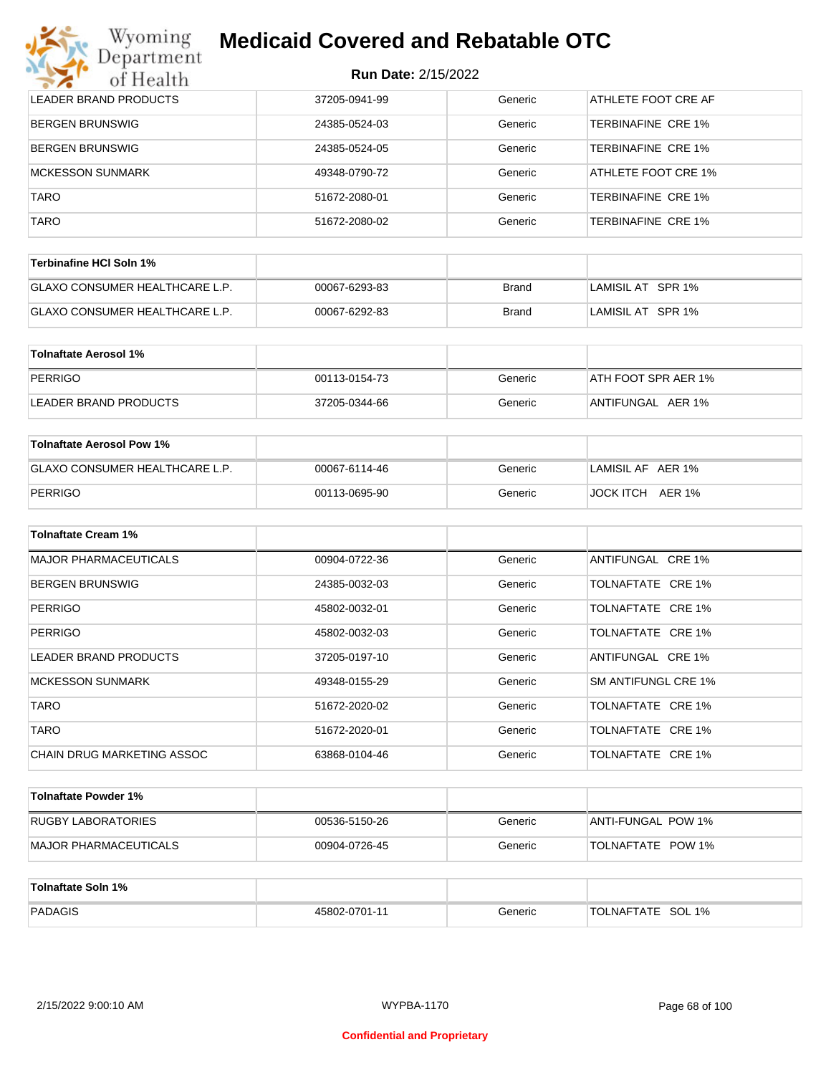| Wyoming<br><b>Medicaid Covered and Rebatable OTC</b><br>Jepartment |                            |         |                            |  |  |
|--------------------------------------------------------------------|----------------------------|---------|----------------------------|--|--|
| of Health                                                          | <b>Run Date: 2/15/2022</b> |         |                            |  |  |
| <b>LEADER BRAND PRODUCTS</b>                                       | 37205-0941-99              | Generic | <b>ATHLETE FOOT CRE AF</b> |  |  |
| <b>BERGEN BRUNSWIG</b>                                             | 24385-0524-03              | Generic | TERBINAFINE CRE 1%         |  |  |
| <b>BERGEN BRUNSWIG</b>                                             | 24385-0524-05              | Generic | TERBINAFINE CRE 1%         |  |  |
| <b>MCKESSON SUNMARK</b>                                            | 49348-0790-72              | Generic | ATHLETE FOOT CRE 1%        |  |  |
| <b>TARO</b>                                                        | 51672-2080-01              | Generic | TERBINAFINE CRE 1%         |  |  |
| <b>TARO</b>                                                        | 51672-2080-02              | Generic | TERBINAFINE CRE 1%         |  |  |

| Terbinafine HCl Soln 1%               |               |       |                   |
|---------------------------------------|---------------|-------|-------------------|
| <b>GLAXO CONSUMER HEALTHCARE L.P.</b> | 00067-6293-83 | Brand | LAMISIL AT SPR 1% |
| <b>GLAXO CONSUMER HEALTHCARE L.P.</b> | 00067-6292-83 | Brand | LAMISIL AT SPR 1% |

| Tolnaftate Aerosol 1% |               |         |                     |
|-----------------------|---------------|---------|---------------------|
| PERRIGO               | 00113-0154-73 | Generic | ATH FOOT SPR AER 1% |
| LEADER BRAND PRODUCTS | 37205-0344-66 | Generic | ANTIFUNGAL AER 1%   |

| Tolnaftate Aerosol Pow 1%             |               |         |                   |
|---------------------------------------|---------------|---------|-------------------|
| <b>GLAXO CONSUMER HEALTHCARE L.P.</b> | 00067-6114-46 | Generic | LAMISIL AF AER 1% |
| PERRIGO                               | 00113-0695-90 | Generic | JOCK ITCH AER 1%  |

| <b>Tolnaftate Cream 1%</b>   |               |         |                     |
|------------------------------|---------------|---------|---------------------|
| <b>MAJOR PHARMACEUTICALS</b> | 00904-0722-36 | Generic | ANTIFUNGAL CRE 1%   |
| <b>BERGEN BRUNSWIG</b>       | 24385-0032-03 | Generic | TOLNAFTATE CRE 1%   |
| <b>PERRIGO</b>               | 45802-0032-01 | Generic | TOLNAFTATE CRE 1%   |
| <b>PERRIGO</b>               | 45802-0032-03 | Generic | TOLNAFTATE CRE 1%   |
| LEADER BRAND PRODUCTS        | 37205-0197-10 | Generic | ANTIFUNGAL CRE 1%   |
| MCKESSON SUNMARK             | 49348-0155-29 | Generic | SM ANTIFUNGL CRE 1% |
| <b>TARO</b>                  | 51672-2020-02 | Generic | TOLNAFTATE CRE 1%   |
| <b>TARO</b>                  | 51672-2020-01 | Generic | TOLNAFTATE CRE 1%   |
| CHAIN DRUG MARKETING ASSOC   | 63868-0104-46 | Generic | TOLNAFTATE CRE 1%   |

| Tolnaftate Powder 1%          |               |         |                          |
|-------------------------------|---------------|---------|--------------------------|
| RUGBY LABORATORIES            | 00536-5150-26 | Generic | ANTI-FUNGAL POW 1%       |
| <b>IMAJOR PHARMACEUTICALS</b> | 00904-0726-45 | Generic | <b>TOLNAFTATE POW 1%</b> |

| Tolnaftate Soln 1% |               |         |                             |
|--------------------|---------------|---------|-----------------------------|
| PADAGIS            | 45802-0701-11 | Generic | SOL 1%<br><b>TOLNAFTATE</b> |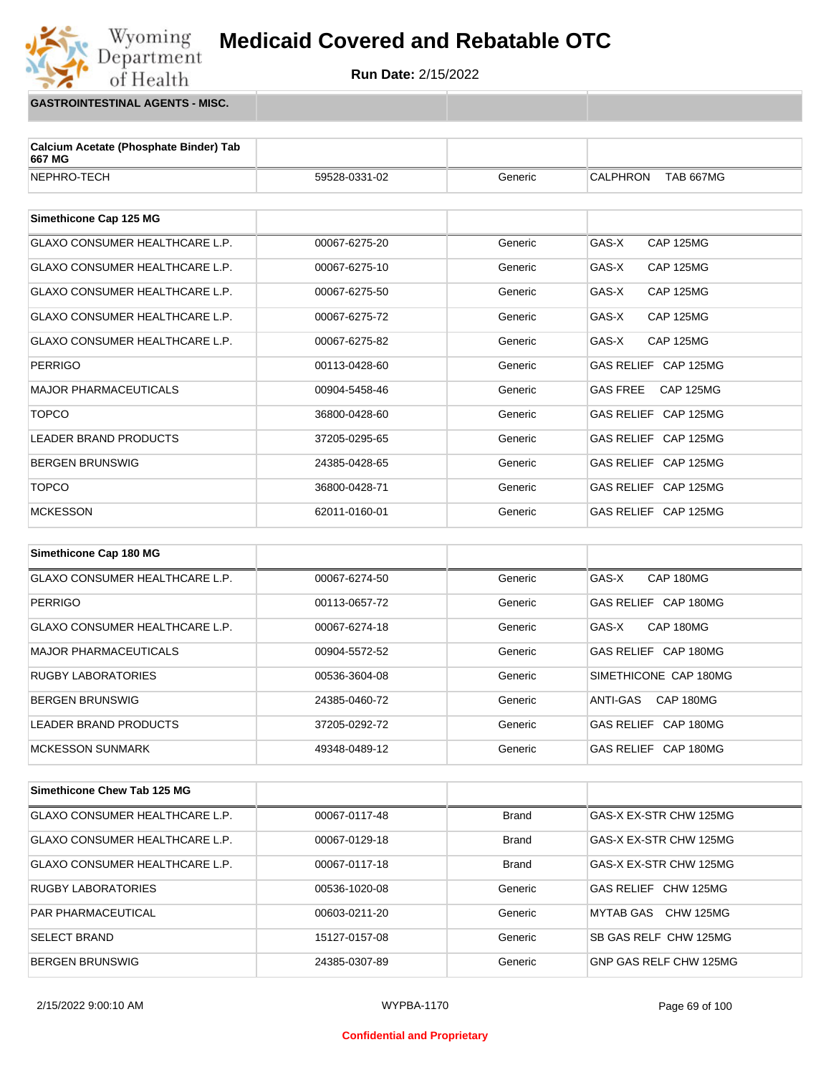**Run Date:** 2/15/2022

**GASTROINTESTINAL AGENTS - MISC.**

Wyoming<br>Department

of Health

| Calcium Acetate (Phosphate Binder) Tab<br>667 MG |               |         |                                     |
|--------------------------------------------------|---------------|---------|-------------------------------------|
| NEPHRO-TECH                                      | 59528-0331-02 | Generic | <b>CALPHRON</b><br><b>TAB 667MG</b> |
|                                                  |               |         |                                     |
| Simethicone Cap 125 MG                           |               |         |                                     |
| <b>GLAXO CONSUMER HEALTHCARE L.P.</b>            | 00067-6275-20 | Generic | GAS-X<br><b>CAP 125MG</b>           |
| <b>GLAXO CONSUMER HEALTHCARE L.P.</b>            | 00067-6275-10 | Generic | GAS-X<br><b>CAP 125MG</b>           |
| <b>GLAXO CONSUMER HEALTHCARE L.P.</b>            | 00067-6275-50 | Generic | GAS-X<br><b>CAP 125MG</b>           |
| <b>GLAXO CONSUMER HEALTHCARE L.P.</b>            | 00067-6275-72 | Generic | GAS-X<br><b>CAP 125MG</b>           |
| <b>GLAXO CONSUMER HEALTHCARE L.P.</b>            | 00067-6275-82 | Generic | GAS-X<br><b>CAP 125MG</b>           |
| <b>PERRIGO</b>                                   | 00113-0428-60 | Generic | GAS RELIEF CAP 125MG                |
| <b>MAJOR PHARMACEUTICALS</b>                     | 00904-5458-46 | Generic | <b>GAS FREE</b><br><b>CAP 125MG</b> |
| <b>TOPCO</b>                                     | 36800-0428-60 | Generic | GAS RELIEF CAP 125MG                |
| <b>LEADER BRAND PRODUCTS</b>                     | 37205-0295-65 | Generic | GAS RELIEF CAP 125MG                |
| <b>BERGEN BRUNSWIG</b>                           | 24385-0428-65 | Generic | GAS RELIEF CAP 125MG                |
| <b>TOPCO</b>                                     | 36800-0428-71 | Generic | GAS RELIEF CAP 125MG                |
| <b>MCKESSON</b>                                  | 62011-0160-01 | Generic | GAS RELIEF CAP 125MG                |
|                                                  |               |         |                                     |
| Simethicone Cap 180 MG                           |               |         |                                     |

| GLAXO CONSUMER HEALTHCARE L.P.        | 00067-6274-50 | Generic | GAS-X<br>CAP 180MG             |
|---------------------------------------|---------------|---------|--------------------------------|
| PERRIGO                               | 00113-0657-72 | Generic | GAS RELIEF CAP 180MG           |
| <b>GLAXO CONSUMER HEALTHCARE L.P.</b> | 00067-6274-18 | Generic | CAP 180MG<br>GAS-X             |
| MAJOR PHARMACEUTICALS                 | 00904-5572-52 | Generic | GAS RELIEF CAP 180MG           |
| <b>RUGBY LABORATORIES</b>             | 00536-3604-08 | Generic | SIMETHICONE CAP 180MG          |
| <b>BERGEN BRUNSWIG</b>                | 24385-0460-72 | Generic | CAP 180MG<br>ANTI-GAS          |
| LEADER BRAND PRODUCTS                 | 37205-0292-72 | Generic | GAS RELIEF CAP 180MG           |
| MCKESSON SUNMARK                      | 49348-0489-12 | Generic | CAP 180MG<br><b>GAS RELIEF</b> |

| Simethicone Chew Tab 125 MG           |               |              |                        |
|---------------------------------------|---------------|--------------|------------------------|
| <b>GLAXO CONSUMER HEALTHCARE L.P.</b> | 00067-0117-48 | <b>Brand</b> | GAS-X EX-STR CHW 125MG |
| <b>GLAXO CONSUMER HEALTHCARE L.P.</b> | 00067-0129-18 | <b>Brand</b> | GAS-X EX-STR CHW 125MG |
| <b>GLAXO CONSUMER HEALTHCARE L.P.</b> | 00067-0117-18 | <b>Brand</b> | GAS-X EX-STR CHW 125MG |
| <b>RUGBY LABORATORIES</b>             | 00536-1020-08 | Generic      | GAS RELIFE CHW 125MG   |
| <b>PAR PHARMACEUTICAL</b>             | 00603-0211-20 | Generic      | CHW 125MG<br>MYTAB GAS |
| <b>SELECT BRAND</b>                   | 15127-0157-08 | Generic      | SB GAS RELF CHW 125MG  |
| <b>BERGEN BRUNSWIG</b>                | 24385-0307-89 | Generic      | GNP GAS RELF CHW 125MG |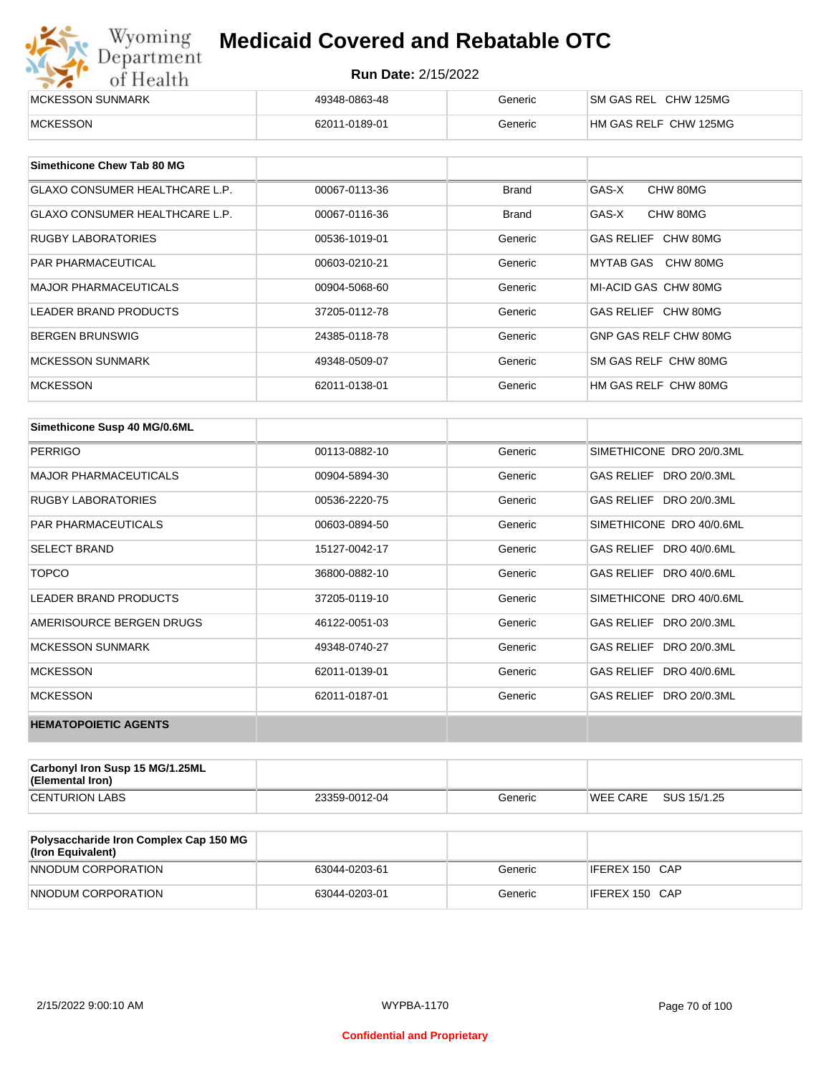| Wyoming<br><b>Medicaid Covered and Rebatable OTC</b><br>Department |                            |         |                       |
|--------------------------------------------------------------------|----------------------------|---------|-----------------------|
| of Health                                                          | <b>Run Date: 2/15/2022</b> |         |                       |
| MCKESSON SUNMARK                                                   | 49348-0863-48              | Generic | SM GAS REL CHW 125MG  |
| <b>MCKESSON</b>                                                    | 62011-0189-01              | Generic | HM GAS RELF CHW 125MG |

| Simethicone Chew Tab 80 MG            |               |              |                       |
|---------------------------------------|---------------|--------------|-----------------------|
| <b>GLAXO CONSUMER HEALTHCARE L.P.</b> | 00067-0113-36 | <b>Brand</b> | GAS-X<br>CHW 80MG     |
| GLAXO CONSUMER HEALTHCARE L.P.        | 00067-0116-36 | <b>Brand</b> | GAS-X<br>CHW 80MG     |
| RUGBY LABORATORIES                    | 00536-1019-01 | Generic      | GAS RELIEF CHW 80MG   |
| <b>PAR PHARMACEUTICAL</b>             | 00603-0210-21 | Generic      | MYTAB GAS CHW 80MG    |
| <b>MAJOR PHARMACEUTICALS</b>          | 00904-5068-60 | Generic      | MI-ACID GAS CHW 80MG  |
| <b>LEADER BRAND PRODUCTS</b>          | 37205-0112-78 | Generic      | GAS RELIEF CHW 80MG   |
| <b>BERGEN BRUNSWIG</b>                | 24385-0118-78 | Generic      | GNP GAS RELF CHW 80MG |
| <b>MCKESSON SUNMARK</b>               | 49348-0509-07 | Generic      | SM GAS RELF CHW 80MG  |
| <b>MCKESSON</b>                       | 62011-0138-01 | Generic      | HM GAS RELF CHW 80MG  |

| Simethicone Susp 40 MG/0.6ML |               |         |                          |
|------------------------------|---------------|---------|--------------------------|
| <b>PERRIGO</b>               | 00113-0882-10 | Generic | SIMETHICONE DRO 20/0.3ML |
| <b>MAJOR PHARMACEUTICALS</b> | 00904-5894-30 | Generic | GAS RELIEF DRO 20/0.3ML  |
| <b>RUGBY LABORATORIES</b>    | 00536-2220-75 | Generic | GAS RELIEF DRO 20/0.3ML  |
| <b>PAR PHARMACEUTICALS</b>   | 00603-0894-50 | Generic | SIMETHICONE DRO 40/0.6ML |
| <b>SELECT BRAND</b>          | 15127-0042-17 | Generic | GAS RELIEF DRO 40/0.6ML  |
| <b>TOPCO</b>                 | 36800-0882-10 | Generic | GAS RELIEF DRO 40/0.6ML  |
| <b>LEADER BRAND PRODUCTS</b> | 37205-0119-10 | Generic | SIMETHICONE DRO 40/0.6ML |
| AMERISOURCE BERGEN DRUGS     | 46122-0051-03 | Generic | GAS RELIEF DRO 20/0.3ML  |
| <b>MCKESSON SUNMARK</b>      | 49348-0740-27 | Generic | GAS RELIEF DRO 20/0.3ML  |
| <b>MCKESSON</b>              | 62011-0139-01 | Generic | GAS RELIEF DRO 40/0.6ML  |
| <b>MCKESSON</b>              | 62011-0187-01 | Generic | GAS RELIEF DRO 20/0.3ML  |
| <b>HEMATOPOIETIC AGENTS</b>  |               |         |                          |

| <b>Carbonyl Iron Susp 15 MG/1.25ML</b><br>(Elemental Iron) |               |         |          |             |
|------------------------------------------------------------|---------------|---------|----------|-------------|
| <b>CENTURION LABS</b>                                      | 23359-0012-04 | Generic | WEE CARE | SUS 15/1.25 |

| <b>Polysaccharide Iron Complex Cap 150 MG</b><br>(Iron Equivalent) |               |         |                |
|--------------------------------------------------------------------|---------------|---------|----------------|
| NNODUM CORPORATION                                                 | 63044-0203-61 | Generic | IFEREX 150 CAP |
| NNODUM CORPORATION                                                 | 63044-0203-01 | Generic | IFEREX 150 CAP |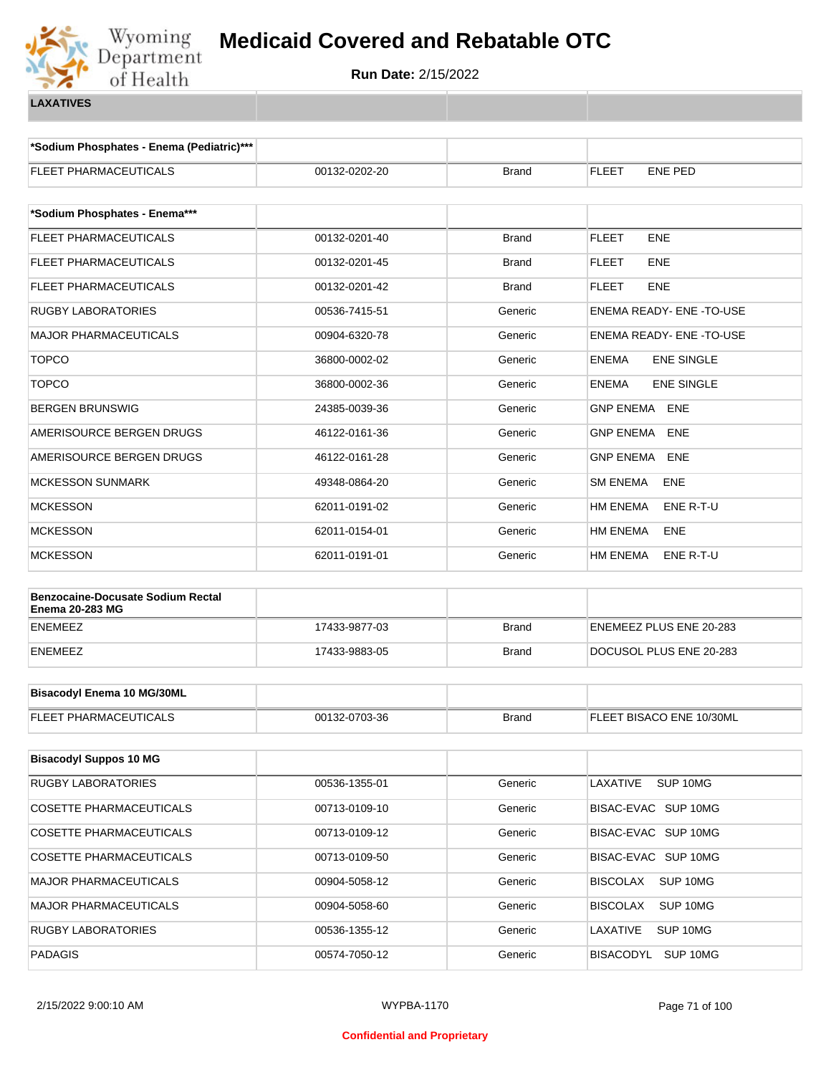

**\*Sodium Phosphates - Enema (Pediatric)\*\*\***

| FLEET PHARMACEUTICALS                                              | 00132-0202-20 | Brand        | FLEET<br>ENE PED                  |
|--------------------------------------------------------------------|---------------|--------------|-----------------------------------|
|                                                                    |               |              |                                   |
| *Sodium Phosphates - Enema***                                      |               |              |                                   |
| <b>FLEET PHARMACEUTICALS</b>                                       | 00132-0201-40 | <b>Brand</b> | <b>FLEET</b><br><b>ENE</b>        |
| FLEET PHARMACEUTICALS                                              | 00132-0201-45 | <b>Brand</b> | <b>FLEET</b><br><b>ENE</b>        |
| FLEET PHARMACEUTICALS                                              | 00132-0201-42 | Brand        | <b>FLEET</b><br><b>ENE</b>        |
| <b>RUGBY LABORATORIES</b>                                          | 00536-7415-51 | Generic      | <b>ENEMA READY- ENE-TO-USE</b>    |
| <b>MAJOR PHARMACEUTICALS</b>                                       | 00904-6320-78 | Generic      | ENEMA READY- ENE-TO-USE           |
| <b>TOPCO</b>                                                       | 36800-0002-02 | Generic      | <b>ENEMA</b><br><b>ENE SINGLE</b> |
| <b>TOPCO</b>                                                       | 36800-0002-36 | Generic      | <b>ENE SINGLE</b><br>ENEMA        |
| <b>BERGEN BRUNSWIG</b>                                             | 24385-0039-36 | Generic      | GNP ENEMA ENE                     |
| AMERISOURCE BERGEN DRUGS                                           | 46122-0161-36 | Generic      | <b>GNP ENEMA</b><br><b>ENE</b>    |
| AMERISOURCE BERGEN DRUGS                                           | 46122-0161-28 | Generic      | GNP ENEMA<br><b>ENE</b>           |
| <b>MCKESSON SUNMARK</b>                                            | 49348-0864-20 | Generic      | <b>SM ENEMA</b><br><b>ENE</b>     |
| <b>MCKESSON</b>                                                    | 62011-0191-02 | Generic      | HM ENEMA<br>ENE R-T-U             |
| <b>MCKESSON</b>                                                    | 62011-0154-01 | Generic      | HM ENEMA<br>ENE                   |
| <b>MCKESSON</b>                                                    | 62011-0191-01 | Generic      | HM ENEMA<br>ENE R-T-U             |
|                                                                    |               |              |                                   |
| <b>Benzocaine-Docusate Sodium Rectal</b><br><b>Enema 20-283 MG</b> |               |              |                                   |
| <b>ENEMEEZ</b>                                                     | 17433-9877-03 | <b>Brand</b> | ENEMEEZ PLUS ENE 20-283           |
| <b>ENEMEEZ</b>                                                     | 17433-9883-05 | <b>Brand</b> | DOCUSOL PLUS ENE 20-283           |
|                                                                    |               |              |                                   |
| <b>Bisacodyl Enema 10 MG/30ML</b>                                  |               |              |                                   |
| FLEET PHARMACEUTICALS                                              | 00132-0703-36 | <b>Brand</b> | FLEET BISACO ENE 10/30ML          |
|                                                                    |               |              |                                   |
| <b>Bisacodyl Suppos 10 MG</b>                                      |               |              |                                   |
| <b>RUGBY LABORATORIES</b>                                          | 00536-1355-01 | Generic      | LAXATIVE<br>SUP 10MG              |
| COSETTE PHARMACEUTICALS                                            | 00713-0109-10 | Generic      | BISAC-EVAC SUP 10MG               |
| COSETTE PHARMACEUTICALS                                            | 00713-0109-12 | Generic      | BISAC-EVAC SUP 10MG               |
| COSETTE PHARMACEUTICALS                                            | 00713-0109-50 | Generic      | BISAC-EVAC SUP 10MG               |
| <b>MAJOR PHARMACEUTICALS</b>                                       | 00904-5058-12 | Generic      | <b>BISCOLAX</b><br>SUP 10MG       |
| <b>MAJOR PHARMACEUTICALS</b>                                       | 00904-5058-60 | Generic      | <b>BISCOLAX</b><br>SUP 10MG       |
| <b>RUGBY LABORATORIES</b>                                          | 00536-1355-12 | Generic      | LAXATIVE<br>SUP 10MG              |
| <b>PADAGIS</b>                                                     | 00574-7050-12 | Generic      | BISACODYL SUP 10MG                |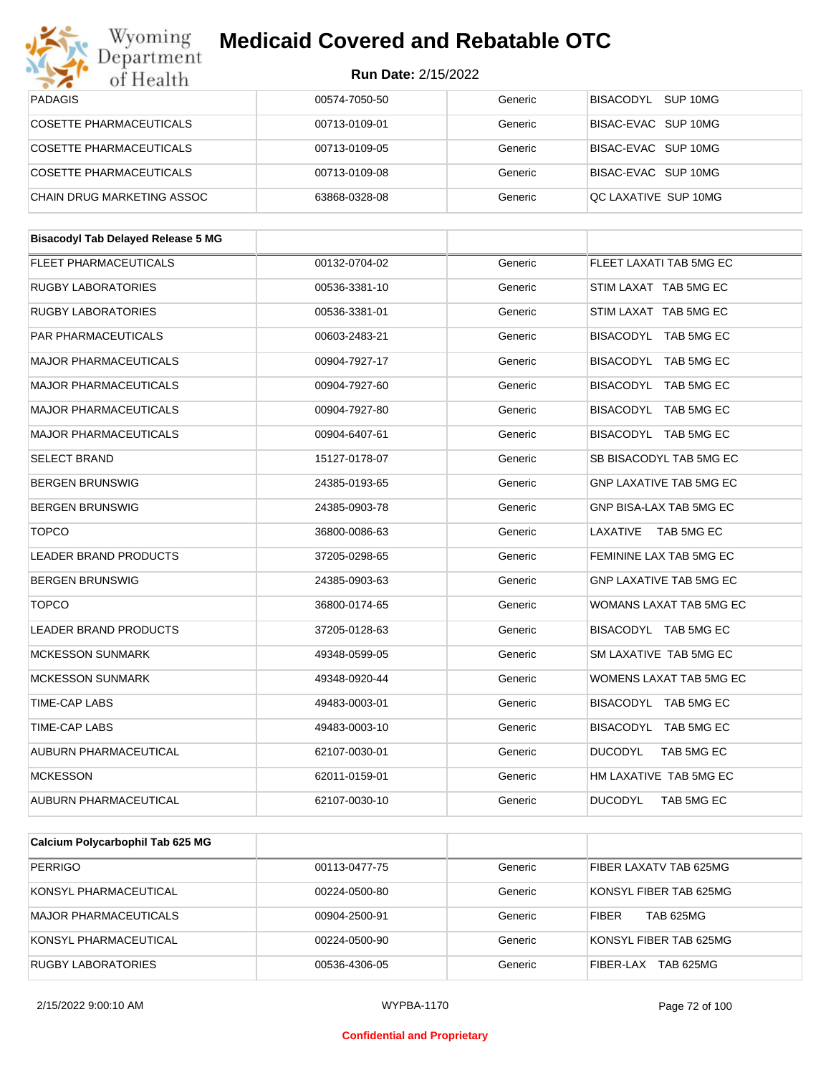

| Wyoming                                   | <b>Medicaid Covered and Rebatable OTC</b> |         |                                |
|-------------------------------------------|-------------------------------------------|---------|--------------------------------|
| Department<br>of Health                   | <b>Run Date: 2/15/2022</b>                |         |                                |
| <b>PADAGIS</b>                            | 00574-7050-50                             | Generic | BISACODYL SUP 10MG             |
| COSETTE PHARMACEUTICALS                   | 00713-0109-01                             | Generic | BISAC-EVAC SUP 10MG            |
| <b>COSETTE PHARMACEUTICALS</b>            | 00713-0109-05                             | Generic | BISAC-EVAC SUP 10MG            |
| <b>COSETTE PHARMACEUTICALS</b>            | 00713-0109-08                             | Generic | BISAC-EVAC SUP 10MG            |
| CHAIN DRUG MARKETING ASSOC                | 63868-0328-08                             | Generic | QC LAXATIVE SUP 10MG           |
|                                           |                                           |         |                                |
| <b>Bisacodyl Tab Delayed Release 5 MG</b> |                                           |         |                                |
| <b>FLEET PHARMACEUTICALS</b>              | 00132-0704-02                             | Generic | FLEET LAXATI TAB 5MG EC        |
| <b>RUGBY LABORATORIES</b>                 | 00536-3381-10                             | Generic | STIM LAXAT TAB 5MG EC          |
| <b>RUGBY LABORATORIES</b>                 | 00536-3381-01                             | Generic | STIM LAXAT TAB 5MG EC          |
| PAR PHARMACEUTICALS                       | 00603-2483-21                             | Generic | BISACODYL TAB 5MG EC           |
| <b>MAJOR PHARMACEUTICALS</b>              | 00904-7927-17                             | Generic | BISACODYL TAB 5MG EC           |
| <b>MAJOR PHARMACEUTICALS</b>              | 00904-7927-60                             | Generic | BISACODYL TAB 5MG EC           |
| <b>MAJOR PHARMACEUTICALS</b>              | 00904-7927-80                             | Generic | BISACODYL TAB 5MG EC           |
| <b>MAJOR PHARMACEUTICALS</b>              | 00904-6407-61                             | Generic | BISACODYL TAB 5MG EC           |
| <b>SELECT BRAND</b>                       | 15127-0178-07                             | Generic | SB BISACODYL TAB 5MG EC        |
| <b>BERGEN BRUNSWIG</b>                    | 24385-0193-65                             | Generic | <b>GNP LAXATIVE TAB 5MG EC</b> |
| <b>BERGEN BRUNSWIG</b>                    | 24385-0903-78                             | Generic | GNP BISA-LAX TAB 5MG EC        |
| <b>TOPCO</b>                              | 36800-0086-63                             | Generic | LAXATIVE<br>TAB 5MG EC         |
| <b>LEADER BRAND PRODUCTS</b>              | 37205-0298-65                             | Generic | FEMININE LAX TAB 5MG EC        |
| <b>BERGEN BRUNSWIG</b>                    | 24385-0903-63                             | Generic | <b>GNP LAXATIVE TAB 5MG EC</b> |
| <b>TOPCO</b>                              | 36800-0174-65                             | Generic | WOMANS LAXAT TAB 5MG EC        |
| LEADER BRAND PRODUCTS                     | 37205-0128-63                             | Generic | BISACODYL TAB 5MG EC           |
| <b>MCKESSON SUNMARK</b>                   | 49348-0599-05                             | Generic | SM LAXATIVE TAB 5MG EC         |
| <b>MCKESSON SUNMARK</b>                   | 49348-0920-44                             | Generic | WOMENS LAXAT TAB 5MG EC        |
| TIME-CAP LABS                             | 49483-0003-01                             | Generic | BISACODYL TAB 5MG EC           |
| TIME-CAP LABS                             | 49483-0003-10                             | Generic | BISACODYL TAB 5MG EC           |
| <b>AUBURN PHARMACEUTICAL</b>              | 62107-0030-01                             | Generic | <b>DUCODYL</b><br>TAB 5MG EC   |
| <b>MCKESSON</b>                           | 62011-0159-01                             | Generic | HM LAXATIVE TAB 5MG EC         |
| <b>AUBURN PHARMACEUTICAL</b>              | 62107-0030-10                             | Generic | <b>DUCODYL</b><br>TAB 5MG EC   |
|                                           |                                           |         |                                |

| Calcium Polycarbophil Tab 625 MG |               |         |                                  |
|----------------------------------|---------------|---------|----------------------------------|
| <b>PERRIGO</b>                   | 00113-0477-75 | Generic | FIBER LAXATV TAB 625MG           |
| KONSYL PHARMACEUTICAL            | 00224-0500-80 | Generic | KONSYL FIBER TAB 625MG           |
| MAJOR PHARMACEUTICALS            | 00904-2500-91 | Generic | <b>TAB 625MG</b><br><b>FIBER</b> |
| KONSYL PHARMACEUTICAL            | 00224-0500-90 | Generic | KONSYL FIBER TAB 625MG           |
| RUGBY LABORATORIES               | 00536-4306-05 | Generic | <b>TAB 625MG</b><br>FIBER-LAX    |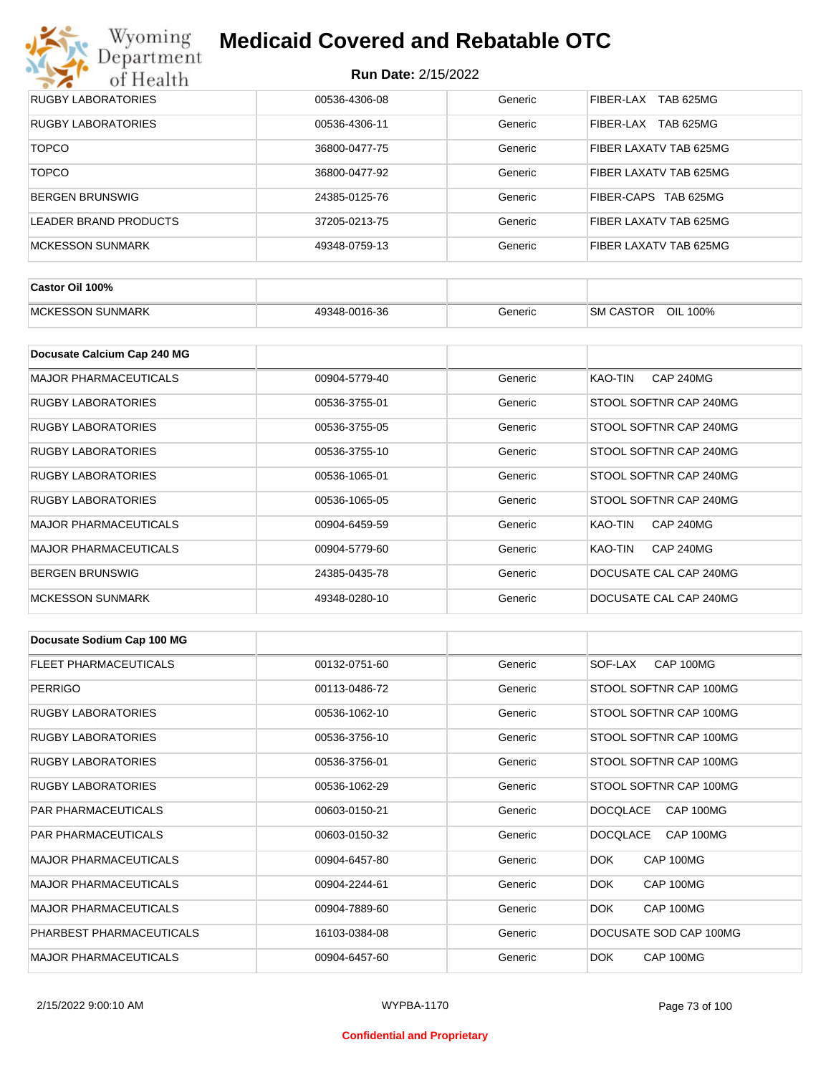

| RUGBY LABORATORIES        | 00536-4306-08 | Generic | <b>TAB 625MG</b><br>FIBER-LAX        |
|---------------------------|---------------|---------|--------------------------------------|
| <b>RUGBY LABORATORIES</b> | 00536-4306-11 | Generic | <b>TAB 625MG</b><br><b>FIBER-LAX</b> |
| <b>TOPCO</b>              | 36800-0477-75 | Generic | FIBER LAXATV TAB 625MG               |
| <b>TOPCO</b>              | 36800-0477-92 | Generic | FIBER LAXATV TAB 625MG               |
| BERGEN BRUNSWIG           | 24385-0125-76 | Generic | FIBER-CAPS TAB 625MG                 |
| LEADER BRAND PRODUCTS     | 37205-0213-75 | Generic | FIBER LAXATV TAB 625MG               |
| MCKESSON SUNMARK          | 49348-0759-13 | Generic | FIBER LAXATV TAB 625MG               |

| Castor Oil 100%         |               |         |                                 |
|-------------------------|---------------|---------|---------------------------------|
| <b>MCKESSON SUNMARK</b> | 49348-0016-36 | Generic | OIL<br><b>SM CASTOR</b><br>100% |

| Docusate Calcium Cap 240 MG  |               |         |                             |
|------------------------------|---------------|---------|-----------------------------|
| <b>MAJOR PHARMACEUTICALS</b> | 00904-5779-40 | Generic | KAO-TIN<br><b>CAP 240MG</b> |
| RUGBY LABORATORIES           | 00536-3755-01 | Generic | STOOL SOFTNR CAP 240MG      |
| RUGBY LABORATORIES           | 00536-3755-05 | Generic | STOOL SOFTNR CAP 240MG      |
| <b>RUGBY LABORATORIES</b>    | 00536-3755-10 | Generic | STOOL SOFTNR CAP 240MG      |
| RUGBY LABORATORIES           | 00536-1065-01 | Generic | STOOL SOFTNR CAP 240MG      |
| RUGBY LABORATORIES           | 00536-1065-05 | Generic | STOOL SOFTNR CAP 240MG      |
| <b>MAJOR PHARMACEUTICALS</b> | 00904-6459-59 | Generic | <b>CAP 240MG</b><br>KAO-TIN |
| <b>MAJOR PHARMACEUTICALS</b> | 00904-5779-60 | Generic | <b>CAP 240MG</b><br>KAO-TIN |
| <b>BERGEN BRUNSWIG</b>       | 24385-0435-78 | Generic | DOCUSATE CAL CAP 240MG      |
| <b>MCKESSON SUNMARK</b>      | 49348-0280-10 | Generic | DOCUSATE CAL CAP 240MG      |

| Docusate Sodium Cap 100 MG   |               |         |                              |
|------------------------------|---------------|---------|------------------------------|
| <b>FLEET PHARMACEUTICALS</b> | 00132-0751-60 | Generic | CAP 100MG<br>SOF-LAX         |
| <b>PERRIGO</b>               | 00113-0486-72 | Generic | STOOL SOFTNR CAP 100MG       |
| <b>RUGBY LABORATORIES</b>    | 00536-1062-10 | Generic | STOOL SOFTNR CAP 100MG       |
| <b>RUGBY LABORATORIES</b>    | 00536-3756-10 | Generic | STOOL SOFTNR CAP 100MG       |
| <b>RUGBY LABORATORIES</b>    | 00536-3756-01 | Generic | STOOL SOFTNR CAP 100MG       |
| <b>RUGBY LABORATORIES</b>    | 00536-1062-29 | Generic | STOOL SOFTNR CAP 100MG       |
| <b>PAR PHARMACEUTICALS</b>   | 00603-0150-21 | Generic | CAP 100MG<br><b>DOCOLACE</b> |
| <b>PAR PHARMACEUTICALS</b>   | 00603-0150-32 | Generic | <b>DOCQLACE</b><br>CAP 100MG |
| <b>MAJOR PHARMACEUTICALS</b> | 00904-6457-80 | Generic | DOK.<br>CAP 100MG            |
| <b>MAJOR PHARMACEUTICALS</b> | 00904-2244-61 | Generic | DOK.<br>CAP 100MG            |
| <b>MAJOR PHARMACEUTICALS</b> | 00904-7889-60 | Generic | <b>DOK</b><br>CAP 100MG      |
| PHARBEST PHARMACEUTICALS     | 16103-0384-08 | Generic | DOCUSATE SOD CAP 100MG       |
| <b>MAJOR PHARMACEUTICALS</b> | 00904-6457-60 | Generic | CAP 100MG<br>DOK.            |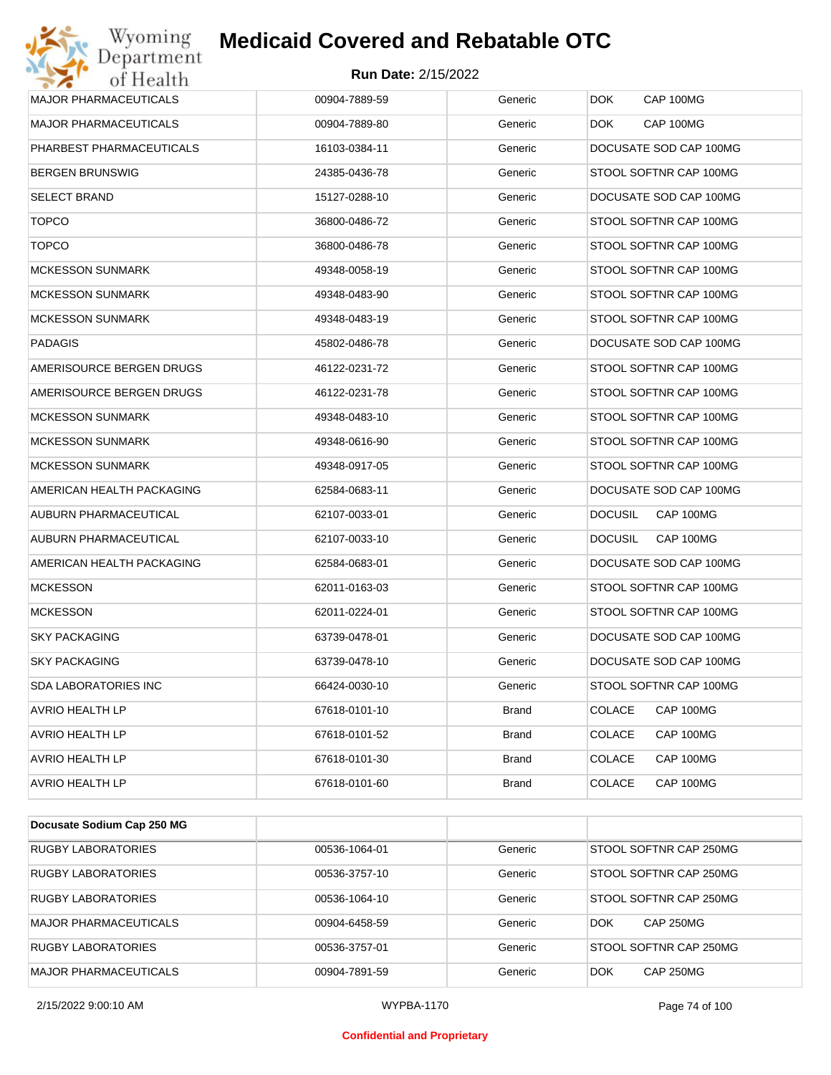### **Run Date:** 2/15/2022

| Wyoming<br>Department        | <b>Medicaid Covered and Rebatable OTC</b> |              |                             |
|------------------------------|-------------------------------------------|--------------|-----------------------------|
| of Health                    | <b>Run Date: 2/15/2022</b>                |              |                             |
| <b>MAJOR PHARMACEUTICALS</b> | 00904-7889-59                             | Generic      | <b>DOK</b><br>CAP 100MG     |
| <b>MAJOR PHARMACEUTICALS</b> | 00904-7889-80                             | Generic      | CAP 100MG<br><b>DOK</b>     |
| PHARBEST PHARMACEUTICALS     | 16103-0384-11                             | Generic      | DOCUSATE SOD CAP 100MG      |
| <b>BERGEN BRUNSWIG</b>       | 24385-0436-78                             | Generic      | STOOL SOFTNR CAP 100MG      |
| <b>SELECT BRAND</b>          | 15127-0288-10                             | Generic      | DOCUSATE SOD CAP 100MG      |
| <b>TOPCO</b>                 | 36800-0486-72                             | Generic      | STOOL SOFTNR CAP 100MG      |
| <b>TOPCO</b>                 | 36800-0486-78                             | Generic      | STOOL SOFTNR CAP 100MG      |
| <b>MCKESSON SUNMARK</b>      | 49348-0058-19                             | Generic      | STOOL SOFTNR CAP 100MG      |
| <b>MCKESSON SUNMARK</b>      | 49348-0483-90                             | Generic      | STOOL SOFTNR CAP 100MG      |
| <b>MCKESSON SUNMARK</b>      | 49348-0483-19                             | Generic      | STOOL SOFTNR CAP 100MG      |
| <b>PADAGIS</b>               | 45802-0486-78                             | Generic      | DOCUSATE SOD CAP 100MG      |
| AMERISOURCE BERGEN DRUGS     | 46122-0231-72                             | Generic      | STOOL SOFTNR CAP 100MG      |
| AMERISOURCE BERGEN DRUGS     | 46122-0231-78                             | Generic      | STOOL SOFTNR CAP 100MG      |
| <b>MCKESSON SUNMARK</b>      | 49348-0483-10                             | Generic      | STOOL SOFTNR CAP 100MG      |
| <b>MCKESSON SUNMARK</b>      | 49348-0616-90                             | Generic      | STOOL SOFTNR CAP 100MG      |
| <b>MCKESSON SUNMARK</b>      | 49348-0917-05                             | Generic      | STOOL SOFTNR CAP 100MG      |
| AMERICAN HEALTH PACKAGING    | 62584-0683-11                             | Generic      | DOCUSATE SOD CAP 100MG      |
| AUBURN PHARMACEUTICAL        | 62107-0033-01                             | Generic      | CAP 100MG<br><b>DOCUSIL</b> |
| AUBURN PHARMACEUTICAL        | 62107-0033-10                             | Generic      | <b>DOCUSIL</b><br>CAP 100MG |
| AMERICAN HEALTH PACKAGING    | 62584-0683-01                             | Generic      | DOCUSATE SOD CAP 100MG      |
| <b>MCKESSON</b>              | 62011-0163-03                             | Generic      | STOOL SOFTNR CAP 100MG      |
| <b>MCKESSON</b>              | 62011-0224-01                             | Generic      | STOOL SOFTNR CAP 100MG      |
| <b>SKY PACKAGING</b>         | 63739-0478-01                             | Generic      | DOCUSATE SOD CAP 100MG      |
| <b>SKY PACKAGING</b>         | 63739-0478-10                             | Generic      | DOCUSATE SOD CAP 100MG      |
| SDA LABORATORIES INC         | 66424-0030-10                             | Generic      | STOOL SOFTNR CAP 100MG      |
| <b>AVRIO HEALTH LP</b>       | 67618-0101-10                             | <b>Brand</b> | <b>COLACE</b><br>CAP 100MG  |
| AVRIO HEALTH LP              | 67618-0101-52                             | <b>Brand</b> | <b>COLACE</b><br>CAP 100MG  |
| AVRIO HEALTH LP              | 67618-0101-30                             | Brand        | <b>COLACE</b><br>CAP 100MG  |
| <b>AVRIO HEALTH LP</b>       | 67618-0101-60                             | <b>Brand</b> | <b>COLACE</b><br>CAP 100MG  |
|                              |                                           |              |                             |
| Docusate Sodium Cap 250 MG   |                                           |              |                             |

| <b>RUGBY LABORATORIES</b>    | 00536-1064-01 | Generic | STOOL SOFTNR CAP 250MG         |
|------------------------------|---------------|---------|--------------------------------|
| <b>RUGBY LABORATORIES</b>    | 00536-3757-10 | Generic | STOOL SOFTNR CAP 250MG         |
| <b>RUGBY LABORATORIES</b>    | 00536-1064-10 | Generic | STOOL SOFTNR CAP 250MG         |
| <b>MAJOR PHARMACEUTICALS</b> | 00904-6458-59 | Generic | <b>CAP 250MG</b><br><b>DOK</b> |
| <b>RUGBY LABORATORIES</b>    | 00536-3757-01 | Generic | STOOL SOFTNR CAP 250MG         |
| <b>MAJOR PHARMACEUTICALS</b> | 00904-7891-59 | Generic | <b>CAP 250MG</b><br><b>DOK</b> |

2/15/2022 9:00:10 AM WYPBA-1170 Page 74 of 100

#### **Confidential and Proprietary**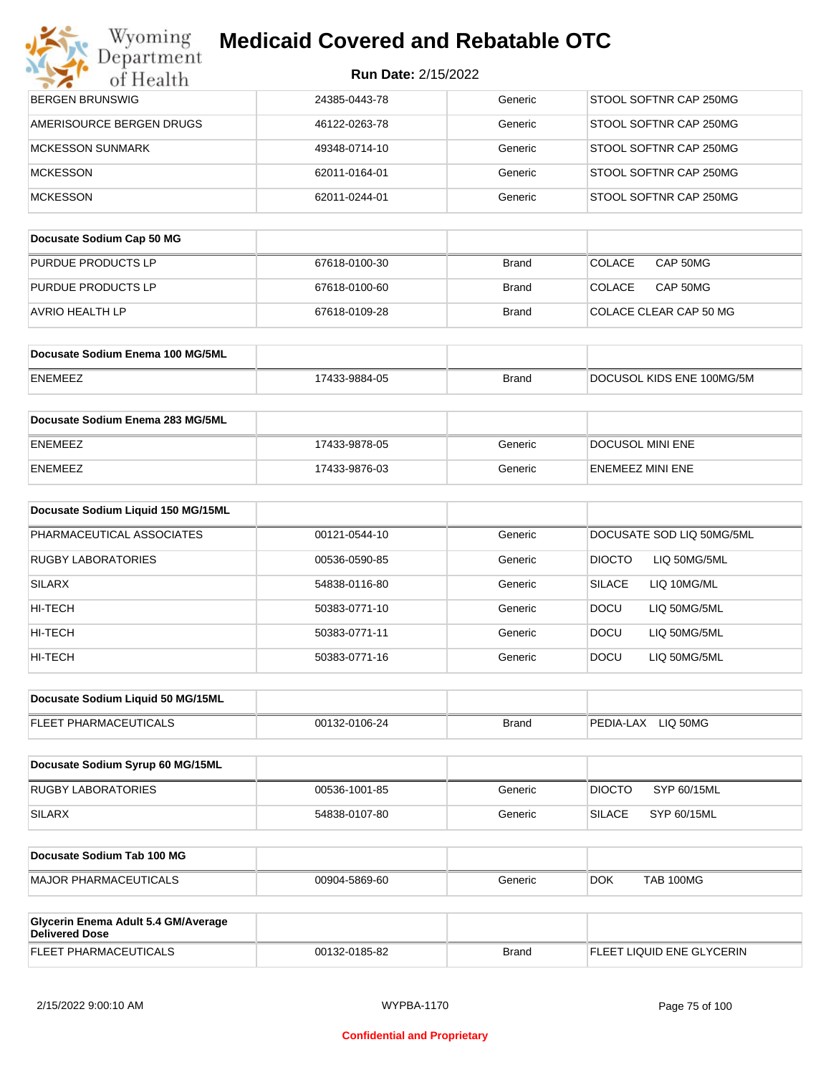| <b>Run Date: 2/15/2022</b> |  |
|----------------------------|--|
|----------------------------|--|

| Department<br>of Health                        | <b>Run Date: 2/15/2022</b> |              |                               |
|------------------------------------------------|----------------------------|--------------|-------------------------------|
| <b>BERGEN BRUNSWIG</b>                         | 24385-0443-78              | Generic      | STOOL SOFTNR CAP 250MG        |
| AMERISOURCE BERGEN DRUGS                       | 46122-0263-78              | Generic      | STOOL SOFTNR CAP 250MG        |
| <b>MCKESSON SUNMARK</b>                        | 49348-0714-10              | Generic      | STOOL SOFTNR CAP 250MG        |
| <b>MCKESSON</b>                                | 62011-0164-01              | Generic      | STOOL SOFTNR CAP 250MG        |
| <b>MCKESSON</b>                                | 62011-0244-01              | Generic      | STOOL SOFTNR CAP 250MG        |
|                                                |                            |              |                               |
| Docusate Sodium Cap 50 MG                      |                            |              |                               |
| PURDUE PRODUCTS LP                             | 67618-0100-30              | <b>Brand</b> | <b>COLACE</b><br>CAP 50MG     |
| PURDUE PRODUCTS LP                             | 67618-0100-60              | Brand        | <b>COLACE</b><br>CAP 50MG     |
| AVRIO HEALTH LP                                | 67618-0109-28              | <b>Brand</b> | COLACE CLEAR CAP 50 MG        |
|                                                |                            |              |                               |
| Docusate Sodium Enema 100 MG/5ML               |                            |              |                               |
| ENEMEEZ                                        | 17433-9884-05              | <b>Brand</b> | DOCUSOL KIDS ENE 100MG/5M     |
| Docusate Sodium Enema 283 MG/5ML               |                            |              |                               |
| ENEMEEZ                                        | 17433-9878-05              | Generic      | DOCUSOL MINI ENE              |
| ENEMEEZ                                        | 17433-9876-03              | Generic      | <b>ENEMEEZ MINI ENE</b>       |
| Docusate Sodium Liquid 150 MG/15ML             |                            |              |                               |
| PHARMACEUTICAL ASSOCIATES                      | 00121-0544-10              | Generic      | DOCUSATE SOD LIQ 50MG/5ML     |
| RUGBY LABORATORIES                             | 00536-0590-85              | Generic      | <b>DIOCTO</b><br>LIQ 50MG/5ML |
| SILARX                                         | 54838-0116-80              | Generic      | <b>SILACE</b><br>LIQ 10MG/ML  |
| HI-TECH                                        | 50383-0771-10              | Generic      | <b>DOCU</b><br>LIQ 50MG/5ML   |
| HI-TECH                                        | 50383-0771-11              | Generic      | DOCU<br>LIQ 50MG/5ML          |
| HI-TECH                                        | 50383-0771-16              | Generic      | <b>DOCU</b><br>LIQ 50MG/5ML   |
|                                                |                            |              |                               |
| Docusate Sodium Liquid 50 MG/15ML              |                            |              |                               |
| FLEET PHARMACEUTICALS                          | 00132-0106-24              | <b>Brand</b> | PEDIA-LAX LIQ 50MG            |
| Docusate Sodium Syrup 60 MG/15ML               |                            |              |                               |
| RUGBY LABORATORIES                             | 00536-1001-85              | Generic      | <b>DIOCTO</b><br>SYP 60/15ML  |
| <b>SILARX</b>                                  | 54838-0107-80              | Generic      | <b>SILACE</b><br>SYP 60/15ML  |
|                                                |                            |              |                               |
| Docusate Sodium Tab 100 MG                     |                            |              |                               |
| <b>MAJOR PHARMACEUTICALS</b>                   | 00904-5869-60              | Generic      | <b>TAB 100MG</b><br>DOK.      |
| Glycerin Enema Adult 5.4 GM/Average            |                            |              |                               |
| <b>Delivered Dose</b><br>FLEET PHARMACEUTICALS | 00132-0185-82              | <b>Brand</b> | FLEET LIQUID ENE GLYCERIN     |
|                                                |                            |              |                               |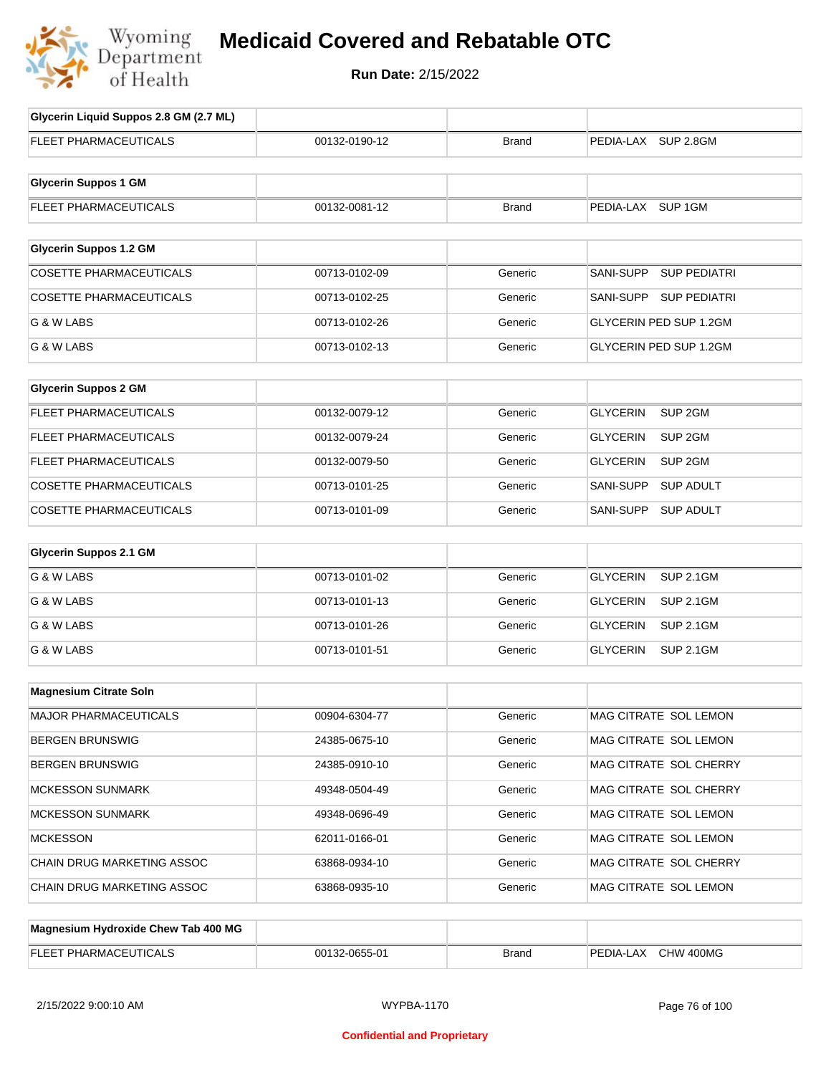

# **Medicaid Covered and Rebatable OTC**

**Run Date:** 2/15/2022

| Glycerin Liquid Suppos 2.8 GM (2.7 ML) |               |              |                                       |
|----------------------------------------|---------------|--------------|---------------------------------------|
| FLEET PHARMACEUTICALS                  | 00132-0190-12 | <b>Brand</b> | PEDIA-LAX SUP 2.8GM                   |
|                                        |               |              |                                       |
| <b>Glycerin Suppos 1 GM</b>            |               |              |                                       |
| FLEET PHARMACEUTICALS                  | 00132-0081-12 | <b>Brand</b> | PEDIA-LAX SUP 1GM                     |
|                                        |               |              |                                       |
| <b>Glycerin Suppos 1.2 GM</b>          |               |              |                                       |
| <b>COSETTE PHARMACEUTICALS</b>         | 00713-0102-09 | Generic      | SANI-SUPP<br><b>SUP PEDIATRI</b>      |
| <b>COSETTE PHARMACEUTICALS</b>         | 00713-0102-25 | Generic      | SANI-SUPP SUP PEDIATRI                |
| G & W LABS                             | 00713-0102-26 | Generic      | <b>GLYCERIN PED SUP 1.2GM</b>         |
| G & W LABS                             | 00713-0102-13 | Generic      | <b>GLYCERIN PED SUP 1.2GM</b>         |
|                                        |               |              |                                       |
| <b>Glycerin Suppos 2 GM</b>            |               |              |                                       |
| FLEET PHARMACEUTICALS                  | 00132-0079-12 | Generic      | SUP <sub>2GM</sub><br><b>GLYCERIN</b> |
| <b>FLEET PHARMACEUTICALS</b>           | 00132-0079-24 | Generic      | <b>GLYCERIN</b><br>SUP 2GM            |
| <b>FLEET PHARMACEUTICALS</b>           | 00132-0079-50 | Generic      | <b>GLYCERIN</b><br>SUP 2GM            |
| COSETTE PHARMACEUTICALS                | 00713-0101-25 | Generic      | SANI-SUPP<br><b>SUP ADULT</b>         |
| COSETTE PHARMACEUTICALS                | 00713-0101-09 | Generic      | SANI-SUPP<br><b>SUP ADULT</b>         |
| <b>Glycerin Suppos 2.1 GM</b>          |               |              |                                       |
| G & W LABS                             | 00713-0101-02 | Generic      | <b>GLYCERIN</b><br><b>SUP 2.1GM</b>   |
| G & W LABS                             | 00713-0101-13 | Generic      | <b>GLYCERIN</b><br><b>SUP 2.1GM</b>   |
| G & W LABS                             | 00713-0101-26 | Generic      | <b>GLYCERIN</b><br><b>SUP 2.1GM</b>   |
| G & W LABS                             | 00713-0101-51 | Generic      | <b>GLYCERIN</b><br><b>SUP 2.1GM</b>   |
|                                        |               |              |                                       |
| <b>Magnesium Citrate Soln</b>          |               |              |                                       |
| MAJOR PHARMACEUTICALS                  | 00904-6304-77 | Generic      | MAG CITRATE SOL LEMON                 |
| <b>BERGEN BRUNSWIG</b>                 | 24385-0675-10 | Generic      | MAG CITRATE SOL LEMON                 |
| <b>BERGEN BRUNSWIG</b>                 | 24385-0910-10 | Generic      | MAG CITRATE SOL CHERRY                |
| <b>MCKESSON SUNMARK</b>                | 49348-0504-49 | Generic      | MAG CITRATE SOL CHERRY                |
| <b>MCKESSON SUNMARK</b>                | 49348-0696-49 | Generic      | MAG CITRATE SOL LEMON                 |
| <b>MCKESSON</b>                        | 62011-0166-01 | Generic      | MAG CITRATE SOL LEMON                 |
| CHAIN DRUG MARKETING ASSOC             | 63868-0934-10 | Generic      | MAG CITRATE SOL CHERRY                |
| CHAIN DRUG MARKETING ASSOC             | 63868-0935-10 | Generic      | MAG CITRATE SOL LEMON                 |
|                                        |               |              |                                       |
| Magnesium Hydroxide Chew Tab 400 MG    |               |              |                                       |
| FLEET PHARMACEUTICALS                  | 00132-0655-01 | <b>Brand</b> | PEDIA-LAX CHW 400MG                   |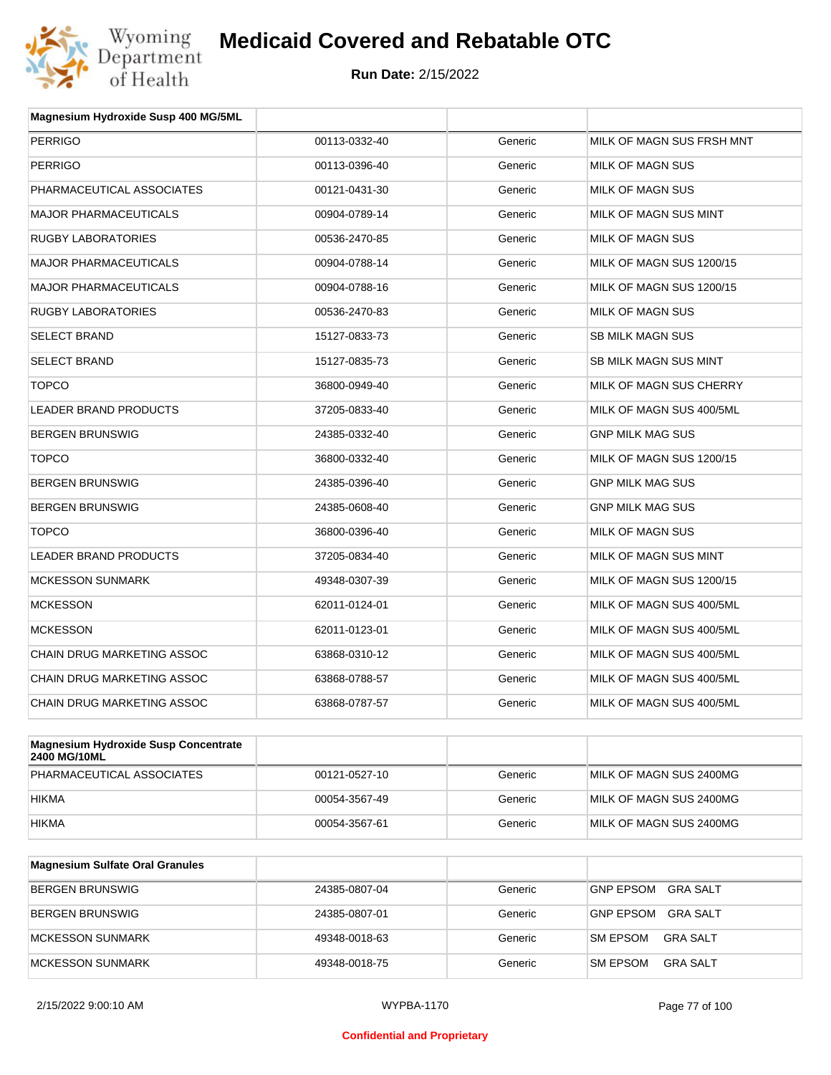

| Magnesium Hydroxide Susp 400 MG/5ML  |               |         |                              |
|--------------------------------------|---------------|---------|------------------------------|
| <b>PERRIGO</b>                       | 00113-0332-40 | Generic | MILK OF MAGN SUS FRSH MNT    |
| <b>PERRIGO</b>                       | 00113-0396-40 | Generic | <b>MILK OF MAGN SUS</b>      |
| PHARMACEUTICAL ASSOCIATES            | 00121-0431-30 | Generic | MILK OF MAGN SUS             |
| <b>MAJOR PHARMACEUTICALS</b>         | 00904-0789-14 | Generic | <b>MILK OF MAGN SUS MINT</b> |
| <b>RUGBY LABORATORIES</b>            | 00536-2470-85 | Generic | MILK OF MAGN SUS             |
| <b>MAJOR PHARMACEUTICALS</b>         | 00904-0788-14 | Generic | MILK OF MAGN SUS 1200/15     |
| <b>MAJOR PHARMACEUTICALS</b>         | 00904-0788-16 | Generic | MILK OF MAGN SUS 1200/15     |
| <b>RUGBY LABORATORIES</b>            | 00536-2470-83 | Generic | <b>MILK OF MAGN SUS</b>      |
| <b>SELECT BRAND</b>                  | 15127-0833-73 | Generic | SB MILK MAGN SUS             |
| <b>SELECT BRAND</b>                  | 15127-0835-73 | Generic | SB MILK MAGN SUS MINT        |
| <b>TOPCO</b>                         | 36800-0949-40 | Generic | MILK OF MAGN SUS CHERRY      |
| <b>LEADER BRAND PRODUCTS</b>         | 37205-0833-40 | Generic | MILK OF MAGN SUS 400/5ML     |
| <b>BERGEN BRUNSWIG</b>               | 24385-0332-40 | Generic | <b>GNP MILK MAG SUS</b>      |
| <b>TOPCO</b>                         | 36800-0332-40 | Generic | MILK OF MAGN SUS 1200/15     |
| <b>BERGEN BRUNSWIG</b>               | 24385-0396-40 | Generic | <b>GNP MILK MAG SUS</b>      |
| <b>BERGEN BRUNSWIG</b>               | 24385-0608-40 | Generic | <b>GNP MILK MAG SUS</b>      |
| <b>TOPCO</b>                         | 36800-0396-40 | Generic | MILK OF MAGN SUS             |
| <b>LEADER BRAND PRODUCTS</b>         | 37205-0834-40 | Generic | MILK OF MAGN SUS MINT        |
| <b>MCKESSON SUNMARK</b>              | 49348-0307-39 | Generic | MILK OF MAGN SUS 1200/15     |
| <b>MCKESSON</b>                      | 62011-0124-01 | Generic | MILK OF MAGN SUS 400/5ML     |
| <b>MCKESSON</b>                      | 62011-0123-01 | Generic | MILK OF MAGN SUS 400/5ML     |
| CHAIN DRUG MARKETING ASSOC           | 63868-0310-12 | Generic | MILK OF MAGN SUS 400/5ML     |
| CHAIN DRUG MARKETING ASSOC           | 63868-0788-57 | Generic | MILK OF MAGN SUS 400/5ML     |
| <b>CHAIN DRUG MARKETING ASSOC</b>    | 63868-0787-57 | Generic | MILK OF MAGN SUS 400/5ML     |
| Megnesium Uudrevide Cuan Censentrate |               |         |                              |

| Magnesium Hydroxide Susp Concentrate<br><b>2400 MG/10ML</b> |               |         |                         |
|-------------------------------------------------------------|---------------|---------|-------------------------|
| PHARMACEUTICAL ASSOCIATES                                   | 00121-0527-10 | Generic | MILK OF MAGN SUS 2400MG |
| <b>HIKMA</b>                                                | 00054-3567-49 | Generic | MILK OF MAGN SUS 2400MG |
| <b>HIKMA</b>                                                | 00054-3567-61 | Generic | MILK OF MAGN SUS 2400MG |

| <b>Magnesium Sulfate Oral Granules</b> |               |         |                                    |
|----------------------------------------|---------------|---------|------------------------------------|
| BERGEN BRUNSWIG                        | 24385-0807-04 | Generic | GRA SALT<br><b>GNP EPSOM</b>       |
| BERGEN BRUNSWIG                        | 24385-0807-01 | Generic | GRA SALT<br><b>GNP EPSOM</b>       |
| <b>IMCKESSON SUNMARK</b>               | 49348-0018-63 | Generic | <b>SM EPSOM</b><br>GRA SALT        |
| MCKESSON SUNMARK                       | 49348-0018-75 | Generic | <b>SM EPSOM</b><br><b>GRA SALT</b> |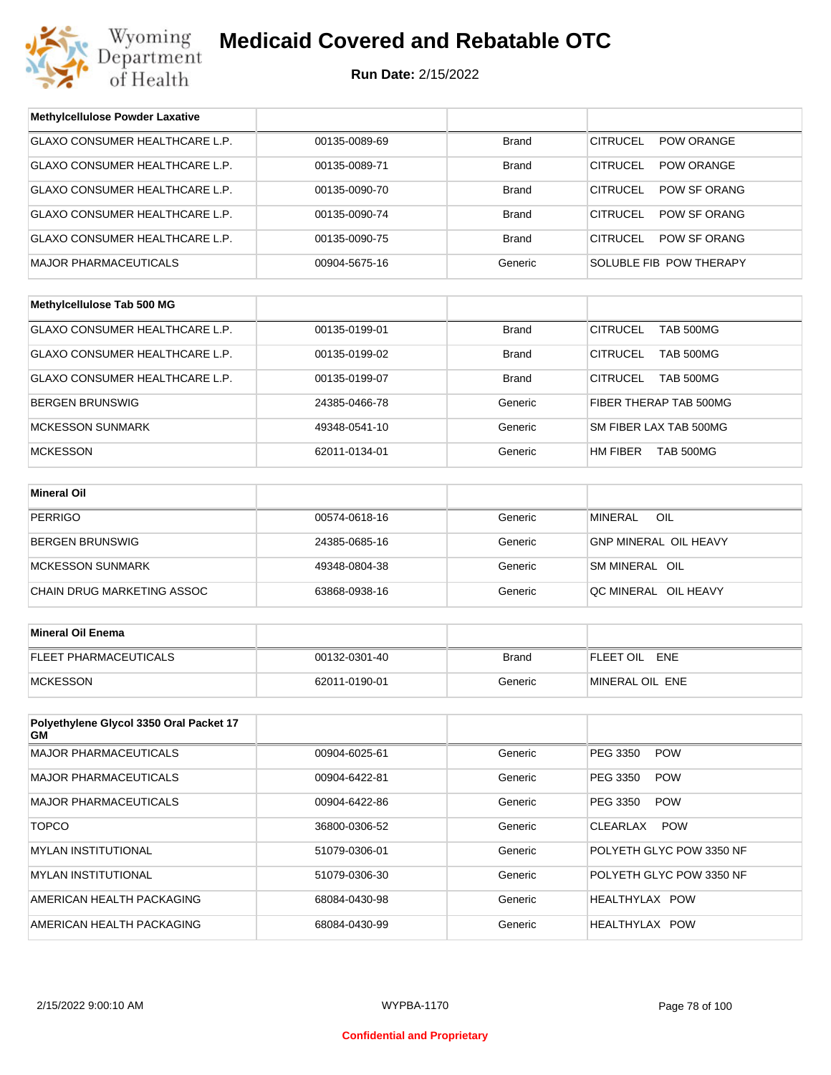

| <b>Methylcellulose Powder Laxative</b>         |               |              |                                      |
|------------------------------------------------|---------------|--------------|--------------------------------------|
| GLAXO CONSUMER HEALTHCARE L.P.                 | 00135-0089-69 | <b>Brand</b> | <b>CITRUCEL</b><br>POW ORANGE        |
| GLAXO CONSUMER HEALTHCARE L.P.                 | 00135-0089-71 | Brand        | <b>CITRUCEL</b><br><b>POW ORANGE</b> |
| GLAXO CONSUMER HEALTHCARE L.P.                 | 00135-0090-70 | <b>Brand</b> | <b>CITRUCEL</b><br>POW SF ORANG      |
| GLAXO CONSUMER HEALTHCARE L.P.                 | 00135-0090-74 | Brand        | <b>CITRUCEL</b><br>POW SF ORANG      |
| GLAXO CONSUMER HEALTHCARE L.P.                 | 00135-0090-75 | <b>Brand</b> | <b>CITRUCEL</b><br>POW SF ORANG      |
| <b>MAJOR PHARMACEUTICALS</b>                   | 00904-5675-16 | Generic      | SOLUBLE FIB POW THERAPY              |
|                                                |               |              |                                      |
| Methylcellulose Tab 500 MG                     |               |              |                                      |
| GLAXO CONSUMER HEALTHCARE L.P.                 | 00135-0199-01 | <b>Brand</b> | <b>CITRUCEL</b><br><b>TAB 500MG</b>  |
| GLAXO CONSUMER HEALTHCARE L.P.                 | 00135-0199-02 | <b>Brand</b> | <b>CITRUCEL</b><br><b>TAB 500MG</b>  |
| GLAXO CONSUMER HEALTHCARE L.P.                 | 00135-0199-07 | <b>Brand</b> | <b>CITRUCEL</b><br><b>TAB 500MG</b>  |
| <b>BERGEN BRUNSWIG</b>                         | 24385-0466-78 | Generic      | FIBER THERAP TAB 500MG               |
| <b>MCKESSON SUNMARK</b>                        | 49348-0541-10 | Generic      | SM FIBER LAX TAB 500MG               |
| <b>MCKESSON</b>                                | 62011-0134-01 | Generic      | HM FIBER<br>TAB 500MG                |
|                                                |               |              |                                      |
| <b>Mineral Oil</b>                             |               |              |                                      |
| <b>PERRIGO</b>                                 | 00574-0618-16 | Generic      | <b>MINERAL</b><br>OIL                |
| <b>BERGEN BRUNSWIG</b>                         | 24385-0685-16 | Generic      | <b>GNP MINERAL OIL HEAVY</b>         |
| <b>MCKESSON SUNMARK</b>                        | 49348-0804-38 | Generic      | SM MINERAL OIL                       |
| CHAIN DRUG MARKETING ASSOC                     | 63868-0938-16 | Generic      | QC MINERAL OIL HEAVY                 |
|                                                |               |              |                                      |
| <b>Mineral Oil Enema</b>                       |               |              |                                      |
| FLEET PHARMACEUTICALS                          | 00132-0301-40 | <b>Brand</b> | FLEET OIL ENE                        |
| <b>MCKESSON</b>                                | 62011-0190-01 | Generic      | MINERAL OIL ENE                      |
|                                                |               |              |                                      |
| Polyethylene Glycol 3350 Oral Packet 17<br>GM. |               |              |                                      |
| MAJOR PHARMACEUTICALS                          | 00904-6025-61 | Generic      | PEG 3350<br><b>POW</b>               |
| MAJOR PHARMACEUTICALS                          | 00904-6422-81 | Generic      | PEG 3350<br><b>POW</b>               |
| <b>MAJOR PHARMACEUTICALS</b>                   | 00904-6422-86 | Generic      | PEG 3350<br><b>POW</b>               |
| <b>TOPCO</b>                                   | 36800-0306-52 | Generic      | <b>POW</b><br>CLEARLAX               |
| <b>MYLAN INSTITUTIONAL</b>                     | 51079-0306-01 | Generic      | POLYETH GLYC POW 3350 NF             |
| MYLAN INSTITUTIONAL                            | 51079-0306-30 | Generic      | POLYETH GLYC POW 3350 NF             |
| AMERICAN HEALTH PACKAGING                      | 68084-0430-98 | Generic      | HEALTHYLAX POW                       |
| AMERICAN HEALTH PACKAGING                      | 68084-0430-99 | Generic      | HEALTHYLAX POW                       |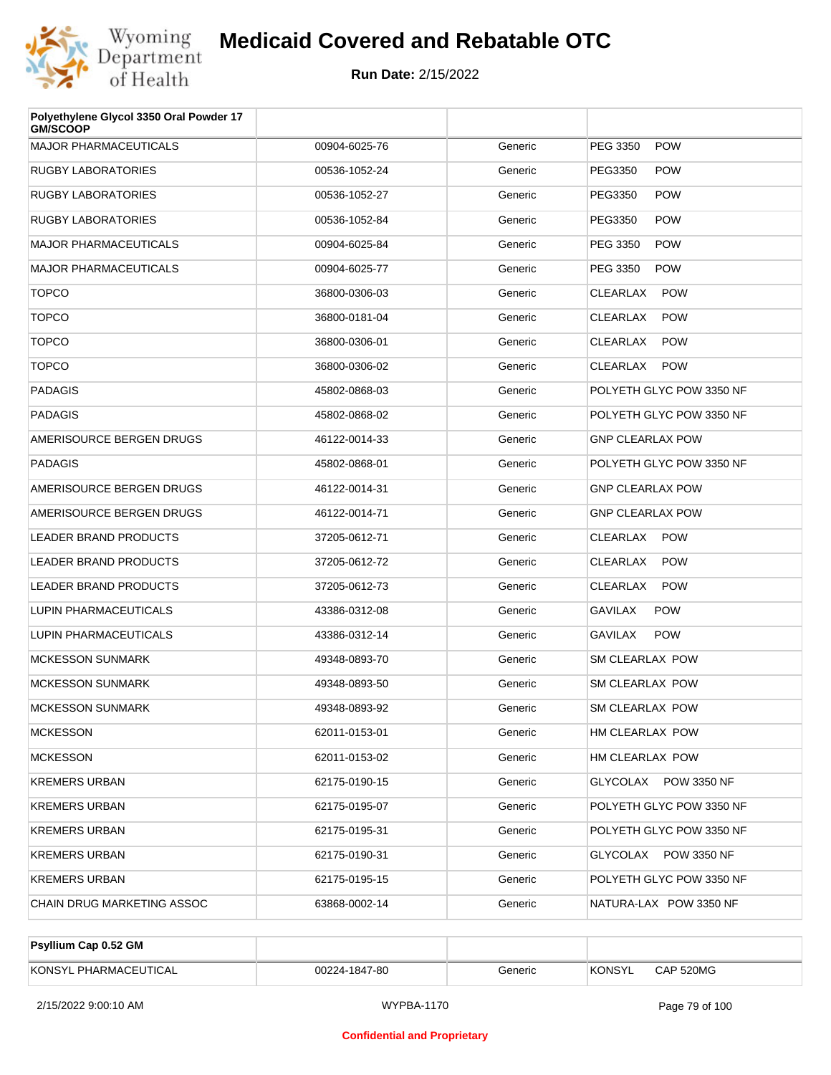

| Polyethylene Glycol 3350 Oral Powder 17<br><b>GM/SCOOP</b> |               |         |                               |
|------------------------------------------------------------|---------------|---------|-------------------------------|
| <b>MAJOR PHARMACEUTICALS</b>                               | 00904-6025-76 | Generic | <b>POW</b><br>PEG 3350        |
| <b>RUGBY LABORATORIES</b>                                  | 00536-1052-24 | Generic | <b>POW</b><br>PEG3350         |
| <b>RUGBY LABORATORIES</b>                                  | 00536-1052-27 | Generic | <b>POW</b><br>PEG3350         |
| <b>RUGBY LABORATORIES</b>                                  | 00536-1052-84 | Generic | <b>POW</b><br>PEG3350         |
| <b>MAJOR PHARMACEUTICALS</b>                               | 00904-6025-84 | Generic | <b>POW</b><br>PEG 3350        |
| <b>MAJOR PHARMACEUTICALS</b>                               | 00904-6025-77 | Generic | <b>POW</b><br>PEG 3350        |
| <b>TOPCO</b>                                               | 36800-0306-03 | Generic | <b>POW</b><br><b>CLEARLAX</b> |
| <b>TOPCO</b>                                               | 36800-0181-04 | Generic | <b>POW</b><br><b>CLEARLAX</b> |
| <b>TOPCO</b>                                               | 36800-0306-01 | Generic | <b>POW</b><br>CLEARLAX        |
| <b>TOPCO</b>                                               | 36800-0306-02 | Generic | <b>POW</b><br>CLEARLAX        |
| <b>PADAGIS</b>                                             | 45802-0868-03 | Generic | POLYETH GLYC POW 3350 NF      |
| <b>PADAGIS</b>                                             | 45802-0868-02 | Generic | POLYETH GLYC POW 3350 NF      |
| AMERISOURCE BERGEN DRUGS                                   | 46122-0014-33 | Generic | <b>GNP CLEARLAX POW</b>       |
| <b>PADAGIS</b>                                             | 45802-0868-01 | Generic | POLYETH GLYC POW 3350 NF      |
| AMERISOURCE BERGEN DRUGS                                   | 46122-0014-31 | Generic | <b>GNP CLEARLAX POW</b>       |
| AMERISOURCE BERGEN DRUGS                                   | 46122-0014-71 | Generic | <b>GNP CLEARLAX POW</b>       |
| LEADER BRAND PRODUCTS                                      | 37205-0612-71 | Generic | CLEARLAX POW                  |
| <b>LEADER BRAND PRODUCTS</b>                               | 37205-0612-72 | Generic | <b>POW</b><br>CLEARLAX        |
| LEADER BRAND PRODUCTS                                      | 37205-0612-73 | Generic | <b>POW</b><br>CLEARLAX        |
| LUPIN PHARMACEUTICALS                                      | 43386-0312-08 | Generic | <b>POW</b><br>GAVILAX         |
| LUPIN PHARMACEUTICALS                                      | 43386-0312-14 | Generic | <b>POW</b><br><b>GAVILAX</b>  |
| <b>MCKESSON SUNMARK</b>                                    | 49348-0893-70 | Generic | <b>SM CLEARLAX POW</b>        |
| <b>MCKESSON SUNMARK</b>                                    | 49348-0893-50 | Generic | SM CLEARLAX POW               |
| <b>MCKESSON SUNMARK</b>                                    | 49348-0893-92 | Generic | SM CLEARLAX POW               |
| <b>MCKESSON</b>                                            | 62011-0153-01 | Generic | HM CLEARLAX POW               |
| <b>MCKESSON</b>                                            | 62011-0153-02 | Generic | HM CLEARLAX POW               |
| <b>KREMERS URBAN</b>                                       | 62175-0190-15 | Generic | GLYCOLAX POW 3350 NF          |
| <b>KREMERS URBAN</b>                                       | 62175-0195-07 | Generic | POLYETH GLYC POW 3350 NF      |
| <b>KREMERS URBAN</b>                                       | 62175-0195-31 | Generic | POLYETH GLYC POW 3350 NF      |
| <b>KREMERS URBAN</b>                                       | 62175-0190-31 | Generic | GLYCOLAX POW 3350 NF          |
| <b>KREMERS URBAN</b>                                       | 62175-0195-15 | Generic | POLYETH GLYC POW 3350 NF      |
| CHAIN DRUG MARKETING ASSOC                                 | 63868-0002-14 | Generic | NATURA-LAX POW 3350 NF        |

| <b>Psyllium Cap 0.52 GM</b> |               |         |         |           |
|-----------------------------|---------------|---------|---------|-----------|
| KONSYL PHARMACEUTICAL       | 00224-1847-80 | Generic | 'KONSYL | CAP 520MG |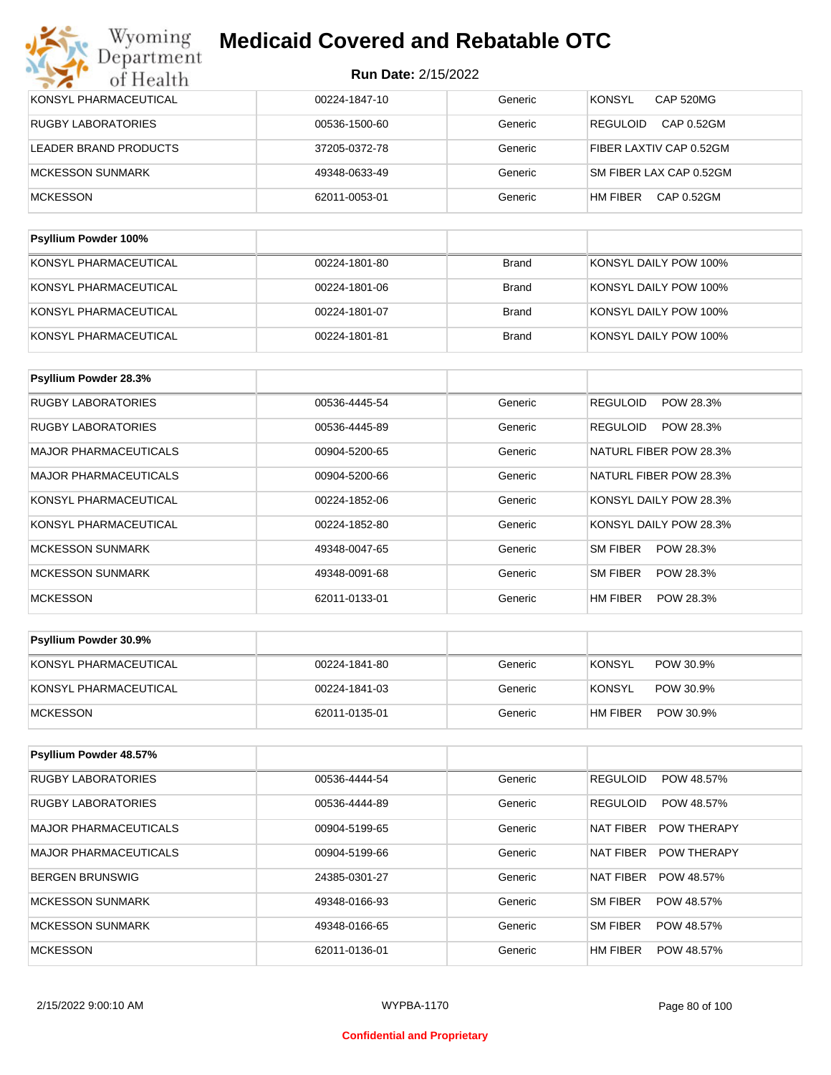| KONSYL PHARMACEUTICAL       | 00224-1847-10 | Generic | <b>KONSYL</b><br>CAP 520MG    |
|-----------------------------|---------------|---------|-------------------------------|
| <b>RUGBY LABORATORIES</b>   | 00536-1500-60 | Generic | <b>REGULOID</b><br>CAP 0.52GM |
| LEADER BRAND PRODUCTS       | 37205-0372-78 | Generic | FIBER LAXTIV CAP 0.52GM       |
| MCKESSON SUNMARK            | 49348-0633-49 | Generic | SM FIBER LAX CAP 0.52GM       |
| <b>MCKESSON</b>             | 62011-0053-01 | Generic | HM FIBER<br>CAP 0.52GM        |
|                             |               |         |                               |
| <b>Psyllium Powder 100%</b> |               |         |                               |

| KONSYL PHARMACEUTICAL | 00224-1801-80 | <b>Brand</b> | KONSYL DAILY POW 100% |
|-----------------------|---------------|--------------|-----------------------|
| KONSYL PHARMACEUTICAL | 00224-1801-06 | Brand        | KONSYL DAILY POW 100% |
| KONSYL PHARMACEUTICAL | 00224-1801-07 | Brand        | KONSYL DAILY POW 100% |
| KONSYL PHARMACEUTICAL | 00224-1801-81 | Brand        | KONSYL DAILY POW 100% |

| Psyllium Powder 28.3%        |               |         |                              |
|------------------------------|---------------|---------|------------------------------|
| RUGBY LABORATORIES           | 00536-4445-54 | Generic | <b>REGULOID</b><br>POW 28.3% |
| <b>RUGBY LABORATORIES</b>    | 00536-4445-89 | Generic | <b>REGULOID</b><br>POW 28.3% |
| <b>MAJOR PHARMACEUTICALS</b> | 00904-5200-65 | Generic | NATURL FIBER POW 28.3%       |
| <b>MAJOR PHARMACEUTICALS</b> | 00904-5200-66 | Generic | NATURL FIBER POW 28.3%       |
| KONSYL PHARMACEUTICAL        | 00224-1852-06 | Generic | KONSYL DAILY POW 28.3%       |
| KONSYL PHARMACEUTICAL        | 00224-1852-80 | Generic | KONSYL DAILY POW 28.3%       |
| <b>MCKESSON SUNMARK</b>      | 49348-0047-65 | Generic | SM FIBER<br>POW 28.3%        |
| <b>MCKESSON SUNMARK</b>      | 49348-0091-68 | Generic | SM FIBER<br>POW 28.3%        |
| <b>MCKESSON</b>              | 62011-0133-01 | Generic | HM FIBER<br>POW 28.3%        |

| <b>Psyllium Powder 30.9%</b> |               |         |                            |
|------------------------------|---------------|---------|----------------------------|
| KONSYL PHARMACEUTICAL        | 00224-1841-80 | Generic | <b>KONSYL</b><br>POW 30.9% |
| KONSYL PHARMACEUTICAL        | 00224-1841-03 | Generic | KONSYL<br>POW 30.9%        |
| MCKESSON                     | 62011-0135-01 | Generic | POW 30.9%<br>HM FIBER      |

| Psyllium Powder 48.57%       |               |         |                                 |
|------------------------------|---------------|---------|---------------------------------|
| <b>RUGBY LABORATORIES</b>    | 00536-4444-54 | Generic | <b>REGULOID</b><br>POW 48.57%   |
| <b>RUGBY LABORATORIES</b>    | 00536-4444-89 | Generic | <b>REGULOID</b><br>POW 48.57%   |
| MAJOR PHARMACEUTICALS        | 00904-5199-65 | Generic | <b>POW THERAPY</b><br>NAT FIBER |
| <b>MAJOR PHARMACEUTICALS</b> | 00904-5199-66 | Generic | NAT FIBER<br><b>POW THERAPY</b> |
| BERGEN BRUNSWIG              | 24385-0301-27 | Generic | <b>NAT FIBER</b><br>POW 48.57%  |
| MCKESSON SUNMARK             | 49348-0166-93 | Generic | <b>SM FIBER</b><br>POW 48.57%   |
| MCKESSON SUNMARK             | 49348-0166-65 | Generic | <b>SM FIBER</b><br>POW 48.57%   |
| <b>MCKESSON</b>              | 62011-0136-01 | Generic | HM FIBER<br>POW 48.57%          |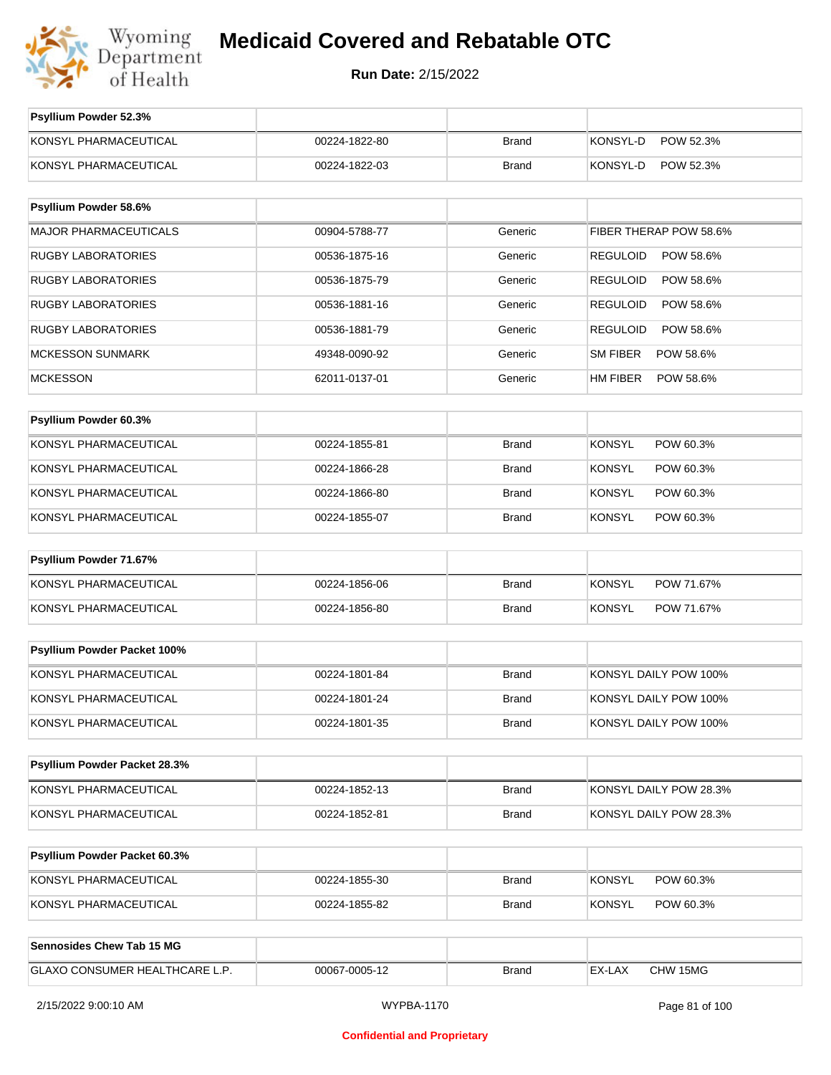

**Run Date:** 2/15/2022

| Psyllium Powder 52.3%          |               |              |                              |
|--------------------------------|---------------|--------------|------------------------------|
| KONSYL PHARMACEUTICAL          | 00224-1822-80 | <b>Brand</b> | KONSYL-D<br>POW 52.3%        |
| KONSYL PHARMACEUTICAL          | 00224-1822-03 | <b>Brand</b> | KONSYL-D<br>POW 52.3%        |
|                                |               |              |                              |
| Psyllium Powder 58.6%          |               |              |                              |
| <b>MAJOR PHARMACEUTICALS</b>   | 00904-5788-77 | Generic      | FIBER THERAP POW 58.6%       |
| <b>RUGBY LABORATORIES</b>      | 00536-1875-16 | Generic      | <b>REGULOID</b><br>POW 58.6% |
| <b>RUGBY LABORATORIES</b>      | 00536-1875-79 | Generic      | <b>REGULOID</b><br>POW 58.6% |
| <b>RUGBY LABORATORIES</b>      | 00536-1881-16 | Generic      | <b>REGULOID</b><br>POW 58.6% |
| <b>RUGBY LABORATORIES</b>      | 00536-1881-79 | Generic      | <b>REGULOID</b><br>POW 58.6% |
| <b>MCKESSON SUNMARK</b>        | 49348-0090-92 | Generic      | SM FIBER<br>POW 58.6%        |
| <b>MCKESSON</b>                | 62011-0137-01 | Generic      | HM FIBER<br>POW 58.6%        |
|                                |               |              |                              |
| Psyllium Powder 60.3%          |               |              |                              |
| KONSYL PHARMACEUTICAL          | 00224-1855-81 | <b>Brand</b> | <b>KONSYL</b><br>POW 60.3%   |
| KONSYL PHARMACEUTICAL          | 00224-1866-28 | Brand        | <b>KONSYL</b><br>POW 60.3%   |
| KONSYL PHARMACEUTICAL          | 00224-1866-80 | <b>Brand</b> | <b>KONSYL</b><br>POW 60.3%   |
| KONSYL PHARMACEUTICAL          | 00224-1855-07 | Brand        | <b>KONSYL</b><br>POW 60.3%   |
| Psyllium Powder 71.67%         |               |              |                              |
| KONSYL PHARMACEUTICAL          | 00224-1856-06 | <b>Brand</b> | <b>KONSYL</b><br>POW 71.67%  |
| KONSYL PHARMACEUTICAL          | 00224-1856-80 | <b>Brand</b> | <b>KONSYL</b><br>POW 71.67%  |
|                                |               |              |                              |
| Psyllium Powder Packet 100%    |               |              |                              |
| KONSYL PHARMACEUTICAL          | 00224-1801-84 | <b>Brand</b> | KONSYL DAILY POW 100%        |
| KONSYL PHARMACEUTICAL          | 00224-1801-24 | Brand        | KONSYL DAILY POW 100%        |
| KONSYL PHARMACEUTICAL          | 00224-1801-35 | Brand        | KONSYL DAILY POW 100%        |
|                                |               |              |                              |
| Psyllium Powder Packet 28.3%   |               |              |                              |
| KONSYL PHARMACEUTICAL          | 00224-1852-13 | Brand        | KONSYL DAILY POW 28.3%       |
| KONSYL PHARMACEUTICAL          | 00224-1852-81 | Brand        | KONSYL DAILY POW 28.3%       |
|                                |               |              |                              |
| Psyllium Powder Packet 60.3%   |               |              |                              |
| KONSYL PHARMACEUTICAL          | 00224-1855-30 | Brand        | <b>KONSYL</b><br>POW 60.3%   |
| KONSYL PHARMACEUTICAL          | 00224-1855-82 | Brand        | <b>KONSYL</b><br>POW 60.3%   |
|                                |               |              |                              |
| Sennosides Chew Tab 15 MG      |               |              |                              |
| GLAXO CONSUMER HEALTHCARE L.P. | 00067-0005-12 | <b>Brand</b> | CHW 15MG<br>EX-LAX           |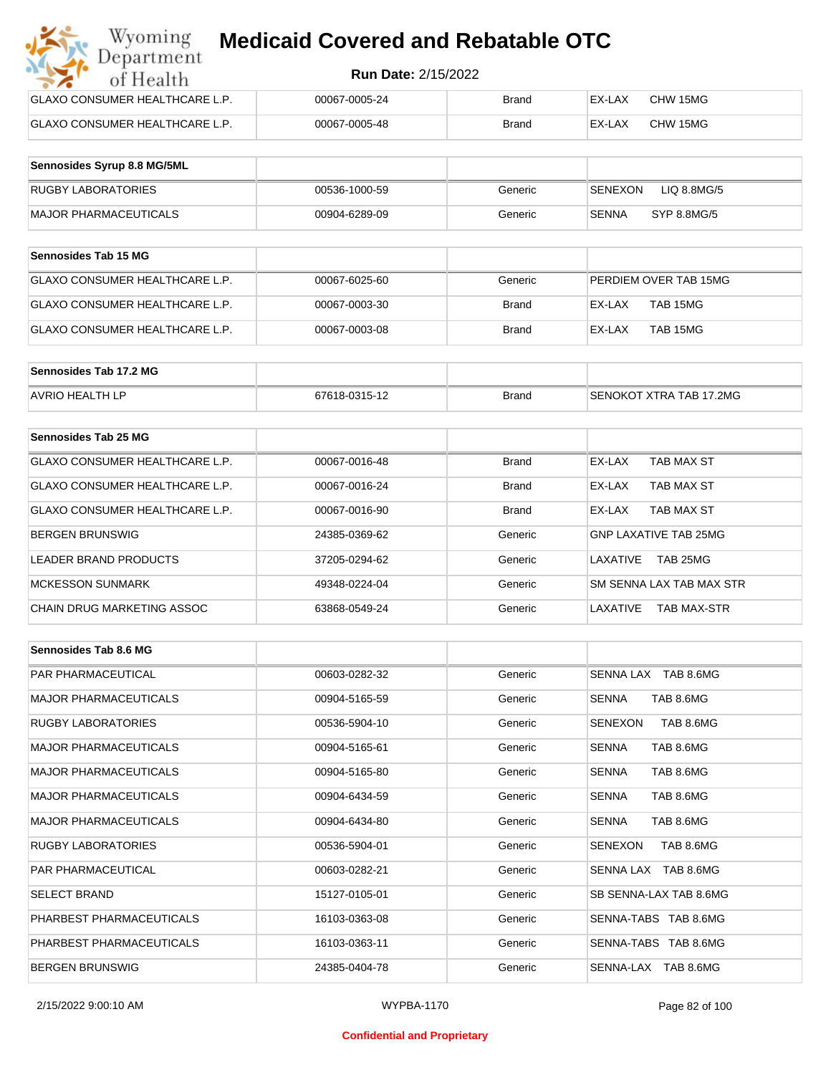| Wyoming<br><b>Medicaid Covered and Rebatable OTC</b><br>Department |                            |              |        |          |  |
|--------------------------------------------------------------------|----------------------------|--------------|--------|----------|--|
| of Health                                                          | <b>Run Date: 2/15/2022</b> |              |        |          |  |
| <b>GLAXO CONSUMER HEALTHCARE L.P.</b>                              | 00067-0005-24              | <b>Brand</b> | EX-LAX | CHW 15MG |  |
| <b>GLAXO CONSUMER HEALTHCARE L.P.</b>                              | 00067-0005-48              | <b>Brand</b> | EX-LAX | CHW 15MG |  |

| Sennosides Syrup 8.8 MG/5ML |               |         |                             |
|-----------------------------|---------------|---------|-----------------------------|
| RUGBY LABORATORIES          | 00536-1000-59 | Generic | LIQ 8.8MG/5<br>SENEXON      |
| MAJOR PHARMACEUTICALS       | 00904-6289-09 | Generic | <b>SENNA</b><br>SYP 8.8MG/5 |

| <b>Sennosides Tab 15 MG</b>    |               |         |                       |
|--------------------------------|---------------|---------|-----------------------|
| GLAXO CONSUMER HEALTHCARE L.P. | 00067-6025-60 | Generic | PERDIEM OVER TAB 15MG |
| GLAXO CONSUMER HEALTHCARE L.P. | 00067-0003-30 | Brand   | TAB 15MG<br>EX-LAX    |
| GLAXO CONSUMER HEALTHCARE L.P. | 00067-0003-08 | Brand   | TAB 15MG<br>EX-LAX    |

| Sennosides Tab 17.2 MG |               |              |                         |
|------------------------|---------------|--------------|-------------------------|
| <b>AVRIO HEALTH LP</b> | 67618-0315-12 | <b>Brand</b> | SENOKOT XTRA TAB 17.2MG |

| Sennosides Tab 25 MG           |               |              |                                |
|--------------------------------|---------------|--------------|--------------------------------|
| GLAXO CONSUMER HEALTHCARE L.P. | 00067-0016-48 | <b>Brand</b> | EX-LAX<br>TAB MAX ST           |
| GLAXO CONSUMER HEALTHCARE L.P. | 00067-0016-24 | <b>Brand</b> | TAB MAX ST<br>EX-LAX           |
| GLAXO CONSUMER HEALTHCARE L.P. | 00067-0016-90 | <b>Brand</b> | TAB MAX ST<br>EX-LAX           |
| <b>BERGEN BRUNSWIG</b>         | 24385-0369-62 | Generic      | <b>GNP LAXATIVE TAB 25MG</b>   |
| LEADER BRAND PRODUCTS          | 37205-0294-62 | Generic      | TAB 25MG<br>LAXATIVE           |
| <b>MCKESSON SUNMARK</b>        | 49348-0224-04 | Generic      | SM SENNA LAX TAB MAX STR       |
| CHAIN DRUG MARKETING ASSOC     | 63868-0549-24 | Generic      | LAXATIVE<br><b>TAB MAX-STR</b> |

| Sennosides Tab 8.6 MG        |               |         |                             |
|------------------------------|---------------|---------|-----------------------------|
| <b>PAR PHARMACEUTICAL</b>    | 00603-0282-32 | Generic | SENNA LAX TAB 8.6MG         |
| <b>MAJOR PHARMACEUTICALS</b> | 00904-5165-59 | Generic | <b>SENNA</b><br>TAB 8.6MG   |
| <b>RUGBY LABORATORIES</b>    | 00536-5904-10 | Generic | TAB 8.6MG<br>SENEXON        |
| <b>MAJOR PHARMACEUTICALS</b> | 00904-5165-61 | Generic | TAB 8.6MG<br><b>SENNA</b>   |
| <b>MAJOR PHARMACEUTICALS</b> | 00904-5165-80 | Generic | <b>SENNA</b><br>TAB 8.6MG   |
| <b>MAJOR PHARMACEUTICALS</b> | 00904-6434-59 | Generic | TAB 8.6MG<br><b>SENNA</b>   |
| <b>MAJOR PHARMACEUTICALS</b> | 00904-6434-80 | Generic | TAB 8.6MG<br><b>SENNA</b>   |
| <b>RUGBY LABORATORIES</b>    | 00536-5904-01 | Generic | <b>SENEXON</b><br>TAB 8.6MG |
| <b>PAR PHARMACEUTICAL</b>    | 00603-0282-21 | Generic | SENNA LAX TAB 8.6MG         |
| <b>SELECT BRAND</b>          | 15127-0105-01 | Generic | SB SENNA-LAX TAB 8.6MG      |
| PHARBEST PHARMACEUTICALS     | 16103-0363-08 | Generic | SENNA-TABS TAB 8.6MG        |
| PHARBEST PHARMACEUTICALS     | 16103-0363-11 | Generic | SENNA-TABS TAB 8.6MG        |
| <b>BERGEN BRUNSWIG</b>       | 24385-0404-78 | Generic | SENNA-LAX TAB 8.6MG         |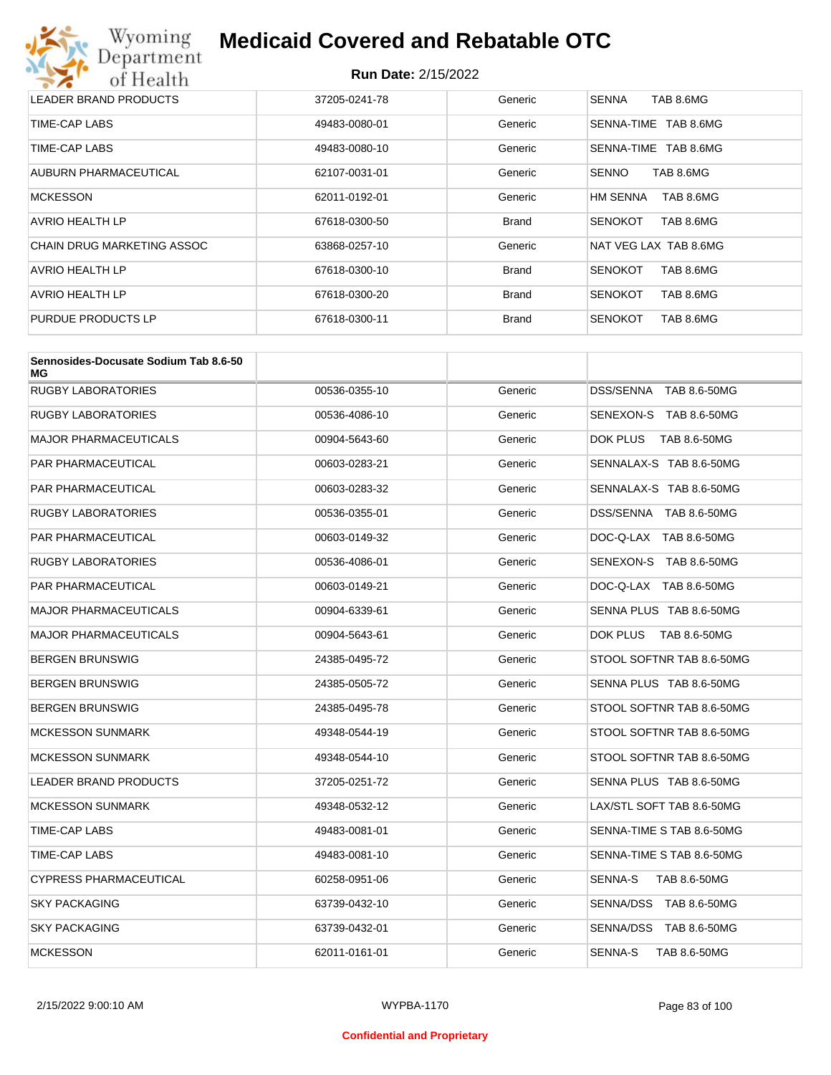# Wyoming<br>Department<br>of Health

# **Medicaid Covered and Rebatable OTC**

| LEADER BRAND PRODUCTS      | 37205-0241-78 | Generic      | TAB 8.6MG<br><b>SENNA</b>    |
|----------------------------|---------------|--------------|------------------------------|
| TIME-CAP LABS              | 49483-0080-01 | Generic      | SENNA-TIME TAB 8.6MG         |
| TIME-CAP LABS              | 49483-0080-10 | Generic      | SENNA-TIME TAB 8.6MG         |
| AUBURN PHARMACEUTICAL      | 62107-0031-01 | Generic      | TAB 8.6MG<br><b>SENNO</b>    |
| <b>MCKESSON</b>            | 62011-0192-01 | Generic      | TAB 8.6MG<br><b>HM SENNA</b> |
| AVRIO HEALTH LP            | 67618-0300-50 | <b>Brand</b> | TAB 8.6MG<br><b>SENOKOT</b>  |
| CHAIN DRUG MARKETING ASSOC | 63868-0257-10 | Generic      | NAT VEG LAX TAB 8.6MG        |
| AVRIO HEALTH LP            | 67618-0300-10 | <b>Brand</b> | TAB 8.6MG<br><b>SENOKOT</b>  |
| AVRIO HEALTH LP            | 67618-0300-20 | <b>Brand</b> | <b>SENOKOT</b><br>TAB 8.6MG  |
| PURDUE PRODUCTS LP         | 67618-0300-11 | <b>Brand</b> | TAB 8.6MG<br><b>SENOKOT</b>  |

| Sennosides-Docusate Sodium Tab 8.6-50<br>МG |               |         |                           |
|---------------------------------------------|---------------|---------|---------------------------|
| <b>RUGBY LABORATORIES</b>                   | 00536-0355-10 | Generic | DSS/SENNA TAB 8.6-50MG    |
| RUGBY LABORATORIES                          | 00536-4086-10 | Generic | SENEXON-S TAB 8.6-50MG    |
| MAJOR PHARMACEUTICALS                       | 00904-5643-60 | Generic | DOK PLUS<br>TAB 8.6-50MG  |
| PAR PHARMACEUTICAL                          | 00603-0283-21 | Generic | SENNALAX-S TAB 8.6-50MG   |
| PAR PHARMACEUTICAL                          | 00603-0283-32 | Generic | SENNALAX-S TAB 8.6-50MG   |
| RUGBY LABORATORIES                          | 00536-0355-01 | Generic | DSS/SENNA TAB 8.6-50MG    |
| PAR PHARMACEUTICAL                          | 00603-0149-32 | Generic | DOC-Q-LAX TAB 8.6-50MG    |
| <b>RUGBY LABORATORIES</b>                   | 00536-4086-01 | Generic | SENEXON-S TAB 8.6-50MG    |
| PAR PHARMACEUTICAL                          | 00603-0149-21 | Generic | DOC-Q-LAX TAB 8.6-50MG    |
| MAJOR PHARMACEUTICALS                       | 00904-6339-61 | Generic | SENNA PLUS TAB 8.6-50MG   |
| <b>MAJOR PHARMACEUTICALS</b>                | 00904-5643-61 | Generic | DOK PLUS TAB 8.6-50MG     |
| BERGEN BRUNSWIG                             | 24385-0495-72 | Generic | STOOL SOFTNR TAB 8.6-50MG |
| BERGEN BRUNSWIG                             | 24385-0505-72 | Generic | SENNA PLUS TAB 8.6-50MG   |
| BERGEN BRUNSWIG                             | 24385-0495-78 | Generic | STOOL SOFTNR TAB 8.6-50MG |
| <b>MCKESSON SUNMARK</b>                     | 49348-0544-19 | Generic | STOOL SOFTNR TAB 8.6-50MG |
| <b>MCKESSON SUNMARK</b>                     | 49348-0544-10 | Generic | STOOL SOFTNR TAB 8.6-50MG |
| <b>LEADER BRAND PRODUCTS</b>                | 37205-0251-72 | Generic | SENNA PLUS TAB 8.6-50MG   |
| <b>MCKESSON SUNMARK</b>                     | 49348-0532-12 | Generic | LAX/STL SOFT TAB 8.6-50MG |
| TIME-CAP LABS                               | 49483-0081-01 | Generic | SENNA-TIME S TAB 8.6-50MG |
| TIME-CAP LABS                               | 49483-0081-10 | Generic | SENNA-TIME S TAB 8.6-50MG |
| CYPRESS PHARMACEUTICAL                      | 60258-0951-06 | Generic | SENNA-S<br>TAB 8.6-50MG   |
| <b>SKY PACKAGING</b>                        | 63739-0432-10 | Generic | SENNA/DSS TAB 8.6-50MG    |
| <b>SKY PACKAGING</b>                        | 63739-0432-01 | Generic | SENNA/DSS TAB 8.6-50MG    |
| <b>MCKESSON</b>                             | 62011-0161-01 | Generic | SENNA-S<br>TAB 8.6-50MG   |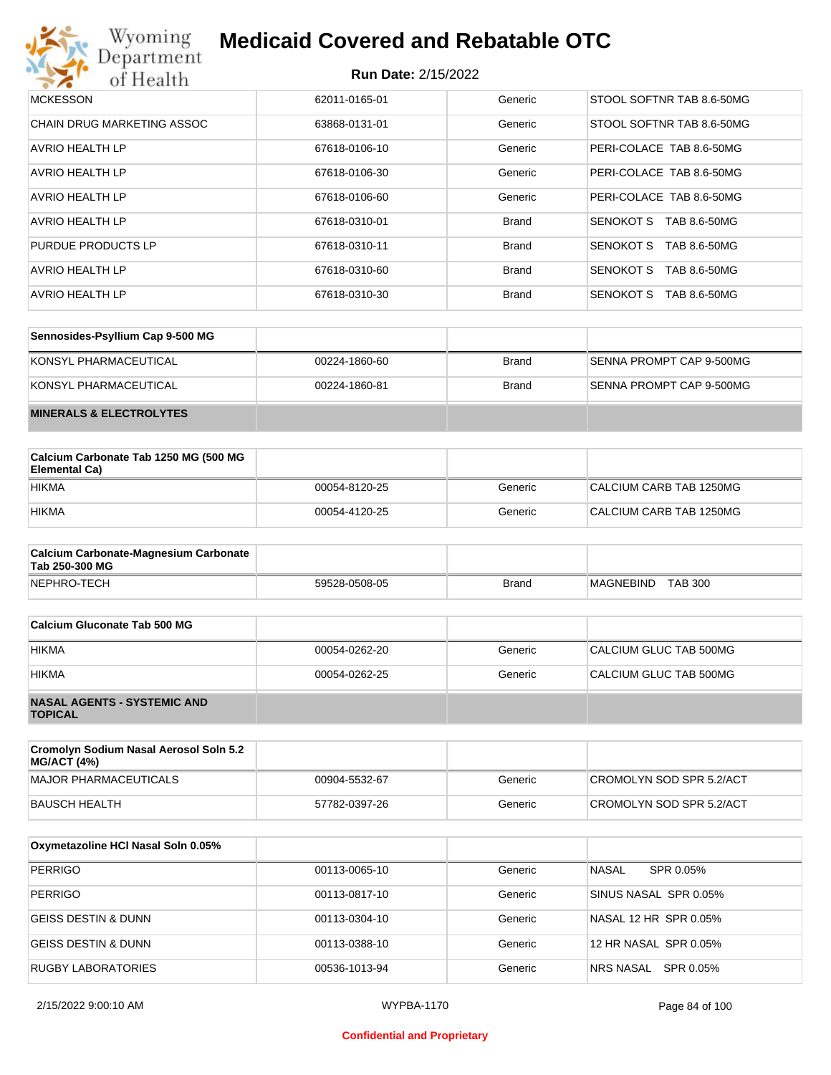

| <b>MCKESSON</b>            | 62011-0165-01 | Generic      | STOOL SOFTNR TAB 8.6-50MG |
|----------------------------|---------------|--------------|---------------------------|
| CHAIN DRUG MARKETING ASSOC | 63868-0131-01 | Generic      | STOOL SOFTNR TAB 8.6-50MG |
| AVRIO HEALTH LP            | 67618-0106-10 | Generic      | PERI-COLACE TAB 8.6-50MG  |
| AVRIO HEALTH LP            | 67618-0106-30 | Generic      | PERI-COLACE TAB 8.6-50MG  |
| AVRIO HEALTH LP            | 67618-0106-60 | Generic      | PERI-COLACE TAB 8.6-50MG  |
| AVRIO HEALTH LP            | 67618-0310-01 | <b>Brand</b> | SENOKOT S<br>TAB 8.6-50MG |
| PURDUE PRODUCTS LP         | 67618-0310-11 | <b>Brand</b> | SENOKOT S<br>TAB 8.6-50MG |
| AVRIO HEALTH LP            | 67618-0310-60 | <b>Brand</b> | SENOKOT S<br>TAB 8.6-50MG |
| <b>AVRIO HEALTH LP</b>     | 67618-0310-30 | <b>Brand</b> | SENOKOT S<br>TAB 8.6-50MG |

| Sennosides-Psyllium Cap 9-500 MG   |               |              |                          |
|------------------------------------|---------------|--------------|--------------------------|
| KONSYL PHARMACEUTICAL              | 00224-1860-60 | <b>Brand</b> | SENNA PROMPT CAP 9-500MG |
| KONSYL PHARMACEUTICAL              | 00224-1860-81 | <b>Brand</b> | SENNA PROMPT CAP 9-500MG |
| <b>MINERALS &amp; ELECTROLYTES</b> |               |              |                          |

| Calcium Carbonate Tab 1250 MG (500 MG<br>Elemental Ca) |               |         |                         |
|--------------------------------------------------------|---------------|---------|-------------------------|
| <b>HIKMA</b>                                           | 00054-8120-25 | Generic | CALCIUM CARB TAB 1250MG |
| <b>HIKMA</b>                                           | 00054-4120-25 | Generic | CALCIUM CARB TAB 1250MG |

| <b>Calcium Carbonate-Magnesium Carbonate</b><br>Tab 250-300 MG |               |              |                             |
|----------------------------------------------------------------|---------------|--------------|-----------------------------|
| NEPHRO-TECH                                                    | 59528-0508-05 | <b>Brand</b> | <b>TAB 300</b><br>MAGNEBIND |

| Calcium Gluconate Tab 500 MG                         |               |         |                        |
|------------------------------------------------------|---------------|---------|------------------------|
| <b>HIKMA</b>                                         | 00054-0262-20 | Generic | CALCIUM GLUC TAB 500MG |
| <b>HIKMA</b>                                         | 00054-0262-25 | Generic | CALCIUM GLUC TAB 500MG |
| <b>NASAL AGENTS - SYSTEMIC AND</b><br><b>TOPICAL</b> |               |         |                        |

| Cromolyn Sodium Nasal Aerosol Soln 5.2<br><b>MG/ACT (4%)</b> |               |         |                          |
|--------------------------------------------------------------|---------------|---------|--------------------------|
| MAJOR PHARMACEUTICALS                                        | 00904-5532-67 | Generic | CROMOLYN SOD SPR 5.2/ACT |
| BAUSCH HEALTH                                                | 57782-0397-26 | Generic | CROMOLYN SOD SPR 5.2/ACT |

| Oxymetazoline HCI Nasal Soln 0.05% |               |         |                        |
|------------------------------------|---------------|---------|------------------------|
| <b>PERRIGO</b>                     | 00113-0065-10 | Generic | NASAL<br>SPR 0.05%     |
| <b>PERRIGO</b>                     | 00113-0817-10 | Generic | SINUS NASAL SPR 0.05%  |
| GEISS DESTIN & DUNN                | 00113-0304-10 | Generic | NASAL 12 HR SPR 0.05%  |
| <b>GEISS DESTIN &amp; DUNN</b>     | 00113-0388-10 | Generic | 12 HR NASAL SPR 0.05%  |
| RUGBY LABORATORIES                 | 00536-1013-94 | Generic | SPR 0.05%<br>NRS NASAL |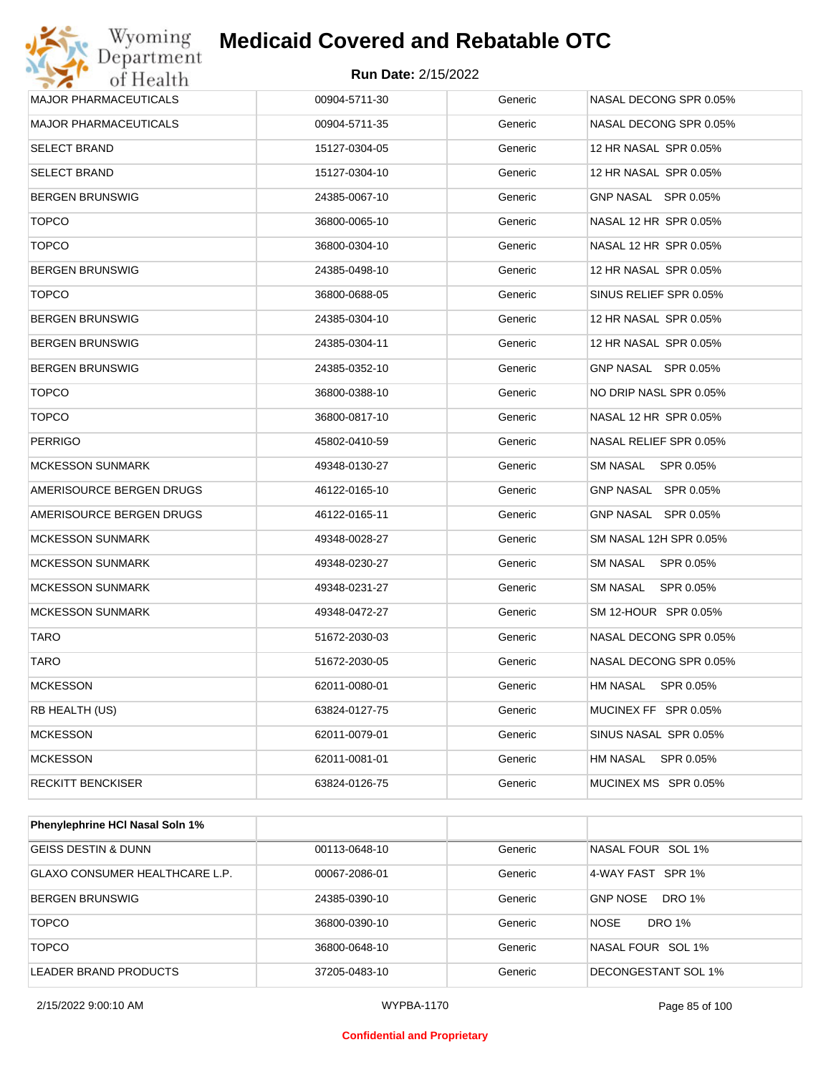

| <b>MAJOR PHARMACEUTICALS</b> | 00904-5711-30 | Generic | NASAL DECONG SPR 0.05% |
|------------------------------|---------------|---------|------------------------|
| <b>MAJOR PHARMACEUTICALS</b> | 00904-5711-35 | Generic | NASAL DECONG SPR 0.05% |
| SELECT BRAND                 | 15127-0304-05 | Generic | 12 HR NASAL SPR 0.05%  |
| <b>SELECT BRAND</b>          | 15127-0304-10 | Generic | 12 HR NASAL SPR 0.05%  |
| BERGEN BRUNSWIG              | 24385-0067-10 | Generic | GNP NASAL SPR 0.05%    |
| <b>TOPCO</b>                 | 36800-0065-10 | Generic | NASAL 12 HR SPR 0.05%  |
| <b>TOPCO</b>                 | 36800-0304-10 | Generic | NASAL 12 HR SPR 0.05%  |
| BERGEN BRUNSWIG              | 24385-0498-10 | Generic | 12 HR NASAL SPR 0.05%  |
| <b>TOPCO</b>                 | 36800-0688-05 | Generic | SINUS RELIEF SPR 0.05% |
| BERGEN BRUNSWIG              | 24385-0304-10 | Generic | 12 HR NASAL SPR 0.05%  |
| <b>BERGEN BRUNSWIG</b>       | 24385-0304-11 | Generic | 12 HR NASAL SPR 0.05%  |
| <b>BERGEN BRUNSWIG</b>       | 24385-0352-10 | Generic | GNP NASAL SPR 0.05%    |
| <b>TOPCO</b>                 | 36800-0388-10 | Generic | NO DRIP NASL SPR 0.05% |
| <b>TOPCO</b>                 | 36800-0817-10 | Generic | NASAL 12 HR SPR 0.05%  |
| <b>PERRIGO</b>               | 45802-0410-59 | Generic | NASAL RELIEF SPR 0.05% |
| <b>MCKESSON SUNMARK</b>      | 49348-0130-27 | Generic | SM NASAL SPR 0.05%     |
| AMERISOURCE BERGEN DRUGS     | 46122-0165-10 | Generic | GNP NASAL SPR 0.05%    |
| AMERISOURCE BERGEN DRUGS     | 46122-0165-11 | Generic | GNP NASAL SPR 0.05%    |
| <b>MCKESSON SUNMARK</b>      | 49348-0028-27 | Generic | SM NASAL 12H SPR 0.05% |
| <b>MCKESSON SUNMARK</b>      | 49348-0230-27 | Generic | SM NASAL SPR 0.05%     |
| MCKESSON SUNMARK             | 49348-0231-27 | Generic | SM NASAL SPR 0.05%     |
| <b>MCKESSON SUNMARK</b>      | 49348-0472-27 | Generic | SM 12-HOUR SPR 0.05%   |
| TARO                         | 51672-2030-03 | Generic | NASAL DECONG SPR 0.05% |
| <b>TARO</b>                  | 51672-2030-05 | Generic | NASAL DECONG SPR 0.05% |
| <b>MCKESSON</b>              | 62011-0080-01 | Generic | HM NASAL SPR 0.05%     |
| RB HEALTH (US)               | 63824-0127-75 | Generic | MUCINEX FF SPR 0.05%   |
| <b>MCKESSON</b>              | 62011-0079-01 | Generic | SINUS NASAL SPR 0.05%  |
| <b>MCKESSON</b>              | 62011-0081-01 | Generic | HM NASAL SPR 0.05%     |
| RECKITT BENCKISER            | 63824-0126-75 | Generic | MUCINEX MS SPR 0.05%   |
|                              |               |         |                        |

| <b>Phenylephrine HCI Nasal Soln 1%</b> |               |         |                                  |
|----------------------------------------|---------------|---------|----------------------------------|
| <b>GEISS DESTIN &amp; DUNN</b>         | 00113-0648-10 | Generic | NASAL FOUR SOL 1%                |
| <b>GLAXO CONSUMER HEALTHCARE L.P.</b>  | 00067-2086-01 | Generic | 4-WAY FAST SPR 1%                |
| <b>BERGEN BRUNSWIG</b>                 | 24385-0390-10 | Generic | <b>GNP NOSE</b><br><b>DRO 1%</b> |
| <b>TOPCO</b>                           | 36800-0390-10 | Generic | <b>DRO 1%</b><br><b>NOSE</b>     |
| <b>TOPCO</b>                           | 36800-0648-10 | Generic | NASAL FOUR SOL 1%                |
| LEADER BRAND PRODUCTS                  | 37205-0483-10 | Generic | DECONGESTANT SOL 1%              |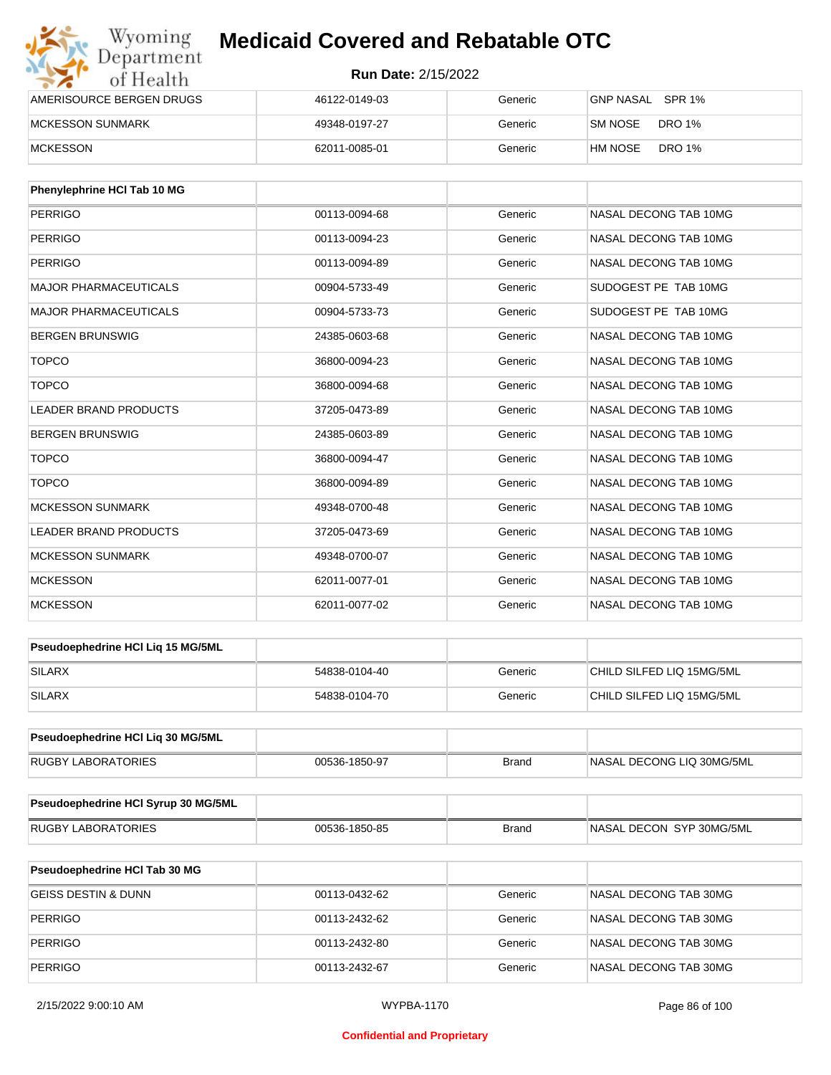| Wyoming<br>Department    | <b>Medicaid Covered and Rebatable OTC</b><br><b>Run Date: 2/15/2022</b> |         |                          |  |
|--------------------------|-------------------------------------------------------------------------|---------|--------------------------|--|
| of Health                |                                                                         |         |                          |  |
| AMERISOURCE BERGEN DRUGS | 46122-0149-03                                                           | Generic | GNP NASAL SPR 1%         |  |
| <b>MCKESSON SUNMARK</b>  | 49348-0197-27                                                           | Generic | DRO 1%<br>SM NOSE        |  |
| <b>MCKESSON</b>          | 62011-0085-01                                                           | Generic | <b>DRO 1%</b><br>HM NOSE |  |

| Phenylephrine HCI Tab 10 MG  |               |         |                       |
|------------------------------|---------------|---------|-----------------------|
| <b>PERRIGO</b>               | 00113-0094-68 | Generic | NASAL DECONG TAB 10MG |
| <b>PERRIGO</b>               | 00113-0094-23 | Generic | NASAL DECONG TAB 10MG |
| <b>PERRIGO</b>               | 00113-0094-89 | Generic | NASAL DECONG TAB 10MG |
| <b>MAJOR PHARMACEUTICALS</b> | 00904-5733-49 | Generic | SUDOGEST PE TAB 10MG  |
| <b>MAJOR PHARMACEUTICALS</b> | 00904-5733-73 | Generic | SUDOGEST PE TAB 10MG  |
| <b>BERGEN BRUNSWIG</b>       | 24385-0603-68 | Generic | NASAL DECONG TAB 10MG |
| <b>TOPCO</b>                 | 36800-0094-23 | Generic | NASAL DECONG TAB 10MG |
| <b>TOPCO</b>                 | 36800-0094-68 | Generic | NASAL DECONG TAB 10MG |
| <b>LEADER BRAND PRODUCTS</b> | 37205-0473-89 | Generic | NASAL DECONG TAB 10MG |
| <b>BERGEN BRUNSWIG</b>       | 24385-0603-89 | Generic | NASAL DECONG TAB 10MG |
| <b>TOPCO</b>                 | 36800-0094-47 | Generic | NASAL DECONG TAB 10MG |
| <b>TOPCO</b>                 | 36800-0094-89 | Generic | NASAL DECONG TAB 10MG |
| <b>MCKESSON SUNMARK</b>      | 49348-0700-48 | Generic | NASAL DECONG TAB 10MG |
| <b>LEADER BRAND PRODUCTS</b> | 37205-0473-69 | Generic | NASAL DECONG TAB 10MG |
| <b>MCKESSON SUNMARK</b>      | 49348-0700-07 | Generic | NASAL DECONG TAB 10MG |
| <b>MCKESSON</b>              | 62011-0077-01 | Generic | NASAL DECONG TAB 10MG |
| <b>MCKESSON</b>              | 62011-0077-02 | Generic | NASAL DECONG TAB 10MG |

| <b>Pseudoephedrine HCI Lig 15 MG/5ML</b> |               |         |                           |
|------------------------------------------|---------------|---------|---------------------------|
| SILARX                                   | 54838-0104-40 | Generic | CHILD SILFED LIQ 15MG/5ML |
| SILARX                                   | 54838-0104-70 | Generic | CHILD SILFED LIQ 15MG/5ML |

| <b>Pseudoephedrine HCI Lig 30 MG/5ML</b> |               |       |                            |
|------------------------------------------|---------------|-------|----------------------------|
| <b>RUGBY LABORATORIES</b>                | 00536-1850-97 | Brand | INASAL DECONG LIQ 30MG/5ML |

| <b>Pseudoephedrine HCI Syrup 30 MG/5ML</b> |               |       |                          |
|--------------------------------------------|---------------|-------|--------------------------|
| RUGBY LABORATORIES                         | 00536-1850-85 | Brand | NASAL DECON SYP 30MG/5ML |

| <b>Pseudoephedrine HCI Tab 30 MG</b> |               |         |                       |
|--------------------------------------|---------------|---------|-----------------------|
| <b>GEISS DESTIN &amp; DUNN</b>       | 00113-0432-62 | Generic | NASAL DECONG TAB 30MG |
| <b>PERRIGO</b>                       | 00113-2432-62 | Generic | NASAL DECONG TAB 30MG |
| PERRIGO                              | 00113-2432-80 | Generic | NASAL DECONG TAB 30MG |
| PERRIGO                              | 00113-2432-67 | Generic | NASAL DECONG TAB 30MG |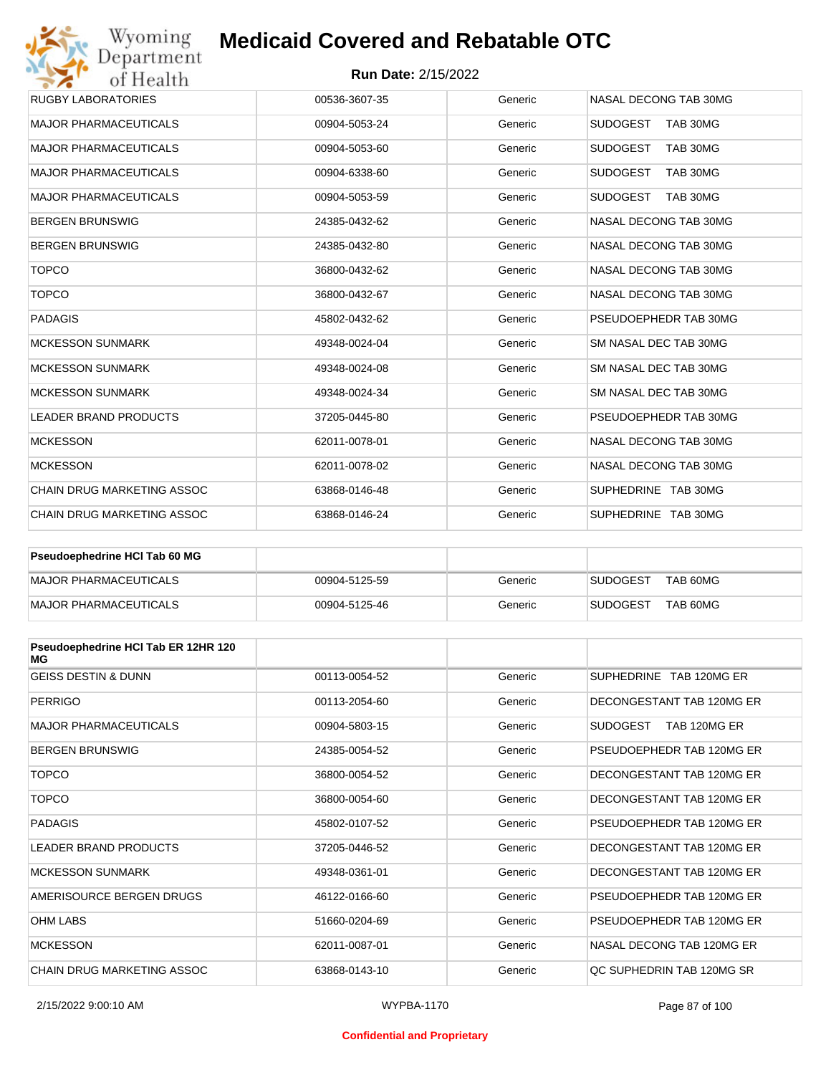### **Run Date:** 2/15/2022

| Wyoming<br>Department                   | <b>Medicaid Covered and Rebatable OTC</b> |         |                             |  |
|-----------------------------------------|-------------------------------------------|---------|-----------------------------|--|
| <b>Run Date: 2/15/2022</b><br>of Health |                                           |         |                             |  |
| <b>RUGBY LABORATORIES</b>               | 00536-3607-35                             | Generic | NASAL DECONG TAB 30MG       |  |
| <b>MAJOR PHARMACEUTICALS</b>            | 00904-5053-24                             | Generic | <b>SUDOGEST</b><br>TAB 30MG |  |
| <b>MAJOR PHARMACEUTICALS</b>            | 00904-5053-60                             | Generic | <b>SUDOGEST</b><br>TAB 30MG |  |
| <b>MAJOR PHARMACEUTICALS</b>            | 00904-6338-60                             | Generic | <b>SUDOGEST</b><br>TAB 30MG |  |
| <b>MAJOR PHARMACEUTICALS</b>            | 00904-5053-59                             | Generic | <b>SUDOGEST</b><br>TAB 30MG |  |
| <b>BERGEN BRUNSWIG</b>                  | 24385-0432-62                             | Generic | NASAL DECONG TAB 30MG       |  |
| <b>BERGEN BRUNSWIG</b>                  | 24385-0432-80                             | Generic | NASAL DECONG TAB 30MG       |  |
| <b>TOPCO</b>                            | 36800-0432-62                             | Generic | NASAL DECONG TAB 30MG       |  |
| <b>TOPCO</b>                            | 36800-0432-67                             | Generic | NASAL DECONG TAB 30MG       |  |
| <b>PADAGIS</b>                          | 45802-0432-62                             | Generic | PSEUDOEPHEDR TAB 30MG       |  |
| <b>MCKESSON SUNMARK</b>                 | 49348-0024-04                             | Generic | SM NASAL DEC TAB 30MG       |  |
| <b>MCKESSON SUNMARK</b>                 | 49348-0024-08                             | Generic | SM NASAL DEC TAB 30MG       |  |
| <b>MCKESSON SUNMARK</b>                 | 49348-0024-34                             | Generic | SM NASAL DEC TAB 30MG       |  |
| <b>LEADER BRAND PRODUCTS</b>            | 37205-0445-80                             | Generic | PSEUDOEPHEDR TAB 30MG       |  |
| <b>MCKESSON</b>                         | 62011-0078-01                             | Generic | NASAL DECONG TAB 30MG       |  |
| <b>MCKESSON</b>                         | 62011-0078-02                             | Generic | NASAL DECONG TAB 30MG       |  |
| CHAIN DRUG MARKETING ASSOC              | 63868-0146-48                             | Generic | SUPHEDRINE TAB 30MG         |  |
| <b>CHAIN DRUG MARKETING ASSOC</b>       | 63868-0146-24                             | Generic | SUPHEDRINE TAB 30MG         |  |

| <b>Pseudoephedrine HCI Tab 60 MG</b> |               |         |                             |
|--------------------------------------|---------------|---------|-----------------------------|
| MAJOR PHARMACEUTICALS                | 00904-5125-59 | Generic | TAB 60MG<br><b>SUDOGEST</b> |
| MAJOR PHARMACEUTICALS                | 00904-5125-46 | Generic | TAB 60MG<br><b>SUDOGEST</b> |

| Pseudoephedrine HCI Tab ER 12HR 120<br>MG |               |         |                           |
|-------------------------------------------|---------------|---------|---------------------------|
| <b>GEISS DESTIN &amp; DUNN</b>            | 00113-0054-52 | Generic | SUPHEDRINE TAB 120MG ER   |
| <b>PERRIGO</b>                            | 00113-2054-60 | Generic | DECONGESTANT TAB 120MG ER |
| <b>MAJOR PHARMACEUTICALS</b>              | 00904-5803-15 | Generic | SUDOGEST<br>TAB 120MG ER  |
| <b>BERGEN BRUNSWIG</b>                    | 24385-0054-52 | Generic | PSEUDOEPHEDR TAB 120MG ER |
| <b>TOPCO</b>                              | 36800-0054-52 | Generic | DECONGESTANT TAB 120MG ER |
| <b>TOPCO</b>                              | 36800-0054-60 | Generic | DECONGESTANT TAB 120MG ER |
| <b>PADAGIS</b>                            | 45802-0107-52 | Generic | PSEUDOFPHEDR TAB 120MG FR |
| <b>LEADER BRAND PRODUCTS</b>              | 37205-0446-52 | Generic | DECONGESTANT TAB 120MG ER |
| <b>MCKESSON SUNMARK</b>                   | 49348-0361-01 | Generic | DECONGESTANT TAB 120MG ER |
| AMERISOURCE BERGEN DRUGS                  | 46122-0166-60 | Generic | PSEUDOFPHEDR TAB 120MG FR |
| <b>OHM LABS</b>                           | 51660-0204-69 | Generic | PSEUDOEPHEDR TAB 120MG ER |
| <b>MCKESSON</b>                           | 62011-0087-01 | Generic | NASAL DECONG TAB 120MG ER |
| CHAIN DRUG MARKETING ASSOC                | 63868-0143-10 | Generic | OC SUPHEDRIN TAB 120MG SR |

#### **Confidential and Proprietary**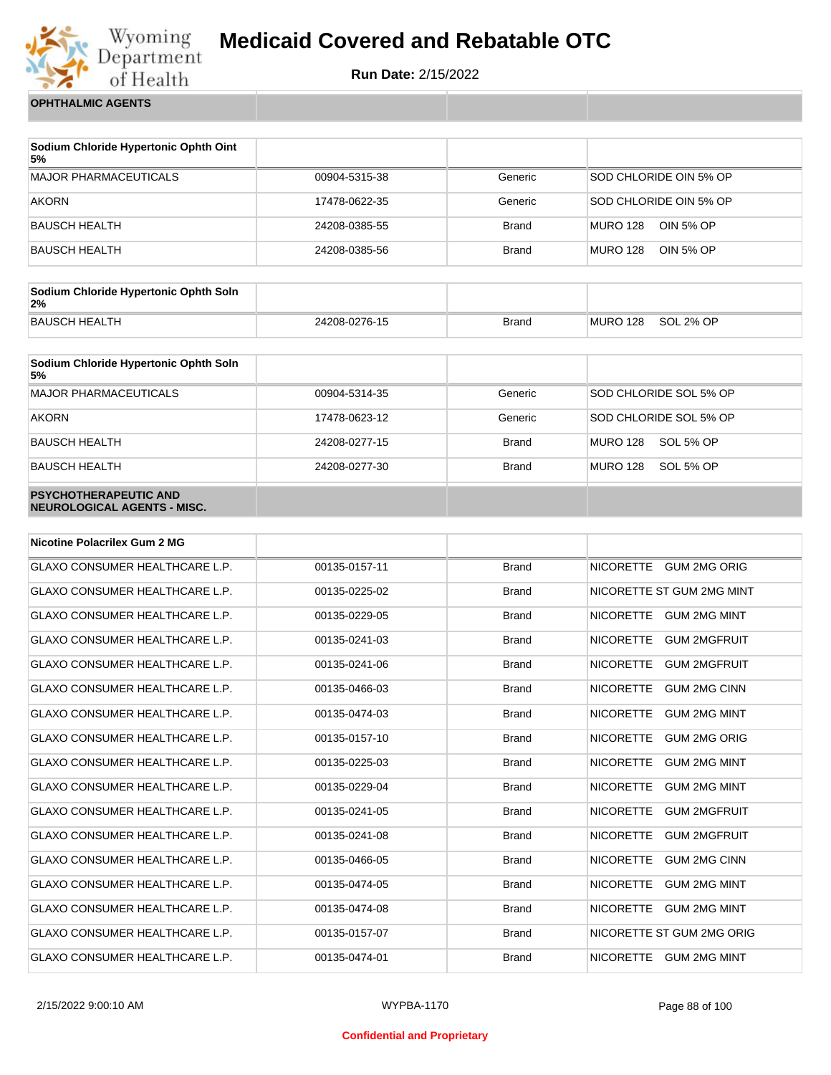

**Run Date:** 2/15/2022

**OPHTHALMIC AGENTS**

| Sodium Chloride Hypertonic Ophth Oint<br>5% |               |              |                              |
|---------------------------------------------|---------------|--------------|------------------------------|
| <b>MAJOR PHARMACEUTICALS</b>                | 00904-5315-38 | Generic      | SOD CHLORIDE OIN 5% OP       |
| AKORN                                       | 17478-0622-35 | Generic      | SOD CHLORIDE OIN 5% OP       |
| BAUSCH HEALTH                               | 24208-0385-55 | <b>Brand</b> | MURO 128<br>OIN 5% OP        |
| BAUSCH HEALTH                               | 24208-0385-56 | <b>Brand</b> | OIN 5% OP<br><b>MURO 128</b> |

| Sodium Chloride Hypertonic Ophth Soln<br>2% |               |       |          |           |
|---------------------------------------------|---------------|-------|----------|-----------|
| <b>BAUSCH HEALTH</b>                        | 24208-0276-15 | Brand | MURO 128 | SOL 2% OP |

| Sodium Chloride Hypertonic Ophth Soln<br>5%                 |               |              |                        |
|-------------------------------------------------------------|---------------|--------------|------------------------|
| <b>MAJOR PHARMACEUTICALS</b>                                | 00904-5314-35 | Generic      | SOD CHLORIDE SOL 5% OP |
| <b>AKORN</b>                                                | 17478-0623-12 | Generic      | SOD CHLORIDE SOL 5% OP |
| <b>BAUSCH HEALTH</b>                                        | 24208-0277-15 | <b>Brand</b> | MURO 128<br>SOL 5% OP  |
| <b>BAUSCH HEALTH</b>                                        | 24208-0277-30 | <b>Brand</b> | MURO 128<br>SOL 5% OP  |
| <b>PSYCHOTHERAPEUTIC AND</b><br>NEUROLOGICAL AGENTS - MISC. |               |              |                        |

| <b>Nicotine Polacrilex Gum 2 MG</b>   |               |              |                                         |
|---------------------------------------|---------------|--------------|-----------------------------------------|
| <b>GLAXO CONSUMER HEALTHCARE L.P.</b> | 00135-0157-11 | <b>Brand</b> | <b>GUM 2MG ORIG</b><br><b>NICORETTE</b> |
| <b>GLAXO CONSUMER HEALTHCARE L.P.</b> | 00135-0225-02 | <b>Brand</b> | NICORETTE ST GUM 2MG MINT               |
| <b>GLAXO CONSUMER HEALTHCARE L.P.</b> | 00135-0229-05 | <b>Brand</b> | <b>NICORETTE</b><br><b>GUM 2MG MINT</b> |
| <b>GLAXO CONSUMER HEALTHCARE L.P.</b> | 00135-0241-03 | <b>Brand</b> | <b>NICORETTE</b><br><b>GUM 2MGFRUIT</b> |
| <b>GLAXO CONSUMER HEALTHCARE L.P.</b> | 00135-0241-06 | <b>Brand</b> | <b>NICORETTE</b><br><b>GUM 2MGFRUIT</b> |
| <b>GLAXO CONSUMER HEALTHCARE L.P.</b> | 00135-0466-03 | <b>Brand</b> | <b>NICORETTE</b><br><b>GUM 2MG CINN</b> |
| <b>GLAXO CONSUMER HEALTHCARE L.P.</b> | 00135-0474-03 | <b>Brand</b> | <b>NICORETTE</b><br><b>GUM 2MG MINT</b> |
| <b>GLAXO CONSUMER HEALTHCARE L.P.</b> | 00135-0157-10 | <b>Brand</b> | <b>NICORETTE</b><br><b>GUM 2MG ORIG</b> |
| <b>GLAXO CONSUMER HEALTHCARE L.P.</b> | 00135-0225-03 | <b>Brand</b> | <b>GUM 2MG MINT</b><br><b>NICORETTE</b> |
| <b>GLAXO CONSUMER HEALTHCARE L.P.</b> | 00135-0229-04 | <b>Brand</b> | <b>NICORETTE</b><br><b>GUM 2MG MINT</b> |
| <b>GLAXO CONSUMER HEALTHCARE L.P.</b> | 00135-0241-05 | <b>Brand</b> | <b>NICORETTE</b><br><b>GUM 2MGFRUIT</b> |
| <b>GLAXO CONSUMER HEALTHCARE L.P.</b> | 00135-0241-08 | <b>Brand</b> | <b>NICORETTE</b><br><b>GUM 2MGFRUIT</b> |
| <b>GLAXO CONSUMER HEALTHCARE L.P.</b> | 00135-0466-05 | <b>Brand</b> | <b>NICORETTE</b><br><b>GUM 2MG CINN</b> |
| <b>GLAXO CONSUMER HEALTHCARE L.P.</b> | 00135-0474-05 | <b>Brand</b> | <b>NICORETTE</b><br><b>GUM 2MG MINT</b> |
| <b>GLAXO CONSUMER HEALTHCARE L.P.</b> | 00135-0474-08 | <b>Brand</b> | <b>NICORETTE</b><br><b>GUM 2MG MINT</b> |
| <b>GLAXO CONSUMER HEALTHCARE L.P.</b> | 00135-0157-07 | <b>Brand</b> | NICORETTE ST GUM 2MG ORIG               |
| <b>GLAXO CONSUMER HEALTHCARE L.P.</b> | 00135-0474-01 | <b>Brand</b> | <b>NICORETTE</b><br><b>GUM 2MG MINT</b> |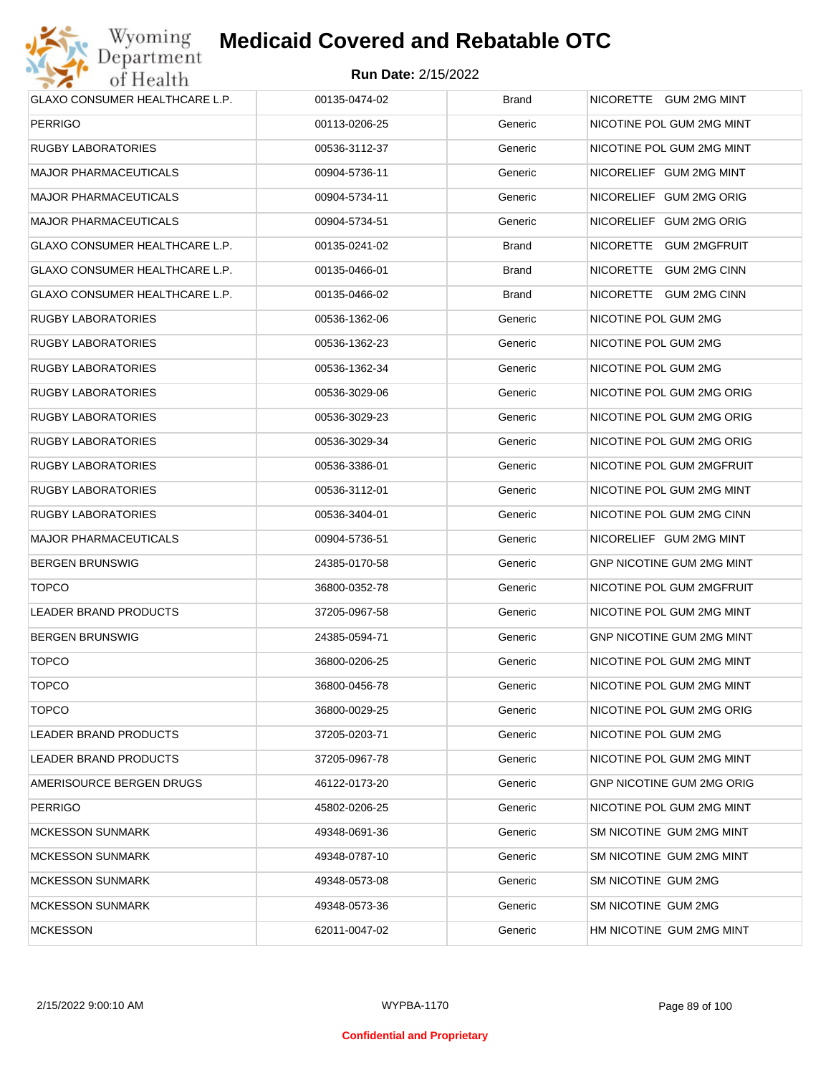

| GLAXO CONSUMER HEALTHCARE L.P.        | 00135-0474-02 | <b>Brand</b> | NICORETTE GUM 2MG MINT    |
|---------------------------------------|---------------|--------------|---------------------------|
| <b>PERRIGO</b>                        | 00113-0206-25 | Generic      | NICOTINE POL GUM 2MG MINT |
| RUGBY LABORATORIES                    | 00536-3112-37 | Generic      | NICOTINE POL GUM 2MG MINT |
| <b>MAJOR PHARMACEUTICALS</b>          | 00904-5736-11 | Generic      | NICORELIEF GUM 2MG MINT   |
| <b>MAJOR PHARMACEUTICALS</b>          | 00904-5734-11 | Generic      | NICORELIEF GUM 2MG ORIG   |
| <b>MAJOR PHARMACEUTICALS</b>          | 00904-5734-51 | Generic      | NICORELIEF GUM 2MG ORIG   |
| <b>GLAXO CONSUMER HEALTHCARE L.P.</b> | 00135-0241-02 | Brand        | NICORETTE GUM 2MGFRUIT    |
| <b>GLAXO CONSUMER HEALTHCARE L.P.</b> | 00135-0466-01 | Brand        | NICORETTE GUM 2MG CINN    |
| GLAXO CONSUMER HEALTHCARE L.P.        | 00135-0466-02 | <b>Brand</b> | NICORETTE GUM 2MG CINN    |
| RUGBY LABORATORIES                    | 00536-1362-06 | Generic      | NICOTINE POL GUM 2MG      |
| RUGBY LABORATORIES                    | 00536-1362-23 | Generic      | NICOTINE POL GUM 2MG      |
| RUGBY LABORATORIES                    | 00536-1362-34 | Generic      | NICOTINE POL GUM 2MG      |
| RUGBY LABORATORIES                    | 00536-3029-06 | Generic      | NICOTINE POL GUM 2MG ORIG |
| RUGBY LABORATORIES                    | 00536-3029-23 | Generic      | NICOTINE POL GUM 2MG ORIG |
| RUGBY LABORATORIES                    | 00536-3029-34 | Generic      | NICOTINE POL GUM 2MG ORIG |
| RUGBY LABORATORIES                    | 00536-3386-01 | Generic      | NICOTINE POL GUM 2MGFRUIT |
| RUGBY LABORATORIES                    | 00536-3112-01 | Generic      | NICOTINE POL GUM 2MG MINT |
| RUGBY LABORATORIES                    | 00536-3404-01 | Generic      | NICOTINE POL GUM 2MG CINN |
| <b>MAJOR PHARMACEUTICALS</b>          | 00904-5736-51 | Generic      | NICORELIEF GUM 2MG MINT   |
| <b>BERGEN BRUNSWIG</b>                | 24385-0170-58 | Generic      | GNP NICOTINE GUM 2MG MINT |
| <b>TOPCO</b>                          | 36800-0352-78 | Generic      | NICOTINE POL GUM 2MGFRUIT |
| LEADER BRAND PRODUCTS                 | 37205-0967-58 | Generic      | NICOTINE POL GUM 2MG MINT |
| <b>BERGEN BRUNSWIG</b>                | 24385-0594-71 | Generic      | GNP NICOTINE GUM 2MG MINT |
| <b>TOPCO</b>                          | 36800-0206-25 | Generic      | NICOTINE POL GUM 2MG MINT |
| <b>TOPCO</b>                          | 36800-0456-78 | Generic      | NICOTINE POL GUM 2MG MINT |
| <b>TOPCO</b>                          | 36800-0029-25 | Generic      | NICOTINE POL GUM 2MG ORIG |
| LEADER BRAND PRODUCTS                 | 37205-0203-71 | Generic      | NICOTINE POL GUM 2MG      |
| LEADER BRAND PRODUCTS                 | 37205-0967-78 | Generic      | NICOTINE POL GUM 2MG MINT |
| AMERISOURCE BERGEN DRUGS              | 46122-0173-20 | Generic      | GNP NICOTINE GUM 2MG ORIG |
| <b>PERRIGO</b>                        | 45802-0206-25 | Generic      | NICOTINE POL GUM 2MG MINT |
| <b>MCKESSON SUNMARK</b>               | 49348-0691-36 | Generic      | SM NICOTINE GUM 2MG MINT  |
| <b>MCKESSON SUNMARK</b>               | 49348-0787-10 | Generic      | SM NICOTINE GUM 2MG MINT  |
| <b>MCKESSON SUNMARK</b>               | 49348-0573-08 | Generic      | SM NICOTINE GUM 2MG       |
| <b>MCKESSON SUNMARK</b>               | 49348-0573-36 | Generic      | SM NICOTINE GUM 2MG       |
| <b>MCKESSON</b>                       | 62011-0047-02 | Generic      | HM NICOTINE GUM 2MG MINT  |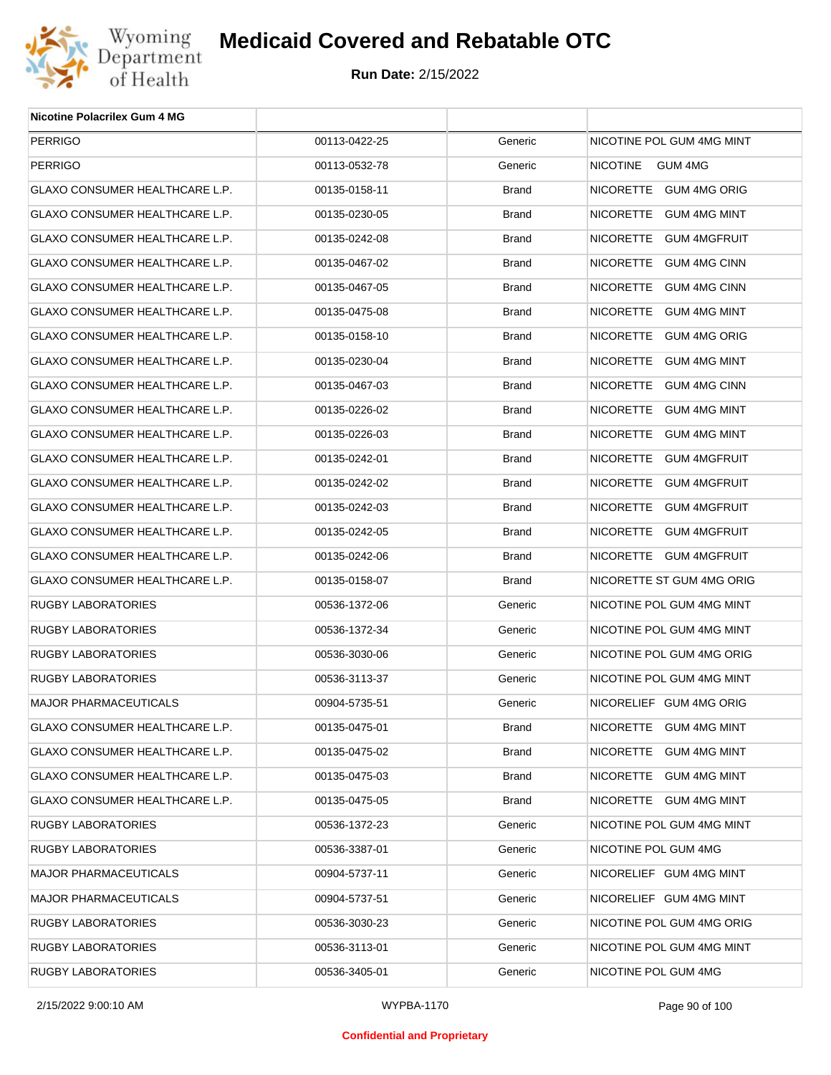

| <b>Nicotine Polacrilex Gum 4 MG</b>   |               |              |                            |
|---------------------------------------|---------------|--------------|----------------------------|
| <b>PERRIGO</b>                        | 00113-0422-25 | Generic      | NICOTINE POL GUM 4MG MINT  |
| <b>PERRIGO</b>                        | 00113-0532-78 | Generic      | <b>NICOTINE</b><br>GUM 4MG |
| GLAXO CONSUMER HEALTHCARE L.P.        | 00135-0158-11 | <b>Brand</b> | NICORETTE GUM 4MG ORIG     |
| GLAXO CONSUMER HEALTHCARE L.P.        | 00135-0230-05 | <b>Brand</b> | NICORETTE GUM 4MG MINT     |
| GLAXO CONSUMER HEALTHCARE L.P.        | 00135-0242-08 | <b>Brand</b> | NICORETTE GUM 4MGFRUIT     |
| GLAXO CONSUMER HEALTHCARE L.P.        | 00135-0467-02 | <b>Brand</b> | NICORETTE GUM 4MG CINN     |
| GLAXO CONSUMER HEALTHCARE L.P.        | 00135-0467-05 | <b>Brand</b> | NICORETTE GUM 4MG CINN     |
| GLAXO CONSUMER HEALTHCARE L.P.        | 00135-0475-08 | <b>Brand</b> | NICORETTE GUM 4MG MINT     |
| GLAXO CONSUMER HEALTHCARE L.P.        | 00135-0158-10 | <b>Brand</b> | NICORETTE GUM 4MG ORIG     |
| GLAXO CONSUMER HEALTHCARE L.P.        | 00135-0230-04 | <b>Brand</b> | NICORETTE GUM 4MG MINT     |
| GLAXO CONSUMER HEALTHCARE L.P.        | 00135-0467-03 | <b>Brand</b> | NICORETTE GUM 4MG CINN     |
| GLAXO CONSUMER HEALTHCARE L.P.        | 00135-0226-02 | <b>Brand</b> | NICORETTE GUM 4MG MINT     |
| GLAXO CONSUMER HEALTHCARE L.P.        | 00135-0226-03 | <b>Brand</b> | NICORETTE GUM 4MG MINT     |
| GLAXO CONSUMER HEALTHCARE L.P.        | 00135-0242-01 | <b>Brand</b> | NICORETTE GUM 4MGFRUIT     |
| <b>GLAXO CONSUMER HEALTHCARE L.P.</b> | 00135-0242-02 | <b>Brand</b> | NICORETTE GUM 4MGFRUIT     |
| GLAXO CONSUMER HEALTHCARE L.P.        | 00135-0242-03 | <b>Brand</b> | NICORETTE GUM 4MGFRUIT     |
| GLAXO CONSUMER HEALTHCARE L.P.        | 00135-0242-05 | <b>Brand</b> | NICORETTE GUM 4MGFRUIT     |
| GLAXO CONSUMER HEALTHCARE L.P.        | 00135-0242-06 | <b>Brand</b> | NICORETTE GUM 4MGFRUIT     |
| GLAXO CONSUMER HEALTHCARE L.P.        | 00135-0158-07 | <b>Brand</b> | NICORETTE ST GUM 4MG ORIG  |
| RUGBY LABORATORIES                    | 00536-1372-06 | Generic      | NICOTINE POL GUM 4MG MINT  |
| RUGBY LABORATORIES                    | 00536-1372-34 | Generic      | NICOTINE POL GUM 4MG MINT  |
| <b>RUGBY LABORATORIES</b>             | 00536-3030-06 | Generic      | NICOTINE POL GUM 4MG ORIG  |
| <b>RUGBY LABORATORIES</b>             | 00536-3113-37 | Generic      | NICOTINE POL GUM 4MG MINT  |
| <b>MAJOR PHARMACEUTICALS</b>          | 00904-5735-51 | Generic      | NICORELIEF GUM 4MG ORIG    |
| GLAXO CONSUMER HEALTHCARE L.P.        | 00135-0475-01 | <b>Brand</b> | NICORETTE GUM 4MG MINT     |
| GLAXO CONSUMER HEALTHCARE L.P.        | 00135-0475-02 | <b>Brand</b> | NICORETTE GUM 4MG MINT     |
| GLAXO CONSUMER HEALTHCARE L.P.        | 00135-0475-03 | <b>Brand</b> | NICORETTE GUM 4MG MINT     |
| GLAXO CONSUMER HEALTHCARE L.P.        | 00135-0475-05 | Brand        | NICORETTE GUM 4MG MINT     |
| RUGBY LABORATORIES                    | 00536-1372-23 | Generic      | NICOTINE POL GUM 4MG MINT  |
| RUGBY LABORATORIES                    | 00536-3387-01 | Generic      | NICOTINE POL GUM 4MG       |
| <b>MAJOR PHARMACEUTICALS</b>          | 00904-5737-11 | Generic      | NICORELIEF GUM 4MG MINT    |
| <b>MAJOR PHARMACEUTICALS</b>          | 00904-5737-51 | Generic      | NICORELIEF GUM 4MG MINT    |
| RUGBY LABORATORIES                    | 00536-3030-23 | Generic      | NICOTINE POL GUM 4MG ORIG  |
| RUGBY LABORATORIES                    | 00536-3113-01 | Generic      | NICOTINE POL GUM 4MG MINT  |
| <b>RUGBY LABORATORIES</b>             | 00536-3405-01 | Generic      | NICOTINE POL GUM 4MG       |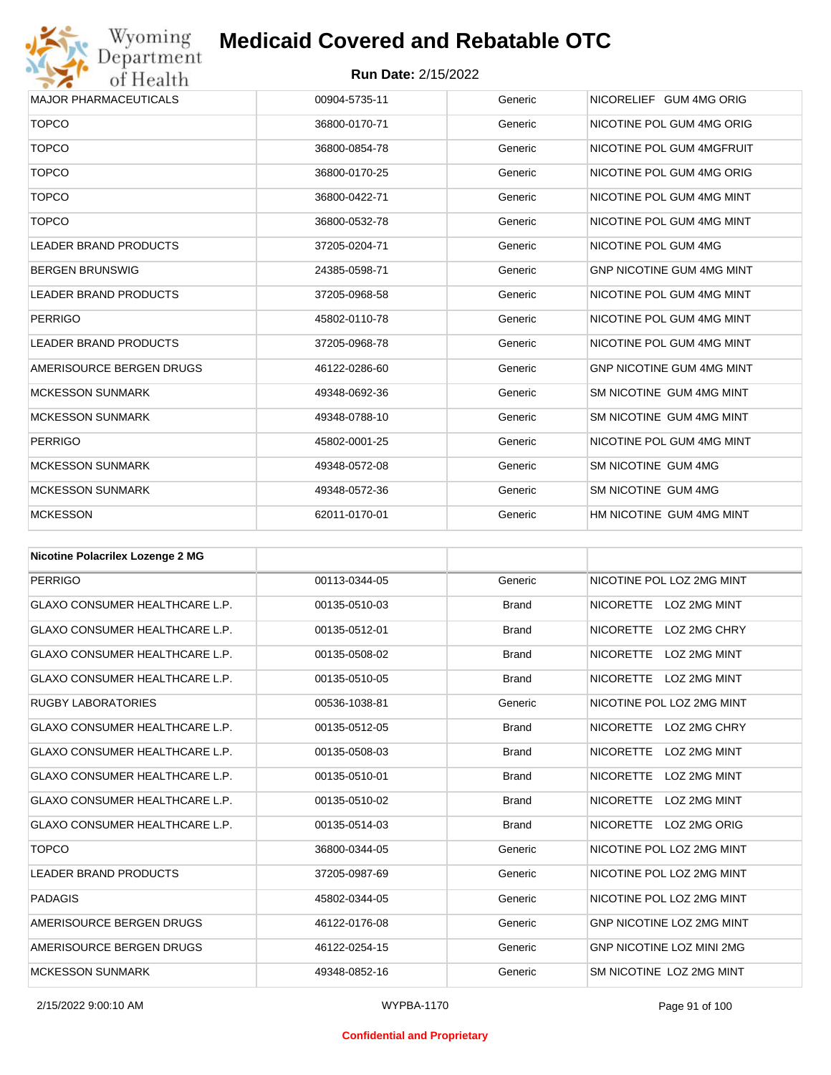

| <b>MAJOR PHARMACEUTICALS</b> | 00904-5735-11 | Generic | NICORELIEF GUM 4MG ORIG          |
|------------------------------|---------------|---------|----------------------------------|
| <b>TOPCO</b>                 | 36800-0170-71 | Generic | NICOTINE POL GUM 4MG ORIG        |
| <b>TOPCO</b>                 | 36800-0854-78 | Generic | NICOTINE POL GUM 4MGFRUIT        |
| <b>TOPCO</b>                 | 36800-0170-25 | Generic | NICOTINE POL GUM 4MG ORIG        |
| <b>TOPCO</b>                 | 36800-0422-71 | Generic | NICOTINE POL GUM 4MG MINT        |
| <b>TOPCO</b>                 | 36800-0532-78 | Generic | NICOTINE POL GUM 4MG MINT        |
| <b>LEADER BRAND PRODUCTS</b> | 37205-0204-71 | Generic | NICOTINE POL GUM 4MG             |
| <b>BERGEN BRUNSWIG</b>       | 24385-0598-71 | Generic | <b>GNP NICOTINE GUM 4MG MINT</b> |
| <b>LEADER BRAND PRODUCTS</b> | 37205-0968-58 | Generic | NICOTINE POL GUM 4MG MINT        |
| <b>PERRIGO</b>               | 45802-0110-78 | Generic | NICOTINE POL GUM 4MG MINT        |
| <b>LEADER BRAND PRODUCTS</b> | 37205-0968-78 | Generic | NICOTINE POL GUM 4MG MINT        |
| AMERISOURCE BERGEN DRUGS     | 46122-0286-60 | Generic | <b>GNP NICOTINE GUM 4MG MINT</b> |
| <b>MCKESSON SUNMARK</b>      | 49348-0692-36 | Generic | SM NICOTINE GUM 4MG MINT         |
| <b>MCKESSON SUNMARK</b>      | 49348-0788-10 | Generic | SM NICOTINE GUM 4MG MINT         |
| <b>PERRIGO</b>               | 45802-0001-25 | Generic | NICOTINE POL GUM 4MG MINT        |
| <b>MCKESSON SUNMARK</b>      | 49348-0572-08 | Generic | SM NICOTINE GUM 4MG              |
| <b>MCKESSON SUNMARK</b>      | 49348-0572-36 | Generic | SM NICOTINE GUM 4MG              |
| <b>MCKESSON</b>              | 62011-0170-01 | Generic | HM NICOTINE GUM 4MG MINT         |

| <b>Nicotine Polacrilex Lozenge 2 MG</b> |               |              |                                         |
|-----------------------------------------|---------------|--------------|-----------------------------------------|
| <b>PERRIGO</b>                          | 00113-0344-05 | Generic      | NICOTINE POL LOZ 2MG MINT               |
| <b>GLAXO CONSUMER HEALTHCARE L.P.</b>   | 00135-0510-03 | <b>Brand</b> | NICORETTE LOZ 2MG MINT                  |
| <b>GLAXO CONSUMER HEALTHCARE L.P.</b>   | 00135-0512-01 | <b>Brand</b> | LOZ 2MG CHRY<br><b>NICORETTE</b>        |
| <b>GLAXO CONSUMER HEALTHCARE L.P.</b>   | 00135-0508-02 | <b>Brand</b> | <b>NICORETTE</b><br>LOZ 2MG MINT        |
| <b>GLAXO CONSUMER HEALTHCARE L.P.</b>   | 00135-0510-05 | <b>Brand</b> | NICORETTE LOZ 2MG MINT                  |
| <b>RUGBY LABORATORIES</b>               | 00536-1038-81 | Generic      | NICOTINE POL LOZ 2MG MINT               |
| <b>GLAXO CONSUMER HEALTHCARE L.P.</b>   | 00135-0512-05 | <b>Brand</b> | NICORETTE LOZ 2MG CHRY                  |
| <b>GLAXO CONSUMER HEALTHCARE L.P.</b>   | 00135-0508-03 | <b>Brand</b> | <b>NICORETTE</b><br>LOZ 2MG MINT        |
| <b>GLAXO CONSUMER HEALTHCARE L.P.</b>   | 00135-0510-01 | <b>Brand</b> | <b>NICORETTE</b><br><b>LOZ 2MG MINT</b> |
| <b>GLAXO CONSUMER HEALTHCARE L.P.</b>   | 00135-0510-02 | <b>Brand</b> | <b>NICORETTE</b><br>LOZ 2MG MINT        |
| <b>GLAXO CONSUMER HEALTHCARE L.P.</b>   | 00135-0514-03 | <b>Brand</b> | NICORETTE LOZ 2MG ORIG                  |
| <b>TOPCO</b>                            | 36800-0344-05 | Generic      | NICOTINE POL LOZ 2MG MINT               |
| <b>LEADER BRAND PRODUCTS</b>            | 37205-0987-69 | Generic      | NICOTINE POL LOZ 2MG MINT               |
| <b>PADAGIS</b>                          | 45802-0344-05 | Generic      | NICOTINE POL LOZ 2MG MINT               |
| AMERISOURCE BERGEN DRUGS                | 46122-0176-08 | Generic      | <b>GNP NICOTINE LOZ 2MG MINT</b>        |
| AMERISOURCE BERGEN DRUGS                | 46122-0254-15 | Generic      | <b>GNP NICOTINE LOZ MINI 2MG</b>        |
| <b>MCKESSON SUNMARK</b>                 | 49348-0852-16 | Generic      | SM NICOTINE LOZ 2MG MINT                |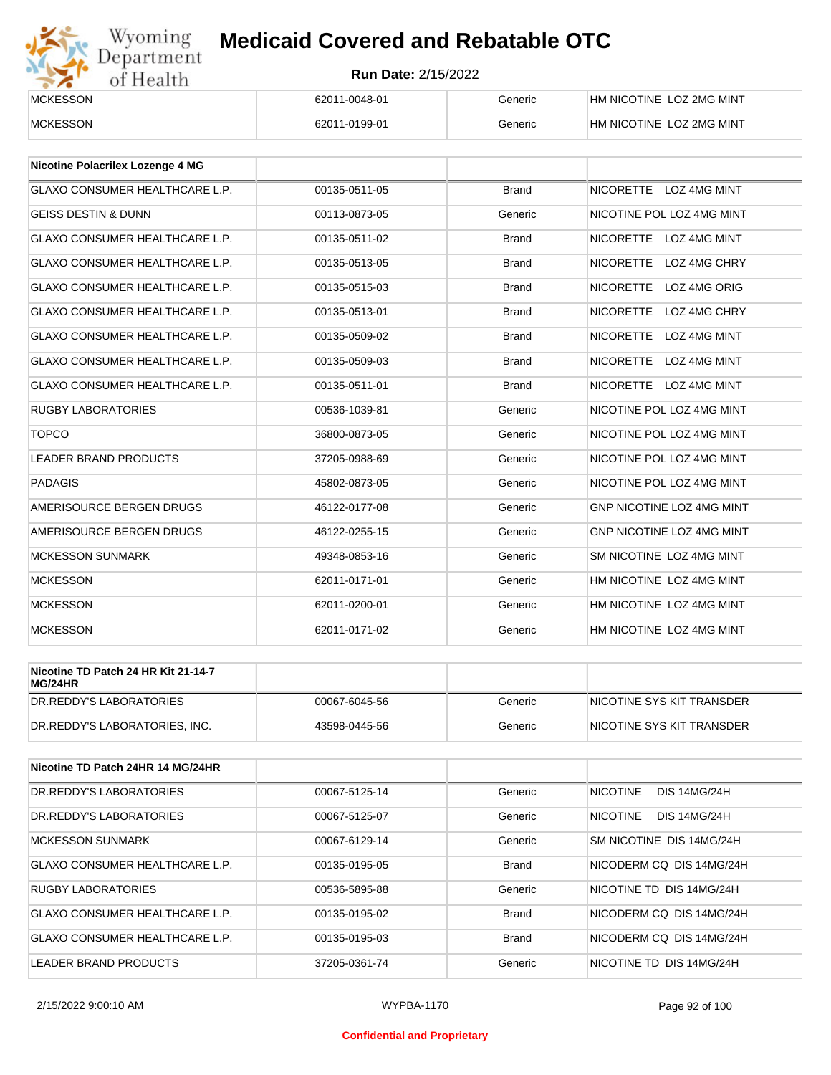

| <b>MCKESSON</b> | 62011-0048-01 | Generic | IHM NICOTINE LOZ 2MG MINT |
|-----------------|---------------|---------|---------------------------|
| <b>MCKESSON</b> | 62011-0199-01 | Generic | HM NICOTINE LOZ 2MG MINT  |

| <b>Nicotine Polacrilex Lozenge 4 MG</b> |               |              |                                  |
|-----------------------------------------|---------------|--------------|----------------------------------|
| <b>GLAXO CONSUMER HEALTHCARE L.P.</b>   | 00135-0511-05 | <b>Brand</b> | NICORETTE LOZ 4MG MINT           |
| <b>GEISS DESTIN &amp; DUNN</b>          | 00113-0873-05 | Generic      | NICOTINE POL LOZ 4MG MINT        |
| <b>GLAXO CONSUMER HEALTHCARE L.P.</b>   | 00135-0511-02 | <b>Brand</b> | NICORETTE LOZ 4MG MINT           |
| <b>GLAXO CONSUMER HEALTHCARE L.P.</b>   | 00135-0513-05 | <b>Brand</b> | <b>NICORETTE</b><br>LOZ 4MG CHRY |
| <b>GLAXO CONSUMER HEALTHCARE L.P.</b>   | 00135-0515-03 | <b>Brand</b> | NICORETTE LOZ 4MG ORIG           |
| <b>GLAXO CONSUMER HEALTHCARE L.P.</b>   | 00135-0513-01 | <b>Brand</b> | <b>NICORETTE</b><br>LOZ 4MG CHRY |
| <b>GLAXO CONSUMER HEALTHCARE L.P.</b>   | 00135-0509-02 | <b>Brand</b> | NICORETTE LOZ 4MG MINT           |
| <b>GLAXO CONSUMER HEALTHCARE L.P.</b>   | 00135-0509-03 | <b>Brand</b> | NICORETTE LOZ 4MG MINT           |
| <b>GLAXO CONSUMER HEALTHCARE L.P.</b>   | 00135-0511-01 | <b>Brand</b> | NICORETTE LOZ 4MG MINT           |
| <b>RUGBY LABORATORIES</b>               | 00536-1039-81 | Generic      | NICOTINE POL LOZ 4MG MINT        |
| <b>TOPCO</b>                            | 36800-0873-05 | Generic      | NICOTINE POL LOZ 4MG MINT        |
| <b>LEADER BRAND PRODUCTS</b>            | 37205-0988-69 | Generic      | NICOTINE POL LOZ 4MG MINT        |
| PADAGIS                                 | 45802-0873-05 | Generic      | NICOTINE POL LOZ 4MG MINT        |
| AMERISOURCE BERGEN DRUGS                | 46122-0177-08 | Generic      | GNP NICOTINE LOZ 4MG MINT        |
| AMERISOURCE BERGEN DRUGS                | 46122-0255-15 | Generic      | <b>GNP NICOTINE LOZ 4MG MINT</b> |
| <b>MCKESSON SUNMARK</b>                 | 49348-0853-16 | Generic      | SM NICOTINE LOZ 4MG MINT         |
| <b>MCKESSON</b>                         | 62011-0171-01 | Generic      | HM NICOTINE LOZ 4MG MINT         |
| <b>MCKESSON</b>                         | 62011-0200-01 | Generic      | HM NICOTINE LOZ 4MG MINT         |
| <b>MCKESSON</b>                         | 62011-0171-02 | Generic      | HM NICOTINE LOZ 4MG MINT         |

| Nicotine TD Patch 24 HR Kit 21-14-7<br>MG/24HR |               |         |                            |
|------------------------------------------------|---------------|---------|----------------------------|
| DR.REDDY'S LABORATORIES                        | 00067-6045-56 | Generic | INICOTINE SYS KIT TRANSDER |
| DR.REDDY'S LABORATORIES. INC.                  | 43598-0445-56 | Generic | INICOTINE SYS KIT TRANSDER |

| Nicotine TD Patch 24HR 14 MG/24HR |               |              |                                        |
|-----------------------------------|---------------|--------------|----------------------------------------|
| DR.REDDY'S LABORATORIES           | 00067-5125-14 | Generic      | <b>NICOTINE</b><br><b>DIS 14MG/24H</b> |
| DR.REDDY'S LABORATORIES           | 00067-5125-07 | Generic      | <b>NICOTINE</b><br><b>DIS 14MG/24H</b> |
| MCKESSON SUNMARK                  | 00067-6129-14 | Generic      | SM NICOTINE DIS 14MG/24H               |
| GLAXO CONSUMER HEALTHCARE L.P.    | 00135-0195-05 | <b>Brand</b> | NICODERM CO DIS 14MG/24H               |
| <b>RUGBY LABORATORIES</b>         | 00536-5895-88 | Generic      | NICOTINE TD DIS 14MG/24H               |
| GLAXO CONSUMER HEALTHCARE L.P.    | 00135-0195-02 | <b>Brand</b> | NICODERM CO DIS 14MG/24H               |
| GLAXO CONSUMER HEALTHCARE L.P.    | 00135-0195-03 | <b>Brand</b> | NICODERM CO DIS 14MG/24H               |
| LEADER BRAND PRODUCTS             | 37205-0361-74 | Generic      | NICOTINE TD DIS 14MG/24H               |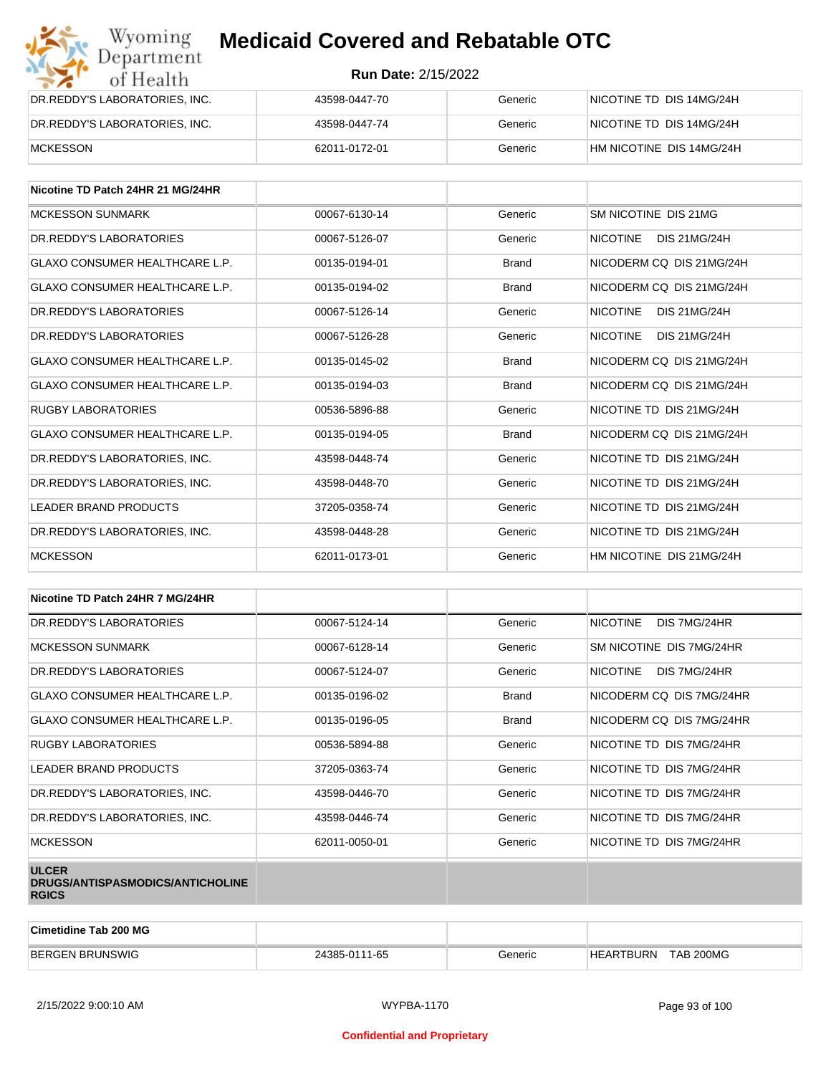| Wyoming<br>Department         | <b>Medicaid Covered and Rebatable OTC</b> |         |                          |  |  |
|-------------------------------|-------------------------------------------|---------|--------------------------|--|--|
| of Health                     | <b>Run Date: 2/15/2022</b>                |         |                          |  |  |
| DR.REDDY'S LABORATORIES, INC. | 43598-0447-70                             | Generic | NICOTINE TD DIS 14MG/24H |  |  |
| DR.REDDY'S LABORATORIES, INC. | 43598-0447-74                             | Generic | NICOTINE TD DIS 14MG/24H |  |  |
| <b>MCKESSON</b>               | 62011-0172-01                             | Generic | HM NICOTINE DIS 14MG/24H |  |  |

| Nicotine TD Patch 24HR 21 MG/24HR     |               |              |                                        |
|---------------------------------------|---------------|--------------|----------------------------------------|
| <b>MCKESSON SUNMARK</b>               | 00067-6130-14 | Generic      | SM NICOTINE DIS 21MG                   |
| DR. REDDY'S LABORATORIES              | 00067-5126-07 | Generic      | <b>NICOTINE</b><br><b>DIS 21MG/24H</b> |
| <b>GLAXO CONSUMER HEALTHCARE L.P.</b> | 00135-0194-01 | <b>Brand</b> | NICODERM CO DIS 21MG/24H               |
| <b>GLAXO CONSUMER HEALTHCARE L.P.</b> | 00135-0194-02 | <b>Brand</b> | NICODERM CO DIS 21MG/24H               |
| DR. REDDY'S LABORATORIES              | 00067-5126-14 | Generic      | <b>NICOTINE</b><br><b>DIS 21MG/24H</b> |
| DR. REDDY'S LABORATORIES              | 00067-5126-28 | Generic      | <b>NICOTINE</b><br><b>DIS 21MG/24H</b> |
| <b>GLAXO CONSUMER HEALTHCARE L.P.</b> | 00135-0145-02 | <b>Brand</b> | NICODERM CO DIS 21MG/24H               |
| <b>GLAXO CONSUMER HEALTHCARE L.P.</b> | 00135-0194-03 | <b>Brand</b> | NICODERM CQ DIS 21MG/24H               |
| <b>RUGBY LABORATORIES</b>             | 00536-5896-88 | Generic      | NICOTINE TD DIS 21MG/24H               |
| <b>GLAXO CONSUMER HEALTHCARE L.P.</b> | 00135-0194-05 | <b>Brand</b> | NICODERM CQ DIS 21MG/24H               |
| DR. REDDY'S LABORATORIES. INC.        | 43598-0448-74 | Generic      | NICOTINE TD DIS 21MG/24H               |
| DR.REDDY'S LABORATORIES, INC.         | 43598-0448-70 | Generic      | NICOTINE TD DIS 21MG/24H               |
| <b>LEADER BRAND PRODUCTS</b>          | 37205-0358-74 | Generic      | NICOTINE TD DIS 21MG/24H               |
| DR.REDDY'S LABORATORIES, INC.         | 43598-0448-28 | Generic      | NICOTINE TD DIS 21MG/24H               |
| <b>MCKESSON</b>                       | 62011-0173-01 | Generic      | HM NICOTINE DIS 21MG/24H               |

| Nicotine TD Patch 24HR 7 MG/24HR                                 |               |              |                                 |
|------------------------------------------------------------------|---------------|--------------|---------------------------------|
| DR. REDDY'S LABORATORIES                                         | 00067-5124-14 | Generic      | <b>NICOTINE</b><br>DIS 7MG/24HR |
| <b>MCKESSON SUNMARK</b>                                          | 00067-6128-14 | Generic      | SM NICOTINE DIS 7MG/24HR        |
| DR. REDDY'S LABORATORIES                                         | 00067-5124-07 | Generic      | NICOTINE<br>DIS 7MG/24HR        |
| <b>GLAXO CONSUMER HEALTHCARE L.P.</b>                            | 00135-0196-02 | <b>Brand</b> | NICODERM CQ DIS 7MG/24HR        |
| GLAXO CONSUMER HEALTHCARE L.P.                                   | 00135-0196-05 | <b>Brand</b> | NICODERM CO DIS 7MG/24HR        |
| RUGBY LABORATORIES                                               | 00536-5894-88 | Generic      | NICOTINE TD DIS 7MG/24HR        |
| LEADER BRAND PRODUCTS                                            | 37205-0363-74 | Generic      | NICOTINE TD DIS 7MG/24HR        |
| DR.REDDY'S LABORATORIES, INC.                                    | 43598-0446-70 | Generic      | NICOTINE TD DIS 7MG/24HR        |
| DR.REDDY'S LABORATORIES, INC.                                    | 43598-0446-74 | Generic      | NICOTINE TD DIS 7MG/24HR        |
| <b>MCKESSON</b>                                                  | 62011-0050-01 | Generic      | NICOTINE TD DIS 7MG/24HR        |
| <b>ULCER</b><br>DRUGS/ANTISPASMODICS/ANTICHOLINE<br><b>RGICS</b> |               |              |                                 |

| Cimetidine Tab 200 MG  |               |         |                               |  |
|------------------------|---------------|---------|-------------------------------|--|
| <b>BERGEN BRUNSWIG</b> | 24385-0111-65 | Generic | TAB 200MG<br><b>HEARTBURN</b> |  |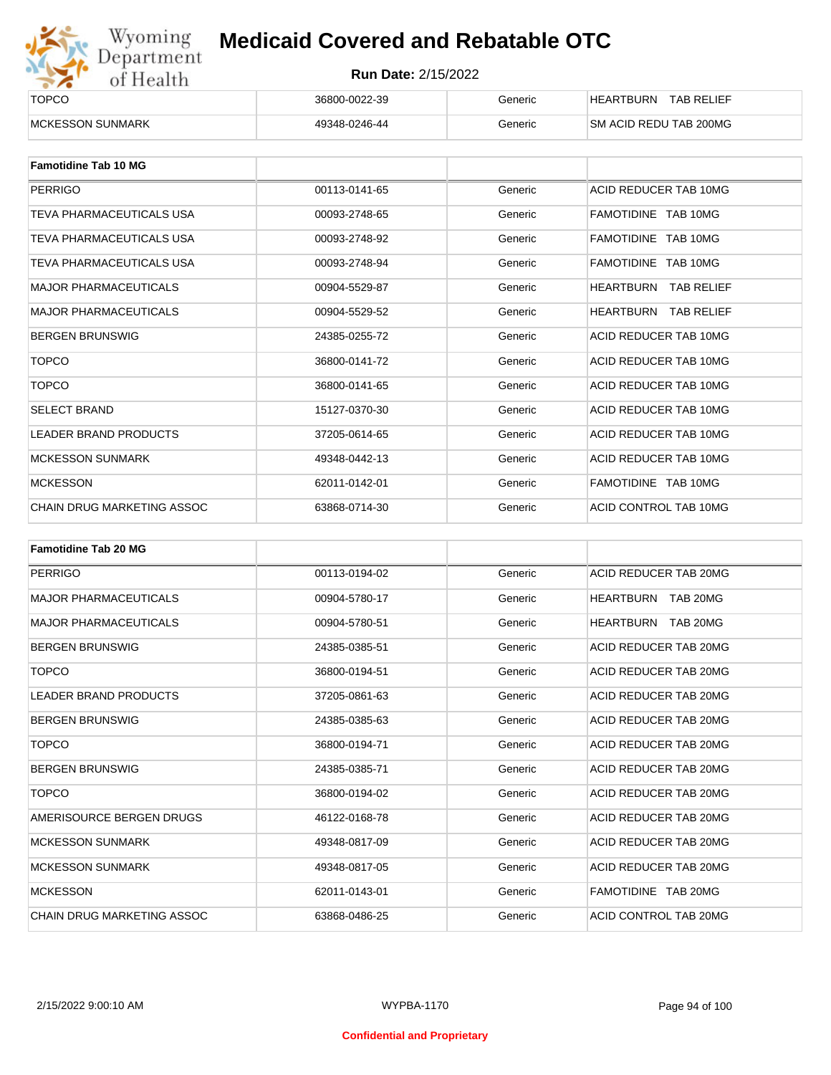

| ______<br><b>TOPCO</b>   | 36800-0022-39 | Generic | <b>TAB RELIEF</b><br><b>HEARTBURN</b> |
|--------------------------|---------------|---------|---------------------------------------|
| <b>IMCKESSON SUNMARK</b> | 49348-0246-44 | Generic | <b>SM ACID REDU TAB 200MG</b>         |

| <b>Famotidine Tab 10 MG</b>  |               |         |                                       |
|------------------------------|---------------|---------|---------------------------------------|
| <b>PERRIGO</b>               | 00113-0141-65 | Generic | ACID REDUCER TAB 10MG                 |
| TEVA PHARMACEUTICALS USA     | 00093-2748-65 | Generic | FAMOTIDINE TAB 10MG                   |
| TEVA PHARMACEUTICALS USA     | 00093-2748-92 | Generic | FAMOTIDINE TAB 10MG                   |
| TEVA PHARMACEUTICALS USA     | 00093-2748-94 | Generic | FAMOTIDINE TAB 10MG                   |
| <b>MAJOR PHARMACEUTICALS</b> | 00904-5529-87 | Generic | <b>HEARTBURN</b><br><b>TAB RELIEF</b> |
| <b>MAJOR PHARMACEUTICALS</b> | 00904-5529-52 | Generic | <b>HEARTBURN TAB RELIEF</b>           |
| <b>BERGEN BRUNSWIG</b>       | 24385-0255-72 | Generic | ACID REDUCER TAB 10MG                 |
| <b>TOPCO</b>                 | 36800-0141-72 | Generic | ACID REDUCER TAB 10MG                 |
| <b>TOPCO</b>                 | 36800-0141-65 | Generic | ACID REDUCER TAB 10MG                 |
| <b>SELECT BRAND</b>          | 15127-0370-30 | Generic | ACID REDUCER TAB 10MG                 |
| <b>LEADER BRAND PRODUCTS</b> | 37205-0614-65 | Generic | ACID REDUCER TAB 10MG                 |
| <b>MCKESSON SUNMARK</b>      | 49348-0442-13 | Generic | ACID REDUCER TAB 10MG                 |
| <b>MCKESSON</b>              | 62011-0142-01 | Generic | FAMOTIDINE TAB 10MG                   |
| CHAIN DRUG MARKETING ASSOC   | 63868-0714-30 | Generic | ACID CONTROL TAB 10MG                 |

| <b>Famotidine Tab 20 MG</b>  |               |         |                       |
|------------------------------|---------------|---------|-----------------------|
| <b>PERRIGO</b>               | 00113-0194-02 | Generic | ACID REDUCER TAB 20MG |
| <b>MAJOR PHARMACEUTICALS</b> | 00904-5780-17 | Generic | HEARTBURN<br>TAB 20MG |
| <b>MAJOR PHARMACEUTICALS</b> | 00904-5780-51 | Generic | HEARTBURN<br>TAB 20MG |
| <b>BERGEN BRUNSWIG</b>       | 24385-0385-51 | Generic | ACID REDUCER TAB 20MG |
| <b>TOPCO</b>                 | 36800-0194-51 | Generic | ACID REDUCER TAB 20MG |
| <b>LEADER BRAND PRODUCTS</b> | 37205-0861-63 | Generic | ACID REDUCER TAB 20MG |
| <b>BERGEN BRUNSWIG</b>       | 24385-0385-63 | Generic | ACID REDUCER TAB 20MG |
| <b>TOPCO</b>                 | 36800-0194-71 | Generic | ACID REDUCER TAB 20MG |
| <b>BERGEN BRUNSWIG</b>       | 24385-0385-71 | Generic | ACID REDUCER TAB 20MG |
| <b>TOPCO</b>                 | 36800-0194-02 | Generic | ACID REDUCER TAB 20MG |
| AMERISOURCE BERGEN DRUGS     | 46122-0168-78 | Generic | ACID REDUCER TAB 20MG |
| <b>MCKESSON SUNMARK</b>      | 49348-0817-09 | Generic | ACID REDUCER TAB 20MG |
| <b>MCKESSON SUNMARK</b>      | 49348-0817-05 | Generic | ACID REDUCER TAB 20MG |
| <b>MCKESSON</b>              | 62011-0143-01 | Generic | FAMOTIDINE TAB 20MG   |
| CHAIN DRUG MARKETING ASSOC   | 63868-0486-25 | Generic | ACID CONTROL TAB 20MG |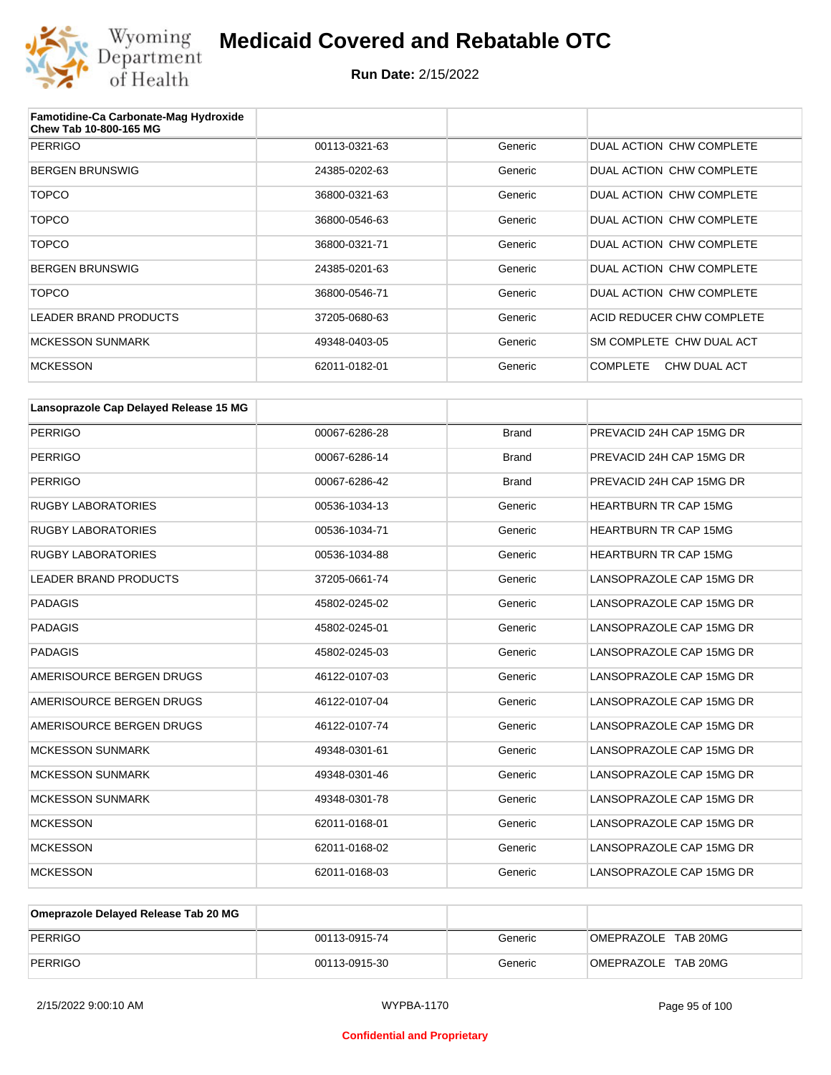

| Famotidine-Ca Carbonate-Mag Hydroxide<br>Chew Tab 10-800-165 MG |               |         |                                 |
|-----------------------------------------------------------------|---------------|---------|---------------------------------|
| <b>PERRIGO</b>                                                  | 00113-0321-63 | Generic | DUAL ACTION CHW COMPLETE        |
| <b>BERGEN BRUNSWIG</b>                                          | 24385-0202-63 | Generic | DUAL ACTION CHW COMPLETE        |
| <b>TOPCO</b>                                                    | 36800-0321-63 | Generic | DUAL ACTION CHW COMPLETE        |
| <b>TOPCO</b>                                                    | 36800-0546-63 | Generic | DUAL ACTION CHW COMPLETE        |
| <b>TOPCO</b>                                                    | 36800-0321-71 | Generic | DUAL ACTION CHW COMPLETE        |
| <b>BERGEN BRUNSWIG</b>                                          | 24385-0201-63 | Generic | DUAL ACTION CHW COMPLETE        |
| TOPCO                                                           | 36800-0546-71 | Generic | DUAL ACTION CHW COMPLETE        |
| LEADER BRAND PRODUCTS                                           | 37205-0680-63 | Generic | ACID REDUCER CHW COMPLETE       |
| <b>MCKESSON SUNMARK</b>                                         | 49348-0403-05 | Generic | SM COMPLETE CHW DUAL ACT        |
| <b>MCKESSON</b>                                                 | 62011-0182-01 | Generic | <b>COMPLETE</b><br>CHW DUAL ACT |

| Lansoprazole Cap Delayed Release 15 MG |               |              |                              |
|----------------------------------------|---------------|--------------|------------------------------|
| <b>PERRIGO</b>                         | 00067-6286-28 | <b>Brand</b> | PREVACID 24H CAP 15MG DR     |
| <b>PERRIGO</b>                         | 00067-6286-14 | <b>Brand</b> | PREVACID 24H CAP 15MG DR     |
| <b>PERRIGO</b>                         | 00067-6286-42 | <b>Brand</b> | PREVACID 24H CAP 15MG DR     |
| <b>RUGBY LABORATORIES</b>              | 00536-1034-13 | Generic      | <b>HEARTBURN TR CAP 15MG</b> |
| <b>RUGBY LABORATORIES</b>              | 00536-1034-71 | Generic      | <b>HEARTBURN TR CAP 15MG</b> |
| <b>RUGBY LABORATORIES</b>              | 00536-1034-88 | Generic      | <b>HEARTBURN TR CAP 15MG</b> |
| <b>LEADER BRAND PRODUCTS</b>           | 37205-0661-74 | Generic      | LANSOPRAZOLE CAP 15MG DR     |
| <b>PADAGIS</b>                         | 45802-0245-02 | Generic      | LANSOPRAZOLE CAP 15MG DR     |
| <b>PADAGIS</b>                         | 45802-0245-01 | Generic      | LANSOPRAZOLE CAP 15MG DR     |
| <b>PADAGIS</b>                         | 45802-0245-03 | Generic      | LANSOPRAZOLE CAP 15MG DR     |
| AMERISOURCE BERGEN DRUGS               | 46122-0107-03 | Generic      | LANSOPRAZOLE CAP 15MG DR     |
| AMERISOURCE BERGEN DRUGS               | 46122-0107-04 | Generic      | LANSOPRAZOLE CAP 15MG DR     |
| AMERISOURCE BERGEN DRUGS               | 46122-0107-74 | Generic      | LANSOPRAZOLE CAP 15MG DR     |
| <b>MCKESSON SUNMARK</b>                | 49348-0301-61 | Generic      | LANSOPRAZOLE CAP 15MG DR     |
| <b>MCKESSON SUNMARK</b>                | 49348-0301-46 | Generic      | LANSOPRAZOLE CAP 15MG DR     |
| <b>MCKESSON SUNMARK</b>                | 49348-0301-78 | Generic      | LANSOPRAZOLE CAP 15MG DR     |
| <b>MCKESSON</b>                        | 62011-0168-01 | Generic      | LANSOPRAZOLE CAP 15MG DR     |
| <b>MCKESSON</b>                        | 62011-0168-02 | Generic      | LANSOPRAZOLE CAP 15MG DR     |
| <b>MCKESSON</b>                        | 62011-0168-03 | Generic      | LANSOPRAZOLE CAP 15MG DR     |

| Omeprazole Delayed Release Tab 20 MG |               |         |                     |
|--------------------------------------|---------------|---------|---------------------|
| PERRIGO                              | 00113-0915-74 | Generic | OMEPRAZOLE TAB 20MG |
| PERRIGO                              | 00113-0915-30 | Generic | OMEPRAZOLE TAB 20MG |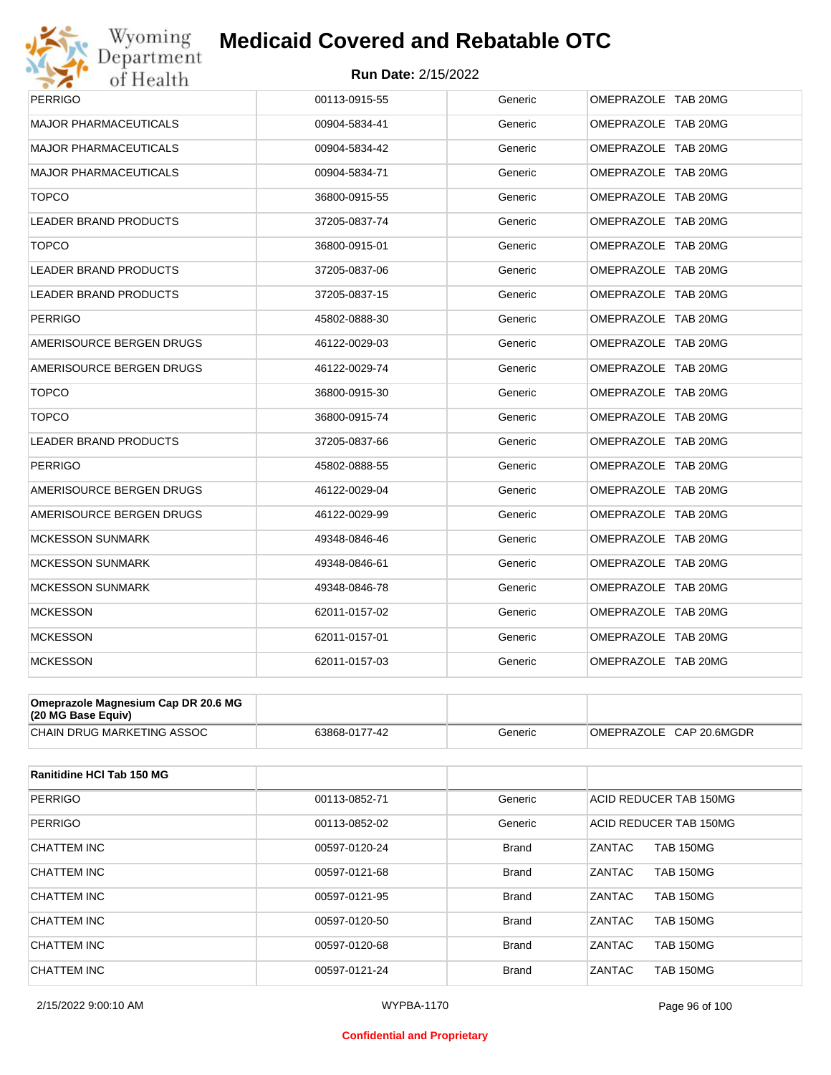

| <b>PERRIGO</b>               | 00113-0915-55 | Generic | OMEPRAZOLE TAB 20MG |
|------------------------------|---------------|---------|---------------------|
| <b>MAJOR PHARMACEUTICALS</b> | 00904-5834-41 | Generic | OMEPRAZOLE TAB 20MG |
| <b>MAJOR PHARMACEUTICALS</b> | 00904-5834-42 | Generic | OMEPRAZOLE TAB 20MG |
| MAJOR PHARMACEUTICALS        | 00904-5834-71 | Generic | OMEPRAZOLE TAB 20MG |
| <b>TOPCO</b>                 | 36800-0915-55 | Generic | OMEPRAZOLE TAB 20MG |
| <b>LEADER BRAND PRODUCTS</b> | 37205-0837-74 | Generic | OMEPRAZOLE TAB 20MG |
| <b>TOPCO</b>                 | 36800-0915-01 | Generic | OMEPRAZOLE TAB 20MG |
| <b>LEADER BRAND PRODUCTS</b> | 37205-0837-06 | Generic | OMEPRAZOLE TAB 20MG |
| LEADER BRAND PRODUCTS        | 37205-0837-15 | Generic | OMEPRAZOLE TAB 20MG |
| <b>PERRIGO</b>               | 45802-0888-30 | Generic | OMEPRAZOLE TAB 20MG |
| AMERISOURCE BERGEN DRUGS     | 46122-0029-03 | Generic | OMEPRAZOLE TAB 20MG |
| AMERISOURCE BERGEN DRUGS     | 46122-0029-74 | Generic | OMEPRAZOLE TAB 20MG |
| <b>TOPCO</b>                 | 36800-0915-30 | Generic | OMEPRAZOLE TAB 20MG |
| <b>TOPCO</b>                 | 36800-0915-74 | Generic | OMEPRAZOLE TAB 20MG |
| LEADER BRAND PRODUCTS        | 37205-0837-66 | Generic | OMEPRAZOLE TAB 20MG |
| <b>PERRIGO</b>               | 45802-0888-55 | Generic | OMEPRAZOLE TAB 20MG |
| AMERISOURCE BERGEN DRUGS     | 46122-0029-04 | Generic | OMEPRAZOLE TAB 20MG |
| AMERISOURCE BERGEN DRUGS     | 46122-0029-99 | Generic | OMEPRAZOLE TAB 20MG |
| <b>MCKESSON SUNMARK</b>      | 49348-0846-46 | Generic | OMEPRAZOLE TAB 20MG |
| <b>MCKESSON SUNMARK</b>      | 49348-0846-61 | Generic | OMEPRAZOLE TAB 20MG |
| <b>MCKESSON SUNMARK</b>      | 49348-0846-78 | Generic | OMEPRAZOLE TAB 20MG |
| <b>MCKESSON</b>              | 62011-0157-02 | Generic | OMEPRAZOLE TAB 20MG |
| <b>MCKESSON</b>              | 62011-0157-01 | Generic | OMEPRAZOLE TAB 20MG |
| <b>MCKESSON</b>              | 62011-0157-03 | Generic | OMEPRAZOLE TAB 20MG |

| Omeprazole Magnesium Cap DR 20.6 MG<br>$(20 \text{ MG Base Equity})$ |               |         |                         |
|----------------------------------------------------------------------|---------------|---------|-------------------------|
| CHAIN DRUG MARKETING ASSOC                                           | 63868-0177-42 | Generic | OMEPRAZOLE CAP 20.6MGDR |

| Ranitidine HCI Tab 150 MG |               |              |                            |
|---------------------------|---------------|--------------|----------------------------|
| PERRIGO                   | 00113-0852-71 | Generic      | ACID REDUCER TAB 150MG     |
| <b>PERRIGO</b>            | 00113-0852-02 | Generic      | ACID REDUCER TAB 150MG     |
| CHATTEM INC               | 00597-0120-24 | <b>Brand</b> | <b>TAB 150MG</b><br>ZANTAC |
| <b>CHATTEM INC</b>        | 00597-0121-68 | <b>Brand</b> | ZANTAC<br><b>TAB 150MG</b> |
| CHATTEM INC               | 00597-0121-95 | <b>Brand</b> | ZANTAC<br><b>TAB 150MG</b> |
| CHATTEM INC               | 00597-0120-50 | <b>Brand</b> | ZANTAC<br><b>TAB 150MG</b> |
| CHATTEM INC               | 00597-0120-68 | <b>Brand</b> | ZANTAC<br><b>TAB 150MG</b> |
| CHATTEM INC               | 00597-0121-24 | <b>Brand</b> | ZANTAC<br><b>TAB 150MG</b> |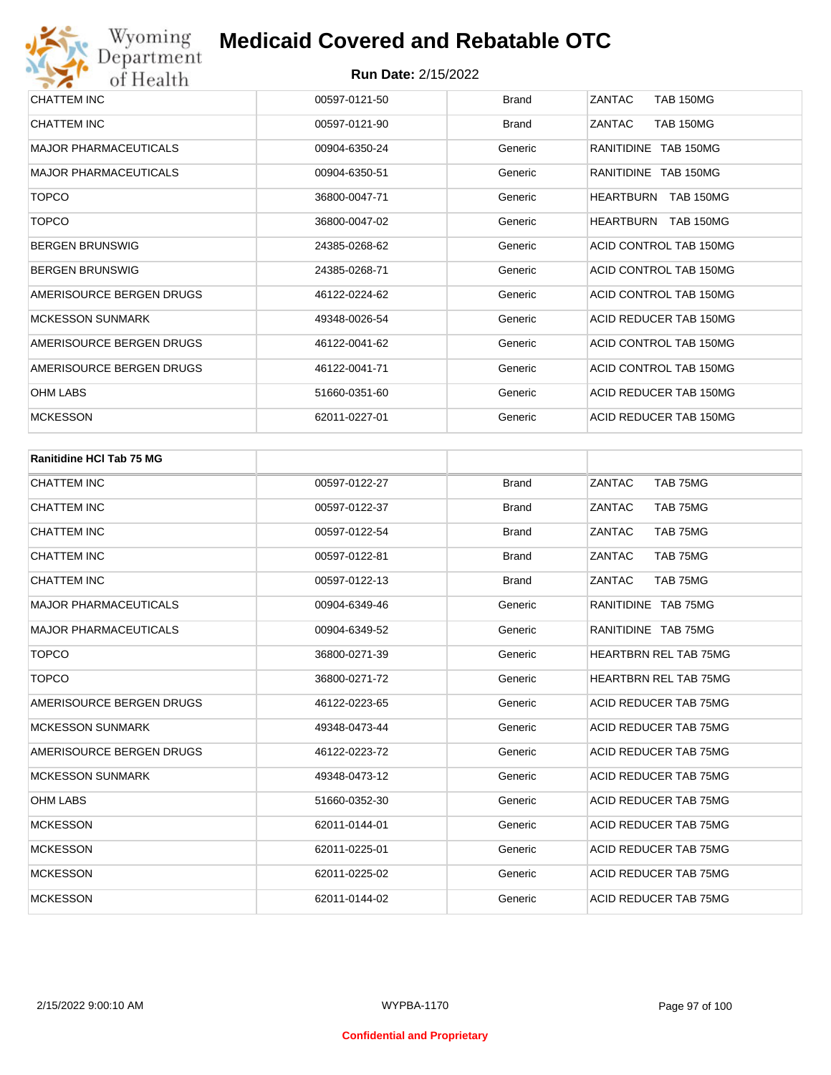| CHATTEM INC                  | 00597-0121-50 | <b>Brand</b> | ZANTAC<br><b>TAB 150MG</b>           |
|------------------------------|---------------|--------------|--------------------------------------|
| <b>CHATTEM INC</b>           | 00597-0121-90 | <b>Brand</b> | ZANTAC<br><b>TAB 150MG</b>           |
| <b>MAJOR PHARMACEUTICALS</b> | 00904-6350-24 | Generic      | RANITIDINE TAB 150MG                 |
| <b>MAJOR PHARMACEUTICALS</b> | 00904-6350-51 | Generic      | RANITIDINE TAB 150MG                 |
| <b>TOPCO</b>                 | 36800-0047-71 | Generic      | <b>HEARTBURN</b><br><b>TAB 150MG</b> |
| <b>TOPCO</b>                 | 36800-0047-02 | Generic      | <b>HEARTBURN</b><br><b>TAB 150MG</b> |
| <b>BERGEN BRUNSWIG</b>       | 24385-0268-62 | Generic      | ACID CONTROL TAB 150MG               |
| <b>BERGEN BRUNSWIG</b>       | 24385-0268-71 | Generic      | ACID CONTROL TAB 150MG               |
| AMERISOURCE BERGEN DRUGS     | 46122-0224-62 | Generic      | ACID CONTROL TAB 150MG               |
| <b>MCKESSON SUNMARK</b>      | 49348-0026-54 | Generic      | ACID REDUCER TAB 150MG               |
| AMERISOURCE BERGEN DRUGS     | 46122-0041-62 | Generic      | ACID CONTROL TAB 150MG               |
| AMERISOURCE BERGEN DRUGS     | 46122-0041-71 | Generic      | ACID CONTROL TAB 150MG               |
| <b>OHM LABS</b>              | 51660-0351-60 | Generic      | ACID REDUCER TAB 150MG               |
| <b>MCKESSON</b>              | 62011-0227-01 | Generic      | ACID REDUCER TAB 150MG               |

| <b>Ranitidine HCI Tab 75 MG</b> |               |              |                              |
|---------------------------------|---------------|--------------|------------------------------|
| <b>CHATTEM INC</b>              | 00597-0122-27 | <b>Brand</b> | ZANTAC<br>TAB 75MG           |
| <b>CHATTEM INC</b>              | 00597-0122-37 | <b>Brand</b> | ZANTAC<br>TAB 75MG           |
| <b>CHATTEM INC</b>              | 00597-0122-54 | <b>Brand</b> | ZANTAC<br>TAB 75MG           |
| <b>CHATTEM INC</b>              | 00597-0122-81 | <b>Brand</b> | ZANTAC<br>TAB 75MG           |
| <b>CHATTEM INC</b>              | 00597-0122-13 | <b>Brand</b> | ZANTAC<br>TAB 75MG           |
| <b>MAJOR PHARMACEUTICALS</b>    | 00904-6349-46 | Generic      | RANITIDINE TAB 75MG          |
| <b>MAJOR PHARMACEUTICALS</b>    | 00904-6349-52 | Generic      | RANITIDINE TAB 75MG          |
| <b>TOPCO</b>                    | 36800-0271-39 | Generic      | <b>HEARTBRN REL TAB 75MG</b> |
| <b>TOPCO</b>                    | 36800-0271-72 | Generic      | <b>HEARTBRN REL TAB 75MG</b> |
| AMERISOURCE BERGEN DRUGS        | 46122-0223-65 | Generic      | ACID REDUCER TAB 75MG        |
| <b>MCKESSON SUNMARK</b>         | 49348-0473-44 | Generic      | <b>ACID REDUCER TAB 75MG</b> |
| AMERISOURCE BERGEN DRUGS        | 46122-0223-72 | Generic      | <b>ACID REDUCER TAB 75MG</b> |
| <b>MCKESSON SUNMARK</b>         | 49348-0473-12 | Generic      | <b>ACID REDUCER TAB 75MG</b> |
| <b>OHM LABS</b>                 | 51660-0352-30 | Generic      | ACID REDUCER TAB 75MG        |
| <b>MCKESSON</b>                 | 62011-0144-01 | Generic      | <b>ACID REDUCER TAB 75MG</b> |
| <b>MCKESSON</b>                 | 62011-0225-01 | Generic      | <b>ACID REDUCER TAB 75MG</b> |
| <b>MCKESSON</b>                 | 62011-0225-02 | Generic      | <b>ACID REDUCER TAB 75MG</b> |
| <b>MCKESSON</b>                 | 62011-0144-02 | Generic      | ACID REDUCER TAB 75MG        |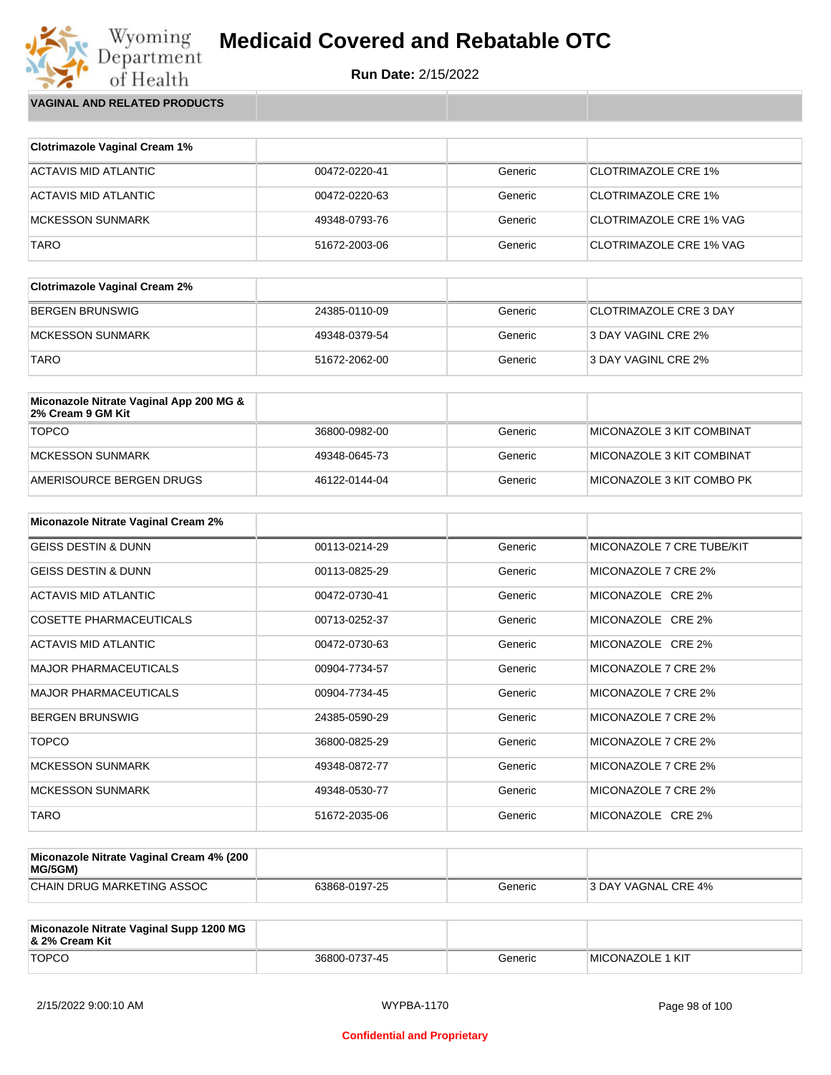**Run Date:** 2/15/2022

Wyoming<br>Department<br>of Health **VAGINAL AND RELATED PRODUCTS**

| <b>Clotrimazole Vaginal Cream 1%</b> |               |         |                                |
|--------------------------------------|---------------|---------|--------------------------------|
| ACTAVIS MID ATLANTIC                 | 00472-0220-41 | Generic | <b>CLOTRIMAZOLE CRE 1%</b>     |
| ACTAVIS MID ATLANTIC                 | 00472-0220-63 | Generic | <b>CLOTRIMAZOLE CRE 1%</b>     |
| <b>MCKESSON SUNMARK</b>              | 49348-0793-76 | Generic | CLOTRIMAZOLE CRE 1% VAG        |
| <b>TARO</b>                          | 51672-2003-06 | Generic | <b>CLOTRIMAZOLE CRE 1% VAG</b> |

| <b>Clotrimazole Vaginal Cream 2%</b> |               |         |                               |
|--------------------------------------|---------------|---------|-------------------------------|
| BERGEN BRUNSWIG                      | 24385-0110-09 | Generic | <b>CLOTRIMAZOLE CRE 3 DAY</b> |
| IMCKESSON SUNMARK                    | 49348-0379-54 | Generic | 3 DAY VAGINL CRE 2%           |
| <b>TARO</b>                          | 51672-2062-00 | Generic | 3 DAY VAGINL CRE 2%           |

| Miconazole Nitrate Vaginal App 200 MG &<br>2% Cream 9 GM Kit |               |         |                           |
|--------------------------------------------------------------|---------------|---------|---------------------------|
| <b>TOPCO</b>                                                 | 36800-0982-00 | Generic | MICONAZOLE 3 KIT COMBINAT |
| MCKESSON SUNMARK                                             | 49348-0645-73 | Generic | MICONAZOLE 3 KIT COMBINAT |
| AMERISOURCE BERGEN DRUGS                                     | 46122-0144-04 | Generic | MICONAZOLE 3 KIT COMBO PK |

| <b>Miconazole Nitrate Vaginal Cream 2%</b> |               |         |                           |
|--------------------------------------------|---------------|---------|---------------------------|
| <b>GEISS DESTIN &amp; DUNN</b>             | 00113-0214-29 | Generic | MICONAZOLE 7 CRE TUBE/KIT |
| <b>GEISS DESTIN &amp; DUNN</b>             | 00113-0825-29 | Generic | MICONAZOLE 7 CRE 2%       |
| ACTAVIS MID ATLANTIC                       | 00472-0730-41 | Generic | MICONAZOLE CRE 2%         |
| COSETTE PHARMACEUTICALS                    | 00713-0252-37 | Generic | MICONAZOLE CRE 2%         |
| ACTAVIS MID ATLANTIC                       | 00472-0730-63 | Generic | MICONAZOLE CRE 2%         |
| <b>MAJOR PHARMACEUTICALS</b>               | 00904-7734-57 | Generic | MICONAZOLE 7 CRE 2%       |
| <b>MAJOR PHARMACEUTICALS</b>               | 00904-7734-45 | Generic | MICONAZOLE 7 CRE 2%       |
| <b>BERGEN BRUNSWIG</b>                     | 24385-0590-29 | Generic | MICONAZOLE 7 CRE 2%       |
| <b>TOPCO</b>                               | 36800-0825-29 | Generic | MICONAZOLE 7 CRE 2%       |
| <b>MCKESSON SUNMARK</b>                    | 49348-0872-77 | Generic | MICONAZOLE 7 CRE 2%       |
| <b>MCKESSON SUNMARK</b>                    | 49348-0530-77 | Generic | MICONAZOLE 7 CRE 2%       |
| <b>TARO</b>                                | 51672-2035-06 | Generic | MICONAZOLE CRE 2%         |

| Miconazole Nitrate Vaginal Cream 4% (200<br>MG/5GM) |               |         |                            |
|-----------------------------------------------------|---------------|---------|----------------------------|
| CHAIN DRUG MARKETING ASSOC                          | 63868-0197-25 | Generic | <b>3 DAY VAGNAL CRE 4%</b> |

| Miconazole Nitrate Vaginal Supp 1200 MG<br>8. 2% Cream Kit |               |         |                          |
|------------------------------------------------------------|---------------|---------|--------------------------|
| <b>TOPCO</b>                                               | 36800-0737-45 | Generic | <b>IMICONAZOLE 1 KIT</b> |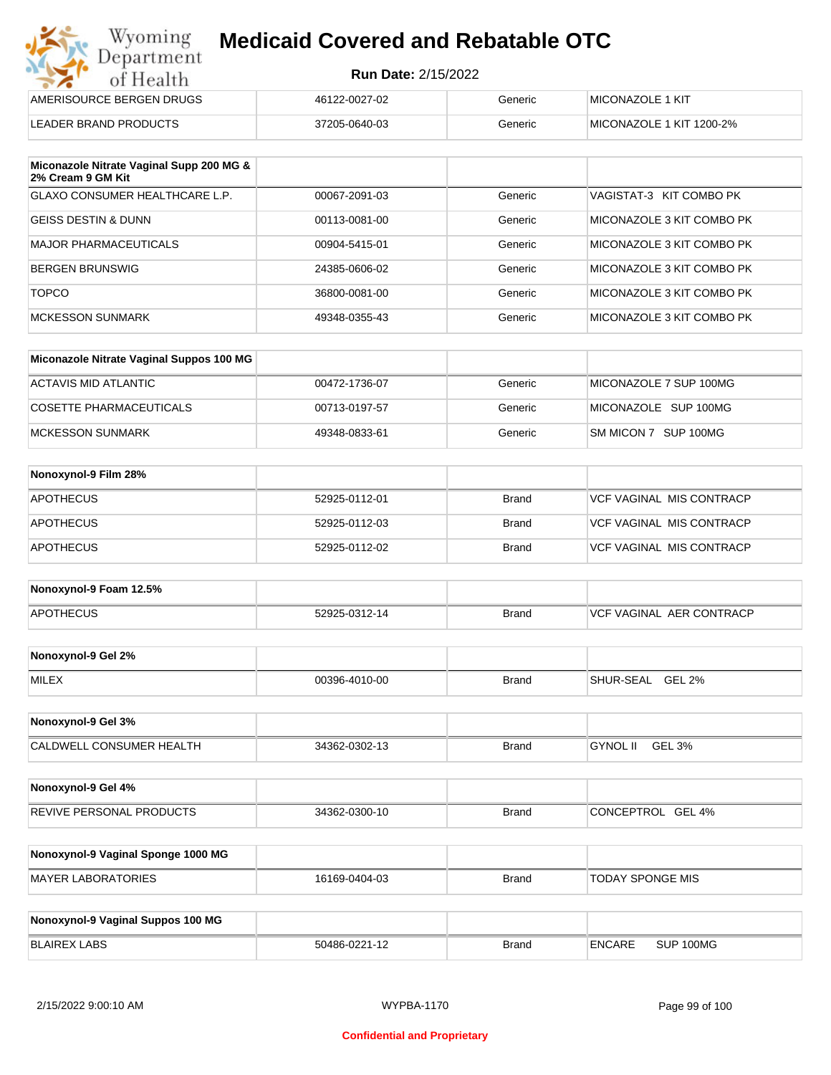| Wyoming<br>Department    | <b>Medicaid Covered and Rebatable OTC</b> |         |                          |  |
|--------------------------|-------------------------------------------|---------|--------------------------|--|
| of Health                | <b>Run Date: 2/15/2022</b>                |         |                          |  |
| AMERISOURCE BERGEN DRUGS | 46122-0027-02                             | Generic | MICONAZOLE 1 KIT         |  |
| LEADER BRAND PRODUCTS    | 37205-0640-03                             | Generic | MICONAZOLE 1 KIT 1200-2% |  |

| Miconazole Nitrate Vaginal Supp 200 MG &<br>2% Cream 9 GM Kit |               |         |                           |
|---------------------------------------------------------------|---------------|---------|---------------------------|
| <b>GLAXO CONSUMER HEALTHCARE L.P.</b>                         | 00067-2091-03 | Generic | VAGISTAT-3 KIT COMBO PK   |
| <b>GEISS DESTIN &amp; DUNN</b>                                | 00113-0081-00 | Generic | MICONAZOLE 3 KIT COMBO PK |
| <b>MAJOR PHARMACEUTICALS</b>                                  | 00904-5415-01 | Generic | MICONAZOLE 3 KIT COMBO PK |
| <b>BERGEN BRUNSWIG</b>                                        | 24385-0606-02 | Generic | MICONAZOLE 3 KIT COMBO PK |
| <b>TOPCO</b>                                                  | 36800-0081-00 | Generic | MICONAZOLE 3 KIT COMBO PK |
| <b>MCKESSON SUNMARK</b>                                       | 49348-0355-43 | Generic | MICONAZOLE 3 KIT COMBO PK |

| Miconazole Nitrate Vaginal Suppos 100 MG |               |         |                        |
|------------------------------------------|---------------|---------|------------------------|
| ACTAVIS MID ATLANTIC                     | 00472-1736-07 | Generic | MICONAZOLE 7 SUP 100MG |
| COSETTE PHARMACEUTICALS                  | 00713-0197-57 | Generic | MICONAZOLE SUP 100MG   |
| IMCKESSON SUNMARK                        | 49348-0833-61 | Generic | SM MICON 7 SUP 100MG   |

| Nonoxynol-9 Film 28% |               |       |                                 |
|----------------------|---------------|-------|---------------------------------|
| <b>APOTHECUS</b>     | 52925-0112-01 | Brand | <b>VCF VAGINAL MIS CONTRACP</b> |
| <b>APOTHECUS</b>     | 52925-0112-03 | Brand | VCF VAGINAL MIS CONTRACP        |
| <b>APOTHECUS</b>     | 52925-0112-02 | Brand | <b>VCF VAGINAL MIS CONTRACP</b> |

| Nonoxynol-9 Foam 12.5% |               |              |                          |
|------------------------|---------------|--------------|--------------------------|
| <b>APOTHECUS</b>       | 52925-0312-14 | <b>Brand</b> | VCF VAGINAL AER CONTRACP |

| Nonoxynol-9 Gel 2% |               |       |                            |
|--------------------|---------------|-------|----------------------------|
| <b>MILEX</b>       | 00396-4010-00 | Brand | GEL 2%<br><b>SHUR-SEAL</b> |

| Nonoxynol-9 Gel 3%              |               |       |                           |  |
|---------------------------------|---------------|-------|---------------------------|--|
| <b>CALDWELL CONSUMER HEALTH</b> | 34362-0302-13 | Brand | <b>GYNOL II</b><br>GEL 3% |  |

| Nonoxynol-9 Gel 4%              |               |              |                      |
|---------------------------------|---------------|--------------|----------------------|
| <b>REVIVE PERSONAL PRODUCTS</b> | 34362-0300-10 | <b>Brand</b> | GEL 4%<br>CONCEPTROL |

| Nonoxynol-9 Vaginal Sponge 1000 MG |               |       |                  |
|------------------------------------|---------------|-------|------------------|
| MAYER LABORATORIES                 | 16169-0404-03 | Brand | TODAY SPONGE MIS |

| Nonoxynol-9 Vaginal Suppos 100 MG |               |              |               |           |
|-----------------------------------|---------------|--------------|---------------|-----------|
| BLAIREX LABS                      | 50486-0221-12 | <b>Brand</b> | <b>ENCARE</b> | SUP 100MG |